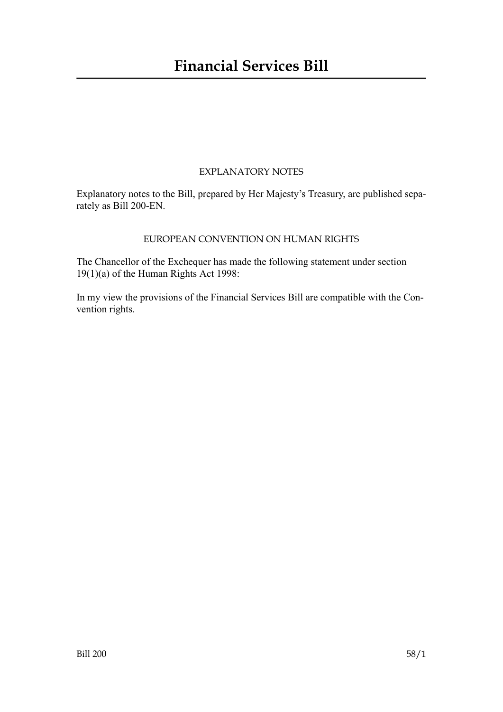## EXPLANATORY NOTES

Explanatory notes to the Bill, prepared by Her Majesty's Treasury, are published separately as Bill 200-EN.

## EUROPEAN CONVENTION ON HUMAN RIGHTS

The Chancellor of the Exchequer has made the following statement under section 19(1)(a) of the Human Rights Act 1998:

In my view the provisions of the Financial Services Bill are compatible with the Convention rights.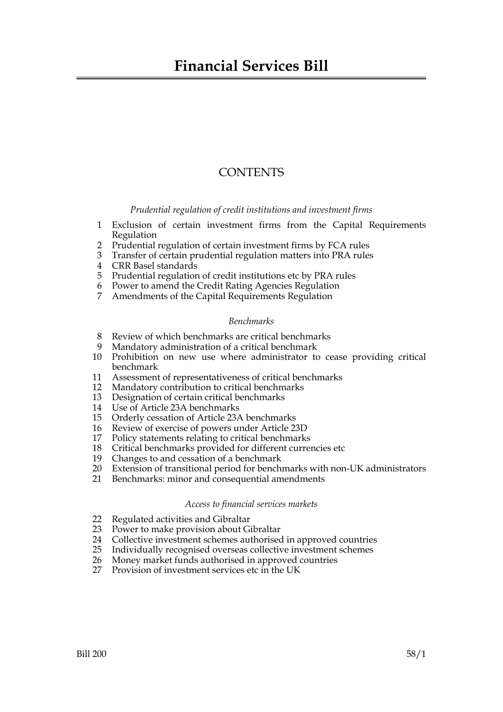## **CONTENTS**

*Prudential regulation of credit institutions and investment firms*

- 1 Exclusion of certain investment firms from the Capital Requirements Regulation
- 2 Prudential regulation of certain investment firms by FCA rules
- 3 Transfer of certain prudential regulation matters into PRA rules
- 4 CRR Basel standards
- 5 Prudential regulation of credit institutions etc by PRA rules
- 6 Power to amend the Credit Rating Agencies Regulation
- 7 Amendments of the Capital Requirements Regulation

#### *Benchmarks*

- 8 Review of which benchmarks are critical benchmarks
- 9 Mandatory administration of a critical benchmark
- 10 Prohibition on new use where administrator to cease providing critical benchmark
- 11 Assessment of representativeness of critical benchmarks
- 12 Mandatory contribution to critical benchmarks
- 13 Designation of certain critical benchmarks
- 14 Use of Article 23A benchmarks
- 15 Orderly cessation of Article 23A benchmarks
- 16 Review of exercise of powers under Article 23D
- 17 Policy statements relating to critical benchmarks
- 18 Critical benchmarks provided for different currencies etc<br>19 Changes to and cessation of a benchmark
- Changes to and cessation of a benchmark
- 20 Extension of transitional period for benchmarks with non-UK administrators
- 21 Benchmarks: minor and consequential amendments

#### *Access to financial services markets*

- 22 Regulated activities and Gibraltar
- 23 Power to make provision about Gibraltar
- 24 Collective investment schemes authorised in approved countries<br>25 Individually recognised overseas collective investment schemes
- 25 Individually recognised overseas collective investment schemes
- 26 Money market funds authorised in approved countries
- 27 Provision of investment services etc in the UK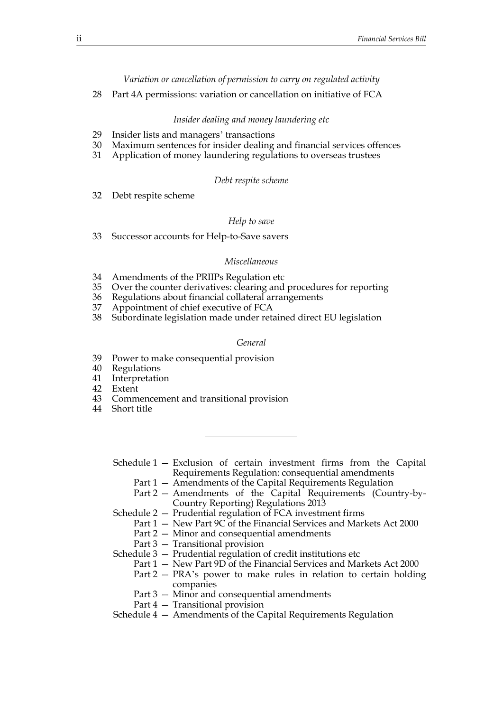*Variation or cancellation of permission to carry on regulated activity*

28 Part 4A permissions: variation or cancellation on initiative of FCA

#### *Insider dealing and money laundering etc*

- 29 Insider lists and managers' transactions
- 30 Maximum sentences for insider dealing and financial services offences
- 31 Application of money laundering regulations to overseas trustees

#### *Debt respite scheme*

32 Debt respite scheme

#### *Help to save*

33 Successor accounts for Help-to-Save savers

#### *Miscellaneous*

- 34 Amendments of the PRIIPs Regulation etc
- 35 Over the counter derivatives: clearing and procedures for reporting
- 36 Regulations about financial collateral arrangements
- 37 Appointment of chief executive of FCA
- 38 Subordinate legislation made under retained direct EU legislation

#### *General*

- 39 Power to make consequential provision
- 40 Regulations
- 41 Interpretation
- 42 Extent
- 43 Commencement and transitional provision
- 44 Short title

Schedule 1 — Exclusion of certain investment firms from the Capital Requirements Regulation: consequential amendments

- Part 1 Amendments of the Capital Requirements Regulation
- Part 2 Amendments of the Capital Requirements (Country-by-Country Reporting) Regulations 2013
- Schedule 2 Prudential regulation of FCA investment firms
	- Part 1 New Part 9C of the Financial Services and Markets Act 2000
	- Part 2 Minor and consequential amendments
	- Part 3 Transitional provision
- Schedule 3 Prudential regulation of credit institutions etc
	- Part 1 New Part 9D of the Financial Services and Markets Act 2000
	- Part 2 PRA's power to make rules in relation to certain holding companies
	- Part 3 Minor and consequential amendments
	- Part 4 Transitional provision

Schedule 4 — Amendments of the Capital Requirements Regulation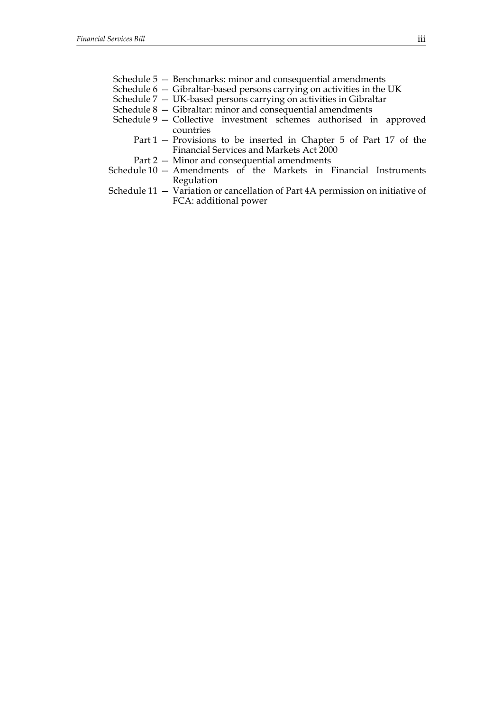- Schedule 5 Benchmarks: minor and consequential amendments
- Schedule 6 Gibraltar-based persons carrying on activities in the UK
- Schedule 7 UK-based persons carrying on activities in Gibraltar
- Schedule 8 Gibraltar: minor and consequential amendments
- Schedule 9 Collective investment schemes authorised in approved countries
	- Part 1 Provisions to be inserted in Chapter 5 of Part 17 of the Financial Services and Markets Act 2000
	- Part 2 Minor and consequential amendments
- Schedule  $10$  Amendments of the Markets in Financial Instruments Regulation
- Schedule 11 Variation or cancellation of Part 4A permission on initiative of FCA: additional power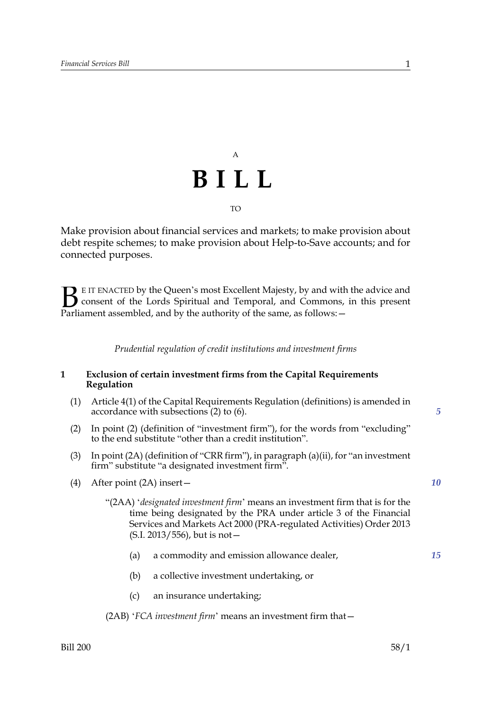# A **BILL** TO

Make provision about financial services and markets; to make provision about debt respite schemes; to make provision about Help-to-Save accounts; and for connected purposes.

E IT ENACTED by the Queen's most Excellent Majesty, by and with the advice and consent of the Lords Spiritual and Temporal, and Commons, in this present Parliament assembled, and by the authority of the same, as follows:  $\mathbf{B}_{\text{e}$ 

*Prudential regulation of credit institutions and investment firms*

#### **1 Exclusion of certain investment firms from the Capital Requirements Regulation**

- (1) Article 4(1) of the Capital Requirements Regulation (definitions) is amended in accordance with subsections (2) to (6).
- (2) In point (2) (definition of "investment firm"), for the words from "excluding" to the end substitute "other than a credit institution".
- (3) In point (2A) (definition of "CRR firm"), in paragraph (a)(ii), for "an investment firm" substitute "a designated investment firm".
- (4) After point (2A) insert—
	- "(2AA) '*designated investment firm*' means an investment firm that is for the time being designated by the PRA under article 3 of the Financial Services and Markets Act 2000 (PRA-regulated Activities) Order 2013 (S.I. 2013/556), but is not—
		- (a) a commodity and emission allowance dealer, *15*
		- (b) a collective investment undertaking, or
		- (c) an insurance undertaking;

(2AB) '*FCA investment firm*' means an investment firm that—

*5*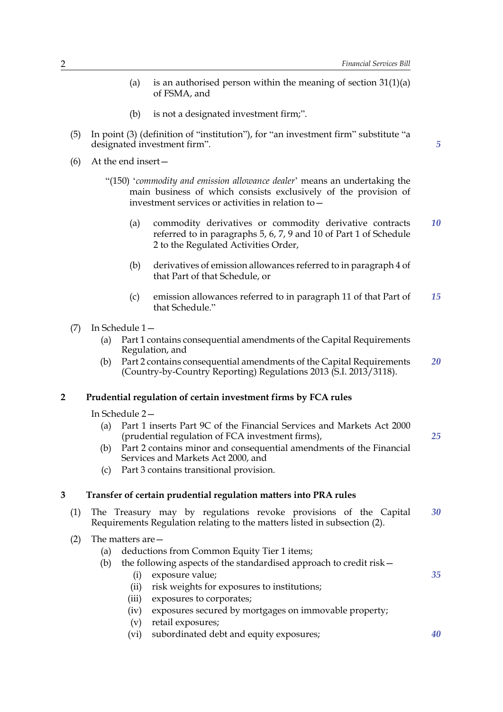*5*

*25*

*35*

- (a) is an authorised person within the meaning of section  $31(1)(a)$ of FSMA, and
- (b) is not a designated investment firm;".
- (5) In point (3) (definition of "institution"), for "an investment firm" substitute "a designated investment firm".
- (6) At the end insert—
	- "(150) '*commodity and emission allowance dealer*' means an undertaking the main business of which consists exclusively of the provision of investment services or activities in relation to—
		- (a) commodity derivatives or commodity derivative contracts referred to in paragraphs 5, 6, 7, 9 and 10 of Part 1 of Schedule 2 to the Regulated Activities Order, *10*
		- (b) derivatives of emission allowances referred to in paragraph 4 of that Part of that Schedule, or
		- (c) emission allowances referred to in paragraph 11 of that Part of that Schedule." *15*
- (7) In Schedule 1—
	- (a) Part 1 contains consequential amendments of the Capital Requirements Regulation, and
	- (b) Part 2 contains consequential amendments of the Capital Requirements (Country-by-Country Reporting) Regulations 2013 (S.I. 2013/3118). *20*

#### **2 Prudential regulation of certain investment firms by FCA rules**

In Schedule 2—

- (a) Part 1 inserts Part 9C of the Financial Services and Markets Act 2000 (prudential regulation of FCA investment firms),
- (b) Part 2 contains minor and consequential amendments of the Financial Services and Markets Act 2000, and
- (c) Part 3 contains transitional provision.

#### **3 Transfer of certain prudential regulation matters into PRA rules**

- (1) The Treasury may by regulations revoke provisions of the Capital Requirements Regulation relating to the matters listed in subsection (2). *30*
- (2) The matters are—
	- (a) deductions from Common Equity Tier 1 items;
	- (b) the following aspects of the standardised approach to credit risk—
		- (i) exposure value;
		- (ii) risk weights for exposures to institutions;
		- (iii) exposures to corporates;
		- (iv) exposures secured by mortgages on immovable property;
		- (v) retail exposures;
		- (vi) subordinated debt and equity exposures; *40*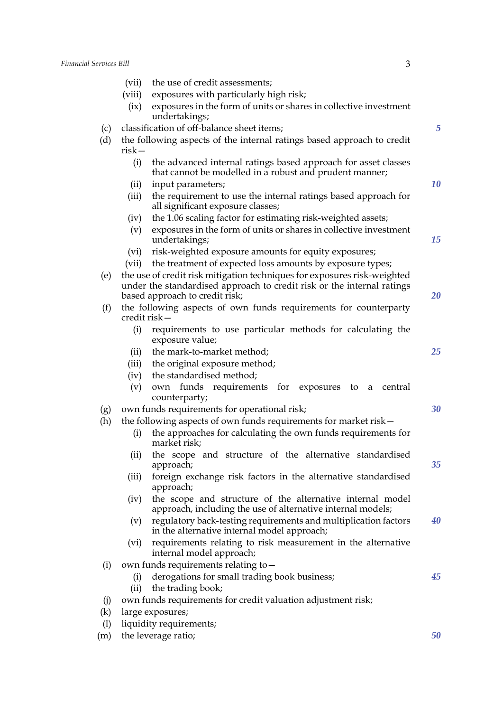|     | (vii)                                                                             | the use of credit assessments;                                                                                                                                                       |  |  |
|-----|-----------------------------------------------------------------------------------|--------------------------------------------------------------------------------------------------------------------------------------------------------------------------------------|--|--|
|     | (viii)                                                                            | exposures with particularly high risk;                                                                                                                                               |  |  |
|     | (ix)                                                                              | exposures in the form of units or shares in collective investment<br>undertakings;                                                                                                   |  |  |
| (c) | classification of off-balance sheet items;                                        |                                                                                                                                                                                      |  |  |
| (d) | the following aspects of the internal ratings based approach to credit<br>$risk-$ |                                                                                                                                                                                      |  |  |
|     | (i)                                                                               | the advanced internal ratings based approach for asset classes<br>that cannot be modelled in a robust and prudent manner;                                                            |  |  |
|     | (ii)                                                                              | input parameters;                                                                                                                                                                    |  |  |
|     | (iii)                                                                             | the requirement to use the internal ratings based approach for<br>all significant exposure classes;                                                                                  |  |  |
|     | (iv)                                                                              | the 1.06 scaling factor for estimating risk-weighted assets;                                                                                                                         |  |  |
|     | (v)                                                                               | exposures in the form of units or shares in collective investment<br>undertakings;                                                                                                   |  |  |
|     | (vi)                                                                              | risk-weighted exposure amounts for equity exposures;                                                                                                                                 |  |  |
|     | (vii)                                                                             | the treatment of expected loss amounts by exposure types;                                                                                                                            |  |  |
| (e) |                                                                                   | the use of credit risk mitigation techniques for exposures risk-weighted<br>under the standardised approach to credit risk or the internal ratings<br>based approach to credit risk; |  |  |
| (f) | the following aspects of own funds requirements for counterparty<br>credit risk-  |                                                                                                                                                                                      |  |  |
|     | (i)                                                                               | requirements to use particular methods for calculating the<br>exposure value;                                                                                                        |  |  |
|     | (ii)                                                                              | the mark-to-market method;                                                                                                                                                           |  |  |
|     | (iii)                                                                             | the original exposure method;                                                                                                                                                        |  |  |
|     | (iv)                                                                              | the standardised method;                                                                                                                                                             |  |  |
|     | (v)                                                                               | own funds requirements for exposures<br>to a<br>central<br>counterparty;                                                                                                             |  |  |
| (g) | own funds requirements for operational risk;                                      |                                                                                                                                                                                      |  |  |
| (h) |                                                                                   | the following aspects of own funds requirements for market risk-                                                                                                                     |  |  |
|     | (i)                                                                               | the approaches for calculating the own funds requirements for<br>market risk;                                                                                                        |  |  |
|     | (ii)                                                                              | the scope and structure of the alternative standardised<br>approach;                                                                                                                 |  |  |
|     | (iii)                                                                             | foreign exchange risk factors in the alternative standardised<br>approach;                                                                                                           |  |  |
|     | (iv)                                                                              | the scope and structure of the alternative internal model<br>approach, including the use of alternative internal models;                                                             |  |  |
|     | (v)                                                                               | regulatory back-testing requirements and multiplication factors<br>in the alternative internal model approach;                                                                       |  |  |
|     | (vi)                                                                              | requirements relating to risk measurement in the alternative<br>internal model approach;                                                                                             |  |  |
| (i) |                                                                                   | own funds requirements relating to -                                                                                                                                                 |  |  |
|     | (i)                                                                               | derogations for small trading book business;                                                                                                                                         |  |  |
|     | (ii)                                                                              | the trading book;                                                                                                                                                                    |  |  |
| (i) |                                                                                   | own funds requirements for credit valuation adjustment risk;                                                                                                                         |  |  |
| (k) |                                                                                   | large exposures;                                                                                                                                                                     |  |  |
| (1) |                                                                                   | liquidity requirements;                                                                                                                                                              |  |  |
| (m) |                                                                                   | the leverage ratio;                                                                                                                                                                  |  |  |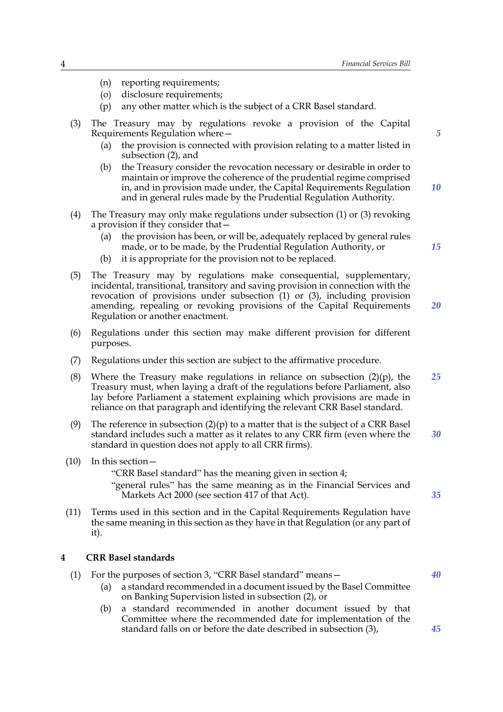- (n) reporting requirements;
- (o) disclosure requirements;
- (p) any other matter which is the subject of a CRR Basel standard.
- (3) The Treasury may by regulations revoke a provision of the Capital Requirements Regulation where—
	- (a) the provision is connected with provision relating to a matter listed in subsection (2), and
	- (b) the Treasury consider the revocation necessary or desirable in order to maintain or improve the coherence of the prudential regime comprised in, and in provision made under, the Capital Requirements Regulation and in general rules made by the Prudential Regulation Authority.
- (4) The Treasury may only make regulations under subsection (1) or (3) revoking a provision if they consider that—
	- (a) the provision has been, or will be, adequately replaced by general rules made, or to be made, by the Prudential Regulation Authority, or
	- (b) it is appropriate for the provision not to be replaced.
- (5) The Treasury may by regulations make consequential, supplementary, incidental, transitional, transitory and saving provision in connection with the revocation of provisions under subsection  $(1)$  or  $(3)$ , including provision amending, repealing or revoking provisions of the Capital Requirements Regulation or another enactment. *20*
- (6) Regulations under this section may make different provision for different purposes.
- (7) Regulations under this section are subject to the affirmative procedure.
- (8) Where the Treasury make regulations in reliance on subsection  $(2)(p)$ , the Treasury must, when laying a draft of the regulations before Parliament, also lay before Parliament a statement explaining which provisions are made in reliance on that paragraph and identifying the relevant CRR Basel standard. *25*
- (9) The reference in subsection  $(2)(p)$  to a matter that is the subject of a CRR Basel standard includes such a matter as it relates to any CRR firm (even where the standard in question does not apply to all CRR firms). *30*
- (10) In this section—

"CRR Basel standard" has the meaning given in section 4;

"general rules" has the same meaning as in the Financial Services and Markets Act 2000 (see section 417 of that Act).

(11) Terms used in this section and in the Capital Requirements Regulation have the same meaning in this section as they have in that Regulation (or any part of it).

#### **4 CRR Basel standards**

- (1) For the purposes of section 3, "CRR Basel standard" means— *40*
	- (a) a standard recommended in a document issued by the Basel Committee on Banking Supervision listed in subsection (2), or
	- (b) a standard recommended in another document issued by that Committee where the recommended date for implementation of the standard falls on or before the date described in subsection (3),

*10*

*15*

*35*

*45*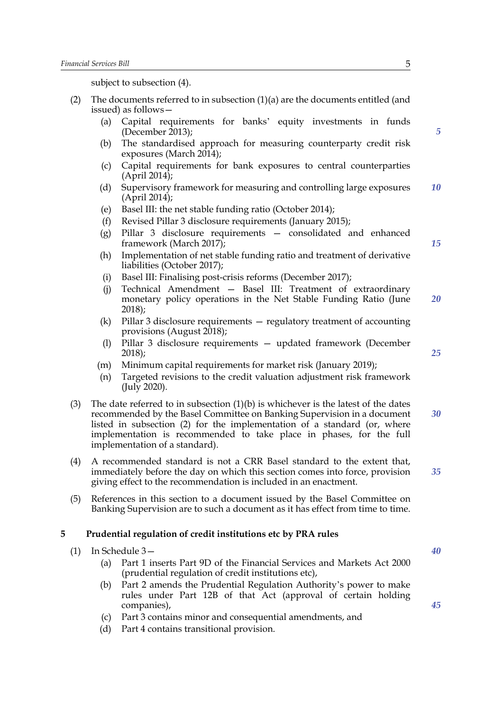subject to subsection (4).

- (2) The documents referred to in subsection (1)(a) are the documents entitled (and issued) as follows—
	- (a) Capital requirements for banks' equity investments in funds (December 2013);
	- (b) The standardised approach for measuring counterparty credit risk exposures (March 2014);
	- (c) Capital requirements for bank exposures to central counterparties (April 2014);
	- (d) Supervisory framework for measuring and controlling large exposures (April 2014); *10*
	- (e) Basel III: the net stable funding ratio (October 2014);
	- (f) Revised Pillar 3 disclosure requirements (January 2015);
	- (g) Pillar 3 disclosure requirements consolidated and enhanced framework (March 2017);
	- (h) Implementation of net stable funding ratio and treatment of derivative liabilities (October 2017);
	- (i) Basel III: Finalising post-crisis reforms (December 2017);
	- (j) Technical Amendment Basel III: Treatment of extraordinary monetary policy operations in the Net Stable Funding Ratio (June 2018); *20*
	- (k) Pillar 3 disclosure requirements regulatory treatment of accounting provisions (August 2018);
	- (l) Pillar 3 disclosure requirements updated framework (December 2018);
	- (m) Minimum capital requirements for market risk (January 2019);
	- (n) Targeted revisions to the credit valuation adjustment risk framework (July 2020).
- (3) The date referred to in subsection  $(1)(b)$  is whichever is the latest of the dates recommended by the Basel Committee on Banking Supervision in a document listed in subsection (2) for the implementation of a standard (or, where implementation is recommended to take place in phases, for the full implementation of a standard). *30*
- (4) A recommended standard is not a CRR Basel standard to the extent that, immediately before the day on which this section comes into force, provision giving effect to the recommendation is included in an enactment.
- (5) References in this section to a document issued by the Basel Committee on Banking Supervision are to such a document as it has effect from time to time.

#### **5 Prudential regulation of credit institutions etc by PRA rules**

- (1) In Schedule 3—
	- (a) Part 1 inserts Part 9D of the Financial Services and Markets Act 2000 (prudential regulation of credit institutions etc),
	- (b) Part 2 amends the Prudential Regulation Authority's power to make rules under Part 12B of that Act (approval of certain holding companies),
	- (c) Part 3 contains minor and consequential amendments, and
	- (d) Part 4 contains transitional provision.

*5*

*15*

*25*

*40*

*45*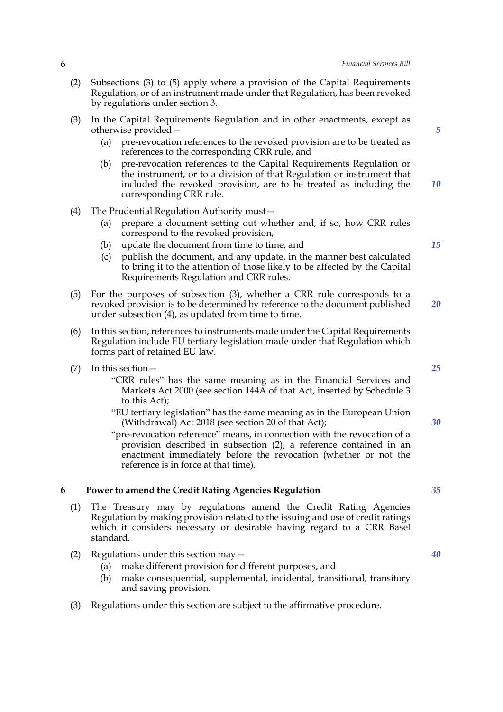- (2) Subsections (3) to (5) apply where a provision of the Capital Requirements Regulation, or of an instrument made under that Regulation, has been revoked by regulations under section 3.
- (3) In the Capital Requirements Regulation and in other enactments, except as otherwise provided—
	- (a) pre-revocation references to the revoked provision are to be treated as references to the corresponding CRR rule, and
	- (b) pre-revocation references to the Capital Requirements Regulation or the instrument, or to a division of that Regulation or instrument that included the revoked provision, are to be treated as including the corresponding CRR rule.
- (4) The Prudential Regulation Authority must—
	- (a) prepare a document setting out whether and, if so, how CRR rules correspond to the revoked provision,
	- (b) update the document from time to time, and
	- (c) publish the document, and any update, in the manner best calculated to bring it to the attention of those likely to be affected by the Capital Requirements Regulation and CRR rules.
- (5) For the purposes of subsection (3), whether a CRR rule corresponds to a revoked provision is to be determined by reference to the document published under subsection (4), as updated from time to time. *20*
- (6) In this section, references to instruments made under the Capital Requirements Regulation include EU tertiary legislation made under that Regulation which forms part of retained EU law.
- (7) In this section—
	- "CRR rules" has the same meaning as in the Financial Services and Markets Act 2000 (see section 144A of that Act, inserted by Schedule 3 to this Act);
	- "EU tertiary legislation" has the same meaning as in the European Union (Withdrawal) Act 2018 (see section 20 of that Act);
	- "pre-revocation reference" means, in connection with the revocation of a provision described in subsection (2), a reference contained in an enactment immediately before the revocation (whether or not the reference is in force at that time).

#### **6 Power to amend the Credit Rating Agencies Regulation**

- (1) The Treasury may by regulations amend the Credit Rating Agencies Regulation by making provision related to the issuing and use of credit ratings which it considers necessary or desirable having regard to a CRR Basel standard.
- (2) Regulations under this section may—
	- (a) make different provision for different purposes, and
	- (b) make consequential, supplemental, incidental, transitional, transitory and saving provision.
- (3) Regulations under this section are subject to the affirmative procedure.

*15*

*5*

*10*

*25*

*30*

*40*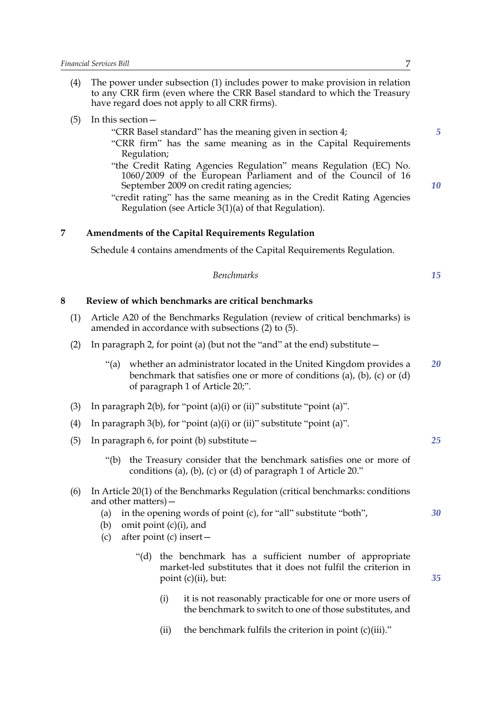- (4) The power under subsection (1) includes power to make provision in relation to any CRR firm (even where the CRR Basel standard to which the Treasury have regard does not apply to all CRR firms).
- (5) In this section—
	- "CRR Basel standard" has the meaning given in section 4;
	- "CRR firm" has the same meaning as in the Capital Requirements Regulation;
	- "the Credit Rating Agencies Regulation" means Regulation (EC) No. 1060/2009 of the European Parliament and of the Council of 16 September 2009 on credit rating agencies;
	- "credit rating" has the same meaning as in the Credit Rating Agencies Regulation (see Article 3(1)(a) of that Regulation).

#### **7 Amendments of the Capital Requirements Regulation**

Schedule 4 contains amendments of the Capital Requirements Regulation.

| <b>Benchmarks</b> | 15 |
|-------------------|----|
|                   |    |

### **8 Review of which benchmarks are critical benchmarks**

- (1) Article A20 of the Benchmarks Regulation (review of critical benchmarks) is amended in accordance with subsections (2) to (5).
- (2) In paragraph 2, for point (a) (but not the "and" at the end) substitute—
	- "(a) whether an administrator located in the United Kingdom provides a benchmark that satisfies one or more of conditions (a), (b), (c) or (d) of paragraph 1 of Article 20;". *20*
- (3) In paragraph  $2(b)$ , for "point (a)(i) or (ii)" substitute "point (a)".
- (4) In paragraph  $3(b)$ , for "point (a)(i) or (ii)" substitute "point (a)".
- (5) In paragraph 6, for point (b) substitute—
	- "(b) the Treasury consider that the benchmark satisfies one or more of conditions (a), (b), (c) or (d) of paragraph 1 of Article 20."
- (6) In Article 20(1) of the Benchmarks Regulation (critical benchmarks: conditions and other matters)—
	- (a) in the opening words of point (c), for "all" substitute "both",
	- (b) omit point (c)(i), and
	- (c) after point (c) insert—
		- "(d) the benchmark has a sufficient number of appropriate market-led substitutes that it does not fulfil the criterion in point (c)(ii), but:
			- (i) it is not reasonably practicable for one or more users of the benchmark to switch to one of those substitutes, and
			- (ii) the benchmark fulfils the criterion in point  $(c)(iii)$ ."

*30*

*35*

*25*

*10*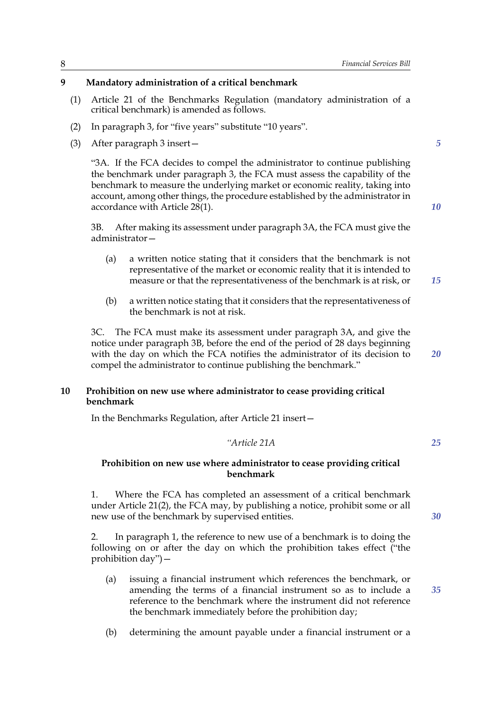## **9 Mandatory administration of a critical benchmark**

- (1) Article 21 of the Benchmarks Regulation (mandatory administration of a critical benchmark) is amended as follows.
- (2) In paragraph 3, for "five years" substitute "10 years".
- (3) After paragraph 3 insert—

"3A. If the FCA decides to compel the administrator to continue publishing the benchmark under paragraph 3, the FCA must assess the capability of the benchmark to measure the underlying market or economic reality, taking into account, among other things, the procedure established by the administrator in accordance with Article 28(1).

3B. After making its assessment under paragraph 3A, the FCA must give the administrator—

- (a) a written notice stating that it considers that the benchmark is not representative of the market or economic reality that it is intended to measure or that the representativeness of the benchmark is at risk, or
- (b) a written notice stating that it considers that the representativeness of the benchmark is not at risk.

3C. The FCA must make its assessment under paragraph 3A, and give the notice under paragraph 3B, before the end of the period of 28 days beginning with the day on which the FCA notifies the administrator of its decision to compel the administrator to continue publishing the benchmark."

#### **10 Prohibition on new use where administrator to cease providing critical benchmark**

In the Benchmarks Regulation, after Article 21 insert—

*"Article 21A 25*

#### **Prohibition on new use where administrator to cease providing critical benchmark**

1. Where the FCA has completed an assessment of a critical benchmark under Article 21(2), the FCA may, by publishing a notice, prohibit some or all new use of the benchmark by supervised entities.

2. In paragraph 1, the reference to new use of a benchmark is to doing the following on or after the day on which the prohibition takes effect ("the prohibition day")—

- (a) issuing a financial instrument which references the benchmark, or amending the terms of a financial instrument so as to include a reference to the benchmark where the instrument did not reference the benchmark immediately before the prohibition day;
- (b) determining the amount payable under a financial instrument or a

*5*

*10*

*15*

*20*

*35*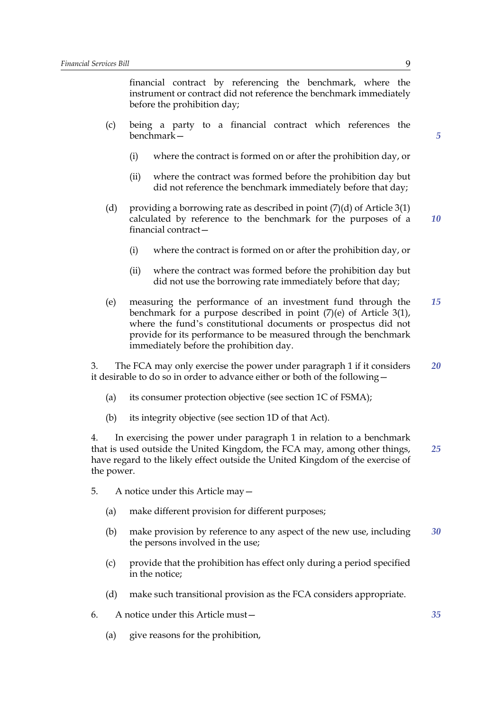financial contract by referencing the benchmark, where the instrument or contract did not reference the benchmark immediately before the prohibition day;

- (c) being a party to a financial contract which references the benchmark—
	- (i) where the contract is formed on or after the prohibition day, or
	- (ii) where the contract was formed before the prohibition day but did not reference the benchmark immediately before that day;
- (d) providing a borrowing rate as described in point  $(7)(d)$  of Article 3(1) calculated by reference to the benchmark for the purposes of a financial contract— *10*
	- (i) where the contract is formed on or after the prohibition day, or
	- (ii) where the contract was formed before the prohibition day but did not use the borrowing rate immediately before that day;
- (e) measuring the performance of an investment fund through the benchmark for a purpose described in point (7)(e) of Article 3(1), where the fund's constitutional documents or prospectus did not provide for its performance to be measured through the benchmark immediately before the prohibition day. *15*

3. The FCA may only exercise the power under paragraph 1 if it considers it desirable to do so in order to advance either or both of the following— *20*

- (a) its consumer protection objective (see section 1C of FSMA);
- (b) its integrity objective (see section 1D of that Act).

4. In exercising the power under paragraph 1 in relation to a benchmark that is used outside the United Kingdom, the FCA may, among other things, have regard to the likely effect outside the United Kingdom of the exercise of the power. *25*

- 5. A notice under this Article may—
	- (a) make different provision for different purposes;
	- (b) make provision by reference to any aspect of the new use, including the persons involved in the use; *30*
	- (c) provide that the prohibition has effect only during a period specified in the notice;
	- (d) make such transitional provision as the FCA considers appropriate.
- 6. A notice under this Article must—
	- (a) give reasons for the prohibition,

*5*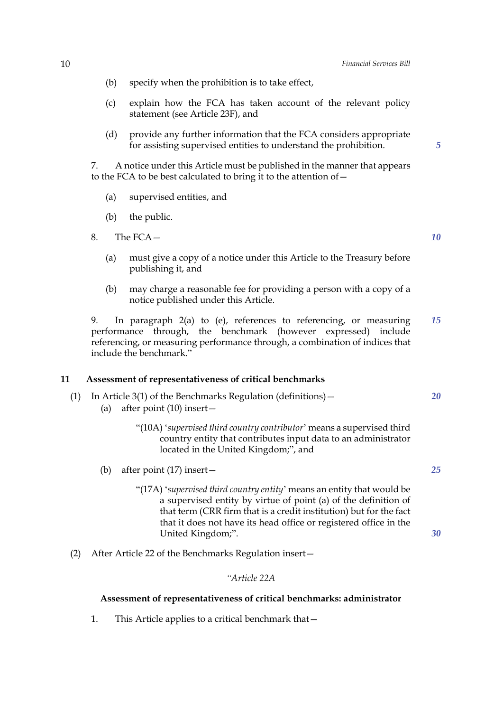- (b) specify when the prohibition is to take effect,
- (c) explain how the FCA has taken account of the relevant policy statement (see Article 23F), and
- (d) provide any further information that the FCA considers appropriate for assisting supervised entities to understand the prohibition.

7. A notice under this Article must be published in the manner that appears to the FCA to be best calculated to bring it to the attention of—

- (a) supervised entities, and
- (b) the public.
- 8. The FCA—
	- (a) must give a copy of a notice under this Article to the Treasury before publishing it, and
	- (b) may charge a reasonable fee for providing a person with a copy of a notice published under this Article.

In paragraph 2(a) to (e), references to referencing, or measuring performance through, the benchmark (however expressed) include referencing, or measuring performance through, a combination of indices that include the benchmark." *15*

#### **11 Assessment of representativeness of critical benchmarks**

- (1) In Article 3(1) of the Benchmarks Regulation (definitions)—
	- (a) after point (10) insert—
		- "(10A) '*supervised third country contributor*' means a supervised third country entity that contributes input data to an administrator located in the United Kingdom;", and
	- (b) after point (17) insert—
		- "(17A) '*supervised third country entity*' means an entity that would be a supervised entity by virtue of point (a) of the definition of that term (CRR firm that is a credit institution) but for the fact that it does not have its head office or registered office in the United Kingdom;".
- (2) After Article 22 of the Benchmarks Regulation insert—

### *"Article 22A*

#### **Assessment of representativeness of critical benchmarks: administrator**

1. This Article applies to a critical benchmark that—

*10*

*5*

*20*

*25*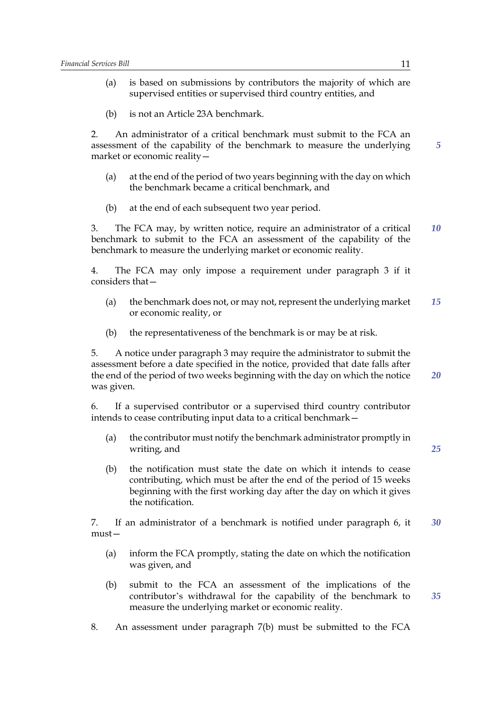- (a) is based on submissions by contributors the majority of which are supervised entities or supervised third country entities, and
- (b) is not an Article 23A benchmark.

2. An administrator of a critical benchmark must submit to the FCA an assessment of the capability of the benchmark to measure the underlying market or economic reality—

- (a) at the end of the period of two years beginning with the day on which the benchmark became a critical benchmark, and
- (b) at the end of each subsequent two year period.

3. The FCA may, by written notice, require an administrator of a critical benchmark to submit to the FCA an assessment of the capability of the benchmark to measure the underlying market or economic reality. *10*

4. The FCA may only impose a requirement under paragraph 3 if it considers that—

- (a) the benchmark does not, or may not, represent the underlying market or economic reality, or *15*
- (b) the representativeness of the benchmark is or may be at risk.

5. A notice under paragraph 3 may require the administrator to submit the assessment before a date specified in the notice, provided that date falls after the end of the period of two weeks beginning with the day on which the notice was given.

6. If a supervised contributor or a supervised third country contributor intends to cease contributing input data to a critical benchmark—

- (a) the contributor must notify the benchmark administrator promptly in writing, and
- (b) the notification must state the date on which it intends to cease contributing, which must be after the end of the period of 15 weeks beginning with the first working day after the day on which it gives the notification.

7. If an administrator of a benchmark is notified under paragraph 6, it must— *30*

- (a) inform the FCA promptly, stating the date on which the notification was given, and
- (b) submit to the FCA an assessment of the implications of the contributor's withdrawal for the capability of the benchmark to measure the underlying market or economic reality.
- 8. An assessment under paragraph 7(b) must be submitted to the FCA

*5*

*20*

*25*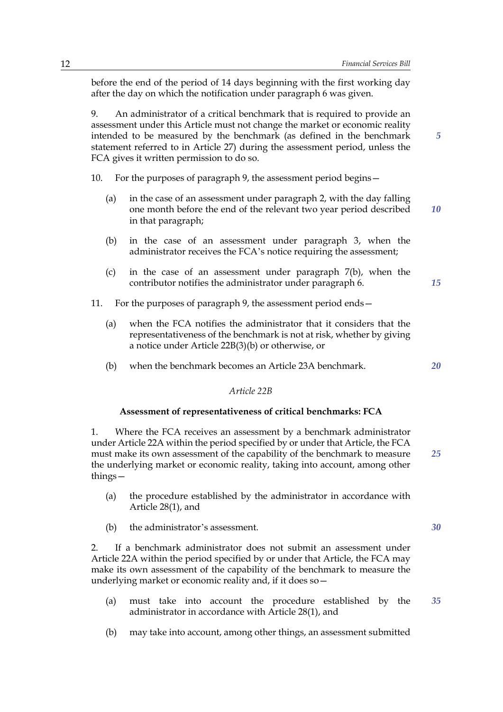*5*

*15*

*20*

before the end of the period of 14 days beginning with the first working day after the day on which the notification under paragraph 6 was given.

9. An administrator of a critical benchmark that is required to provide an assessment under this Article must not change the market or economic reality intended to be measured by the benchmark (as defined in the benchmark statement referred to in Article 27) during the assessment period, unless the FCA gives it written permission to do so.

- 10. For the purposes of paragraph 9, the assessment period begins—
	- (a) in the case of an assessment under paragraph 2, with the day falling one month before the end of the relevant two year period described in that paragraph; *10*
	- (b) in the case of an assessment under paragraph 3, when the administrator receives the FCA's notice requiring the assessment;
	- (c) in the case of an assessment under paragraph 7(b), when the contributor notifies the administrator under paragraph 6.
- 11. For the purposes of paragraph 9, the assessment period ends—
	- (a) when the FCA notifies the administrator that it considers that the representativeness of the benchmark is not at risk, whether by giving a notice under Article 22B(3)(b) or otherwise, or
	- (b) when the benchmark becomes an Article 23A benchmark.

#### *Article 22B*

#### **Assessment of representativeness of critical benchmarks: FCA**

1. Where the FCA receives an assessment by a benchmark administrator under Article 22A within the period specified by or under that Article, the FCA must make its own assessment of the capability of the benchmark to measure the underlying market or economic reality, taking into account, among other things— *25*

- (a) the procedure established by the administrator in accordance with Article 28(1), and
- (b) the administrator's assessment.

2. If a benchmark administrator does not submit an assessment under Article 22A within the period specified by or under that Article, the FCA may make its own assessment of the capability of the benchmark to measure the underlying market or economic reality and, if it does so—

- (a) must take into account the procedure established by the administrator in accordance with Article 28(1), and *35*
- (b) may take into account, among other things, an assessment submitted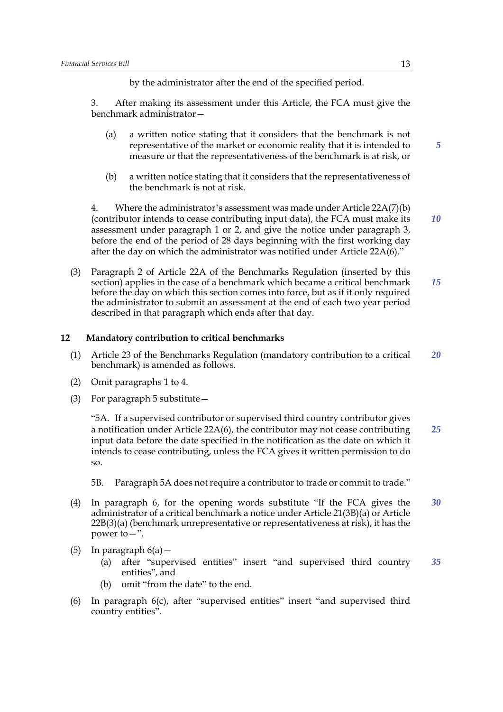by the administrator after the end of the specified period.

3. After making its assessment under this Article, the FCA must give the benchmark administrator—

- (a) a written notice stating that it considers that the benchmark is not representative of the market or economic reality that it is intended to measure or that the representativeness of the benchmark is at risk, or
- (b) a written notice stating that it considers that the representativeness of the benchmark is not at risk.

4. Where the administrator's assessment was made under Article 22A(7)(b) (contributor intends to cease contributing input data), the FCA must make its assessment under paragraph 1 or 2, and give the notice under paragraph 3, before the end of the period of 28 days beginning with the first working day after the day on which the administrator was notified under Article 22A(6)." *10*

(3) Paragraph 2 of Article 22A of the Benchmarks Regulation (inserted by this section) applies in the case of a benchmark which became a critical benchmark before the day on which this section comes into force, but as if it only required the administrator to submit an assessment at the end of each two year period described in that paragraph which ends after that day. *15*

#### **12 Mandatory contribution to critical benchmarks**

- (1) Article 23 of the Benchmarks Regulation (mandatory contribution to a critical benchmark) is amended as follows. *20*
- (2) Omit paragraphs 1 to 4.
- (3) For paragraph 5 substitute—

"5A. If a supervised contributor or supervised third country contributor gives a notification under Article 22A(6), the contributor may not cease contributing input data before the date specified in the notification as the date on which it intends to cease contributing, unless the FCA gives it written permission to do so. *25*

5B. Paragraph 5A does not require a contributor to trade or commit to trade."

- (4) In paragraph 6, for the opening words substitute "If the FCA gives the administrator of a critical benchmark a notice under Article 21(3B)(a) or Article 22B(3)(a) (benchmark unrepresentative or representativeness at risk), it has the power to—". *30*
- (5) In paragraph  $6(a)$  -
	- (a) after "supervised entities" insert "and supervised third country entities", and *35*
	- (b) omit "from the date" to the end.
- (6) In paragraph 6(c), after "supervised entities" insert "and supervised third country entities".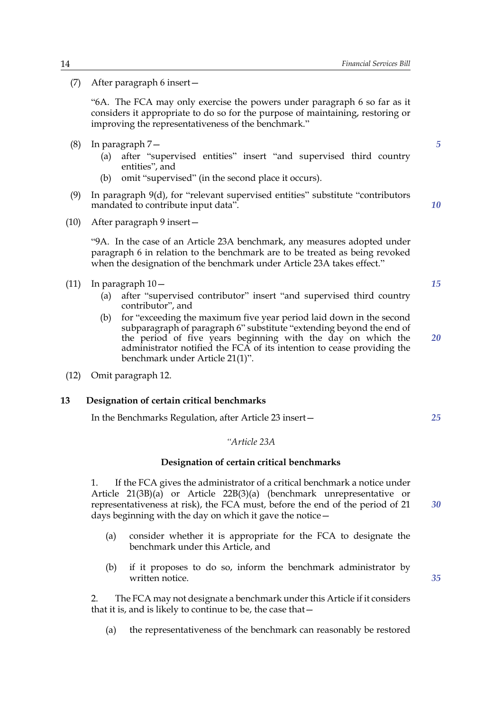(7) After paragraph 6 insert—

"6A. The FCA may only exercise the powers under paragraph 6 so far as it considers it appropriate to do so for the purpose of maintaining, restoring or improving the representativeness of the benchmark."

- (8) In paragraph 7—
	- (a) after "supervised entities" insert "and supervised third country entities", and
	- (b) omit "supervised" (in the second place it occurs).
- (9) In paragraph 9(d), for "relevant supervised entities" substitute "contributors mandated to contribute input data".
- (10) After paragraph 9 insert—

"9A. In the case of an Article 23A benchmark, any measures adopted under paragraph 6 in relation to the benchmark are to be treated as being revoked when the designation of the benchmark under Article 23A takes effect."

- (11) In paragraph 10—
	- (a) after "supervised contributor" insert "and supervised third country contributor", and
	- (b) for "exceeding the maximum five year period laid down in the second subparagraph of paragraph 6" substitute "extending beyond the end of the period of five years beginning with the day on which the administrator notified the FCA of its intention to cease providing the benchmark under Article 21(1)".
- (12) Omit paragraph 12.

#### **13 Designation of certain critical benchmarks**

In the Benchmarks Regulation, after Article 23 insert—

#### *"Article 23A*

#### **Designation of certain critical benchmarks**

1. If the FCA gives the administrator of a critical benchmark a notice under Article 21(3B)(a) or Article 22B(3)(a) (benchmark unrepresentative or representativeness at risk), the FCA must, before the end of the period of 21 days beginning with the day on which it gave the notice—

- (a) consider whether it is appropriate for the FCA to designate the benchmark under this Article, and
- (b) if it proposes to do so, inform the benchmark administrator by written notice.

2. The FCA may not designate a benchmark under this Article if it considers that it is, and is likely to continue to be, the case that—

(a) the representativeness of the benchmark can reasonably be restored

*10*

*5*

*15*

*20*

*25*

*30*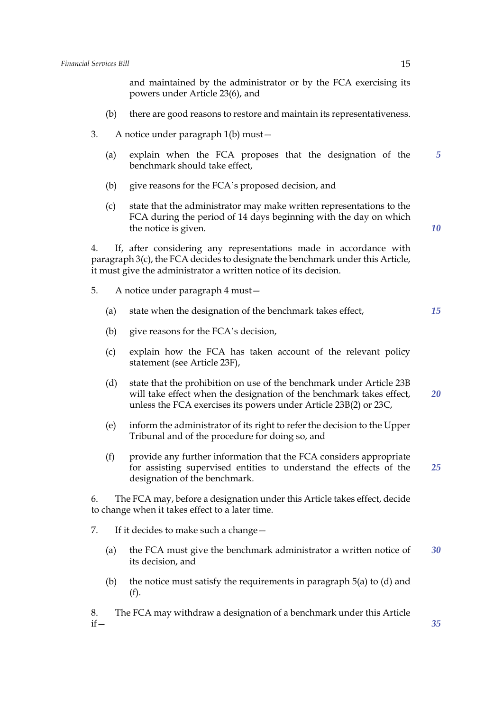and maintained by the administrator or by the FCA exercising its powers under Article 23(6), and

- (b) there are good reasons to restore and maintain its representativeness.
- 3. A notice under paragraph 1(b) must—
	- (a) explain when the FCA proposes that the designation of the benchmark should take effect, *5*
	- (b) give reasons for the FCA's proposed decision, and
	- (c) state that the administrator may make written representations to the FCA during the period of 14 days beginning with the day on which the notice is given.

4. If, after considering any representations made in accordance with paragraph 3(c), the FCA decides to designate the benchmark under this Article, it must give the administrator a written notice of its decision.

- 5. A notice under paragraph 4 must—
	- (a) state when the designation of the benchmark takes effect,
	- (b) give reasons for the FCA's decision,
	- (c) explain how the FCA has taken account of the relevant policy statement (see Article 23F),
	- (d) state that the prohibition on use of the benchmark under Article 23B will take effect when the designation of the benchmark takes effect, unless the FCA exercises its powers under Article 23B(2) or 23C, *20*
	- (e) inform the administrator of its right to refer the decision to the Upper Tribunal and of the procedure for doing so, and
	- (f) provide any further information that the FCA considers appropriate for assisting supervised entities to understand the effects of the designation of the benchmark. *25*

6. The FCA may, before a designation under this Article takes effect, decide to change when it takes effect to a later time.

7. If it decides to make such a change—

- (a) the FCA must give the benchmark administrator a written notice of its decision, and *30*
- (b) the notice must satisfy the requirements in paragraph  $5(a)$  to (d) and (f).

8. The FCA may withdraw a designation of a benchmark under this Article if—

*15*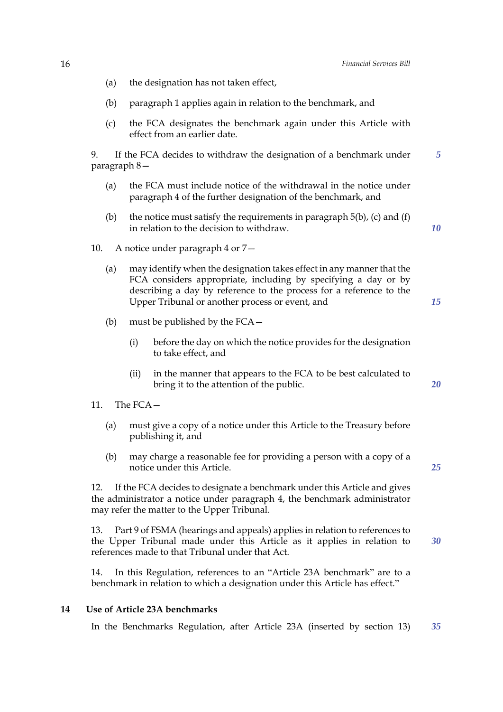16 *Financial Services Bill* (a) the designation has not taken effect, (b) paragraph 1 applies again in relation to the benchmark, and (c) the FCA designates the benchmark again under this Article with effect from an earlier date. If the FCA decides to withdraw the designation of a benchmark under paragraph 8— (a) the FCA must include notice of the withdrawal in the notice under paragraph 4 of the further designation of the benchmark, and (b) the notice must satisfy the requirements in paragraph  $5(b)$ , (c) and (f) in relation to the decision to withdraw. 10. A notice under paragraph 4 or 7— (a) may identify when the designation takes effect in any manner that the FCA considers appropriate, including by specifying a day or by describing a day by reference to the process for a reference to the Upper Tribunal or another process or event, and (b) must be published by the FCA— (i) before the day on which the notice provides for the designation to take effect, and (ii) in the manner that appears to the FCA to be best calculated to bring it to the attention of the public. 11. The  $FCA$  – (a) must give a copy of a notice under this Article to the Treasury before publishing it, and (b) may charge a reasonable fee for providing a person with a copy of a notice under this Article. 12. If the FCA decides to designate a benchmark under this Article and gives the administrator a notice under paragraph 4, the benchmark administrator may refer the matter to the Upper Tribunal. 13. Part 9 of FSMA (hearings and appeals) applies in relation to references to the Upper Tribunal made under this Article as it applies in relation to references made to that Tribunal under that Act. 14. In this Regulation, references to an "Article 23A benchmark" are to a benchmark in relation to which a designation under this Article has effect." *5 10 30*

## **14 Use of Article 23A benchmarks**

In the Benchmarks Regulation, after Article 23A (inserted by section 13) *35*

*15*

*20*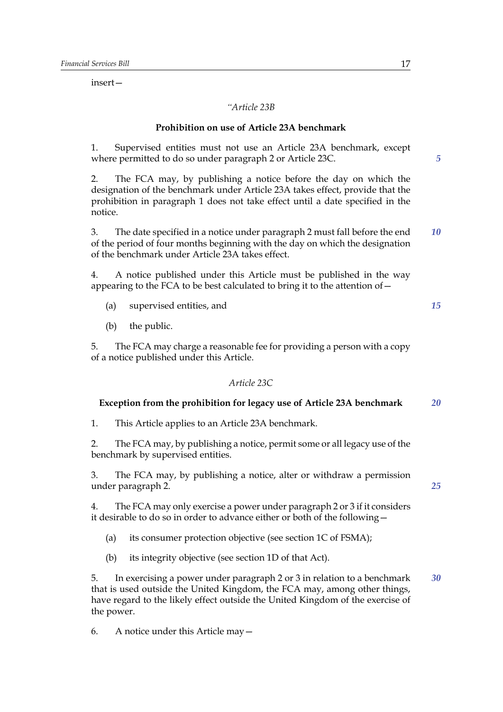insert—

#### *"Article 23B*

#### **Prohibition on use of Article 23A benchmark**

1. Supervised entities must not use an Article 23A benchmark, except where permitted to do so under paragraph 2 or Article 23C.

2. The FCA may, by publishing a notice before the day on which the designation of the benchmark under Article 23A takes effect, provide that the prohibition in paragraph 1 does not take effect until a date specified in the notice.

3. The date specified in a notice under paragraph 2 must fall before the end of the period of four months beginning with the day on which the designation of the benchmark under Article 23A takes effect. *10*

4. A notice published under this Article must be published in the way appearing to the FCA to be best calculated to bring it to the attention of  $-$ 

- (a) supervised entities, and
- (b) the public.

5. The FCA may charge a reasonable fee for providing a person with a copy of a notice published under this Article.

#### *Article 23C*

#### **Exception from the prohibition for legacy use of Article 23A benchmark** *20*

1. This Article applies to an Article 23A benchmark.

2. The FCA may, by publishing a notice, permit some or all legacy use of the benchmark by supervised entities.

3. The FCA may, by publishing a notice, alter or withdraw a permission under paragraph 2.

4. The FCA may only exercise a power under paragraph 2 or 3 if it considers it desirable to do so in order to advance either or both of the following—

- (a) its consumer protection objective (see section 1C of FSMA);
- (b) its integrity objective (see section 1D of that Act).

5. In exercising a power under paragraph 2 or 3 in relation to a benchmark that is used outside the United Kingdom, the FCA may, among other things, have regard to the likely effect outside the United Kingdom of the exercise of the power. *30*

6. A notice under this Article may—

*5*

*15*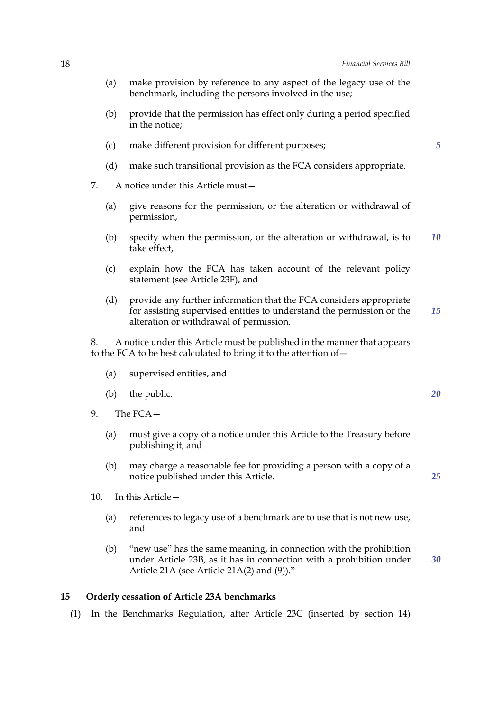- (a) make provision by reference to any aspect of the legacy use of the benchmark, including the persons involved in the use;
- (b) provide that the permission has effect only during a period specified in the notice;
- (c) make different provision for different purposes;
- (d) make such transitional provision as the FCA considers appropriate.
- 7. A notice under this Article must—
	- (a) give reasons for the permission, or the alteration or withdrawal of permission,
	- (b) specify when the permission, or the alteration or withdrawal, is to take effect, *10*
	- (c) explain how the FCA has taken account of the relevant policy statement (see Article 23F), and
	- (d) provide any further information that the FCA considers appropriate for assisting supervised entities to understand the permission or the alteration or withdrawal of permission. *15*

8. A notice under this Article must be published in the manner that appears to the FCA to be best calculated to bring it to the attention of—

- (a) supervised entities, and
- (b) the public.
- 9 The  $FCA$ 
	- (a) must give a copy of a notice under this Article to the Treasury before publishing it, and
	- (b) may charge a reasonable fee for providing a person with a copy of a notice published under this Article.
- 10. In this Article—
	- (a) references to legacy use of a benchmark are to use that is not new use, and
	- (b) "new use" has the same meaning, in connection with the prohibition under Article 23B, as it has in connection with a prohibition under Article 21A (see Article 21A(2) and (9))." *30*

#### **15 Orderly cessation of Article 23A benchmarks**

(1) In the Benchmarks Regulation, after Article 23C (inserted by section 14)

*20*

*5*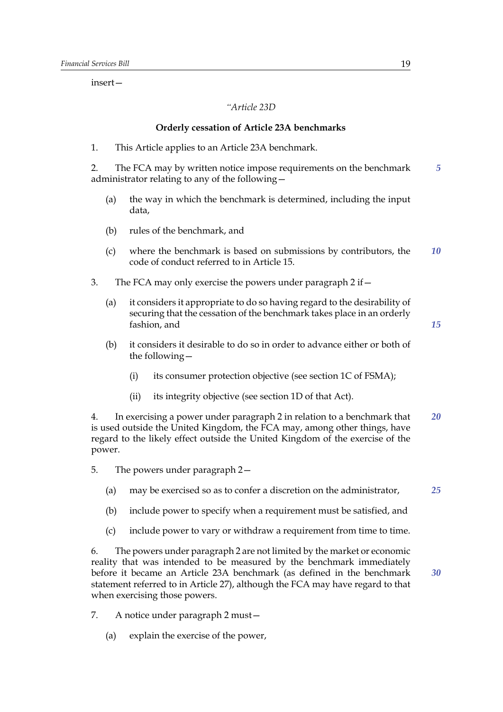insert—

*"Article 23D*

#### **Orderly cessation of Article 23A benchmarks**

1. This Article applies to an Article 23A benchmark.

2. The FCA may by written notice impose requirements on the benchmark administrator relating to any of the following— *5*

- (a) the way in which the benchmark is determined, including the input data,
- (b) rules of the benchmark, and
- (c) where the benchmark is based on submissions by contributors, the code of conduct referred to in Article 15. *10*
- 3. The FCA may only exercise the powers under paragraph 2 if—
	- (a) it considers it appropriate to do so having regard to the desirability of securing that the cessation of the benchmark takes place in an orderly fashion, and
	- (b) it considers it desirable to do so in order to advance either or both of the following—
		- (i) its consumer protection objective (see section 1C of FSMA);
		- (ii) its integrity objective (see section 1D of that Act).

4. In exercising a power under paragraph 2 in relation to a benchmark that is used outside the United Kingdom, the FCA may, among other things, have regard to the likely effect outside the United Kingdom of the exercise of the power. *20*

- 5. The powers under paragraph 2—
	- (a) may be exercised so as to confer a discretion on the administrator, *25*
	- (b) include power to specify when a requirement must be satisfied, and
	- (c) include power to vary or withdraw a requirement from time to time.

6. The powers under paragraph 2 are not limited by the market or economic reality that was intended to be measured by the benchmark immediately before it became an Article 23A benchmark (as defined in the benchmark statement referred to in Article 27), although the FCA may have regard to that when exercising those powers.

7. A notice under paragraph 2 must—

(a) explain the exercise of the power,

*15*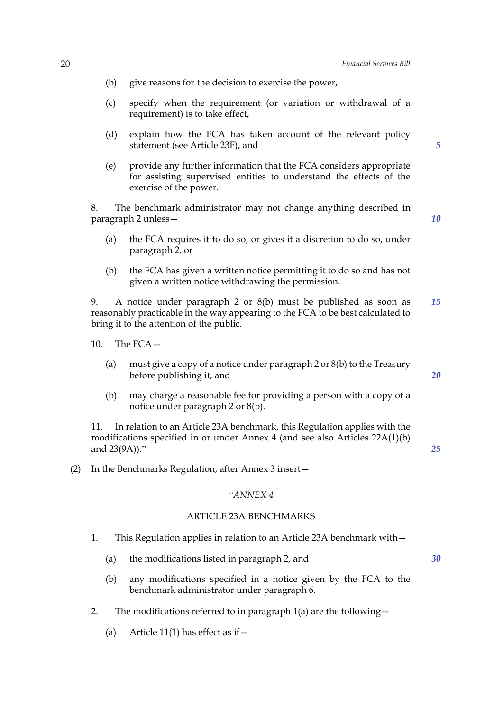- (b) give reasons for the decision to exercise the power,
- (c) specify when the requirement (or variation or withdrawal of a requirement) is to take effect,
- (d) explain how the FCA has taken account of the relevant policy statement (see Article 23F), and
- (e) provide any further information that the FCA considers appropriate for assisting supervised entities to understand the effects of the exercise of the power.

8. The benchmark administrator may not change anything described in paragraph 2 unless—

*10*

*20*

*25*

*30*

*5*

- (a) the FCA requires it to do so, or gives it a discretion to do so, under paragraph 2, or
- (b) the FCA has given a written notice permitting it to do so and has not given a written notice withdrawing the permission.

9. A notice under paragraph 2 or 8(b) must be published as soon as reasonably practicable in the way appearing to the FCA to be best calculated to bring it to the attention of the public. *15*

- 10. The FCA—
	- (a) must give a copy of a notice under paragraph  $2$  or  $8(b)$  to the Treasury before publishing it, and
	- (b) may charge a reasonable fee for providing a person with a copy of a notice under paragraph 2 or 8(b).

11. In relation to an Article 23A benchmark, this Regulation applies with the modifications specified in or under Annex 4 (and see also Articles 22A(1)(b) and 23(9A))."

(2) In the Benchmarks Regulation, after Annex 3 insert—

#### *"ANNEX 4*

#### ARTICLE 23A BENCHMARKS

- 1. This Regulation applies in relation to an Article 23A benchmark with—
	- (a) the modifications listed in paragraph 2, and

- 
- (b) any modifications specified in a notice given by the FCA to the benchmark administrator under paragraph 6.
- 2. The modifications referred to in paragraph  $1(a)$  are the following  $-$ 
	- (a) Article 11(1) has effect as if  $-$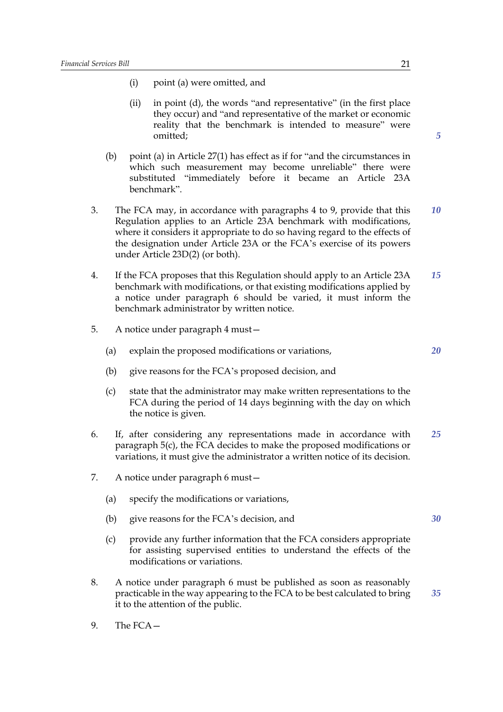- (i) point (a) were omitted, and
- (ii) in point (d), the words "and representative" (in the first place they occur) and "and representative of the market or economic reality that the benchmark is intended to measure" were omitted;
- (b) point (a) in Article 27(1) has effect as if for "and the circumstances in which such measurement may become unreliable" there were substituted "immediately before it became an Article 23A benchmark".
- 3. The FCA may, in accordance with paragraphs 4 to 9, provide that this Regulation applies to an Article 23A benchmark with modifications, where it considers it appropriate to do so having regard to the effects of the designation under Article 23A or the FCA's exercise of its powers under Article 23D(2) (or both). *10*
- 4. If the FCA proposes that this Regulation should apply to an Article 23A benchmark with modifications, or that existing modifications applied by a notice under paragraph 6 should be varied, it must inform the benchmark administrator by written notice. *15*
- 5. A notice under paragraph 4 must—
	- (a) explain the proposed modifications or variations,
	- (b) give reasons for the FCA's proposed decision, and
	- (c) state that the administrator may make written representations to the FCA during the period of 14 days beginning with the day on which the notice is given.
- 6. If, after considering any representations made in accordance with paragraph 5(c), the FCA decides to make the proposed modifications or variations, it must give the administrator a written notice of its decision. *25*
- 7. A notice under paragraph 6 must—
	- (a) specify the modifications or variations,
	- (b) give reasons for the FCA's decision, and
	- (c) provide any further information that the FCA considers appropriate for assisting supervised entities to understand the effects of the modifications or variations.
- 8. A notice under paragraph 6 must be published as soon as reasonably practicable in the way appearing to the FCA to be best calculated to bring it to the attention of the public. *35*
- 9. The FCA—

*5*

*20*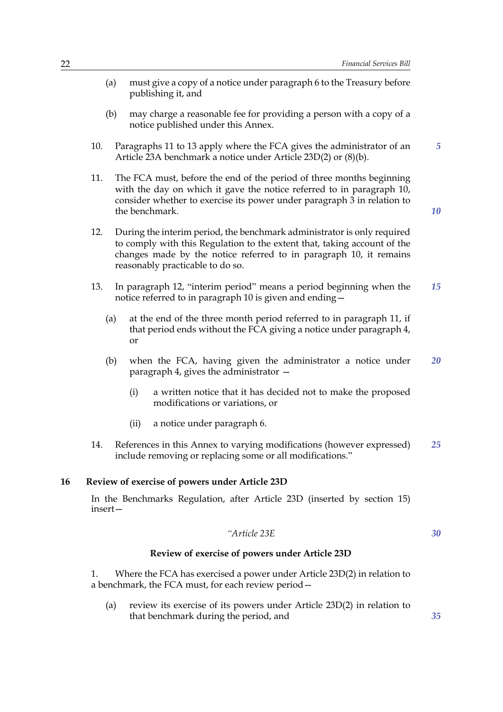- (a) must give a copy of a notice under paragraph 6 to the Treasury before publishing it, and
- (b) may charge a reasonable fee for providing a person with a copy of a notice published under this Annex.
- 10. Paragraphs 11 to 13 apply where the FCA gives the administrator of an Article 23A benchmark a notice under Article 23D(2) or (8)(b).
- 11. The FCA must, before the end of the period of three months beginning with the day on which it gave the notice referred to in paragraph 10, consider whether to exercise its power under paragraph 3 in relation to the benchmark.
- 12. During the interim period, the benchmark administrator is only required to comply with this Regulation to the extent that, taking account of the changes made by the notice referred to in paragraph 10, it remains reasonably practicable to do so.
- 13. In paragraph 12, "interim period" means a period beginning when the notice referred to in paragraph 10 is given and ending— *15*
	- (a) at the end of the three month period referred to in paragraph 11, if that period ends without the FCA giving a notice under paragraph 4, or
	- (b) when the FCA, having given the administrator a notice under paragraph 4, gives the administrator — *20*
		- (i) a written notice that it has decided not to make the proposed modifications or variations, or
		- (ii) a notice under paragraph 6.
- 14. References in this Annex to varying modifications (however expressed) include removing or replacing some or all modifications." *25*

#### **16 Review of exercise of powers under Article 23D**

In the Benchmarks Regulation, after Article 23D (inserted by section 15) insert—

#### *"Article 23E*

*30*

#### **Review of exercise of powers under Article 23D**

1. Where the FCA has exercised a power under Article 23D(2) in relation to a benchmark, the FCA must, for each review period—

(a) review its exercise of its powers under Article 23D(2) in relation to that benchmark during the period, and

*10*

*5*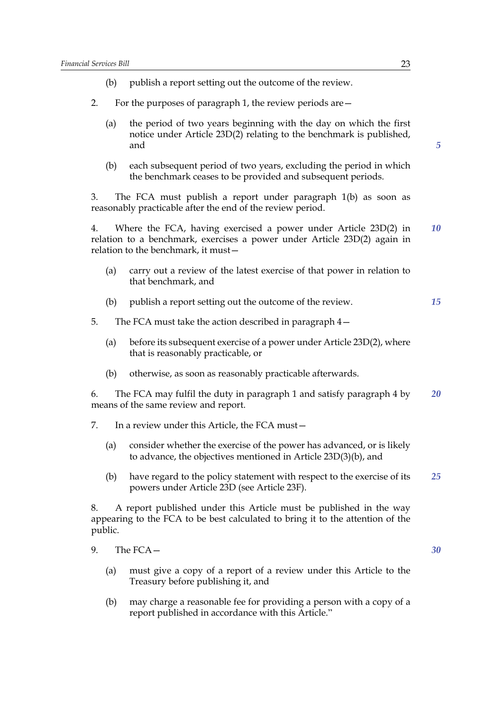- (b) publish a report setting out the outcome of the review.
- 2. For the purposes of paragraph 1, the review periods are—
	- (a) the period of two years beginning with the day on which the first notice under Article 23D(2) relating to the benchmark is published, and
	- (b) each subsequent period of two years, excluding the period in which the benchmark ceases to be provided and subsequent periods.

3. The FCA must publish a report under paragraph 1(b) as soon as reasonably practicable after the end of the review period.

4. Where the FCA, having exercised a power under Article 23D(2) in relation to a benchmark, exercises a power under Article 23D(2) again in relation to the benchmark, it must— *10*

- (a) carry out a review of the latest exercise of that power in relation to that benchmark, and
- (b) publish a report setting out the outcome of the review. *15*

5. The FCA must take the action described in paragraph 4—

- (a) before its subsequent exercise of a power under Article 23D(2), where that is reasonably practicable, or
- (b) otherwise, as soon as reasonably practicable afterwards.

6. The FCA may fulfil the duty in paragraph 1 and satisfy paragraph 4 by means of the same review and report. *20*

- 7. In a review under this Article, the FCA must—
	- (a) consider whether the exercise of the power has advanced, or is likely to advance, the objectives mentioned in Article 23D(3)(b), and
	- (b) have regard to the policy statement with respect to the exercise of its powers under Article 23D (see Article 23F). *25*

8. A report published under this Article must be published in the way appearing to the FCA to be best calculated to bring it to the attention of the public.

- (a) must give a copy of a report of a review under this Article to the Treasury before publishing it, and
- (b) may charge a reasonable fee for providing a person with a copy of a report published in accordance with this Article."

*5*

<sup>9.</sup> The FCA—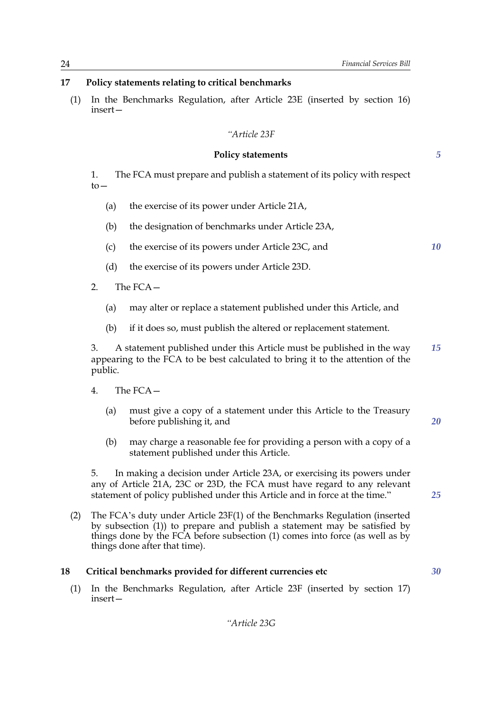#### **17 Policy statements relating to critical benchmarks**

(1) In the Benchmarks Regulation, after Article 23E (inserted by section 16) insert—

#### *"Article 23F*

#### **Policy statements**

1. The FCA must prepare and publish a statement of its policy with respect  $t_0$ —

- (a) the exercise of its power under Article 21A,
- (b) the designation of benchmarks under Article 23A,
- (c) the exercise of its powers under Article 23C, and
- (d) the exercise of its powers under Article 23D.
- 2. The FCA—
	- (a) may alter or replace a statement published under this Article, and
	- (b) if it does so, must publish the altered or replacement statement.

3. A statement published under this Article must be published in the way appearing to the FCA to be best calculated to bring it to the attention of the public. *15*

- 4. The FCA—
	- (a) must give a copy of a statement under this Article to the Treasury before publishing it, and
	- (b) may charge a reasonable fee for providing a person with a copy of a statement published under this Article.

5. In making a decision under Article 23A, or exercising its powers under any of Article 21A, 23C or 23D, the FCA must have regard to any relevant statement of policy published under this Article and in force at the time."

(2) The FCA's duty under Article 23F(1) of the Benchmarks Regulation (inserted by subsection (1)) to prepare and publish a statement may be satisfied by things done by the FCA before subsection (1) comes into force (as well as by things done after that time).

#### **18 Critical benchmarks provided for different currencies etc**

(1) In the Benchmarks Regulation, after Article 23F (inserted by section 17) insert*5*

*10*

*25*

*30*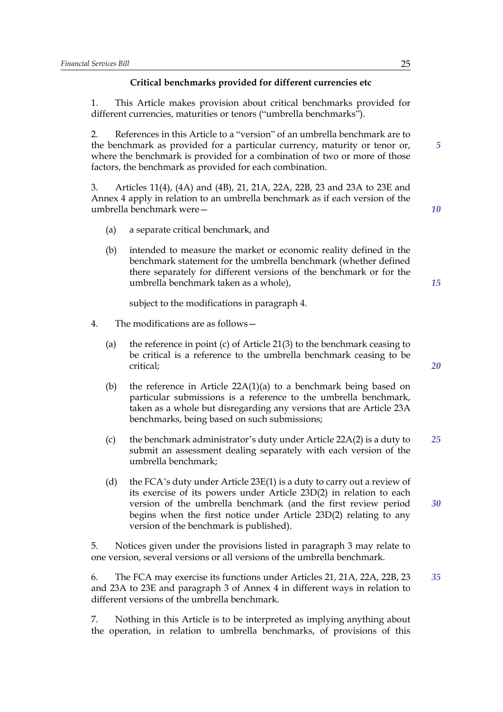## **Critical benchmarks provided for different currencies etc**

1. This Article makes provision about critical benchmarks provided for different currencies, maturities or tenors ("umbrella benchmarks").

2. References in this Article to a "version" of an umbrella benchmark are to the benchmark as provided for a particular currency, maturity or tenor or, where the benchmark is provided for a combination of two or more of those factors, the benchmark as provided for each combination.

3. Articles 11(4), (4A) and (4B), 21, 21A, 22A, 22B, 23 and 23A to 23E and Annex 4 apply in relation to an umbrella benchmark as if each version of the umbrella benchmark were—

- (a) a separate critical benchmark, and
- (b) intended to measure the market or economic reality defined in the benchmark statement for the umbrella benchmark (whether defined there separately for different versions of the benchmark or for the umbrella benchmark taken as a whole),

subject to the modifications in paragraph 4.

- 4. The modifications are as follows—
	- (a) the reference in point (c) of Article 21(3) to the benchmark ceasing to be critical is a reference to the umbrella benchmark ceasing to be critical;
	- (b) the reference in Article 22A(1)(a) to a benchmark being based on particular submissions is a reference to the umbrella benchmark, taken as a whole but disregarding any versions that are Article 23A benchmarks, being based on such submissions;
	- (c) the benchmark administrator's duty under Article 22A(2) is a duty to submit an assessment dealing separately with each version of the umbrella benchmark; *25*
	- (d) the FCA's duty under Article 23E(1) is a duty to carry out a review of its exercise of its powers under Article 23D(2) in relation to each version of the umbrella benchmark (and the first review period begins when the first notice under Article 23D(2) relating to any version of the benchmark is published).

5. Notices given under the provisions listed in paragraph 3 may relate to one version, several versions or all versions of the umbrella benchmark.

6. The FCA may exercise its functions under Articles 21, 21A, 22A, 22B, 23 and 23A to 23E and paragraph 3 of Annex 4 in different ways in relation to different versions of the umbrella benchmark.

7. Nothing in this Article is to be interpreted as implying anything about the operation, in relation to umbrella benchmarks, of provisions of this *20*

*5*

*10*

*15*

*30*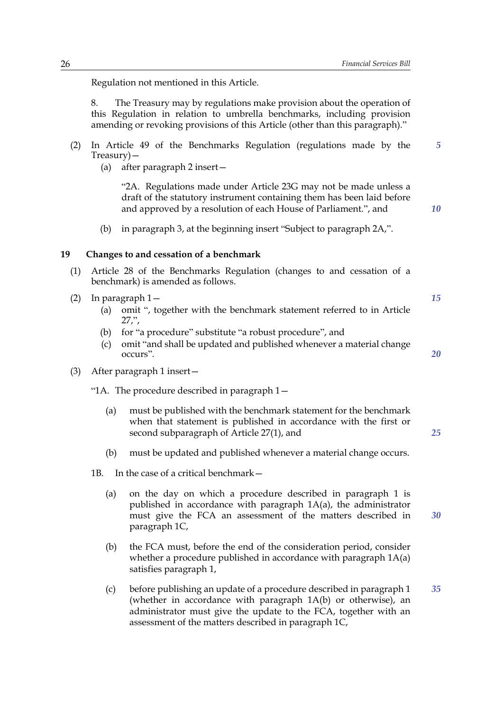*5*

*10*

*15*

*20*

*25*

*30*

Regulation not mentioned in this Article.

8. The Treasury may by regulations make provision about the operation of this Regulation in relation to umbrella benchmarks, including provision amending or revoking provisions of this Article (other than this paragraph)."

- (2) In Article 49 of the Benchmarks Regulation (regulations made by the Treasury)—
	- (a) after paragraph 2 insert—

"2A. Regulations made under Article 23G may not be made unless a draft of the statutory instrument containing them has been laid before and approved by a resolution of each House of Parliament.", and

(b) in paragraph 3, at the beginning insert "Subject to paragraph 2A,".

#### **19 Changes to and cessation of a benchmark**

- (1) Article 28 of the Benchmarks Regulation (changes to and cessation of a benchmark) is amended as follows.
- (2) In paragraph 1—
	- (a) omit ", together with the benchmark statement referred to in Article 27,",
	- (b) for "a procedure" substitute "a robust procedure", and
	- (c) omit "and shall be updated and published whenever a material change occurs".
- (3) After paragraph 1 insert—

"1A. The procedure described in paragraph 1—

- (a) must be published with the benchmark statement for the benchmark when that statement is published in accordance with the first or second subparagraph of Article 27(1), and
- (b) must be updated and published whenever a material change occurs.
- 1B. In the case of a critical benchmark—
	- (a) on the day on which a procedure described in paragraph 1 is published in accordance with paragraph 1A(a), the administrator must give the FCA an assessment of the matters described in paragraph 1C,
	- (b) the FCA must, before the end of the consideration period, consider whether a procedure published in accordance with paragraph  $1A(a)$ satisfies paragraph 1,
	- (c) before publishing an update of a procedure described in paragraph 1 (whether in accordance with paragraph 1A(b) or otherwise), an administrator must give the update to the FCA, together with an assessment of the matters described in paragraph 1C, *35*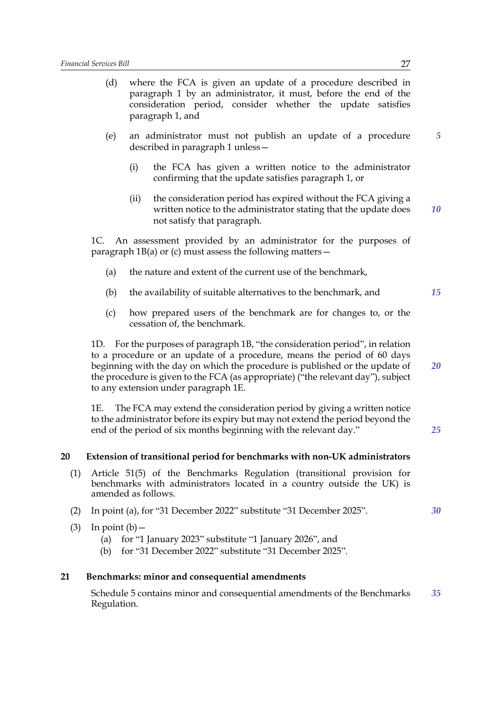- (d) where the FCA is given an update of a procedure described in paragraph 1 by an administrator, it must, before the end of the consideration period, consider whether the update satisfies paragraph 1, and
- (e) an administrator must not publish an update of a procedure described in paragraph 1 unless—
	- (i) the FCA has given a written notice to the administrator confirming that the update satisfies paragraph 1, or
	- (ii) the consideration period has expired without the FCA giving a written notice to the administrator stating that the update does not satisfy that paragraph. *10*

1C. An assessment provided by an administrator for the purposes of paragraph  $1B(a)$  or (c) must assess the following matters  $-$ 

- (a) the nature and extent of the current use of the benchmark,
- (b) the availability of suitable alternatives to the benchmark, and
- (c) how prepared users of the benchmark are for changes to, or the cessation of, the benchmark.

1D. For the purposes of paragraph 1B, "the consideration period", in relation to a procedure or an update of a procedure, means the period of 60 days beginning with the day on which the procedure is published or the update of the procedure is given to the FCA (as appropriate) ("the relevant day"), subject to any extension under paragraph 1E.

1E. The FCA may extend the consideration period by giving a written notice to the administrator before its expiry but may not extend the period beyond the end of the period of six months beginning with the relevant day."

#### **20 Extension of transitional period for benchmarks with non-UK administrators**

- (1) Article 51(5) of the Benchmarks Regulation (transitional provision for benchmarks with administrators located in a country outside the UK) is amended as follows.
- (2) In point (a), for "31 December 2022" substitute "31 December 2025".
- (3) In point  $(b)$ 
	- (a) for "1 January 2023" substitute "1 January 2026", and
	- (b) for "31 December 2022" substitute "31 December 2025".

#### **21 Benchmarks: minor and consequential amendments**

Schedule 5 contains minor and consequential amendments of the Benchmarks Regulation. *35*

*5*

*15*

*20*

*25*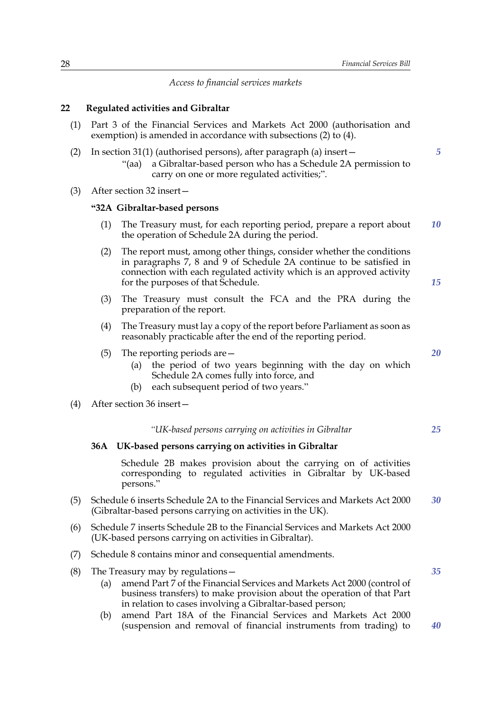*Access to financial services markets*

#### **22 Regulated activities and Gibraltar**

- (1) Part 3 of the Financial Services and Markets Act 2000 (authorisation and exemption) is amended in accordance with subsections (2) to (4).
- (2) In section 31(1) (authorised persons), after paragraph (a) insert— "(aa) a Gibraltar-based person who has a Schedule 2A permission to carry on one or more regulated activities;".
- (3) After section 32 insert—

#### **"32A Gibraltar-based persons**

- (1) The Treasury must, for each reporting period, prepare a report about the operation of Schedule 2A during the period. *10*
- (2) The report must, among other things, consider whether the conditions in paragraphs 7, 8 and 9 of Schedule 2A continue to be satisfied in connection with each regulated activity which is an approved activity for the purposes of that Schedule.
- (3) The Treasury must consult the FCA and the PRA during the preparation of the report.
- (4) The Treasury must lay a copy of the report before Parliament as soon as reasonably practicable after the end of the reporting period.
- (5) The reporting periods are—
	- (a) the period of two years beginning with the day on which Schedule 2A comes fully into force, and
	- (b) each subsequent period of two years."

#### (4) After section 36 insert—

#### *"UK-based persons carrying on activities in Gibraltar*

#### **36A UK-based persons carrying on activities in Gibraltar**

Schedule 2B makes provision about the carrying on of activities corresponding to regulated activities in Gibraltar by UK-based persons."

- (5) Schedule 6 inserts Schedule 2A to the Financial Services and Markets Act 2000 (Gibraltar-based persons carrying on activities in the UK). *30*
- (6) Schedule 7 inserts Schedule 2B to the Financial Services and Markets Act 2000 (UK-based persons carrying on activities in Gibraltar).
- (7) Schedule 8 contains minor and consequential amendments.
- (8) The Treasury may by regulations  $-$ 
	- (a) amend Part 7 of the Financial Services and Markets Act 2000 (control of business transfers) to make provision about the operation of that Part in relation to cases involving a Gibraltar-based person;
	- (b) amend Part 18A of the Financial Services and Markets Act 2000 (suspension and removal of financial instruments from trading) to

*20*

*25*

*15*

*5*

*40*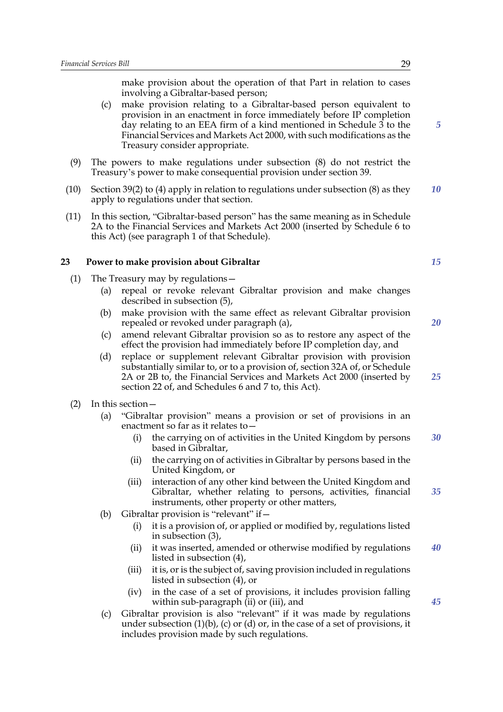make provision about the operation of that Part in relation to cases involving a Gibraltar-based person;

- (c) make provision relating to a Gibraltar-based person equivalent to provision in an enactment in force immediately before IP completion day relating to an EEA firm of a kind mentioned in Schedule 3 to the Financial Services and Markets Act 2000, with such modifications as the Treasury consider appropriate.
- (9) The powers to make regulations under subsection (8) do not restrict the Treasury's power to make consequential provision under section 39.
- (10) Section 39(2) to (4) apply in relation to regulations under subsection (8) as they apply to regulations under that section. *10*
- (11) In this section, "Gibraltar-based person" has the same meaning as in Schedule 2A to the Financial Services and Markets Act 2000 (inserted by Schedule 6 to this Act) (see paragraph 1 of that Schedule).

#### **23 Power to make provision about Gibraltar**

- (1) The Treasury may by regulations—
	- (a) repeal or revoke relevant Gibraltar provision and make changes described in subsection (5),
	- (b) make provision with the same effect as relevant Gibraltar provision repealed or revoked under paragraph (a),
	- (c) amend relevant Gibraltar provision so as to restore any aspect of the effect the provision had immediately before IP completion day, and
	- (d) replace or supplement relevant Gibraltar provision with provision substantially similar to, or to a provision of, section 32A of, or Schedule 2A or 2B to, the Financial Services and Markets Act 2000 (inserted by section 22 of, and Schedules 6 and 7 to, this Act).
- (2) In this section—
	- (a) "Gibraltar provision" means a provision or set of provisions in an enactment so far as it relates to—
		- (i) the carrying on of activities in the United Kingdom by persons based in Gibraltar, *30*
		- (ii) the carrying on of activities in Gibraltar by persons based in the United Kingdom, or
		- (iii) interaction of any other kind between the United Kingdom and Gibraltar, whether relating to persons, activities, financial instruments, other property or other matters, *35*
	- (b) Gibraltar provision is "relevant" if  $-$ 
		- (i) it is a provision of, or applied or modified by, regulations listed in subsection (3),
		- (ii) it was inserted, amended or otherwise modified by regulations listed in subsection (4), *40*
		- (iii) it is, or is the subject of, saving provision included in regulations listed in subsection (4), or
		- (iv) in the case of a set of provisions, it includes provision falling within sub-paragraph (ii) or (iii), and
	- (c) Gibraltar provision is also "relevant" if it was made by regulations under subsection  $(1)(b)$ ,  $(c)$  or  $(d)$  or, in the case of a set of provisions, it includes provision made by such regulations.

*15*

*5*

*20*

*25*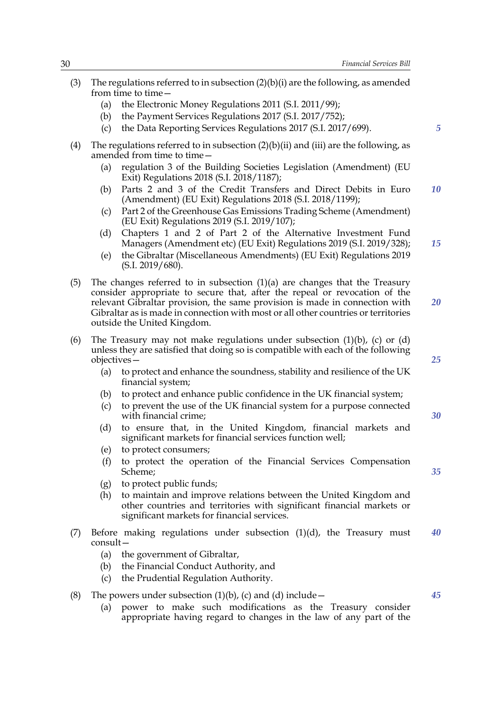- (3) The regulations referred to in subsection  $(2)(b)(i)$  are the following, as amended from time to time -
	- (a) the Electronic Money Regulations 2011 (S.I. 2011/99);
	- (b) the Payment Services Regulations 2017 (S.I. 2017/752);
	- (c) the Data Reporting Services Regulations 2017 (S.I. 2017/699).
- (4) The regulations referred to in subsection  $(2)(b)(ii)$  and  $(iii)$  are the following, as amended from time to time -
	- (a) regulation 3 of the Building Societies Legislation (Amendment) (EU Exit) Regulations 2018 (S.I. 2018/1187);
	- (b) Parts 2 and 3 of the Credit Transfers and Direct Debits in Euro (Amendment) (EU Exit) Regulations 2018 (S.I. 2018/1199); *10*
	- (c) Part 2 of the Greenhouse Gas Emissions Trading Scheme (Amendment) (EU Exit) Regulations 2019 (S.I. 2019/107);
	- (d) Chapters 1 and 2 of Part 2 of the Alternative Investment Fund Managers (Amendment etc) (EU Exit) Regulations 2019 (S.I. 2019/328);
	- (e) the Gibraltar (Miscellaneous Amendments) (EU Exit) Regulations 2019 (S.I. 2019/680).
- (5) The changes referred to in subsection  $(1)(a)$  are changes that the Treasury consider appropriate to secure that, after the repeal or revocation of the relevant Gibraltar provision, the same provision is made in connection with Gibraltar as is made in connection with most or all other countries or territories outside the United Kingdom. *20*
- (6) The Treasury may not make regulations under subsection  $(1)(b)$ ,  $(c)$  or  $(d)$ unless they are satisfied that doing so is compatible with each of the following objectives—
	- (a) to protect and enhance the soundness, stability and resilience of the UK financial system;
	- (b) to protect and enhance public confidence in the UK financial system;
	- (c) to prevent the use of the UK financial system for a purpose connected with financial crime;
	- (d) to ensure that, in the United Kingdom, financial markets and significant markets for financial services function well;
	- (e) to protect consumers;
	- (f) to protect the operation of the Financial Services Compensation Scheme;
	- (g) to protect public funds;
	- (h) to maintain and improve relations between the United Kingdom and other countries and territories with significant financial markets or significant markets for financial services.
- (7) Before making regulations under subsection (1)(d), the Treasury must consult— *40*
	- (a) the government of Gibraltar,
	- (b) the Financial Conduct Authority, and
	- (c) the Prudential Regulation Authority.
- (8) The powers under subsection  $(1)(b)$ , (c) and (d) include  $-$ 
	- (a) power to make such modifications as the Treasury consider appropriate having regard to changes in the law of any part of the

*5*

*15*

*25*

*30*

*35*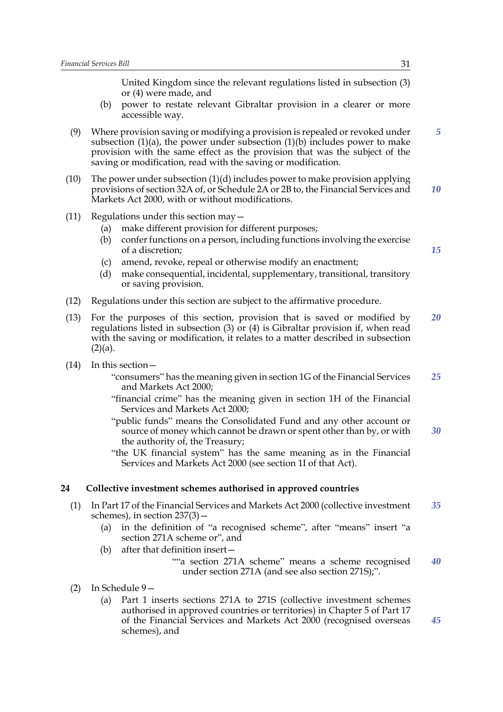United Kingdom since the relevant regulations listed in subsection (3) or (4) were made, and

- (b) power to restate relevant Gibraltar provision in a clearer or more accessible way.
- (9) Where provision saving or modifying a provision is repealed or revoked under subsection  $(1)(a)$ , the power under subsection  $(1)(b)$  includes power to make provision with the same effect as the provision that was the subject of the saving or modification, read with the saving or modification. *5*
- (10) The power under subsection (1)(d) includes power to make provision applying provisions of section 32A of, or Schedule 2A or 2B to, the Financial Services and Markets Act 2000, with or without modifications. *10*
- (11) Regulations under this section may—
	- (a) make different provision for different purposes;
	- (b) confer functions on a person, including functions involving the exercise of a discretion;
	- (c) amend, revoke, repeal or otherwise modify an enactment;
	- (d) make consequential, incidental, supplementary, transitional, transitory or saving provision.
- (12) Regulations under this section are subject to the affirmative procedure.
- (13) For the purposes of this section, provision that is saved or modified by regulations listed in subsection (3) or (4) is Gibraltar provision if, when read with the saving or modification, it relates to a matter described in subsection  $(2)(a)$ . *20*
- (14) In this section—
	- "consumers" has the meaning given in section 1G of the Financial Services and Markets Act 2000; *25*
	- "financial crime" has the meaning given in section 1H of the Financial Services and Markets Act 2000;
	- "public funds" means the Consolidated Fund and any other account or source of money which cannot be drawn or spent other than by, or with the authority of, the Treasury; *30*
	- "the UK financial system" has the same meaning as in the Financial Services and Markets Act 2000 (see section 1I of that Act).

#### **24 Collective investment schemes authorised in approved countries**

- (1) In Part 17 of the Financial Services and Markets Act 2000 (collective investment schemes), in section 237(3)— *35*
	- (a) in the definition of "a recognised scheme", after "means" insert "a section 271A scheme or", and
	- (b) after that definition insert—

""a section 271A scheme" means a scheme recognised under section 271A (and see also section 271S);". *40*

- (2) In Schedule 9—
	- (a) Part 1 inserts sections 271A to 271S (collective investment schemes authorised in approved countries or territories) in Chapter 5 of Part 17 of the Financial Services and Markets Act 2000 (recognised overseas schemes), and

*15*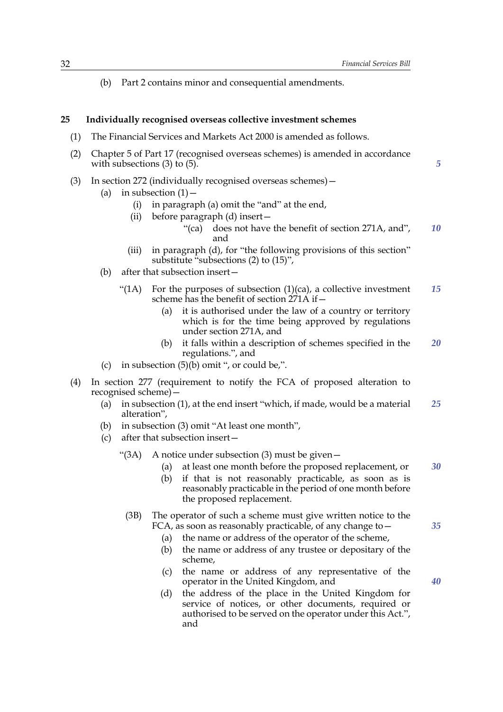*5*

(b) Part 2 contains minor and consequential amendments.

## **25 Individually recognised overseas collective investment schemes**

- (1) The Financial Services and Markets Act 2000 is amended as follows.
- (2) Chapter 5 of Part 17 (recognised overseas schemes) is amended in accordance with subsections (3) to (5).
- (3) In section 272 (individually recognised overseas schemes)—
	- (a) in subsection  $(1)$ 
		- (i) in paragraph (a) omit the "and" at the end,
		- (ii) before paragraph (d) insert—
			- "(ca) does not have the benefit of section 271A, and", and *10*
		- (iii) in paragraph (d), for "the following provisions of this section" substitute "subsections (2) to (15)",
	- (b) after that subsection insert—
		- "(1A) For the purposes of subsection  $(1)(ca)$ , a collective investment scheme has the benefit of section 271A if— *15*
			- (a) it is authorised under the law of a country or territory which is for the time being approved by regulations under section 271A, and
			- (b) it falls within a description of schemes specified in the regulations.", and *20*
	- (c) in subsection  $(5)(b)$  omit ", or could be,".
- (4) In section 277 (requirement to notify the FCA of proposed alteration to recognised scheme)—
	- (a) in subsection (1), at the end insert "which, if made, would be a material alteration", *25*
	- (b) in subsection (3) omit "At least one month",
	- (c) after that subsection insert—
		- " $(3A)$  A notice under subsection  $(3)$  must be given -
			- (a) at least one month before the proposed replacement, or *30*
			- (b) if that is not reasonably practicable, as soon as is reasonably practicable in the period of one month before the proposed replacement.
			- (3B) The operator of such a scheme must give written notice to the FCA, as soon as reasonably practicable, of any change to  $-$ 
				- (a) the name or address of the operator of the scheme,
				- (b) the name or address of any trustee or depositary of the scheme,
				- (c) the name or address of any representative of the operator in the United Kingdom, and
				- (d) the address of the place in the United Kingdom for service of notices, or other documents, required or authorised to be served on the operator under this Act.", and

*40*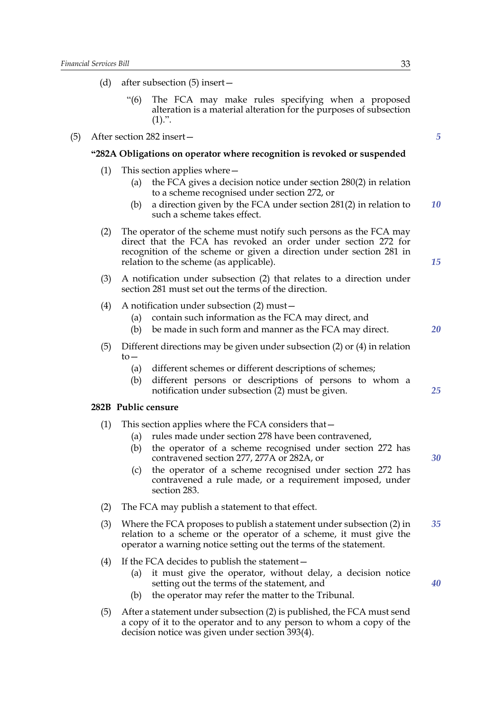(d) after subsection (5) insert—

*5*

*10*

*15*

*20*

*25*

*30*

*35*

*40*

"(6) The FCA may make rules specifying when a proposed alteration is a material alteration for the purposes of subsection  $(1).$ ". (5) After section 282 insert— **"282A Obligations on operator where recognition is revoked or suspended** (1) This section applies where— (a) the FCA gives a decision notice under section 280(2) in relation to a scheme recognised under section 272, or (b) a direction given by the FCA under section 281(2) in relation to such a scheme takes effect. (2) The operator of the scheme must notify such persons as the FCA may direct that the FCA has revoked an order under section 272 for recognition of the scheme or given a direction under section 281 in relation to the scheme (as applicable). (3) A notification under subsection (2) that relates to a direction under section 281 must set out the terms of the direction. (4) A notification under subsection (2) must— (a) contain such information as the FCA may direct, and (b) be made in such form and manner as the FCA may direct. (5) Different directions may be given under subsection (2) or (4) in relation  $to-$ (a) different schemes or different descriptions of schemes; (b) different persons or descriptions of persons to whom a notification under subsection (2) must be given. **282B Public censure** (1) This section applies where the FCA considers that— (a) rules made under section 278 have been contravened, (b) the operator of a scheme recognised under section 272 has contravened section 277, 277A or 282A, or (c) the operator of a scheme recognised under section 272 has contravened a rule made, or a requirement imposed, under section 283. (2) The FCA may publish a statement to that effect. (3) Where the FCA proposes to publish a statement under subsection (2) in relation to a scheme or the operator of a scheme, it must give the operator a warning notice setting out the terms of the statement. (4) If the FCA decides to publish the statement— (a) it must give the operator, without delay, a decision notice setting out the terms of the statement, and (b) the operator may refer the matter to the Tribunal. (5) After a statement under subsection (2) is published, the FCA must send a copy of it to the operator and to any person to whom a copy of the decision notice was given under section 393(4).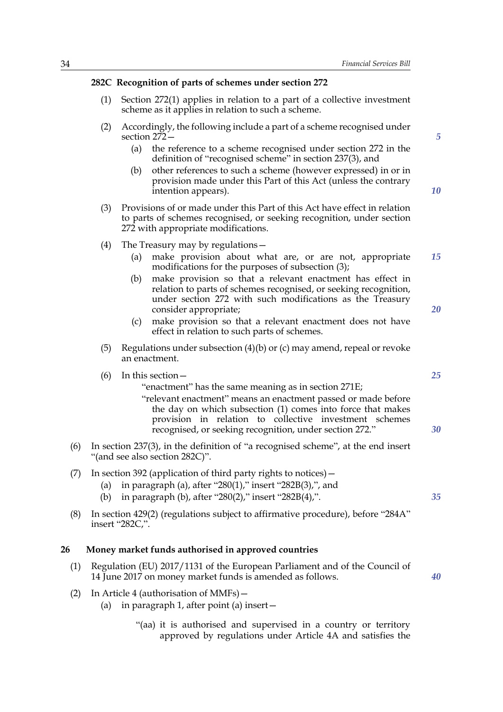#### **282C Recognition of parts of schemes under section 272**

- (1) Section 272(1) applies in relation to a part of a collective investment scheme as it applies in relation to such a scheme.
- (2) Accordingly, the following include a part of a scheme recognised under section 272—
	- (a) the reference to a scheme recognised under section 272 in the definition of "recognised scheme" in section 237(3), and
	- (b) other references to such a scheme (however expressed) in or in provision made under this Part of this Act (unless the contrary intention appears).
- (3) Provisions of or made under this Part of this Act have effect in relation to parts of schemes recognised, or seeking recognition, under section 272 with appropriate modifications.
- (4) The Treasury may by regulations—
	- (a) make provision about what are, or are not, appropriate modifications for the purposes of subsection (3); *15*
	- (b) make provision so that a relevant enactment has effect in relation to parts of schemes recognised, or seeking recognition, under section 272 with such modifications as the Treasury consider appropriate;
	- (c) make provision so that a relevant enactment does not have effect in relation to such parts of schemes.
- (5) Regulations under subsection (4)(b) or (c) may amend, repeal or revoke an enactment.

(6) In this section—

#### "enactment" has the same meaning as in section 271E;

- "relevant enactment" means an enactment passed or made before the day on which subsection (1) comes into force that makes provision in relation to collective investment schemes recognised, or seeking recognition, under section 272."
- (6) In section 237(3), in the definition of "a recognised scheme", at the end insert "(and see also section 282C)".
- (7) In section 392 (application of third party rights to notices)—
	- (a) in paragraph (a), after "280(1)," insert "282B(3),", and
	- (b) in paragraph (b), after "280(2)," insert "282B(4),".
- (8) In section 429(2) (regulations subject to affirmative procedure), before "284A" insert "282C,".

## **26 Money market funds authorised in approved countries**

- (1) Regulation (EU) 2017/1131 of the European Parliament and of the Council of 14 June 2017 on money market funds is amended as follows.
- (2) In Article 4 (authorisation of MMFs)—
	- (a) in paragraph 1, after point (a) insert—
		- "(aa) it is authorised and supervised in a country or territory approved by regulations under Article 4A and satisfies the

*20*

*5*

*10*

*25*

*30*

*35*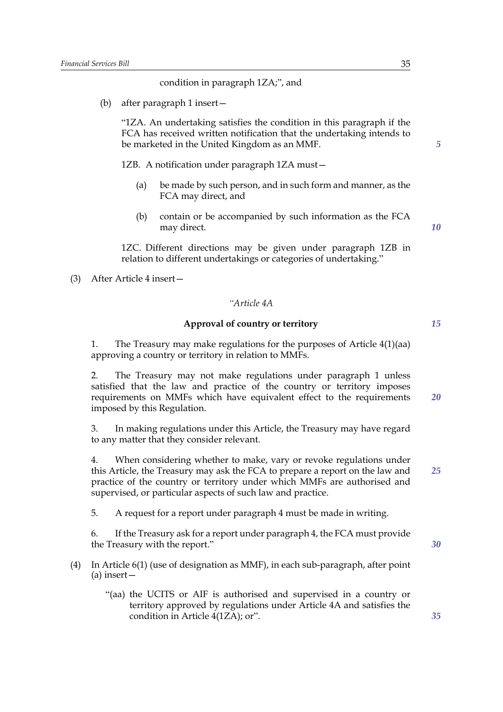#### condition in paragraph 1ZA;", and

(b) after paragraph 1 insert—

"1ZA. An undertaking satisfies the condition in this paragraph if the FCA has received written notification that the undertaking intends to be marketed in the United Kingdom as an MMF.

1ZB. A notification under paragraph 1ZA must—

- (a) be made by such person, and in such form and manner, as the FCA may direct, and
- (b) contain or be accompanied by such information as the FCA may direct.

1ZC. Different directions may be given under paragraph 1ZB in relation to different undertakings or categories of undertaking."

(3) After Article 4 insert—

## *"Article 4A*

## **Approval of country or territory**

1. The Treasury may make regulations for the purposes of Article 4(1)(aa) approving a country or territory in relation to MMFs.

2. The Treasury may not make regulations under paragraph 1 unless satisfied that the law and practice of the country or territory imposes requirements on MMFs which have equivalent effect to the requirements imposed by this Regulation.

3. In making regulations under this Article, the Treasury may have regard to any matter that they consider relevant.

4. When considering whether to make, vary or revoke regulations under this Article, the Treasury may ask the FCA to prepare a report on the law and practice of the country or territory under which MMFs are authorised and supervised, or particular aspects of such law and practice.

5. A request for a report under paragraph 4 must be made in writing.

6. If the Treasury ask for a report under paragraph 4, the FCA must provide the Treasury with the report."

- (4) In Article 6(1) (use of designation as MMF), in each sub-paragraph, after point (a) insert—
	- "(aa) the UCITS or AIF is authorised and supervised in a country or territory approved by regulations under Article 4A and satisfies the condition in Article 4(1ZA); or".

*25*

*35*

*30*

*15*

*20*

*5*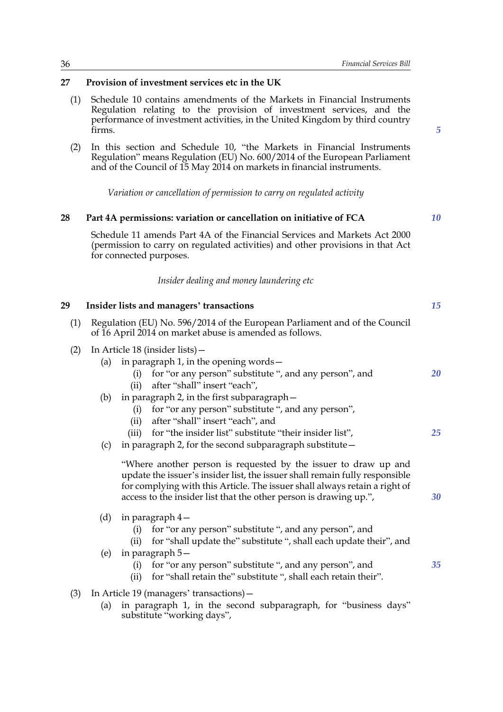*5*

*10*

## **27 Provision of investment services etc in the UK**

- (1) Schedule 10 contains amendments of the Markets in Financial Instruments Regulation relating to the provision of investment services, and the performance of investment activities, in the United Kingdom by third country firms.
- (2) In this section and Schedule 10, "the Markets in Financial Instruments Regulation" means Regulation (EU) No. 600/2014 of the European Parliament and of the Council of 15 May 2014 on markets in financial instruments.

*Variation or cancellation of permission to carry on regulated activity*

## **28 Part 4A permissions: variation or cancellation on initiative of FCA**

Schedule 11 amends Part 4A of the Financial Services and Markets Act 2000 (permission to carry on regulated activities) and other provisions in that Act for connected purposes.

*Insider dealing and money laundering etc*

| 29                                                                     |                                                                                                                                       | Insider lists and managers' transactions                                                                                                                                                                                                                                                          | 15 |
|------------------------------------------------------------------------|---------------------------------------------------------------------------------------------------------------------------------------|---------------------------------------------------------------------------------------------------------------------------------------------------------------------------------------------------------------------------------------------------------------------------------------------------|----|
| (1)                                                                    | Regulation (EU) No. 596/2014 of the European Parliament and of the Council<br>of 16 April 2014 on market abuse is amended as follows. |                                                                                                                                                                                                                                                                                                   |    |
| (2)                                                                    | In Article 18 (insider lists) -                                                                                                       |                                                                                                                                                                                                                                                                                                   |    |
|                                                                        | (a)                                                                                                                                   | in paragraph 1, in the opening words -                                                                                                                                                                                                                                                            |    |
|                                                                        |                                                                                                                                       | for "or any person" substitute ", and any person", and<br>(i)                                                                                                                                                                                                                                     | 20 |
|                                                                        |                                                                                                                                       | after "shall" insert "each",<br>(ii)                                                                                                                                                                                                                                                              |    |
|                                                                        | (b)                                                                                                                                   | in paragraph 2, in the first subparagraph -                                                                                                                                                                                                                                                       |    |
|                                                                        |                                                                                                                                       | for "or any person" substitute ", and any person",<br>(i)                                                                                                                                                                                                                                         |    |
|                                                                        |                                                                                                                                       | after "shall" insert "each", and<br>(ii)                                                                                                                                                                                                                                                          |    |
|                                                                        |                                                                                                                                       | for "the insider list" substitute "their insider list",<br>(iii)                                                                                                                                                                                                                                  | 25 |
|                                                                        | (c)                                                                                                                                   | in paragraph 2, for the second subparagraph substitute $-$                                                                                                                                                                                                                                        |    |
|                                                                        |                                                                                                                                       | "Where another person is requested by the issuer to draw up and<br>update the issuer's insider list, the issuer shall remain fully responsible<br>for complying with this Article. The issuer shall always retain a right of<br>access to the insider list that the other person is drawing up.", | 30 |
|                                                                        | (d)                                                                                                                                   | in paragraph $4-$                                                                                                                                                                                                                                                                                 |    |
|                                                                        |                                                                                                                                       | for "or any person" substitute ", and any person", and<br>(i)<br>for "shall update the" substitute ", shall each update their", and<br>(ii)                                                                                                                                                       |    |
|                                                                        | (e)                                                                                                                                   | in paragraph $5-$                                                                                                                                                                                                                                                                                 |    |
|                                                                        |                                                                                                                                       | for "or any person" substitute ", and any person", and<br>(i)                                                                                                                                                                                                                                     | 35 |
|                                                                        |                                                                                                                                       | for "shall retain the" substitute ", shall each retain their".<br>(ii)                                                                                                                                                                                                                            |    |
| (3)                                                                    |                                                                                                                                       | In Article 19 (managers' transactions) -                                                                                                                                                                                                                                                          |    |
| (a) in parameter 1 in the second subparameter $\alpha$ "business days" |                                                                                                                                       |                                                                                                                                                                                                                                                                                                   |    |

(a) in paragraph 1, in the second subparagraph, for "business days" substitute "working days",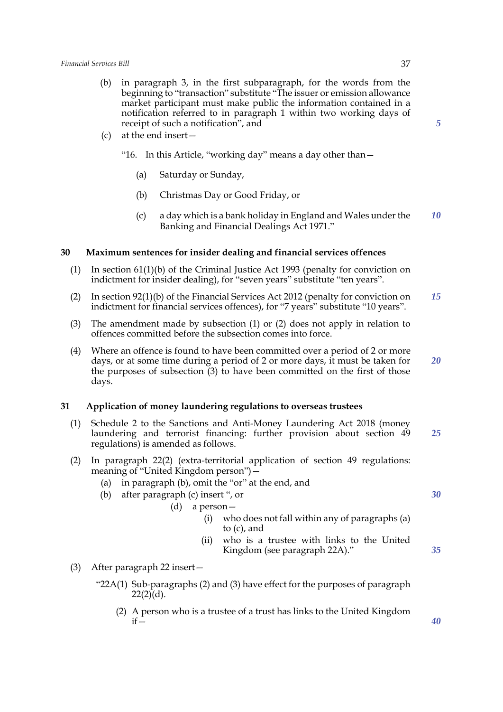- (b) in paragraph 3, in the first subparagraph, for the words from the beginning to "transaction" substitute "The issuer or emission allowance market participant must make public the information contained in a notification referred to in paragraph 1 within two working days of receipt of such a notification", and
- (c) at the end insert—
	- "16. In this Article, "working day" means a day other than—
		- (a) Saturday or Sunday,
		- (b) Christmas Day or Good Friday, or
		- (c) a day which is a bank holiday in England and Wales under the Banking and Financial Dealings Act 1971." *10*

#### **30 Maximum sentences for insider dealing and financial services offences**

- (1) In section 61(1)(b) of the Criminal Justice Act 1993 (penalty for conviction on indictment for insider dealing), for "seven years" substitute "ten years".
- (2) In section 92(1)(b) of the Financial Services Act 2012 (penalty for conviction on indictment for financial services offences), for "7 years" substitute "10 years". *15*
- (3) The amendment made by subsection (1) or (2) does not apply in relation to offences committed before the subsection comes into force.
- (4) Where an offence is found to have been committed over a period of 2 or more days, or at some time during a period of 2 or more days, it must be taken for the purposes of subsection (3) to have been committed on the first of those days. *20*

#### **31 Application of money laundering regulations to overseas trustees**

- (1) Schedule 2 to the Sanctions and Anti-Money Laundering Act 2018 (money laundering and terrorist financing: further provision about section 49 regulations) is amended as follows. *25*
- (2) In paragraph 22(2) (extra-territorial application of section 49 regulations: meaning of "United Kingdom person")—
	- (a) in paragraph (b), omit the "or" at the end, and
	- (b) after paragraph (c) insert ", or

(d) a person—

- (i) who does not fall within any of paragraphs (a) to (c), and
- (ii) who is a trustee with links to the United Kingdom (see paragraph 22A)."
- (3) After paragraph 22 insert—
	- "22A(1) Sub-paragraphs (2) and (3) have effect for the purposes of paragraph  $22(2)(d)$ .
		- (2) A person who is a trustee of a trust has links to the United Kingdom  $if -$

*5*

*30*

*35*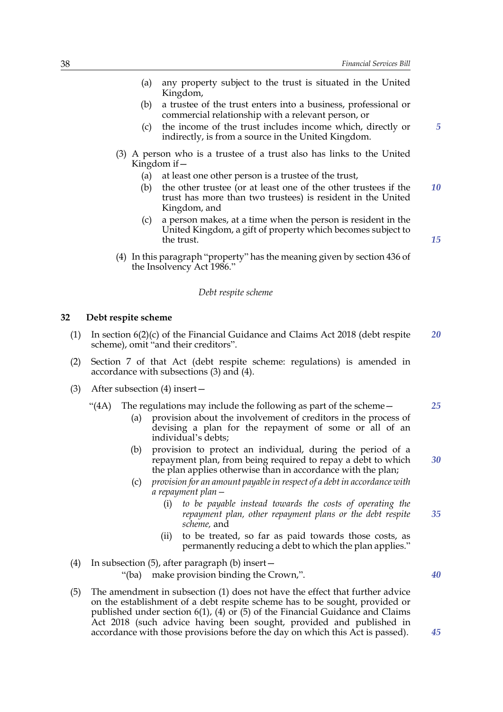- (a) any property subject to the trust is situated in the United Kingdom,
- (b) a trustee of the trust enters into a business, professional or commercial relationship with a relevant person, or
- (c) the income of the trust includes income which, directly or indirectly, is from a source in the United Kingdom.
- (3) A person who is a trustee of a trust also has links to the United Kingdom if—
	- (a) at least one other person is a trustee of the trust,
	- (b) the other trustee (or at least one of the other trustees if the trust has more than two trustees) is resident in the United Kingdom, and *10*
	- (c) a person makes, at a time when the person is resident in the United Kingdom, a gift of property which becomes subject to the trust.
- (4) In this paragraph "property" has the meaning given by section 436 of the Insolvency Act 1986."

#### *Debt respite scheme*

#### **32 Debt respite scheme**

- (1) In section 6(2)(c) of the Financial Guidance and Claims Act 2018 (debt respite scheme), omit "and their creditors". *20*
- (2) Section 7 of that Act (debt respite scheme: regulations) is amended in accordance with subsections (3) and (4).
- (3) After subsection (4) insert—
	- "(4A) The regulations may include the following as part of the scheme $-$ 
		- (a) provision about the involvement of creditors in the process of devising a plan for the repayment of some or all of an individual's debts;
		- (b) provision to protect an individual, during the period of a repayment plan, from being required to repay a debt to which the plan applies otherwise than in accordance with the plan;
		- (c) *provision for an amount payable in respect of a debt in accordance with a repayment plan—*
			- (i) *to be payable instead towards the costs of operating the repayment plan, other repayment plans or the debt respite scheme,* and *35*
			- (ii) to be treated, so far as paid towards those costs, as permanently reducing a debt to which the plan applies."
- (4) In subsection (5), after paragraph (b) insert— "(ba) make provision binding the Crown,".
- (5) The amendment in subsection (1) does not have the effect that further advice on the establishment of a debt respite scheme has to be sought, provided or published under section 6(1), (4) or (5) of the Financial Guidance and Claims Act 2018 (such advice having been sought, provided and published in accordance with those provisions before the day on which this Act is passed).

*25*

*5*

*15*

*30*

*40*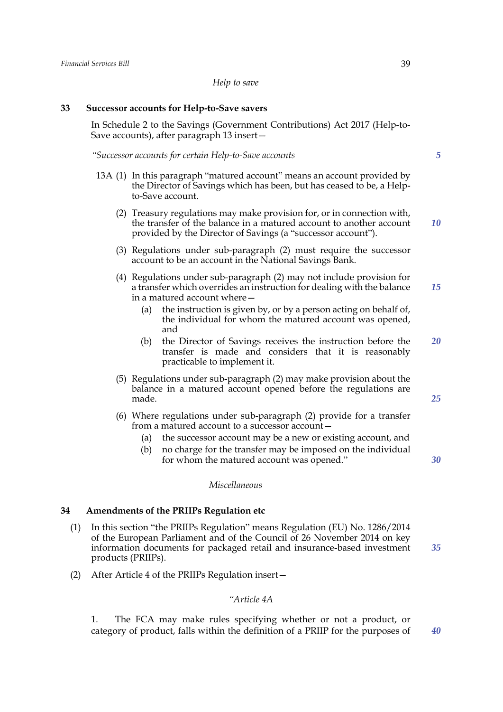*Help to save*

## **33 Successor accounts for Help-to-Save savers**

In Schedule 2 to the Savings (Government Contributions) Act 2017 (Help-to-Save accounts), after paragraph 13 insert—

*"Successor accounts for certain Help-to-Save accounts*

- 13A (1) In this paragraph "matured account" means an account provided by the Director of Savings which has been, but has ceased to be, a Helpto-Save account.
	- (2) Treasury regulations may make provision for, or in connection with, the transfer of the balance in a matured account to another account provided by the Director of Savings (a "successor account"). *10*
	- (3) Regulations under sub-paragraph (2) must require the successor account to be an account in the National Savings Bank.
	- (4) Regulations under sub-paragraph (2) may not include provision for a transfer which overrides an instruction for dealing with the balance in a matured account where— *15*
		- (a) the instruction is given by, or by a person acting on behalf of, the individual for whom the matured account was opened, and
		- (b) the Director of Savings receives the instruction before the transfer is made and considers that it is reasonably practicable to implement it. *20*
	- (5) Regulations under sub-paragraph (2) may make provision about the balance in a matured account opened before the regulations are made.
	- (6) Where regulations under sub-paragraph (2) provide for a transfer from a matured account to a successor account—
		- (a) the successor account may be a new or existing account, and
		- (b) no charge for the transfer may be imposed on the individual for whom the matured account was opened."

## *Miscellaneous*

## **34 Amendments of the PRIIPs Regulation etc**

- (1) In this section "the PRIIPs Regulation" means Regulation (EU) No. 1286/2014 of the European Parliament and of the Council of 26 November 2014 on key information documents for packaged retail and insurance-based investment products (PRIIPs). *35*
- (2) After Article 4 of the PRIIPs Regulation insert—

## *"Article 4A*

1. The FCA may make rules specifying whether or not a product, or category of product, falls within the definition of a PRIIP for the purposes of *40*

*5*

*25*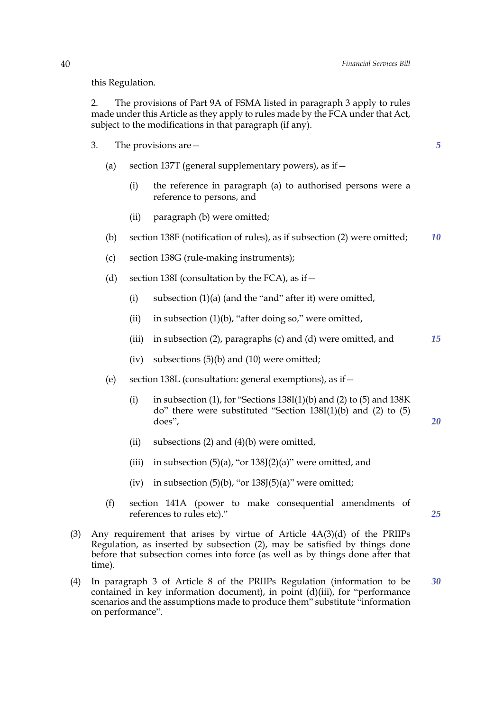this Regulation.

2. The provisions of Part 9A of FSMA listed in paragraph 3 apply to rules made under this Article as they apply to rules made by the FCA under that Act, subject to the modifications in that paragraph (if any).

- 3. The provisions are—
	- (a) section 137T (general supplementary powers), as if  $-$ 
		- (i) the reference in paragraph (a) to authorised persons were a reference to persons, and
		- (ii) paragraph (b) were omitted;
	- (b) section 138F (notification of rules), as if subsection (2) were omitted; *10*
	- (c) section 138G (rule-making instruments);
	- (d) section 138I (consultation by the FCA), as if  $-$ 
		- (i) subsection  $(1)(a)$  (and the "and" after it) were omitted,
		- (ii) in subsection  $(1)(b)$ , "after doing so," were omitted,
		- (iii) in subsection (2), paragraphs (c) and (d) were omitted, and *15*
		- (iv) subsections  $(5)(b)$  and  $(10)$  were omitted;
	- (e) section 138L (consultation: general exemptions), as if—
		- (i) in subsection (1), for "Sections  $138I(1)(b)$  and (2) to (5) and  $138K$ do" there were substituted "Section 138I(1)(b) and (2) to (5) does",
		- (ii) subsections  $(2)$  and  $(4)(b)$  were omitted,
		- (iii) in subsection  $(5)(a)$ , "or  $138J(2)(a)$ " were omitted, and
		- (iv) in subsection  $(5)(b)$ , "or  $138J(5)(a)$ " were omitted;
	- (f) section 141A (power to make consequential amendments of references to rules etc)."

*25*

*20*

- (3) Any requirement that arises by virtue of Article 4A(3)(d) of the PRIIPs Regulation, as inserted by subsection (2), may be satisfied by things done before that subsection comes into force (as well as by things done after that time).
- (4) In paragraph 3 of Article 8 of the PRIIPs Regulation (information to be contained in key information document), in point (d)(iii), for "performance scenarios and the assumptions made to produce them" substitute "information on performance". *30*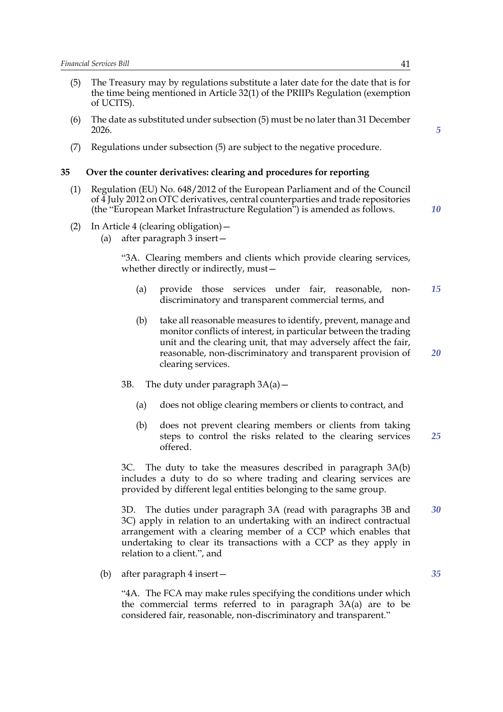- (5) The Treasury may by regulations substitute a later date for the date that is for the time being mentioned in Article 32(1) of the PRIIPs Regulation (exemption of UCITS).
- (6) The date as substituted under subsection (5) must be no later than 31 December 2026.
- (7) Regulations under subsection (5) are subject to the negative procedure.

#### **35 Over the counter derivatives: clearing and procedures for reporting**

- (1) Regulation (EU) No. 648/2012 of the European Parliament and of the Council of 4 July 2012 on OTC derivatives, central counterparties and trade repositories (the "European Market Infrastructure Regulation") is amended as follows.
- *10*

*5*

- (2) In Article 4 (clearing obligation)—
	- (a) after paragraph 3 insert—

"3A. Clearing members and clients which provide clearing services, whether directly or indirectly, must—

- (a) provide those services under fair, reasonable, nondiscriminatory and transparent commercial terms, and *15*
- (b) take all reasonable measures to identify, prevent, manage and monitor conflicts of interest, in particular between the trading unit and the clearing unit, that may adversely affect the fair, reasonable, non-discriminatory and transparent provision of clearing services. *20*
- 3B. The duty under paragraph  $3A(a)$ 
	- (a) does not oblige clearing members or clients to contract, and
	- (b) does not prevent clearing members or clients from taking steps to control the risks related to the clearing services offered. *25*

3C. The duty to take the measures described in paragraph 3A(b) includes a duty to do so where trading and clearing services are provided by different legal entities belonging to the same group.

3D. The duties under paragraph 3A (read with paragraphs 3B and 3C) apply in relation to an undertaking with an indirect contractual arrangement with a clearing member of a CCP which enables that undertaking to clear its transactions with a CCP as they apply in relation to a client.", and *30*

(b) after paragraph 4 insert—

"4A. The FCA may make rules specifying the conditions under which the commercial terms referred to in paragraph 3A(a) are to be considered fair, reasonable, non-discriminatory and transparent."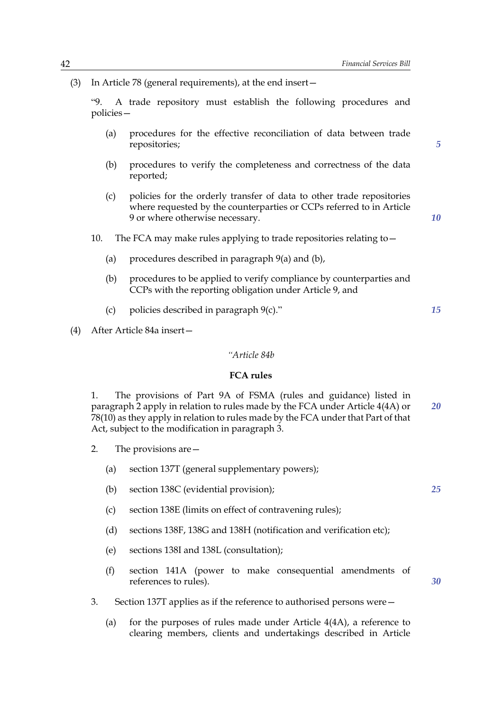(3) In Article 78 (general requirements), at the end insert—

"9. A trade repository must establish the following procedures and policies—

- (a) procedures for the effective reconciliation of data between trade repositories;
- (b) procedures to verify the completeness and correctness of the data reported;
- (c) policies for the orderly transfer of data to other trade repositories where requested by the counterparties or CCPs referred to in Article 9 or where otherwise necessary.

*10*

*15*

*5*

- 10. The FCA may make rules applying to trade repositories relating to -
	- (a) procedures described in paragraph 9(a) and (b),
	- (b) procedures to be applied to verify compliance by counterparties and CCPs with the reporting obligation under Article 9, and
	- (c) policies described in paragraph  $9(c)$ ."
- (4) After Article 84a insert—

#### *"Article 84b*

## **FCA rules**

1. The provisions of Part 9A of FSMA (rules and guidance) listed in paragraph 2 apply in relation to rules made by the FCA under Article 4(4A) or 78(10) as they apply in relation to rules made by the FCA under that Part of that Act, subject to the modification in paragraph 3. *20*

- 2. The provisions are—
	- (a) section 137T (general supplementary powers);
	- (b) section 138C (evidential provision);
	- (c) section 138E (limits on effect of contravening rules);
	- (d) sections 138F, 138G and 138H (notification and verification etc);
	- (e) sections 138I and 138L (consultation);
	- (f) section 141A (power to make consequential amendments of references to rules).
- 3. Section 137T applies as if the reference to authorised persons were—
	- (a) for the purposes of rules made under Article 4(4A), a reference to clearing members, clients and undertakings described in Article

*25*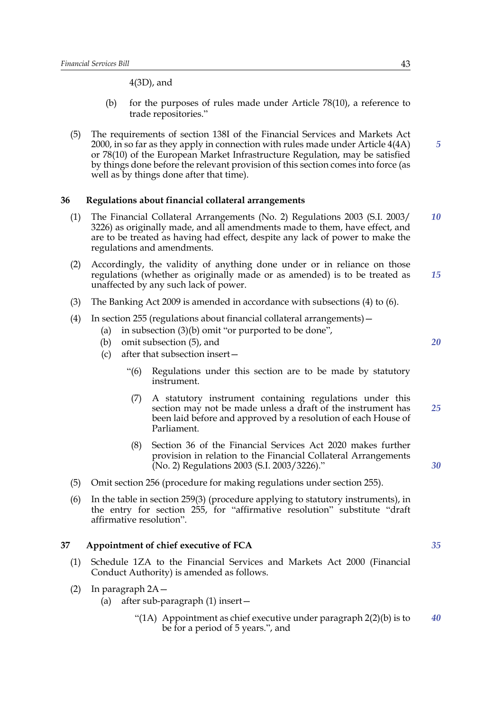4(3D), and

- (b) for the purposes of rules made under Article 78(10), a reference to trade repositories."
- (5) The requirements of section 138I of the Financial Services and Markets Act 2000, in so far as they apply in connection with rules made under Article 4(4A) or 78(10) of the European Market Infrastructure Regulation, may be satisfied by things done before the relevant provision of this section comes into force (as well as by things done after that time).

## **36 Regulations about financial collateral arrangements**

- (1) The Financial Collateral Arrangements (No. 2) Regulations 2003 (S.I. 2003/ 3226) as originally made, and all amendments made to them, have effect, and are to be treated as having had effect, despite any lack of power to make the regulations and amendments. *10*
- (2) Accordingly, the validity of anything done under or in reliance on those regulations (whether as originally made or as amended) is to be treated as unaffected by any such lack of power. *15*
- (3) The Banking Act 2009 is amended in accordance with subsections (4) to (6).
- (4) In section 255 (regulations about financial collateral arrangements)—
	- (a) in subsection (3)(b) omit "or purported to be done",
	- (b) omit subsection (5), and
	- (c) after that subsection insert—
		- "(6) Regulations under this section are to be made by statutory instrument.
		- (7) A statutory instrument containing regulations under this section may not be made unless a draft of the instrument has been laid before and approved by a resolution of each House of Parliament. *25*
		- (8) Section 36 of the Financial Services Act 2020 makes further provision in relation to the Financial Collateral Arrangements (No. 2) Regulations 2003 (S.I. 2003/3226)."
- (5) Omit section 256 (procedure for making regulations under section 255).
- (6) In the table in section 259(3) (procedure applying to statutory instruments), in the entry for section 255, for "affirmative resolution" substitute "draft affirmative resolution".

#### **37 Appointment of chief executive of FCA**

- (1) Schedule 1ZA to the Financial Services and Markets Act 2000 (Financial Conduct Authority) is amended as follows.
- (2) In paragraph 2A—
	- (a) after sub-paragraph (1) insert—
		- "(1A) Appointment as chief executive under paragraph 2(2)(b) is to be for a period of 5 years.", and *40*

*5*

*35*

*30*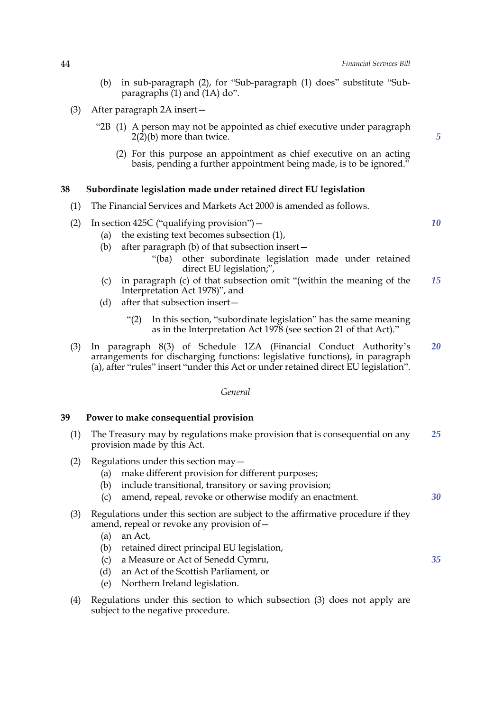- (b) in sub-paragraph (2), for "Sub-paragraph (1) does" substitute "Subparagraphs  $(1)$  and  $(1A)$  do".
- (3) After paragraph 2A insert—
	- "2B (1) A person may not be appointed as chief executive under paragraph 2(2)(b) more than twice.
		- (2) For this purpose an appointment as chief executive on an acting basis, pending a further appointment being made, is to be ignored."

## **38 Subordinate legislation made under retained direct EU legislation**

- (1) The Financial Services and Markets Act 2000 is amended as follows.
- (2) In section 425C ("qualifying provision")—
	- (a) the existing text becomes subsection (1),
	- (b) after paragraph (b) of that subsection insert—
		- "(ba) other subordinate legislation made under retained direct EU legislation;",
	- (c) in paragraph (c) of that subsection omit "(within the meaning of the Interpretation Act 1978)", and *15*
	- (d) after that subsection insert—
		- "(2) In this section, "subordinate legislation" has the same meaning as in the Interpretation Act 1978 (see section 21 of that Act)."
- (3) In paragraph 8(3) of Schedule 1ZA (Financial Conduct Authority's arrangements for discharging functions: legislative functions), in paragraph (a), after "rules" insert "under this Act or under retained direct EU legislation". *20*

#### *General*

#### **39 Power to make consequential provision**

- (1) The Treasury may by regulations make provision that is consequential on any provision made by this Act. *25*
- (2) Regulations under this section may—
	- (a) make different provision for different purposes;
	- (b) include transitional, transitory or saving provision;
	- (c) amend, repeal, revoke or otherwise modify an enactment.
- (3) Regulations under this section are subject to the affirmative procedure if they amend, repeal or revoke any provision of—
	- (a) an Act,
	- (b) retained direct principal EU legislation,
	- (c) a Measure or Act of Senedd Cymru,
	- (d) an Act of the Scottish Parliament, or
	- (e) Northern Ireland legislation.
- (4) Regulations under this section to which subsection (3) does not apply are subject to the negative procedure.

*10*

*30*

*35*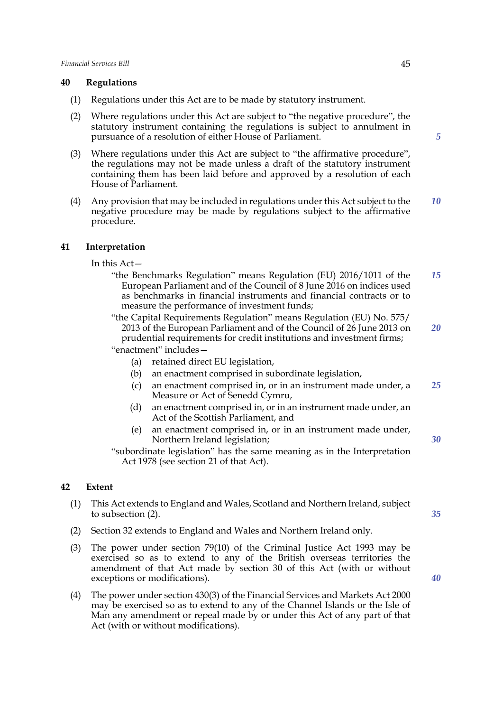## **40 Regulations**

- (1) Regulations under this Act are to be made by statutory instrument.
- (2) Where regulations under this Act are subject to "the negative procedure", the statutory instrument containing the regulations is subject to annulment in pursuance of a resolution of either House of Parliament.
- (3) Where regulations under this Act are subject to "the affirmative procedure", the regulations may not be made unless a draft of the statutory instrument containing them has been laid before and approved by a resolution of each House of Parliament.
- (4) Any provision that may be included in regulations under this Act subject to the negative procedure may be made by regulations subject to the affirmative procedure. *10*

## **41 Interpretation**

In this Act—

- "the Benchmarks Regulation" means Regulation (EU) 2016/1011 of the European Parliament and of the Council of 8 June 2016 on indices used as benchmarks in financial instruments and financial contracts or to measure the performance of investment funds; *15*
- "the Capital Requirements Regulation" means Regulation (EU) No. 575/ 2013 of the European Parliament and of the Council of 26 June 2013 on prudential requirements for credit institutions and investment firms; "enactment" includes—
	- (a) retained direct EU legislation,
	- (b) an enactment comprised in subordinate legislation,
	- (c) an enactment comprised in, or in an instrument made under, a Measure or Act of Senedd Cymru, *25*
	- (d) an enactment comprised in, or in an instrument made under, an Act of the Scottish Parliament, and
	- (e) an enactment comprised in, or in an instrument made under, Northern Ireland legislation;
- "subordinate legislation" has the same meaning as in the Interpretation Act 1978 (see section 21 of that Act).

## **42 Extent**

- (1) This Act extends to England and Wales, Scotland and Northern Ireland, subject to subsection (2).
- (2) Section 32 extends to England and Wales and Northern Ireland only.
- (3) The power under section 79(10) of the Criminal Justice Act 1993 may be exercised so as to extend to any of the British overseas territories the amendment of that Act made by section 30 of this Act (with or without exceptions or modifications).
- (4) The power under section 430(3) of the Financial Services and Markets Act 2000 may be exercised so as to extend to any of the Channel Islands or the Isle of Man any amendment or repeal made by or under this Act of any part of that Act (with or without modifications).

*5*

*35*

*30*

*20*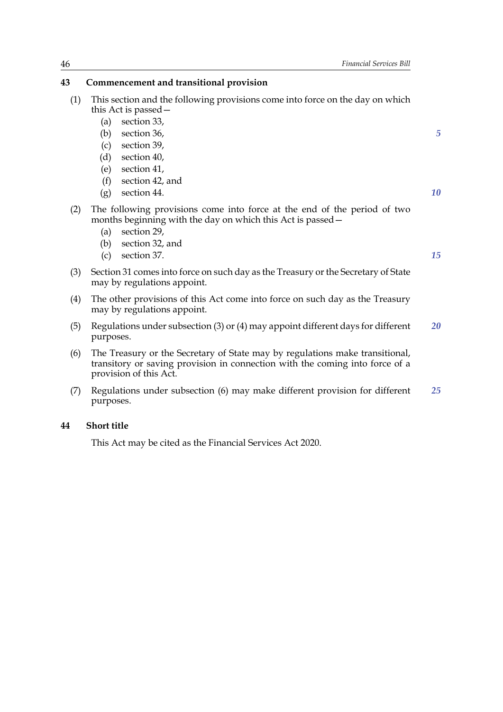## **43 Commencement and transitional provision**

| (1) | This section and the following provisions come into force on the day on which |
|-----|-------------------------------------------------------------------------------|
|     | this Act is passed –                                                          |

- (a) section 33,
- (b) section 36,
- (c) section 39,
- (d) section 40,
- (e) section 41,
- (f) section 42, and
- (g) section 44.
- (2) The following provisions come into force at the end of the period of two months beginning with the day on which this Act is passed—
	- (a) section 29,
	- (b) section 32, and
	- (c) section 37.

*15*

*5*

*10*

- (3) Section 31 comes into force on such day as the Treasury or the Secretary of State may by regulations appoint.
- (4) The other provisions of this Act come into force on such day as the Treasury may by regulations appoint.
- (5) Regulations under subsection (3) or (4) may appoint different days for different purposes. *20*
- (6) The Treasury or the Secretary of State may by regulations make transitional, transitory or saving provision in connection with the coming into force of a provision of this Act.
- (7) Regulations under subsection (6) may make different provision for different purposes. *25*

## **44 Short title**

This Act may be cited as the Financial Services Act 2020.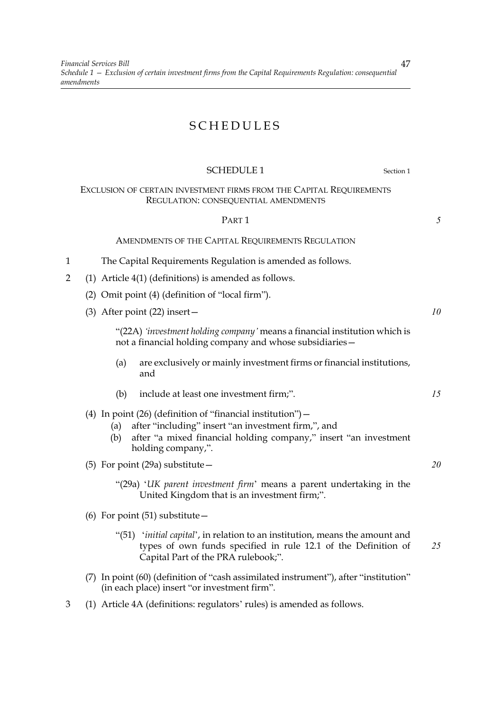# SCHEDULES

## SCHEDULE 1 Section 1

## EXCLUSION OF CERTAIN INVESTMENT FIRMS FROM THE CAPITAL REQUIREMENTS REGULATION: CONSEQUENTIAL AMENDMENTS

## PART 1

AMENDMENTS OF THE CAPITAL REQUIREMENTS REGULATION

- 1 The Capital Requirements Regulation is amended as follows.
- 2 (1) Article 4(1) (definitions) is amended as follows.
	- (2) Omit point (4) (definition of "local firm").
	- (3) After point (22) insert—

"(22A) *'investment holding company'* means a financial institution which is not a financial holding company and whose subsidiaries—

- (a) are exclusively or mainly investment firms or financial institutions, and
- (b) include at least one investment firm;".
- (4) In point  $(26)$  (definition of "financial institution")
	- (a) after "including" insert "an investment firm,", and
	- (b) after "a mixed financial holding company," insert "an investment holding company,".
- (5) For point (29a) substitute—
	- "(29a) '*UK parent investment firm*' means a parent undertaking in the United Kingdom that is an investment firm;".
- (6) For point (51) substitute—
	- "(51) '*initial capital*', in relation to an institution, means the amount and types of own funds specified in rule 12.1 of the Definition of Capital Part of the PRA rulebook;". *25*
- (7) In point (60) (definition of "cash assimilated instrument"), after "institution" (in each place) insert "or investment firm".
- 3 (1) Article 4A (definitions: regulators' rules) is amended as follows.

47

*5*

*10*

*15*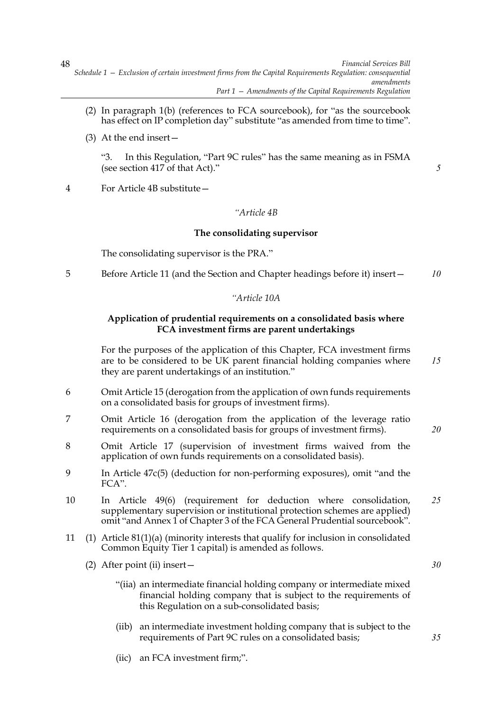- (2) In paragraph 1(b) (references to FCA sourcebook), for "as the sourcebook has effect on IP completion day" substitute "as amended from time to time".
- (3) At the end insert—

"3. In this Regulation, "Part 9C rules" has the same meaning as in FSMA (see section 417 of that Act)."

4 For Article 4B substitute—

## *"Article 4B*

## **The consolidating supervisor**

The consolidating supervisor is the PRA."

5 Before Article 11 (and the Section and Chapter headings before it) insert— *10*

## *"Article 10A*

## **Application of prudential requirements on a consolidated basis where FCA investment firms are parent undertakings**

For the purposes of the application of this Chapter, FCA investment firms are to be considered to be UK parent financial holding companies where they are parent undertakings of an institution." *15*

- 6 Omit Article 15 (derogation from the application of own funds requirements on a consolidated basis for groups of investment firms).
- 7 Omit Article 16 (derogation from the application of the leverage ratio requirements on a consolidated basis for groups of investment firms).
- 8 Omit Article 17 (supervision of investment firms waived from the application of own funds requirements on a consolidated basis).
- 9 In Article 47c(5) (deduction for non-performing exposures), omit "and the FCA".
- 10 In Article 49(6) (requirement for deduction where consolidation, supplementary supervision or institutional protection schemes are applied) omit "and Annex 1 of Chapter 3 of the FCA General Prudential sourcebook". *25*
- 11 (1) Article 81(1)(a) (minority interests that qualify for inclusion in consolidated Common Equity Tier 1 capital) is amended as follows.
	- (2) After point (ii) insert—
		- "(iia) an intermediate financial holding company or intermediate mixed financial holding company that is subject to the requirements of this Regulation on a sub-consolidated basis;
		- (iib) an intermediate investment holding company that is subject to the requirements of Part 9C rules on a consolidated basis;
		- (iic) an FCA investment firm;".

48

*5*

*20*

*30*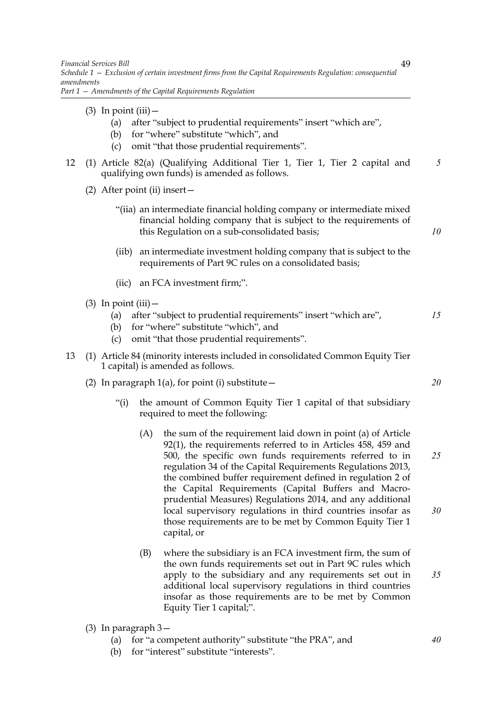*Part 1 — Amendments of the Capital Requirements Regulation*

- $(3)$  In point  $(iii)$ 
	- (a) after "subject to prudential requirements" insert "which are",

49

*10*

*20*

- (b) for "where" substitute "which", and
- (c) omit "that those prudential requirements".
- 12 (1) Article 82(a) (Qualifying Additional Tier 1, Tier 1, Tier 2 capital and qualifying own funds) is amended as follows. *5*
	- (2) After point (ii) insert—
		- "(iia) an intermediate financial holding company or intermediate mixed financial holding company that is subject to the requirements of this Regulation on a sub-consolidated basis;
		- (iib) an intermediate investment holding company that is subject to the requirements of Part 9C rules on a consolidated basis;
		- (iic) an FCA investment firm;".
	- $(3)$  In point  $(iii)$ 
		- (a) after "subject to prudential requirements" insert "which are", *15*
		- (b) for "where" substitute "which", and
		- (c) omit "that those prudential requirements".
- 13 (1) Article 84 (minority interests included in consolidated Common Equity Tier 1 capital) is amended as follows.
	- (2) In paragraph  $1(a)$ , for point (i) substitute  $-$ 
		- "(i) the amount of Common Equity Tier 1 capital of that subsidiary required to meet the following:
			- (A) the sum of the requirement laid down in point (a) of Article 92(1), the requirements referred to in Articles 458, 459 and 500, the specific own funds requirements referred to in regulation 34 of the Capital Requirements Regulations 2013, the combined buffer requirement defined in regulation 2 of the Capital Requirements (Capital Buffers and Macroprudential Measures) Regulations 2014, and any additional local supervisory regulations in third countries insofar as those requirements are to be met by Common Equity Tier 1 capital, or *25 30*
			- (B) where the subsidiary is an FCA investment firm, the sum of the own funds requirements set out in Part 9C rules which apply to the subsidiary and any requirements set out in additional local supervisory regulations in third countries insofar as those requirements are to be met by Common Equity Tier 1 capital;". *35*
	- (3) In paragraph 3—
		- (a) for "a competent authority" substitute "the PRA", and
		- (b) for "interest" substitute "interests".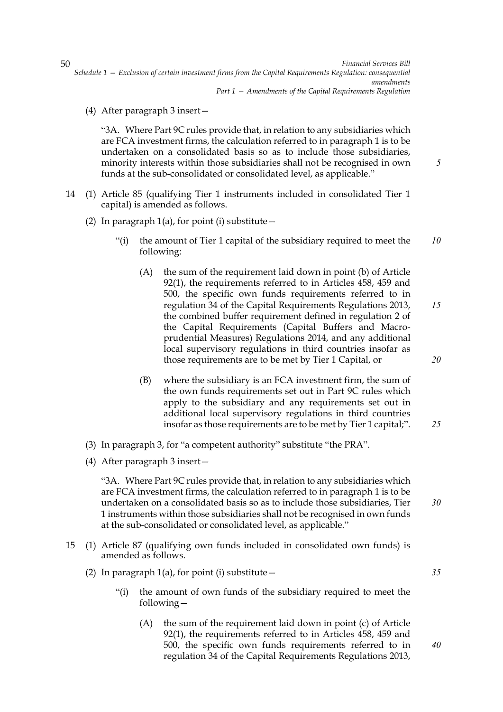(4) After paragraph 3 insert—

"3A. Where Part 9C rules provide that, in relation to any subsidiaries which are FCA investment firms, the calculation referred to in paragraph 1 is to be undertaken on a consolidated basis so as to include those subsidiaries, minority interests within those subsidiaries shall not be recognised in own funds at the sub-consolidated or consolidated level, as applicable."

- 14 (1) Article 85 (qualifying Tier 1 instruments included in consolidated Tier 1 capital) is amended as follows.
	- (2) In paragraph  $1(a)$ , for point (i) substitute  $-$ 
		- "(i) the amount of Tier 1 capital of the subsidiary required to meet the following: *10*
			- (A) the sum of the requirement laid down in point (b) of Article 92(1), the requirements referred to in Articles 458, 459 and 500, the specific own funds requirements referred to in regulation 34 of the Capital Requirements Regulations 2013, the combined buffer requirement defined in regulation 2 of the Capital Requirements (Capital Buffers and Macroprudential Measures) Regulations 2014, and any additional local supervisory regulations in third countries insofar as those requirements are to be met by Tier 1 Capital, or *15 20*
			- (B) where the subsidiary is an FCA investment firm, the sum of the own funds requirements set out in Part 9C rules which apply to the subsidiary and any requirements set out in additional local supervisory regulations in third countries insofar as those requirements are to be met by Tier 1 capital;".
	- (3) In paragraph 3, for "a competent authority" substitute "the PRA".
	- (4) After paragraph 3 insert—

"3A. Where Part 9C rules provide that, in relation to any subsidiaries which are FCA investment firms, the calculation referred to in paragraph 1 is to be undertaken on a consolidated basis so as to include those subsidiaries, Tier 1 instruments within those subsidiaries shall not be recognised in own funds at the sub-consolidated or consolidated level, as applicable."

- 15 (1) Article 87 (qualifying own funds included in consolidated own funds) is amended as follows.
	- (2) In paragraph  $1(a)$ , for point (i) substitute  $-$ 
		- "(i) the amount of own funds of the subsidiary required to meet the following—
			- (A) the sum of the requirement laid down in point (c) of Article 92(1), the requirements referred to in Articles 458, 459 and 500, the specific own funds requirements referred to in regulation 34 of the Capital Requirements Regulations 2013,

50

*5*

*25*

*30*

*35*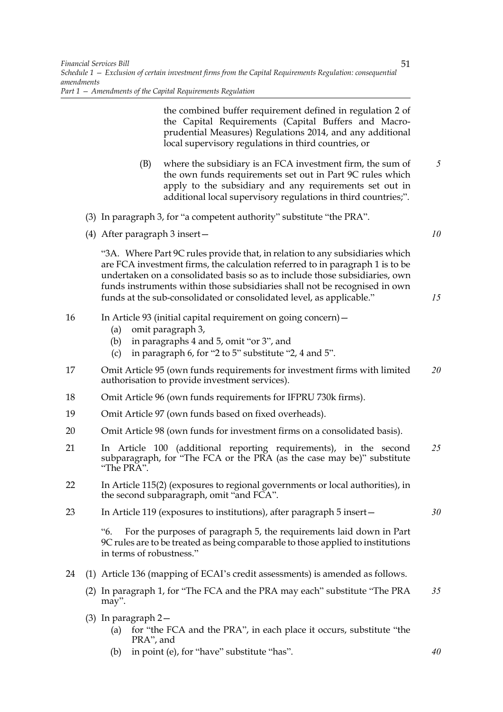the combined buffer requirement defined in regulation 2 of the Capital Requirements (Capital Buffers and Macroprudential Measures) Regulations 2014, and any additional local supervisory regulations in third countries, or (B) where the subsidiary is an FCA investment firm, the sum of the own funds requirements set out in Part 9C rules which apply to the subsidiary and any requirements set out in additional local supervisory regulations in third countries;". (3) In paragraph 3, for "a competent authority" substitute "the PRA". (4) After paragraph 3 insert— "3A. Where Part 9C rules provide that, in relation to any subsidiaries which are FCA investment firms, the calculation referred to in paragraph 1 is to be undertaken on a consolidated basis so as to include those subsidiaries, own funds instruments within those subsidiaries shall not be recognised in own funds at the sub-consolidated or consolidated level, as applicable." 16 In Article 93 (initial capital requirement on going concern)— (a) omit paragraph 3, (b) in paragraphs 4 and 5, omit "or 3", and (c) in paragraph 6, for "2 to 5" substitute "2, 4 and 5". 17 Omit Article 95 (own funds requirements for investment firms with limited authorisation to provide investment services). 18 Omit Article 96 (own funds requirements for IFPRU 730k firms). 19 Omit Article 97 (own funds based on fixed overheads). 20 Omit Article 98 (own funds for investment firms on a consolidated basis). 21 In Article 100 (additional reporting requirements), in the second subparagraph, for "The FCA or the PRA (as the case may be)" substitute "The PRA". 22 In Article 115(2) (exposures to regional governments or local authorities), in the second subparagraph, omit "and FCA". 23 In Article 119 (exposures to institutions), after paragraph 5 insert— "6. For the purposes of paragraph 5, the requirements laid down in Part 9C rules are to be treated as being comparable to those applied to institutions in terms of robustness." 24 (1) Article 136 (mapping of ECAI's credit assessments) is amended as follows. (2) In paragraph 1, for "The FCA and the PRA may each" substitute "The PRA may". (3) In paragraph 2— *5 10 15 20 25 30 35*

- (a) for "the FCA and the PRA", in each place it occurs, substitute "the PRA", and
- (b) in point (e), for "have" substitute "has".

*40*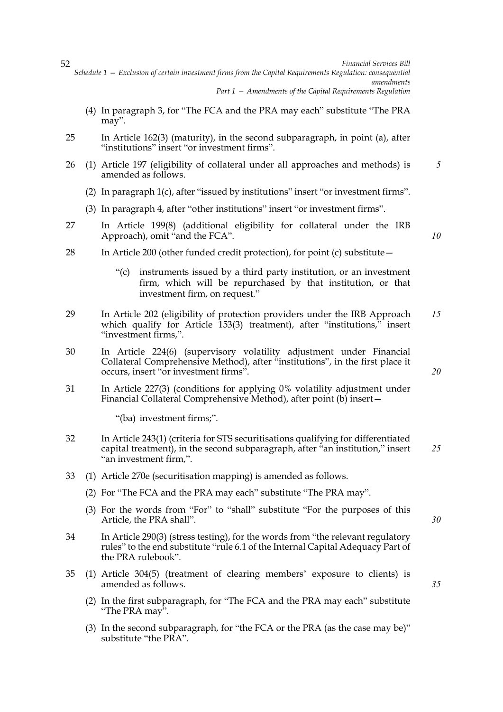- (4) In paragraph 3, for "The FCA and the PRA may each" substitute "The PRA may".
- 25 In Article 162(3) (maturity), in the second subparagraph, in point (a), after "institutions" insert "or investment firms".
- 26 (1) Article 197 (eligibility of collateral under all approaches and methods) is amended as follows. *5*
	- (2) In paragraph 1(c), after "issued by institutions" insert "or investment firms".
	- (3) In paragraph 4, after "other institutions" insert "or investment firms".
- 27 In Article 199(8) (additional eligibility for collateral under the IRB Approach), omit "and the FCA".
- 28 In Article 200 (other funded credit protection), for point (c) substitute—
	- "(c) instruments issued by a third party institution, or an investment firm, which will be repurchased by that institution, or that investment firm, on request."
- 29 In Article 202 (eligibility of protection providers under the IRB Approach which qualify for Article 153(3) treatment), after "institutions," insert "investment firms,". *15*
- 30 In Article 224(6) (supervisory volatility adjustment under Financial Collateral Comprehensive Method), after "institutions", in the first place it occurs, insert "or investment firms".
- 31 In Article 227(3) (conditions for applying 0% volatility adjustment under Financial Collateral Comprehensive Method), after point (b) insert—

"(ba) investment firms;".

- 32 In Article 243(1) (criteria for STS securitisations qualifying for differentiated capital treatment), in the second subparagraph, after "an institution," insert "an investment firm,". *25*
- 33 (1) Article 270e (securitisation mapping) is amended as follows.
	- (2) For "The FCA and the PRA may each" substitute "The PRA may".
	- (3) For the words from "For" to "shall" substitute "For the purposes of this Article, the PRA shall".
- 34 In Article 290(3) (stress testing), for the words from "the relevant regulatory rules" to the end substitute "rule 6.1 of the Internal Capital Adequacy Part of the PRA rulebook".
- 35 (1) Article 304(5) (treatment of clearing members' exposure to clients) is amended as follows.
	- (2) In the first subparagraph, for "The FCA and the PRA may each" substitute "The PRA may".
	- (3) In the second subparagraph, for "the FCA or the PRA (as the case may be)" substitute "the PRA".

52

*20*

*10*

*30*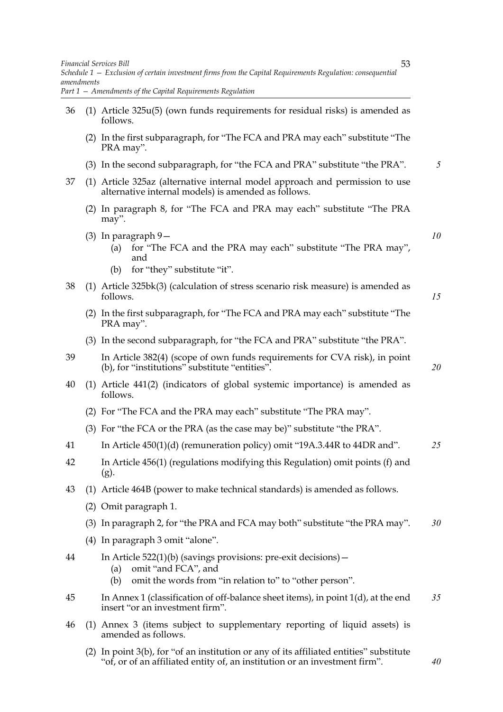*Schedule 1 — Exclusion of certain investment firms from the Capital Requirements Regulation: consequential amendments Part 1 — Amendments of the Capital Requirements Regulation*

- 36 (1) Article 325u(5) (own funds requirements for residual risks) is amended as follows. (2) In the first subparagraph, for "The FCA and PRA may each" substitute "The PRA may". (3) In the second subparagraph, for "the FCA and PRA" substitute "the PRA". 37 (1) Article 325az (alternative internal model approach and permission to use alternative internal models) is amended as follows. (2) In paragraph 8, for "The FCA and PRA may each" substitute "The PRA
	- may".
	- (3) In paragraph 9—
		- (a) for "The FCA and the PRA may each" substitute "The PRA may", and
		- (b) for "they" substitute "it".
- 38 (1) Article 325bk(3) (calculation of stress scenario risk measure) is amended as follows.
	- (2) In the first subparagraph, for "The FCA and PRA may each" substitute "The PRA may".
	- (3) In the second subparagraph, for "the FCA and PRA" substitute "the PRA".
- 39 In Article 382(4) (scope of own funds requirements for CVA risk), in point (b), for "institutions" substitute "entities".
- 40 (1) Article 441(2) (indicators of global systemic importance) is amended as follows.
	- (2) For "The FCA and the PRA may each" substitute "The PRA may".
	- (3) For "the FCA or the PRA (as the case may be)" substitute "the PRA".
- 41 In Article 450(1)(d) (remuneration policy) omit "19A.3.44R to 44DR and". *25*
- 42 In Article 456(1) (regulations modifying this Regulation) omit points (f) and (g).
- 43 (1) Article 464B (power to make technical standards) is amended as follows.
	- (2) Omit paragraph 1.
	- (3) In paragraph 2, for "the PRA and FCA may both" substitute "the PRA may". *30*
	- (4) In paragraph 3 omit "alone".
- 44 In Article 522(1)(b) (savings provisions: pre-exit decisions)—
	- (a) omit "and FCA", and
	- (b) omit the words from "in relation to" to "other person".
- 45 In Annex 1 (classification of off-balance sheet items), in point 1(d), at the end insert "or an investment firm". *35*
- 46 (1) Annex 3 (items subject to supplementary reporting of liquid assets) is amended as follows.
	- (2) In point 3(b), for "of an institution or any of its affiliated entities" substitute "of, or of an affiliated entity of, an institution or an investment firm".

*5*

*10*

*15*

*20*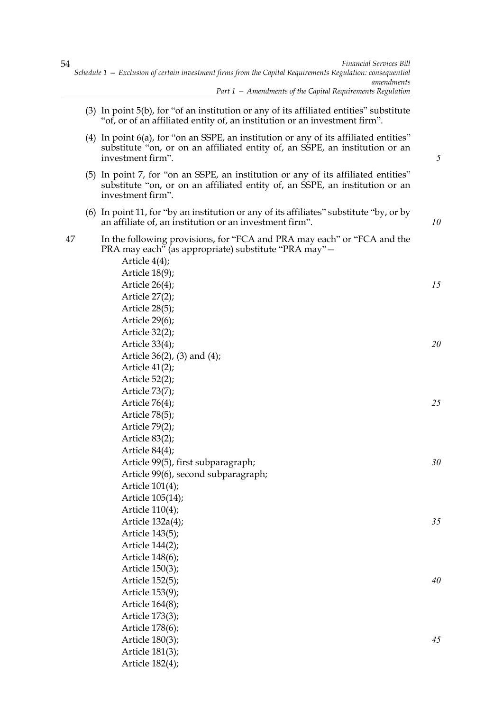- (3) In point 5(b), for "of an institution or any of its affiliated entities" substitute "of, or of an affiliated entity of, an institution or an investment firm".
- (4) In point 6(a), for "on an SSPE, an institution or any of its affiliated entities" substitute "on, or on an affiliated entity of, an SSPE, an institution or an investment firm".

*5*

*10*

*45*

- (5) In point 7, for "on an SSPE, an institution or any of its affiliated entities" substitute "on, or on an affiliated entity of, an SSPE, an institution or an investment firm".
- (6) In point 11, for "by an institution or any of its affiliates" substitute "by, or by an affiliate of, an institution or an investment firm".

47 In the following provisions, for "FCA and PRA may each" or "FCA and the PRA may each" (as appropriate) substitute "PRA may"—

> Article 4(4); Article 18(9); Article 26(4); Article 27(2); Article 28(5); Article 29(6); Article 32(2); Article 33(4); Article 36(2), (3) and (4); Article 41(2); Article 52(2); Article 73(7); Article 76(4); Article 78(5); Article 79(2); Article 83(2); Article 84(4); Article 99(5), first subparagraph; Article 99(6), second subparagraph; Article 101(4); Article 105(14); Article 110(4); Article 132a(4); Article 143(5); Article 144(2); Article 148(6); Article 150(3); Article 152(5); Article 153(9); Article 164(8); Article 173(3); Article 178(6); *15 20 25 30 35 40*

Article 180(3); Article 181(3); Article 182(4);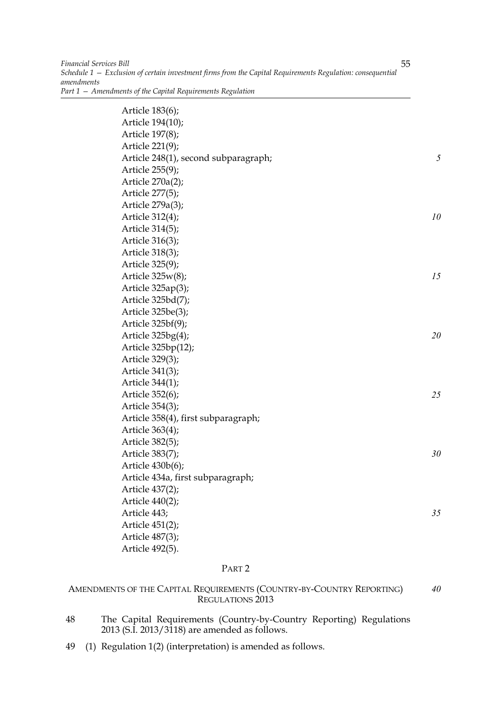| Article 183(6);                      |    |
|--------------------------------------|----|
| Article 194(10);                     |    |
| Article 197(8);                      |    |
| Article 221(9);                      |    |
| Article 248(1), second subparagraph; | 5  |
| Article 255(9);                      |    |
| Article 270a(2);                     |    |
| Article 277(5);                      |    |
| Article 279a(3);                     |    |
| Article 312(4);                      | 10 |
| Article 314(5);                      |    |
| Article 316(3);                      |    |
| Article 318(3);                      |    |
| Article 325(9);                      |    |
| Article 325w(8);                     | 15 |
| Article 325ap(3);                    |    |
| Article 325bd(7);                    |    |
| Article 325be(3);                    |    |
| Article 325bf(9);                    |    |
| Article $325bg(4)$ ;                 | 20 |
| Article 325bp(12);                   |    |
| Article 329(3);                      |    |
| Article 341(3);                      |    |
| Article 344(1);                      |    |
| Article 352(6);                      | 25 |
| Article 354(3);                      |    |
| Article 358(4), first subparagraph;  |    |
| Article 363(4);                      |    |
| Article 382(5);                      |    |
| Article 383(7);                      | 30 |
| Article 430b(6);                     |    |
| Article 434a, first subparagraph;    |    |
| Article 437(2);                      |    |
| Article 440(2);                      |    |
| Article 443;                         | 35 |
| Article 451(2);                      |    |
| Article 487(3);                      |    |
| Article 492(5).                      |    |

## PART 2

#### AMENDMENTS OF THE CAPITAL REQUIREMENTS (COUNTRY-BY-COUNTRY REPORTING) REGULATIONS 2013 *40*

- 48 The Capital Requirements (Country-by-Country Reporting) Regulations 2013 (S.I. 2013/3118) are amended as follows.
- 49 (1) Regulation 1(2) (interpretation) is amended as follows.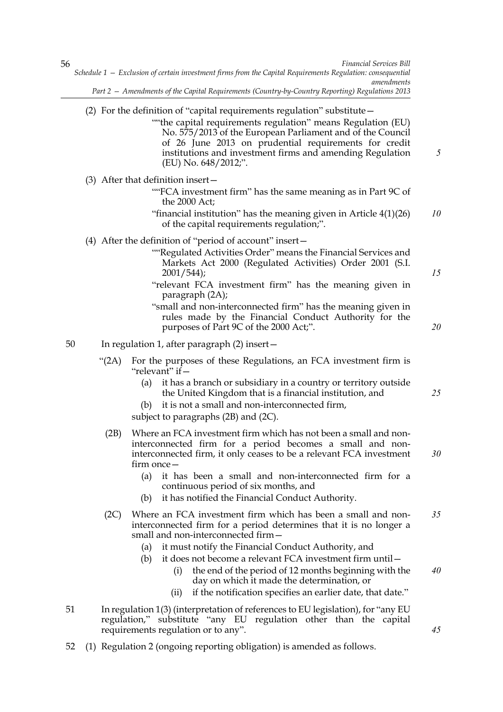## (2) For the definition of "capital requirements regulation" substitute—

""the capital requirements regulation" means Regulation (EU) No. 575/2013 of the European Parliament and of the Council of 26 June 2013 on prudential requirements for credit institutions and investment firms and amending Regulation (EU) No. 648/2012;".

(3) After that definition insert—

- ""FCA investment firm" has the same meaning as in Part 9C of the 2000 Act;
- "financial institution" has the meaning given in Article 4(1)(26) of the capital requirements regulation;". *10*
- (4) After the definition of "period of account" insert—
	- ""Regulated Activities Order" means the Financial Services and Markets Act 2000 (Regulated Activities) Order 2001 (S.I. 2001/544);
	- "relevant FCA investment firm" has the meaning given in paragraph (2A);
	- "small and non-interconnected firm" has the meaning given in rules made by the Financial Conduct Authority for the purposes of Part 9C of the 2000 Act;".

50 In regulation 1, after paragraph (2) insert—

- "(2A) For the purposes of these Regulations, an FCA investment firm is "relevant" if—
	- (a) it has a branch or subsidiary in a country or territory outside the United Kingdom that is a financial institution, and
	- (b) it is not a small and non-interconnected firm,

subject to paragraphs (2B) and (2C).

- (2B) Where an FCA investment firm which has not been a small and noninterconnected firm for a period becomes a small and noninterconnected firm, it only ceases to be a relevant FCA investment firm once—
	- (a) it has been a small and non-interconnected firm for a continuous period of six months, and
	- (b) it has notified the Financial Conduct Authority.
- (2C) Where an FCA investment firm which has been a small and noninterconnected firm for a period determines that it is no longer a small and non-interconnected firm— *35*
	- (a) it must notify the Financial Conduct Authority, and
	- (b) it does not become a relevant FCA investment firm until—
		- (i) the end of the period of 12 months beginning with the day on which it made the determination, or
		- (ii) if the notification specifies an earlier date, that date."
- 51 In regulation 1(3) (interpretation of references to EU legislation), for "any EU regulation," substitute "any EU regulation other than the capital requirements regulation or to any".
- 52 (1) Regulation 2 (ongoing reporting obligation) is amended as follows.

*25*

*5*

*15*

*20*

*30*

*40*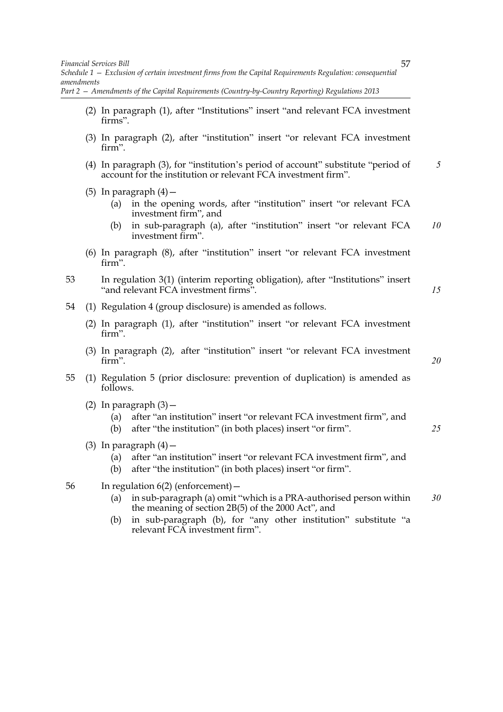*Schedule 1 — Exclusion of certain investment firms from the Capital Requirements Regulation: consequential amendments*

*Part 2 — Amendments of the Capital Requirements (Country-by-Country Reporting) Regulations 2013*

- (2) In paragraph (1), after "Institutions" insert "and relevant FCA investment firms".
- (3) In paragraph (2), after "institution" insert "or relevant FCA investment firm".
- (4) In paragraph (3), for "institution's period of account" substitute "period of account for the institution or relevant FCA investment firm". *5*
- (5) In paragraph  $(4)$  -
	- (a) in the opening words, after "institution" insert "or relevant FCA investment firm", and
	- (b) in sub-paragraph (a), after "institution" insert "or relevant FCA investment firm". *10*
- (6) In paragraph (8), after "institution" insert "or relevant FCA investment firm".
- 53 In regulation 3(1) (interim reporting obligation), after "Institutions" insert "and relevant FCA investment firms".

54 (1) Regulation 4 (group disclosure) is amended as follows.

- (2) In paragraph (1), after "institution" insert "or relevant FCA investment firm".
- (3) In paragraph (2), after "institution" insert "or relevant FCA investment firm".
- 55 (1) Regulation 5 (prior disclosure: prevention of duplication) is amended as follows.
	- (2) In paragraph  $(3)$  -
		- (a) after "an institution" insert "or relevant FCA investment firm", and
		- (b) after "the institution" (in both places) insert "or firm".
	- (3) In paragraph  $(4)$  -
		- (a) after "an institution" insert "or relevant FCA investment firm", and
		- (b) after "the institution" (in both places) insert "or firm".
- 56 In regulation 6(2) (enforcement)—
	- (a) in sub-paragraph (a) omit "which is a PRA-authorised person within the meaning of section 2B(5) of the 2000 Act", and *30*
	- (b) in sub-paragraph (b), for "any other institution" substitute "a relevant FCA investment firm".

57

*15*

*20*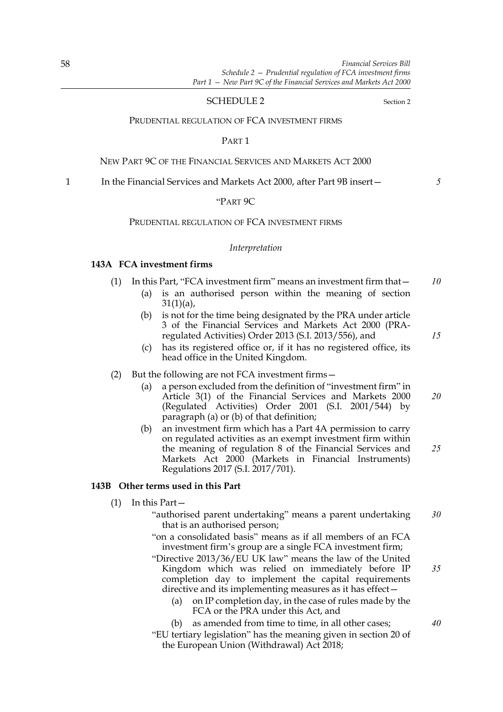### SCHEDULE 2 Section 2

#### PRUDENTIAL REGULATION OF FCA INVESTMENT FIRMS

PART 1

#### NEW PART 9C OF THE FINANCIAL SERVICES AND MARKETS ACT 2000

1 In the Financial Services and Markets Act 2000, after Part 9B insert-

"PART 9C

## PRUDENTIAL REGULATION OF FCA INVESTMENT FIRMS

#### *Interpretation*

## **143A FCA investment firms**

- (1) In this Part, "FCA investment firm" means an investment firm that— *10*
	- (a) is an authorised person within the meaning of section  $31(1)(a)$ ,
	- (b) is not for the time being designated by the PRA under article 3 of the Financial Services and Markets Act 2000 (PRAregulated Activities) Order 2013 (S.I. 2013/556), and
	- (c) has its registered office or, if it has no registered office, its head office in the United Kingdom.

#### (2) But the following are not FCA investment firms—

- (a) a person excluded from the definition of "investment firm" in Article 3(1) of the Financial Services and Markets 2000 (Regulated Activities) Order 2001 (S.I. 2001/544) by paragraph (a) or (b) of that definition; *20*
- (b) an investment firm which has a Part 4A permission to carry on regulated activities as an exempt investment firm within the meaning of regulation 8 of the Financial Services and Markets Act 2000 (Markets in Financial Instruments) Regulations 2017 (S.I. 2017/701). *25*

#### **143B Other terms used in this Part**

- (1) In this Part—
	- "authorised parent undertaking" means a parent undertaking that is an authorised person; *30*
	- "on a consolidated basis" means as if all members of an FCA investment firm's group are a single FCA investment firm;
	- "Directive 2013/36/EU UK law" means the law of the United Kingdom which was relied on immediately before IP completion day to implement the capital requirements directive and its implementing measures as it has effect—
		- (a) on IP completion day, in the case of rules made by the FCA or the PRA under this Act, and
		- (b) as amended from time to time, in all other cases;
	- "EU tertiary legislation" has the meaning given in section 20 of the European Union (Withdrawal) Act 2018;

*35*

- *15*
-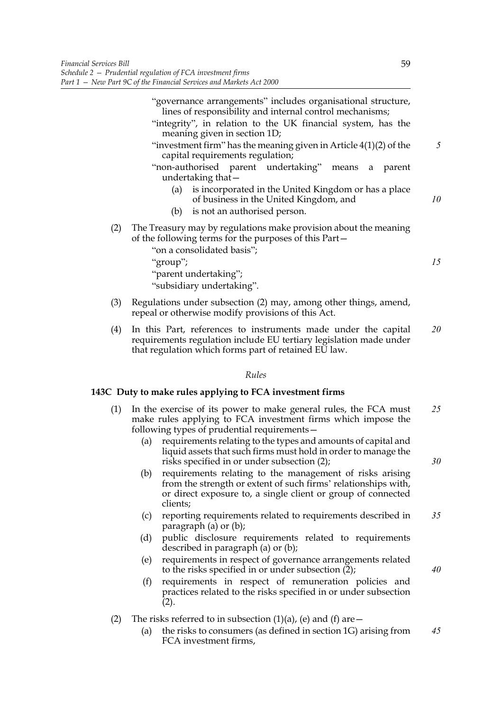*5*

*10*

*15*

"governance arrangements" includes organisational structure, lines of responsibility and internal control mechanisms;

- "integrity", in relation to the UK financial system, has the meaning given in section 1D;
- "investment firm" has the meaning given in Article 4(1)(2) of the capital requirements regulation;
- "non-authorised parent undertaking" means a parent undertaking that—
	- (a) is incorporated in the United Kingdom or has a place of business in the United Kingdom, and
	- (b) is not an authorised person.
- (2) The Treasury may by regulations make provision about the meaning of the following terms for the purposes of this Part—

"on a consolidated basis"; "group";

"parent undertaking";

"subsidiary undertaking".

- (3) Regulations under subsection (2) may, among other things, amend, repeal or otherwise modify provisions of this Act.
- (4) In this Part, references to instruments made under the capital requirements regulation include EU tertiary legislation made under that regulation which forms part of retained EU law. *20*

## *Rules*

## **143C Duty to make rules applying to FCA investment firms**

- (1) In the exercise of its power to make general rules, the FCA must make rules applying to FCA investment firms which impose the following types of prudential requirements— *25*
	- (a) requirements relating to the types and amounts of capital and liquid assets that such firms must hold in order to manage the risks specified in or under subsection (2);
	- (b) requirements relating to the management of risks arising from the strength or extent of such firms' relationships with, or direct exposure to, a single client or group of connected clients;
	- (c) reporting requirements related to requirements described in paragraph (a) or (b); *35*
	- (d) public disclosure requirements related to requirements described in paragraph (a) or (b);
	- (e) requirements in respect of governance arrangements related to the risks specified in or under subsection  $(2)$ ;
	- (f) requirements in respect of remuneration policies and practices related to the risks specified in or under subsection  $(2).$
- (2) The risks referred to in subsection  $(1)(a)$ , (e) and (f) are  $-$ 
	- (a) the risks to consumers (as defined in section 1G) arising from FCA investment firms, *45*

*40*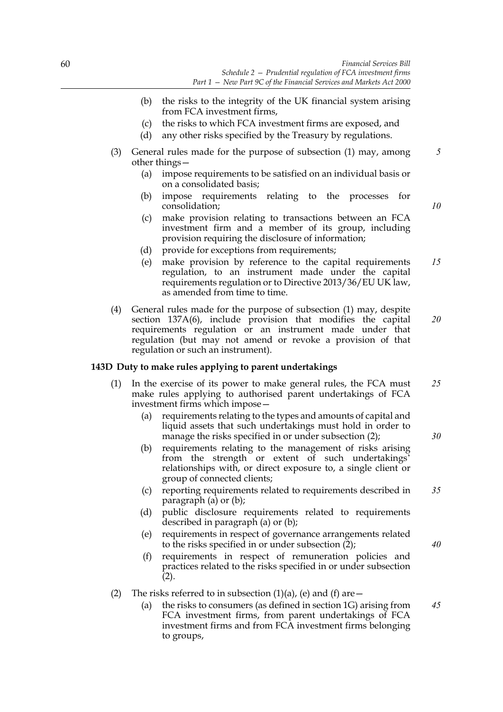- (b) the risks to the integrity of the UK financial system arising from FCA investment firms,
- (c) the risks to which FCA investment firms are exposed, and
- (d) any other risks specified by the Treasury by regulations.
- (3) General rules made for the purpose of subsection (1) may, among other things—
	- (a) impose requirements to be satisfied on an individual basis or on a consolidated basis;
	- (b) impose requirements relating to the processes for consolidation;
	- (c) make provision relating to transactions between an FCA investment firm and a member of its group, including provision requiring the disclosure of information;
	- (d) provide for exceptions from requirements;
	- (e) make provision by reference to the capital requirements regulation, to an instrument made under the capital requirements regulation or to Directive 2013/36/EU UK law, as amended from time to time. *15*
- (4) General rules made for the purpose of subsection (1) may, despite section 137A(6), include provision that modifies the capital requirements regulation or an instrument made under that regulation (but may not amend or revoke a provision of that regulation or such an instrument). *20*

## **143D Duty to make rules applying to parent undertakings**

- (1) In the exercise of its power to make general rules, the FCA must make rules applying to authorised parent undertakings of FCA investment firms which impose— *25*
	- (a) requirements relating to the types and amounts of capital and liquid assets that such undertakings must hold in order to manage the risks specified in or under subsection (2);
	- (b) requirements relating to the management of risks arising from the strength or extent of such undertakings' relationships with, or direct exposure to, a single client or group of connected clients;
	- (c) reporting requirements related to requirements described in paragraph (a) or (b); *35*
	- (d) public disclosure requirements related to requirements described in paragraph (a) or (b);
	- (e) requirements in respect of governance arrangements related to the risks specified in or under subsection (2);
	- (f) requirements in respect of remuneration policies and practices related to the risks specified in or under subsection  $(2).$
- (2) The risks referred to in subsection  $(1)(a)$ , (e) and (f) are  $-$ 
	- (a) the risks to consumers (as defined in section 1G) arising from FCA investment firms, from parent undertakings of FCA investment firms and from FCA investment firms belonging to groups, *45*

*10*

*5*

*30*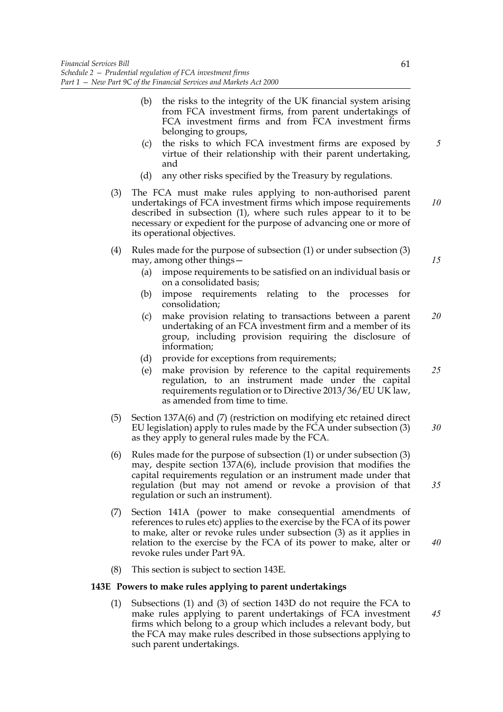- (b) the risks to the integrity of the UK financial system arising from FCA investment firms, from parent undertakings of FCA investment firms and from FCA investment firms belonging to groups,
- (c) the risks to which FCA investment firms are exposed by virtue of their relationship with their parent undertaking, and
- (d) any other risks specified by the Treasury by regulations.
- (3) The FCA must make rules applying to non-authorised parent undertakings of FCA investment firms which impose requirements described in subsection (1), where such rules appear to it to be necessary or expedient for the purpose of advancing one or more of its operational objectives. *10*
- (4) Rules made for the purpose of subsection (1) or under subsection (3) may, among other things—
	- (a) impose requirements to be satisfied on an individual basis or on a consolidated basis;
	- (b) impose requirements relating to the processes for consolidation;
	- (c) make provision relating to transactions between a parent undertaking of an FCA investment firm and a member of its group, including provision requiring the disclosure of information; *20*
	- (d) provide for exceptions from requirements;
	- (e) make provision by reference to the capital requirements regulation, to an instrument made under the capital requirements regulation or to Directive 2013/36/EU UK law, as amended from time to time. *25*
- (5) Section 137A(6) and (7) (restriction on modifying etc retained direct EU legislation) apply to rules made by the FCA under subsection (3) as they apply to general rules made by the FCA. *30*
- (6) Rules made for the purpose of subsection (1) or under subsection (3) may, despite section 137A(6), include provision that modifies the capital requirements regulation or an instrument made under that regulation (but may not amend or revoke a provision of that regulation or such an instrument).
- (7) Section 141A (power to make consequential amendments of references to rules etc) applies to the exercise by the FCA of its power to make, alter or revoke rules under subsection (3) as it applies in relation to the exercise by the FCA of its power to make, alter or revoke rules under Part 9A.
- (8) This section is subject to section 143E.

## **143E Powers to make rules applying to parent undertakings**

(1) Subsections (1) and (3) of section 143D do not require the FCA to make rules applying to parent undertakings of FCA investment firms which belong to a group which includes a relevant body, but the FCA may make rules described in those subsections applying to such parent undertakings. *45*

*15*

*35*

*40*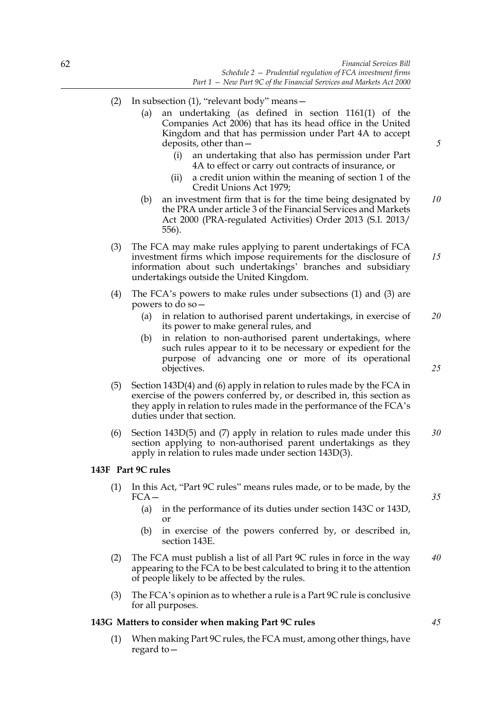- (2) In subsection (1), "relevant body" means—
	- (a) an undertaking (as defined in section 1161(1) of the Companies Act 2006) that has its head office in the United Kingdom and that has permission under Part 4A to accept deposits, other than
		- an undertaking that also has permission under Part 4A to effect or carry out contracts of insurance, or
		- (ii) a credit union within the meaning of section 1 of the Credit Unions Act 1979;
	- (b) an investment firm that is for the time being designated by the PRA under article 3 of the Financial Services and Markets Act 2000 (PRA-regulated Activities) Order 2013 (S.I. 2013/ 556). *10*
- (3) The FCA may make rules applying to parent undertakings of FCA investment firms which impose requirements for the disclosure of information about such undertakings' branches and subsidiary undertakings outside the United Kingdom. *15*
- (4) The FCA's powers to make rules under subsections (1) and (3) are powers to do so—
	- (a) in relation to authorised parent undertakings, in exercise of its power to make general rules, and *20*
	- (b) in relation to non-authorised parent undertakings, where such rules appear to it to be necessary or expedient for the purpose of advancing one or more of its operational objectives.
- (5) Section 143D(4) and (6) apply in relation to rules made by the FCA in exercise of the powers conferred by, or described in, this section as they apply in relation to rules made in the performance of the FCA's duties under that section.
- (6) Section 143D(5) and (7) apply in relation to rules made under this section applying to non-authorised parent undertakings as they apply in relation to rules made under section 143D(3). *30*

## **143F Part 9C rules**

- (1) In this Act, "Part 9C rules" means rules made, or to be made, by the FCA—
	- (a) in the performance of its duties under section 143C or 143D, or
	- (b) in exercise of the powers conferred by, or described in, section 143E.
- (2) The FCA must publish a list of all Part 9C rules in force in the way appearing to the FCA to be best calculated to bring it to the attention of people likely to be affected by the rules. *40*
- (3) The FCA's opinion as to whether a rule is a Part 9C rule is conclusive for all purposes.

## **143G Matters to consider when making Part 9C rules**

(1) When making Part 9C rules, the FCA must, among other things, have regard to*35*

*45*

*25*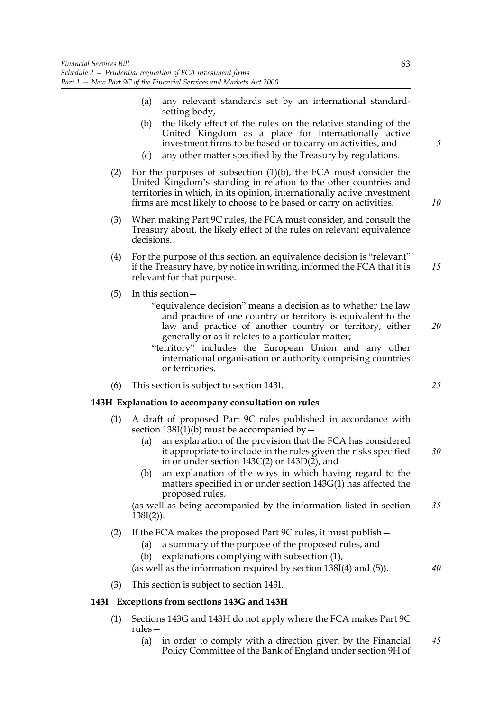- (a) any relevant standards set by an international standardsetting body,
- (b) the likely effect of the rules on the relative standing of the United Kingdom as a place for internationally active investment firms to be based or to carry on activities, and
- (c) any other matter specified by the Treasury by regulations.
- (2) For the purposes of subsection  $(1)(b)$ , the FCA must consider the United Kingdom's standing in relation to the other countries and territories in which, in its opinion, internationally active investment firms are most likely to choose to be based or carry on activities.
- (3) When making Part 9C rules, the FCA must consider, and consult the Treasury about, the likely effect of the rules on relevant equivalence decisions.
- (4) For the purpose of this section, an equivalence decision is "relevant" if the Treasury have, by notice in writing, informed the FCA that it is relevant for that purpose. *15*
- (5) In this section—
	- "equivalence decision" means a decision as to whether the law and practice of one country or territory is equivalent to the law and practice of another country or territory, either generally or as it relates to a particular matter;
	- "territory" includes the European Union and any other international organisation or authority comprising countries or territories.
- (6) This section is subject to section 143I.

## **143H Explanation to accompany consultation on rules**

- (1) A draft of proposed Part 9C rules published in accordance with section  $138I(1)(b)$  must be accompanied by  $-$ 
	- (a) an explanation of the provision that the FCA has considered it appropriate to include in the rules given the risks specified in or under section 143C(2) or 143D(2), and *30*
	- (b) an explanation of the ways in which having regard to the matters specified in or under section 143G(1) has affected the proposed rules,

(as well as being accompanied by the information listed in section  $138I(2)$ ). *35*

- (2) If the FCA makes the proposed Part 9C rules, it must publish—
	- (a) a summary of the purpose of the proposed rules, and
		- (b) explanations complying with subsection (1),

(as well as the information required by section 138I(4) and (5)).

(3) This section is subject to section 143I.

## **143I Exceptions from sections 143G and 143H**

- (1) Sections 143G and 143H do not apply where the FCA makes Part 9C rules—
	- (a) in order to comply with a direction given by the Financial Policy Committee of the Bank of England under section 9H of *45*

*5*

*10*

*25*

*40*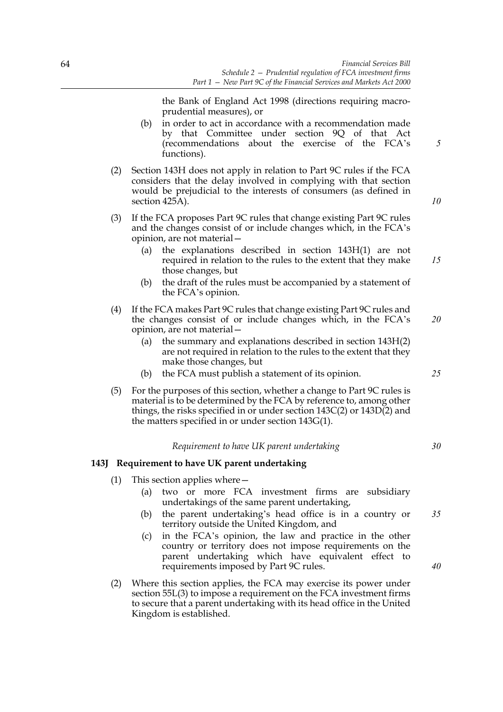the Bank of England Act 1998 (directions requiring macroprudential measures), or

- (b) in order to act in accordance with a recommendation made by that Committee under section 9Q of that Act (recommendations about the exercise of the FCA's functions).
- (2) Section 143H does not apply in relation to Part 9C rules if the FCA considers that the delay involved in complying with that section would be prejudicial to the interests of consumers (as defined in section 425A).
- (3) If the FCA proposes Part 9C rules that change existing Part 9C rules and the changes consist of or include changes which, in the FCA's opinion, are not material—
	- (a) the explanations described in section 143H(1) are not required in relation to the rules to the extent that they make those changes, but *15*
	- (b) the draft of the rules must be accompanied by a statement of the FCA's opinion.
- (4) If the FCA makes Part 9C rules that change existing Part 9C rules and the changes consist of or include changes which, in the FCA's opinion, are not material— *20*
	- (a) the summary and explanations described in section 143H(2) are not required in relation to the rules to the extent that they make those changes, but
	- (b) the FCA must publish a statement of its opinion.
- (5) For the purposes of this section, whether a change to Part 9C rules is material is to be determined by the FCA by reference to, among other things, the risks specified in or under section 143C(2) or 143D(2) and the matters specified in or under section 143G(1).

## *Requirement to have UK parent undertaking*

## **143J Requirement to have UK parent undertaking**

- (1) This section applies where—
	- (a) two or more FCA investment firms are subsidiary undertakings of the same parent undertaking,
	- (b) the parent undertaking's head office is in a country or territory outside the United Kingdom, and *35*
	- (c) in the FCA's opinion, the law and practice in the other country or territory does not impose requirements on the parent undertaking which have equivalent effect to requirements imposed by Part 9C rules.
- (2) Where this section applies, the FCA may exercise its power under section 55L(3) to impose a requirement on the FCA investment firms to secure that a parent undertaking with its head office in the United Kingdom is established.

*25*

*30*

*40*

*5*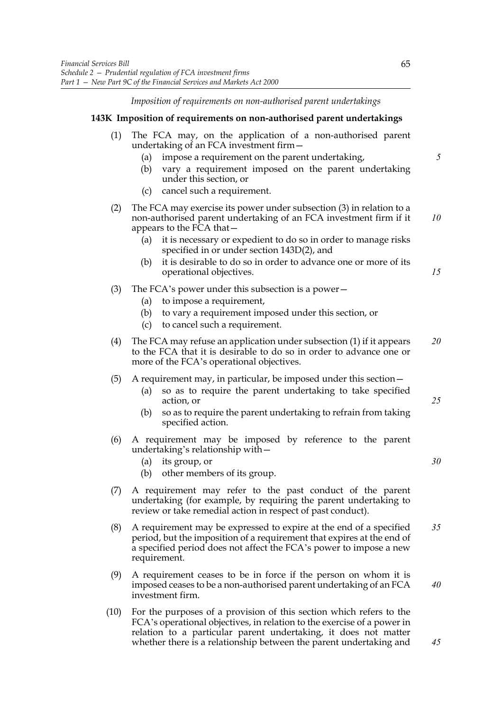*Imposition of requirements on non-authorised parent undertakings*

#### **143K Imposition of requirements on non-authorised parent undertakings**

- (1) The FCA may, on the application of a non-authorised parent undertaking of an FCA investment firm—
	- (a) impose a requirement on the parent undertaking,
	- (b) vary a requirement imposed on the parent undertaking under this section, or
	- (c) cancel such a requirement.
- (2) The FCA may exercise its power under subsection (3) in relation to a non-authorised parent undertaking of an FCA investment firm if it appears to the FCA that— *10*
	- (a) it is necessary or expedient to do so in order to manage risks specified in or under section 143D(2), and
	- (b) it is desirable to do so in order to advance one or more of its operational objectives.
- (3) The FCA's power under this subsection is a power—
	- (a) to impose a requirement,
	- (b) to vary a requirement imposed under this section, or
	- (c) to cancel such a requirement.
- (4) The FCA may refuse an application under subsection (1) if it appears to the FCA that it is desirable to do so in order to advance one or more of the FCA's operational objectives. *20*
- (5) A requirement may, in particular, be imposed under this section—
	- (a) so as to require the parent undertaking to take specified action, or
	- (b) so as to require the parent undertaking to refrain from taking specified action.
- (6) A requirement may be imposed by reference to the parent undertaking's relationship with—
	- (a) its group, or
	- (b) other members of its group.
- (7) A requirement may refer to the past conduct of the parent undertaking (for example, by requiring the parent undertaking to review or take remedial action in respect of past conduct).
- (8) A requirement may be expressed to expire at the end of a specified period, but the imposition of a requirement that expires at the end of a specified period does not affect the FCA's power to impose a new requirement. *35*
- (9) A requirement ceases to be in force if the person on whom it is imposed ceases to be a non-authorised parent undertaking of an FCA investment firm.
- (10) For the purposes of a provision of this section which refers to the FCA's operational objectives, in relation to the exercise of a power in relation to a particular parent undertaking, it does not matter whether there is a relationship between the parent undertaking and

*5*

*15*

*25*

*30*

*40*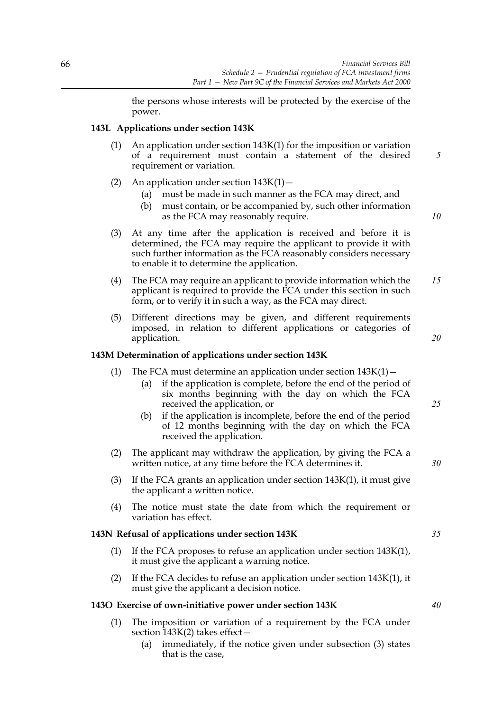the persons whose interests will be protected by the exercise of the power.

## **143L Applications under section 143K**

- (1) An application under section 143K(1) for the imposition or variation of a requirement must contain a statement of the desired requirement or variation.
- (2) An application under section  $143K(1)$  -
	- (a) must be made in such manner as the FCA may direct, and
	- (b) must contain, or be accompanied by, such other information as the FCA may reasonably require.
- (3) At any time after the application is received and before it is determined, the FCA may require the applicant to provide it with such further information as the FCA reasonably considers necessary to enable it to determine the application.
- (4) The FCA may require an applicant to provide information which the applicant is required to provide the FCA under this section in such form, or to verify it in such a way, as the FCA may direct. *15*
- (5) Different directions may be given, and different requirements imposed, in relation to different applications or categories of application.

## **143M Determination of applications under section 143K**

- (1) The FCA must determine an application under section  $143K(1)$  -
	- (a) if the application is complete, before the end of the period of six months beginning with the day on which the FCA received the application, or
	- (b) if the application is incomplete, before the end of the period of 12 months beginning with the day on which the FCA received the application.
- (2) The applicant may withdraw the application, by giving the FCA a written notice, at any time before the FCA determines it.
- (3) If the FCA grants an application under section 143K(1), it must give the applicant a written notice.
- (4) The notice must state the date from which the requirement or variation has effect.

## **143N Refusal of applications under section 143K**

- (1) If the FCA proposes to refuse an application under section 143K(1), it must give the applicant a warning notice.
- (2) If the FCA decides to refuse an application under section 143K(1), it must give the applicant a decision notice.

## **143O Exercise of own-initiative power under section 143K**

- (1) The imposition or variation of a requirement by the FCA under section 143K(2) takes effect—
	- (a) immediately, if the notice given under subsection (3) states that is the case,

*35*

*10*

*5*

*25*

*30*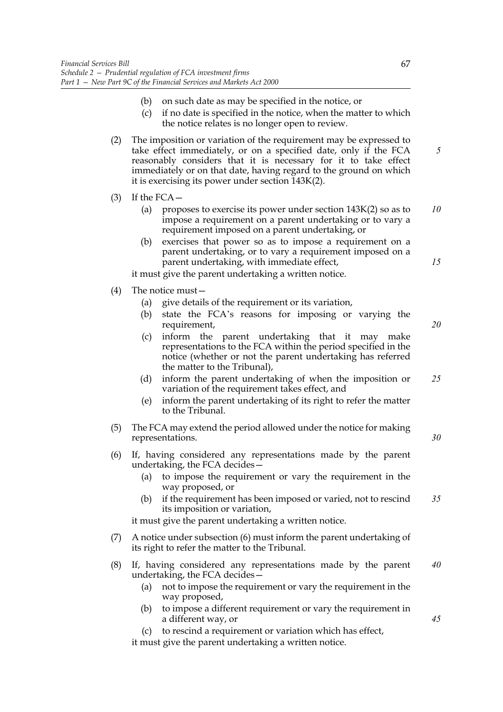- (b) on such date as may be specified in the notice, or
- (c) if no date is specified in the notice, when the matter to which the notice relates is no longer open to review.
- (2) The imposition or variation of the requirement may be expressed to take effect immediately, or on a specified date, only if the FCA reasonably considers that it is necessary for it to take effect immediately or on that date, having regard to the ground on which it is exercising its power under section 143K(2).
- $(3)$  If the FCA
	- (a) proposes to exercise its power under section 143K(2) so as to impose a requirement on a parent undertaking or to vary a requirement imposed on a parent undertaking, or *10*
	- (b) exercises that power so as to impose a requirement on a parent undertaking, or to vary a requirement imposed on a parent undertaking, with immediate effect,

it must give the parent undertaking a written notice.

- (4) The notice must—
	- (a) give details of the requirement or its variation,
	- (b) state the FCA's reasons for imposing or varying the requirement,
	- (c) inform the parent undertaking that it may make representations to the FCA within the period specified in the notice (whether or not the parent undertaking has referred the matter to the Tribunal),
	- (d) inform the parent undertaking of when the imposition or variation of the requirement takes effect, and *25*
	- (e) inform the parent undertaking of its right to refer the matter to the Tribunal.
- (5) The FCA may extend the period allowed under the notice for making representations.
- (6) If, having considered any representations made by the parent undertaking, the FCA decides—
	- (a) to impose the requirement or vary the requirement in the way proposed, or
	- (b) if the requirement has been imposed or varied, not to rescind its imposition or variation, *35*

it must give the parent undertaking a written notice.

- (7) A notice under subsection (6) must inform the parent undertaking of its right to refer the matter to the Tribunal.
- (8) If, having considered any representations made by the parent undertaking, the FCA decides— *40*
	- (a) not to impose the requirement or vary the requirement in the way proposed,
	- (b) to impose a different requirement or vary the requirement in a different way, or
	- (c) to rescind a requirement or variation which has effect,

it must give the parent undertaking a written notice.

*5*

*15*

*20*

*30*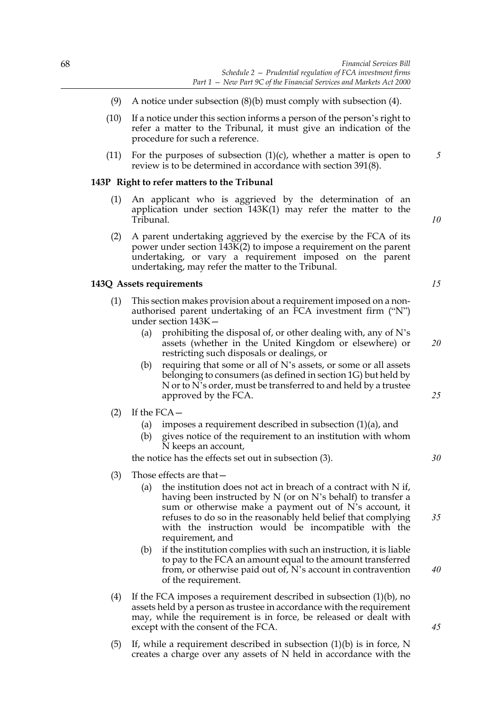- (9) A notice under subsection  $(8)(b)$  must comply with subsection  $(4)$ .
- (10) If a notice under this section informs a person of the person's right to refer a matter to the Tribunal, it must give an indication of the procedure for such a reference.
- (11) For the purposes of subsection  $(1)(c)$ , whether a matter is open to review is to be determined in accordance with section 391(8).

## **143P Right to refer matters to the Tribunal**

- (1) An applicant who is aggrieved by the determination of an application under section 143K(1) may refer the matter to the Tribunal.
- (2) A parent undertaking aggrieved by the exercise by the FCA of its power under section 143K(2) to impose a requirement on the parent undertaking, or vary a requirement imposed on the parent undertaking, may refer the matter to the Tribunal.

## **143Q Assets requirements**

- (1) This section makes provision about a requirement imposed on a nonauthorised parent undertaking of an FCA investment firm ("N") under section 143K—
	- (a) prohibiting the disposal of, or other dealing with, any of  $N$ 's assets (whether in the United Kingdom or elsewhere) or restricting such disposals or dealings, or
	- (b) requiring that some or all of N's assets, or some or all assets belonging to consumers (as defined in section 1G) but held by N or to N's order, must be transferred to and held by a trustee approved by the FCA.
- $(2)$  If the FCA  $-$ 
	- (a) imposes a requirement described in subsection  $(1)(a)$ , and
	- (b) gives notice of the requirement to an institution with whom N keeps an account,

the notice has the effects set out in subsection (3).

- (3) Those effects are that—
	- (a) the institution does not act in breach of a contract with  $N$  if, having been instructed by N (or on N's behalf) to transfer a sum or otherwise make a payment out of N's account, it refuses to do so in the reasonably held belief that complying with the instruction would be incompatible with the requirement, and
	- (b) if the institution complies with such an instruction, it is liable to pay to the FCA an amount equal to the amount transferred from, or otherwise paid out of, N's account in contravention of the requirement.
- (4) If the FCA imposes a requirement described in subsection (1)(b), no assets held by a person as trustee in accordance with the requirement may, while the requirement is in force, be released or dealt with except with the consent of the FCA.
- (5) If, while a requirement described in subsection  $(1)(b)$  is in force, N creates a charge over any assets of N held in accordance with the

*20*

*5*

*10*

*15*

*25*

*30*

*35*

*40*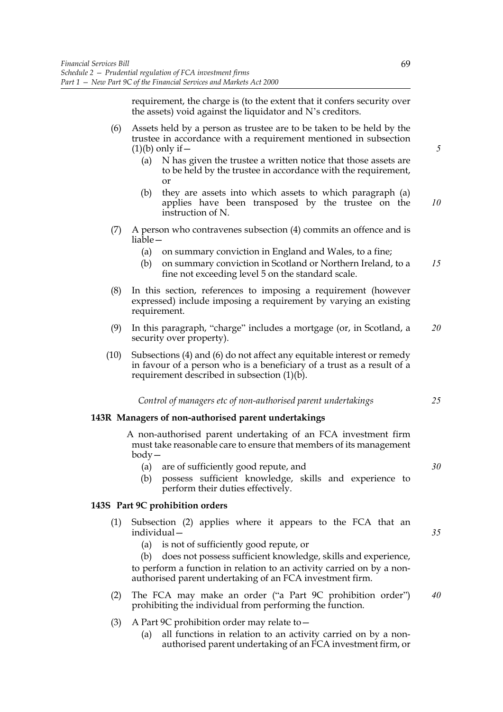requirement, the charge is (to the extent that it confers security over the assets) void against the liquidator and N's creditors.

- (6) Assets held by a person as trustee are to be taken to be held by the trustee in accordance with a requirement mentioned in subsection  $(1)(b)$  only if  $-$ 
	- (a) N has given the trustee a written notice that those assets are to be held by the trustee in accordance with the requirement, or
	- (b) they are assets into which assets to which paragraph (a) applies have been transposed by the trustee on the instruction of N. *10*
- (7) A person who contravenes subsection (4) commits an offence and is liable—
	- (a) on summary conviction in England and Wales, to a fine;
	- (b) on summary conviction in Scotland or Northern Ireland, to a fine not exceeding level 5 on the standard scale. *15*
- (8) In this section, references to imposing a requirement (however expressed) include imposing a requirement by varying an existing requirement.
- (9) In this paragraph, "charge" includes a mortgage (or, in Scotland, a security over property). *20*
- (10) Subsections (4) and (6) do not affect any equitable interest or remedy in favour of a person who is a beneficiary of a trust as a result of a requirement described in subsection (1)(b).

*Control of managers etc of non-authorised parent undertakings*

# **143R Managers of non-authorised parent undertakings**

A non-authorised parent undertaking of an FCA investment firm must take reasonable care to ensure that members of its management body—

- (a) are of sufficiently good repute, and
- (b) possess sufficient knowledge, skills and experience to perform their duties effectively.

## **143S Part 9C prohibition orders**

- (1) Subsection (2) applies where it appears to the FCA that an individual—
	- (a) is not of sufficiently good repute, or

(b) does not possess sufficient knowledge, skills and experience, to perform a function in relation to an activity carried on by a nonauthorised parent undertaking of an FCA investment firm.

- (2) The FCA may make an order ("a Part 9C prohibition order") prohibiting the individual from performing the function. *40*
- (3) A Part 9C prohibition order may relate to—
	- (a) all functions in relation to an activity carried on by a nonauthorised parent undertaking of an FCA investment firm, or

*5*

*30*

*25*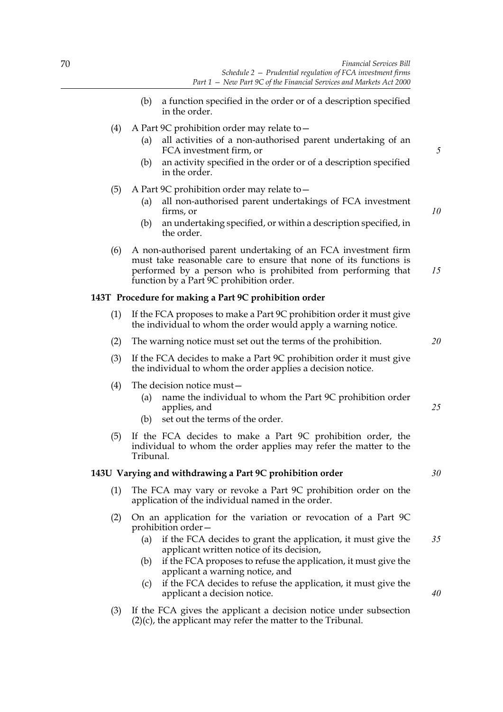- (b) a function specified in the order or of a description specified in the order.
- (4) A Part 9C prohibition order may relate to  $-$ 
	- (a) all activities of a non-authorised parent undertaking of an FCA investment firm, or
	- (b) an activity specified in the order or of a description specified in the order.
- (5) A Part 9C prohibition order may relate to—
	- (a) all non-authorised parent undertakings of FCA investment firms, or
	- (b) an undertaking specified, or within a description specified, in the order.
- (6) A non-authorised parent undertaking of an FCA investment firm must take reasonable care to ensure that none of its functions is performed by a person who is prohibited from performing that function by a Part 9C prohibition order. *15*

### **143T Procedure for making a Part 9C prohibition order**

- (1) If the FCA proposes to make a Part 9C prohibition order it must give the individual to whom the order would apply a warning notice.
- (2) The warning notice must set out the terms of the prohibition.
- (3) If the FCA decides to make a Part 9C prohibition order it must give the individual to whom the order applies a decision notice.
- (4) The decision notice must—
	- (a) name the individual to whom the Part 9C prohibition order applies, and
	- (b) set out the terms of the order.
- (5) If the FCA decides to make a Part 9C prohibition order, the individual to whom the order applies may refer the matter to the Tribunal.

## **143U Varying and withdrawing a Part 9C prohibition order**

- (1) The FCA may vary or revoke a Part 9C prohibition order on the application of the individual named in the order.
- (2) On an application for the variation or revocation of a Part 9C prohibition order—
	- (a) if the FCA decides to grant the application, it must give the applicant written notice of its decision, *35*
	- (b) if the FCA proposes to refuse the application, it must give the applicant a warning notice, and
	- (c) if the FCA decides to refuse the application, it must give the applicant a decision notice.
- (3) If the FCA gives the applicant a decision notice under subsection (2)(c), the applicant may refer the matter to the Tribunal.

*25*

*20*

*5*

*10*

# *30*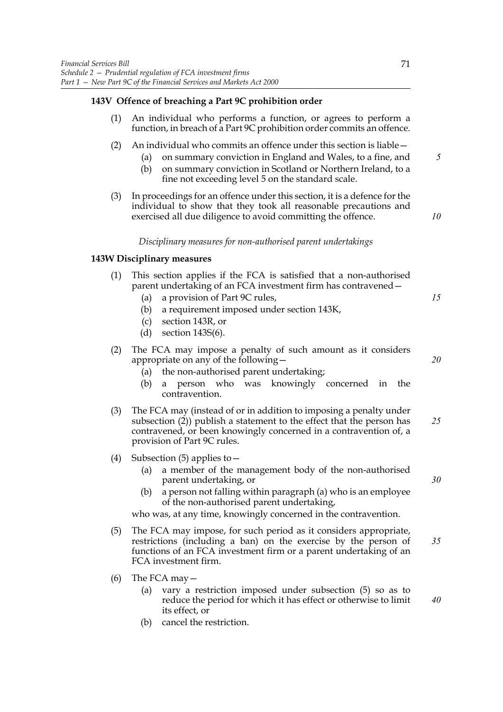# **143V Offence of breaching a Part 9C prohibition order**

- (1) An individual who performs a function, or agrees to perform a function, in breach of a Part 9C prohibition order commits an offence.
- (2) An individual who commits an offence under this section is liable—
	- (a) on summary conviction in England and Wales, to a fine, and (b) on summary conviction in Scotland or Northern Ireland, to a fine not exceeding level 5 on the standard scale. *5*
- (3) In proceedings for an offence under this section, it is a defence for the individual to show that they took all reasonable precautions and exercised all due diligence to avoid committing the offence.

*10*

*15*

*20*

*30*

## *Disciplinary measures for non-authorised parent undertakings*

### **143W Disciplinary measures**

- (1) This section applies if the FCA is satisfied that a non-authorised parent undertaking of an FCA investment firm has contravened -
	- (a) a provision of Part 9C rules,
	- (b) a requirement imposed under section 143K,
	- (c) section 143R, or
	- (d) section 143S(6).
- (2) The FCA may impose a penalty of such amount as it considers appropriate on any of the following—
	- (a) the non-authorised parent undertaking;
	- (b) a person who was knowingly concerned in the contravention.
- (3) The FCA may (instead of or in addition to imposing a penalty under subsection (2)) publish a statement to the effect that the person has contravened, or been knowingly concerned in a contravention of, a provision of Part 9C rules. *25*
- (4) Subsection (5) applies to—
	- (a) a member of the management body of the non-authorised parent undertaking, or
	- (b) a person not falling within paragraph (a) who is an employee of the non-authorised parent undertaking,

who was, at any time, knowingly concerned in the contravention.

- (5) The FCA may impose, for such period as it considers appropriate, restrictions (including a ban) on the exercise by the person of functions of an FCA investment firm or a parent undertaking of an FCA investment firm. *35*
- (6) The FCA may  $-$ 
	- (a) vary a restriction imposed under subsection (5) so as to reduce the period for which it has effect or otherwise to limit its effect, or *40*
	- (b) cancel the restriction.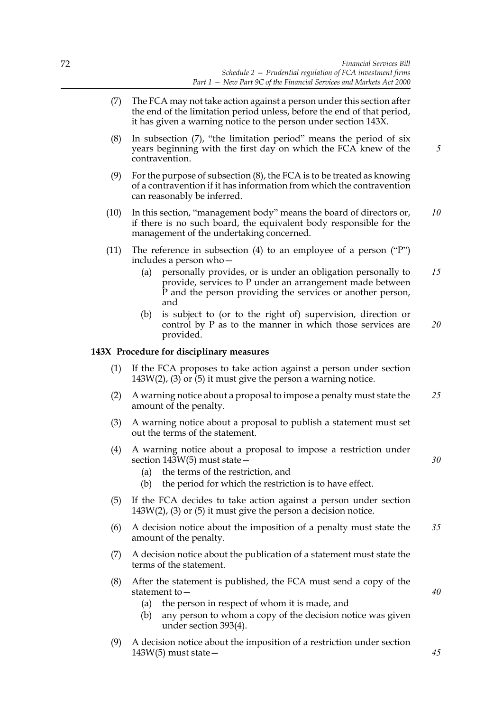- (7) The FCA may not take action against a person under this section after the end of the limitation period unless, before the end of that period, it has given a warning notice to the person under section 143X.
- (8) In subsection (7), "the limitation period" means the period of six years beginning with the first day on which the FCA knew of the contravention.
- (9) For the purpose of subsection (8), the FCA is to be treated as knowing of a contravention if it has information from which the contravention can reasonably be inferred.
- (10) In this section, "management body" means the board of directors or, if there is no such board, the equivalent body responsible for the management of the undertaking concerned. *10*
- (11) The reference in subsection (4) to an employee of a person ("P") includes a person who—
	- (a) personally provides, or is under an obligation personally to provide, services to P under an arrangement made between P and the person providing the services or another person, and *15*
	- (b) is subject to (or to the right of) supervision, direction or control by P as to the manner in which those services are provided. *20*

# **143X Procedure for disciplinary measures**

- (1) If the FCA proposes to take action against a person under section 143W(2), (3) or  $\overline{5}$ ) it must give the person a warning notice.
- (2) A warning notice about a proposal to impose a penalty must state the amount of the penalty. *25*
- (3) A warning notice about a proposal to publish a statement must set out the terms of the statement.
- (4) A warning notice about a proposal to impose a restriction under section  $14\overline{3}W(5)$  must state  $\overline{-}$ 
	- (a) the terms of the restriction, and
	- (b) the period for which the restriction is to have effect.
- (5) If the FCA decides to take action against a person under section 143W(2), (3) or (5) it must give the person a decision notice.
- (6) A decision notice about the imposition of a penalty must state the amount of the penalty. *35*
- (7) A decision notice about the publication of a statement must state the terms of the statement.
- (8) After the statement is published, the FCA must send a copy of the statement to—
	- (a) the person in respect of whom it is made, and
	- (b) any person to whom a copy of the decision notice was given under section 393(4).
- (9) A decision notice about the imposition of a restriction under section  $143W(5)$  must state  $-$

*45*

*40*

*30*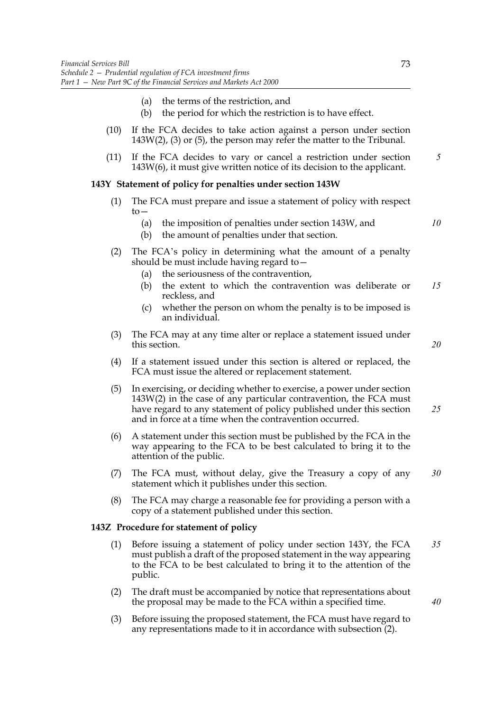- (a) the terms of the restriction, and
- (b) the period for which the restriction is to have effect.
- (10) If the FCA decides to take action against a person under section 143W(2), (3) or (5), the person may refer the matter to the Tribunal.
- (11) If the FCA decides to vary or cancel a restriction under section 143W(6), it must give written notice of its decision to the applicant. *5*

### **143Y Statement of policy for penalties under section 143W**

- (1) The FCA must prepare and issue a statement of policy with respect  $to-$ 
	- (a) the imposition of penalties under section 143W, and
	- (b) the amount of penalties under that section.
- (2) The FCA's policy in determining what the amount of a penalty should be must include having regard to—
	- (a) the seriousness of the contravention,
	- (b) the extent to which the contravention was deliberate or reckless, and *15*
	- (c) whether the person on whom the penalty is to be imposed is an individual.
- (3) The FCA may at any time alter or replace a statement issued under this section.
- (4) If a statement issued under this section is altered or replaced, the FCA must issue the altered or replacement statement.
- (5) In exercising, or deciding whether to exercise, a power under section 143W(2) in the case of any particular contravention, the FCA must have regard to any statement of policy published under this section and in force at a time when the contravention occurred. *25*
- (6) A statement under this section must be published by the FCA in the way appearing to the FCA to be best calculated to bring it to the attention of the public.
- (7) The FCA must, without delay, give the Treasury a copy of any statement which it publishes under this section. *30*
- (8) The FCA may charge a reasonable fee for providing a person with a copy of a statement published under this section.

## **143Z Procedure for statement of policy**

- (1) Before issuing a statement of policy under section 143Y, the FCA must publish a draft of the proposed statement in the way appearing to the FCA to be best calculated to bring it to the attention of the public. *35*
- (2) The draft must be accompanied by notice that representations about the proposal may be made to the FCA within a specified time.
- (3) Before issuing the proposed statement, the FCA must have regard to any representations made to it in accordance with subsection (2).

*10*

*20*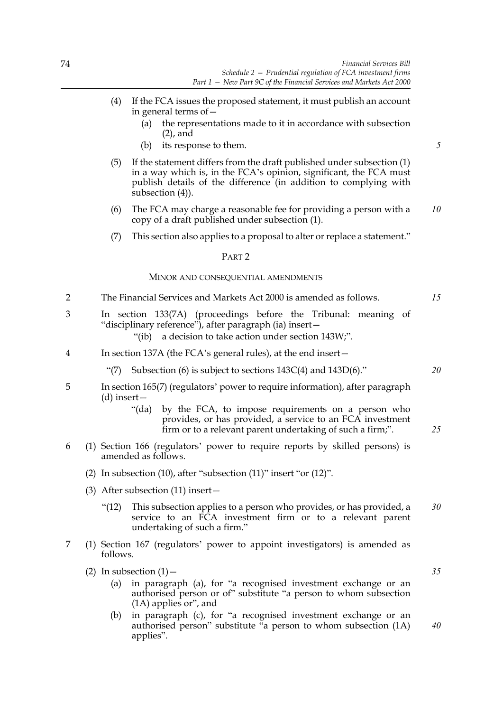- (4) If the FCA issues the proposed statement, it must publish an account in general terms of—
	- (a) the representations made to it in accordance with subsection (2), and
	- (b) its response to them.
- (5) If the statement differs from the draft published under subsection (1) in a way which is, in the FCA's opinion, significant, the FCA must publish details of the difference (in addition to complying with subsection (4)).
- (6) The FCA may charge a reasonable fee for providing a person with a copy of a draft published under subsection (1). *10*
- (7) This section also applies to a proposal to alter or replace a statement."

## PART 2

## MINOR AND CONSEQUENTIAL AMENDMENTS

- 2 The Financial Services and Markets Act 2000 is amended as follows.
- 3 In section 133(7A) (proceedings before the Tribunal: meaning of "disciplinary reference"), after paragraph (ia) insert— "(ib) a decision to take action under section 143W;".
	-
- 4 In section 137A (the FCA's general rules), at the end insert—
	- "(7) Subsection (6) is subject to sections  $143C(4)$  and  $143D(6)$ ."
- 5 In section 165(7) (regulators' power to require information), after paragraph (d) insert—
	- "(da) by the FCA, to impose requirements on a person who provides, or has provided, a service to an FCA investment firm or to a relevant parent undertaking of such a firm;".
- 6 (1) Section 166 (regulators' power to require reports by skilled persons) is amended as follows.
	- (2) In subsection (10), after "subsection (11)" insert "or (12)".
	- (3) After subsection (11) insert—
		- "(12) This subsection applies to a person who provides, or has provided, a service to an FCA investment firm or to a relevant parent undertaking of such a firm." *30*
- 7 (1) Section 167 (regulators' power to appoint investigators) is amended as follows.
	- (2) In subsection  $(1)$  -
		- (a) in paragraph (a), for "a recognised investment exchange or an authorised person or of" substitute "a person to whom subsection (1A) applies or", and
		- (b) in paragraph (c), for "a recognised investment exchange or an authorised person" substitute "a person to whom subsection (1A) applies". *40*

*20*

*15*

*5*

*25*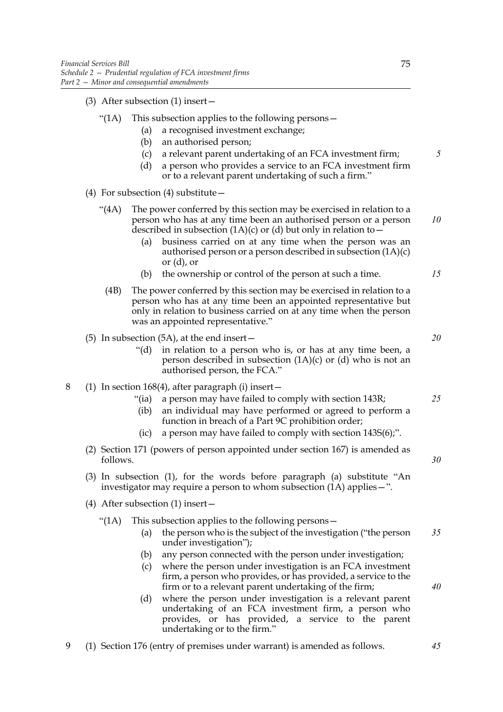(3) After subsection (1) insert—

### "(1A) This subsection applies to the following persons—

- (a) a recognised investment exchange;
- (b) an authorised person;
- (c) a relevant parent undertaking of an FCA investment firm;
- (d) a person who provides a service to an FCA investment firm or to a relevant parent undertaking of such a firm."
- (4) For subsection (4) substitute  $-$ 
	- "(4A) The power conferred by this section may be exercised in relation to a person who has at any time been an authorised person or a person described in subsection  $(1A)(c)$  or  $(d)$  but only in relation to – *10*
		- (a) business carried on at any time when the person was an authorised person or a person described in subsection (1A)(c) or (d), or
		- (b) the ownership or control of the person at such a time.
	- (4B) The power conferred by this section may be exercised in relation to a person who has at any time been an appointed representative but only in relation to business carried on at any time when the person was an appointed representative."
- (5) In subsection (5A), at the end insert—
	- "(d) in relation to a person who is, or has at any time been, a person described in subsection  $(1A)(c)$  or  $(d)$  who is not an authorised person, the FCA."

# 8 (1) In section 168(4), after paragraph (i) insert—

- "(ia) a person may have failed to comply with section 143R;
- (ib) an individual may have performed or agreed to perform a function in breach of a Part 9C prohibition order;
- (ic) a person may have failed to comply with section 143S(6);".
- (2) Section 171 (powers of person appointed under section 167) is amended as follows.
- (3) In subsection (1), for the words before paragraph (a) substitute "An investigator may require a person to whom subsection (1A) applies—".
- (4) After subsection (1) insert—
	- "(1A) This subsection applies to the following persons—
		- (a) the person who is the subject of the investigation ("the person under investigation"); *35*
		- (b) any person connected with the person under investigation;
		- (c) where the person under investigation is an FCA investment firm, a person who provides, or has provided, a service to the firm or to a relevant parent undertaking of the firm;
		- (d) where the person under investigation is a relevant parent undertaking of an FCA investment firm, a person who provides, or has provided, a service to the parent undertaking or to the firm."
- 9 (1) Section 176 (entry of premises under warrant) is amended as follows.

*5*

*15*

*20*

*25*

*30*

*40*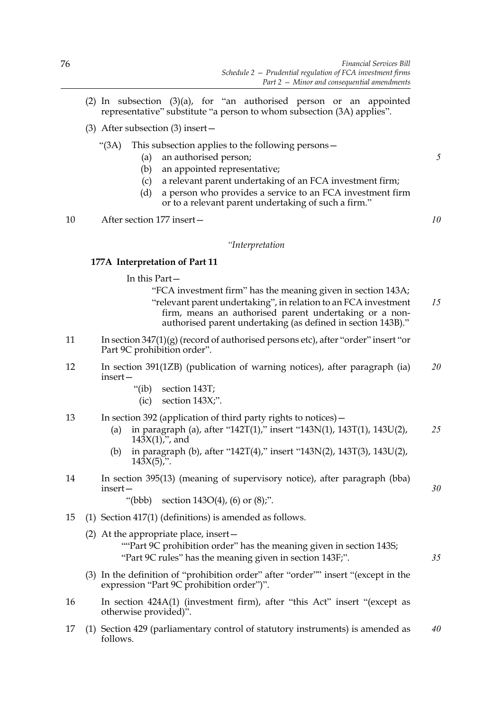- (2) In subsection  $(3)(a)$ , for "an authorised person or an appointed representative" substitute "a person to whom subsection (3A) applies".
- (3) After subsection (3) insert—

# "(3A) This subsection applies to the following persons—

- (a) an authorised person;
- (b) an appointed representative;
- (c) a relevant parent undertaking of an FCA investment firm;
- (d) a person who provides a service to an FCA investment firm or to a relevant parent undertaking of such a firm."

10 After section 177 insert—

*10*

*30*

*35*

*5*

### *"Interpretation*

## **177A Interpretation of Part 11**

In this Part—

- "FCA investment firm" has the meaning given in section 143A; "relevant parent undertaking", in relation to an FCA investment firm, means an authorised parent undertaking or a nonauthorised parent undertaking (as defined in section 143B)." *15*
- 11 In section 347(1)(g) (record of authorised persons etc), after "order" insert "or Part 9C prohibition order".
- 12 In section 391(1ZB) (publication of warning notices), after paragraph (ia) insert— *20*
	- "(ib) section 143T;
	- $(ic)$  section  $143X;$ ".
- 13 In section 392 (application of third party rights to notices)—
	- (a) in paragraph (a), after "142T(1)," insert "143N(1), 143T(1), 143U(2),  $143X(1)$ , and *25*
	- (b) in paragraph (b), after "142T(4)," insert "143N(2), 143T(3), 143U(2),  $143X(5)$ ,".
- 14 In section 395(13) (meaning of supervisory notice), after paragraph (bba) insert—

"(bbb) section  $143O(4)$ , (6) or  $(8)$ ;".

- 15 (1) Section 417(1) (definitions) is amended as follows.
	- (2) At the appropriate place, insert—
		- ""Part 9C prohibition order" has the meaning given in section 143S; "Part 9C rules" has the meaning given in section 143F;".
	- (3) In the definition of "prohibition order" after "order"" insert "(except in the expression "Part 9C prohibition order")".
- 16 In section 424A(1) (investment firm), after "this Act" insert "(except as otherwise provided)".
- 17 (1) Section 429 (parliamentary control of statutory instruments) is amended as follows. *40*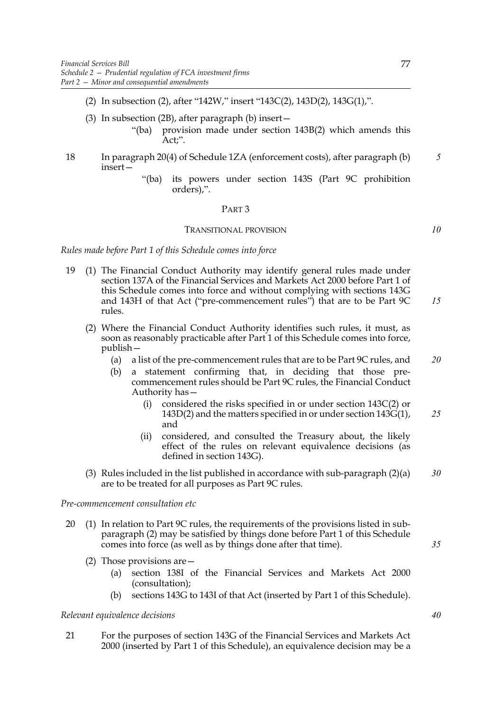- (2) In subsection (2), after "142W," insert "143C(2), 143D(2), 143G(1),".
- (3) In subsection (2B), after paragraph (b) insert—
	- "(ba) provision made under section 143B(2) which amends this Act;".
- 18 In paragraph 20(4) of Schedule 1ZA (enforcement costs), after paragraph (b) insert— *5*
	- "(ba) its powers under section 143S (Part 9C prohibition orders),".

## PART 3

#### TRANSITIONAL PROVISION

*10*

# *Rules made before Part 1 of this Schedule comes into force*

- 19 (1) The Financial Conduct Authority may identify general rules made under section 137A of the Financial Services and Markets Act 2000 before Part 1 of this Schedule comes into force and without complying with sections 143G and 143H of that Act ("pre-commencement rules") that are to be Part 9C rules. *15*
	- (2) Where the Financial Conduct Authority identifies such rules, it must, as soon as reasonably practicable after Part 1 of this Schedule comes into force, publish—
		- (a) a list of the pre-commencement rules that are to be Part 9C rules, and *20*
		- (b) a statement confirming that, in deciding that those precommencement rules should be Part 9C rules, the Financial Conduct Authority has—
			- (i) considered the risks specified in or under section 143C(2) or 143D(2) and the matters specified in or under section 143G(1), and *25*
			- (ii) considered, and consulted the Treasury about, the likely effect of the rules on relevant equivalence decisions (as defined in section 143G).
	- (3) Rules included in the list published in accordance with sub-paragraph (2)(a) are to be treated for all purposes as Part 9C rules. *30*

## *Pre-commencement consultation etc*

- 20 (1) In relation to Part 9C rules, the requirements of the provisions listed in subparagraph (2) may be satisfied by things done before Part 1 of this Schedule comes into force (as well as by things done after that time).
	- (2) Those provisions are—
		- (a) section 138I of the Financial Services and Markets Act 2000 (consultation);
		- (b) sections 143G to 143I of that Act (inserted by Part 1 of this Schedule).

# *Relevant equivalence decisions*

21 For the purposes of section 143G of the Financial Services and Markets Act 2000 (inserted by Part 1 of this Schedule), an equivalence decision may be a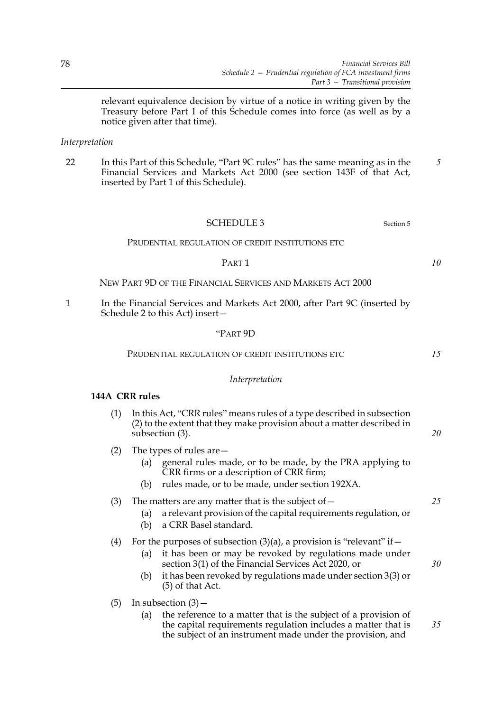relevant equivalence decision by virtue of a notice in writing given by the Treasury before Part 1 of this Schedule comes into force (as well as by a notice given after that time).

# *Interpretation*

22 In this Part of this Schedule, "Part 9C rules" has the same meaning as in the Financial Services and Markets Act 2000 (see section 143F of that Act, inserted by Part 1 of this Schedule). *5*

# SCHEDULE 3 Section 5

### PRUDENTIAL REGULATION OF CREDIT INSTITUTIONS ETC

#### PART 1

NEW PART 9D OF THE FINANCIAL SERVICES AND MARKETS ACT 2000

1 In the Financial Services and Markets Act 2000, after Part 9C (inserted by Schedule 2 to this Act) insert—

### "PART 9D

#### PRUDENTIAL REGULATION OF CREDIT INSTITUTIONS ETC

#### *Interpretation*

## **144A CRR rules**

| (1) In this Act, "CRR rules" means rules of a type described in subsection |
|----------------------------------------------------------------------------|
| (2) to the extent that they make provision about a matter described in     |
| subsection $(3)$ .                                                         |

- (2) The types of rules are—
	- (a) general rules made, or to be made, by the PRA applying to CRR firms or a description of CRR firm;
	- (b) rules made, or to be made, under section 192XA.
- (3) The matters are any matter that is the subject of  $-$ 
	- (a) a relevant provision of the capital requirements regulation, or
	- (b) a CRR Basel standard.
- (4) For the purposes of subsection  $(3)(a)$ , a provision is "relevant" if  $-$ 
	- (a) it has been or may be revoked by regulations made under section 3(1) of the Financial Services Act 2020, or
	- (b) it has been revoked by regulations made under section 3(3) or (5) of that Act.
- (5) In subsection  $(3)$ 
	- (a) the reference to a matter that is the subject of a provision of the capital requirements regulation includes a matter that is the subject of an instrument made under the provision, and

*10*

*15*

*20*

*25*

*30*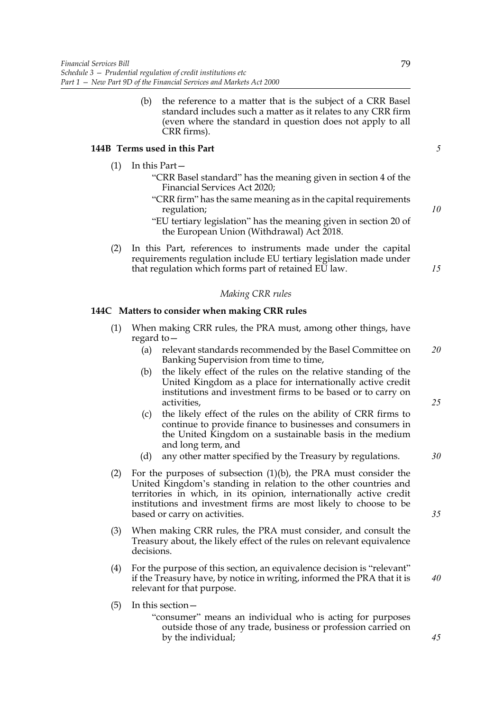(b) the reference to a matter that is the subject of a CRR Basel standard includes such a matter as it relates to any CRR firm (even where the standard in question does not apply to all CRR firms).

# **144B Terms used in this Part**

- (1) In this Part—
	- "CRR Basel standard" has the meaning given in section 4 of the Financial Services Act 2020;
	- "CRR firm" has the same meaning as in the capital requirements regulation;
	- "EU tertiary legislation" has the meaning given in section 20 of the European Union (Withdrawal) Act 2018.
- (2) In this Part, references to instruments made under the capital requirements regulation include EU tertiary legislation made under that regulation which forms part of retained EU law.

### *Making CRR rules*

## **144C Matters to consider when making CRR rules**

- (1) When making CRR rules, the PRA must, among other things, have regard to—
	- (a) relevant standards recommended by the Basel Committee on Banking Supervision from time to time, *20*
	- (b) the likely effect of the rules on the relative standing of the United Kingdom as a place for internationally active credit institutions and investment firms to be based or to carry on activities,
	- (c) the likely effect of the rules on the ability of CRR firms to continue to provide finance to businesses and consumers in the United Kingdom on a sustainable basis in the medium and long term, and
	- (d) any other matter specified by the Treasury by regulations.
- (2) For the purposes of subsection (1)(b), the PRA must consider the United Kingdom's standing in relation to the other countries and territories in which, in its opinion, internationally active credit institutions and investment firms are most likely to choose to be based or carry on activities.
- (3) When making CRR rules, the PRA must consider, and consult the Treasury about, the likely effect of the rules on relevant equivalence decisions.
- (4) For the purpose of this section, an equivalence decision is "relevant" if the Treasury have, by notice in writing, informed the PRA that it is relevant for that purpose.
- (5) In this section—
	- "consumer" means an individual who is acting for purposes outside those of any trade, business or profession carried on by the individual;

79

*10*

*5*

*15*

*25*

*30*

*35*

*40*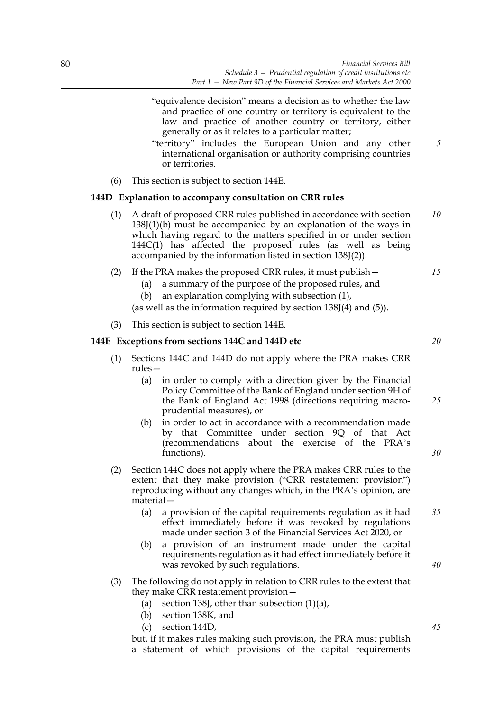- "equivalence decision" means a decision as to whether the law and practice of one country or territory is equivalent to the law and practice of another country or territory, either generally or as it relates to a particular matter;
- "territory" includes the European Union and any other international organisation or authority comprising countries or territories.
- (6) This section is subject to section 144E.

## **144D Explanation to accompany consultation on CRR rules**

- (1) A draft of proposed CRR rules published in accordance with section 138J(1)(b) must be accompanied by an explanation of the ways in which having regard to the matters specified in or under section 144C(1) has affected the proposed rules (as well as being accompanied by the information listed in section 138J(2)). *10*
- (2) If the PRA makes the proposed CRR rules, it must publish—
	- (a) a summary of the purpose of the proposed rules, and
	- (b) an explanation complying with subsection (1),
	- (as well as the information required by section 138J(4) and (5)).
- (3) This section is subject to section 144E.

## **144E Exceptions from sections 144C and 144D etc**

- (1) Sections 144C and 144D do not apply where the PRA makes CRR rules—
	- (a) in order to comply with a direction given by the Financial Policy Committee of the Bank of England under section 9H of the Bank of England Act 1998 (directions requiring macroprudential measures), or
	- (b) in order to act in accordance with a recommendation made by that Committee under section 9Q of that Act (recommendations about the exercise of the PRA's functions).
- (2) Section 144C does not apply where the PRA makes CRR rules to the extent that they make provision ("CRR restatement provision") reproducing without any changes which, in the PRA's opinion, are material—
	- (a) a provision of the capital requirements regulation as it had effect immediately before it was revoked by regulations made under section 3 of the Financial Services Act 2020, or *35*
	- (b) a provision of an instrument made under the capital requirements regulation as it had effect immediately before it was revoked by such regulations.
- (3) The following do not apply in relation to CRR rules to the extent that they make CRR restatement provision—
	- (a) section 138J, other than subsection  $(1)(a)$ ,
	- (b) section 138K, and
	- (c) section 144D,

but, if it makes rules making such provision, the PRA must publish a statement of which provisions of the capital requirements *30*

*25*

*45*

*40*

*20*

*15*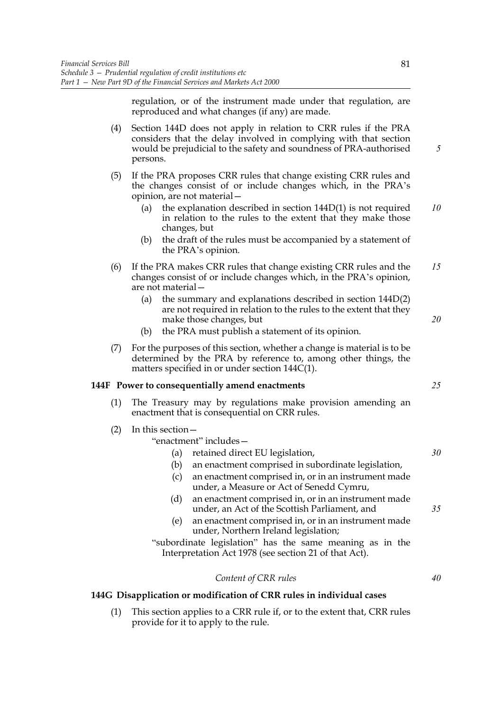regulation, or of the instrument made under that regulation, are reproduced and what changes (if any) are made.

(4) Section 144D does not apply in relation to CRR rules if the PRA considers that the delay involved in complying with that section would be prejudicial to the safety and soundness of PRA-authorised persons. (5) If the PRA proposes CRR rules that change existing CRR rules and the changes consist of or include changes which, in the PRA's opinion, are not material— (a) the explanation described in section 144D(1) is not required in relation to the rules to the extent that they make those changes, but (b) the draft of the rules must be accompanied by a statement of the PRA's opinion. (6) If the PRA makes CRR rules that change existing CRR rules and the changes consist of or include changes which, in the PRA's opinion, are not material— (a) the summary and explanations described in section 144D(2) are not required in relation to the rules to the extent that they make those changes, but (b) the PRA must publish a statement of its opinion. (7) For the purposes of this section, whether a change is material is to be determined by the PRA by reference to, among other things, the matters specified in or under section 144C(1). **144F Power to consequentially amend enactments** (1) The Treasury may by regulations make provision amending an enactment that is consequential on CRR rules. (2) In this section— "enactment" includes— (a) retained direct EU legislation, (b) an enactment comprised in subordinate legislation, (c) an enactment comprised in, or in an instrument made under, a Measure or Act of Senedd Cymru, (d) an enactment comprised in, or in an instrument made under, an Act of the Scottish Parliament, and (e) an enactment comprised in, or in an instrument made under, Northern Ireland legislation; "subordinate legislation" has the same meaning as in the Interpretation Act 1978 (see section 21 of that Act). *5 10 15 20 25 30 35*

## *Content of CRR rules*

# **144G Disapplication or modification of CRR rules in individual cases**

(1) This section applies to a CRR rule if, or to the extent that, CRR rules provide for it to apply to the rule.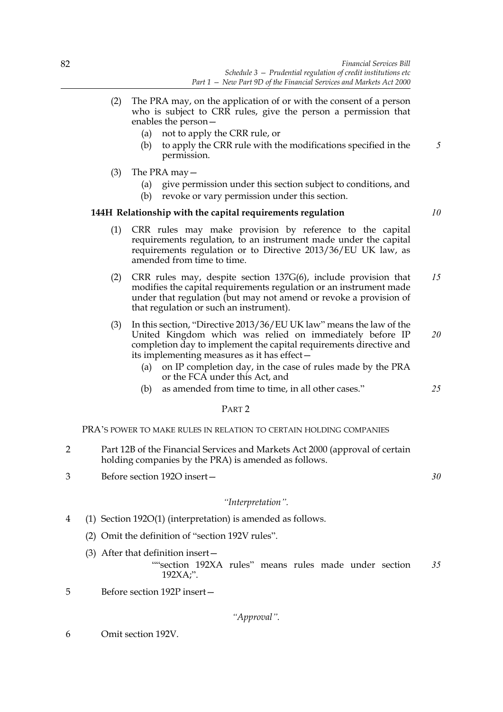- (2) The PRA may, on the application of or with the consent of a person who is subject to CRR rules, give the person a permission that enables the person—
	- (a) not to apply the CRR rule, or
	- (b) to apply the CRR rule with the modifications specified in the permission.
- (3) The PRA may—
	- (a) give permission under this section subject to conditions, and
	- (b) revoke or vary permission under this section.

# **144H Relationship with the capital requirements regulation**

- (1) CRR rules may make provision by reference to the capital requirements regulation, to an instrument made under the capital requirements regulation or to Directive 2013/36/EU UK law, as amended from time to time.
- (2) CRR rules may, despite section 137G(6), include provision that modifies the capital requirements regulation or an instrument made under that regulation (but may not amend or revoke a provision of that regulation or such an instrument). *15*
- (3) In this section, "Directive 2013/36/EU UK law" means the law of the United Kingdom which was relied on immediately before IP completion day to implement the capital requirements directive and its implementing measures as it has effect— *20*
	- (a) on IP completion day, in the case of rules made by the PRA or the FCA under this Act, and
	- (b) as amended from time to time, in all other cases."

# PART 2

# PRA'S POWER TO MAKE RULES IN RELATION TO CERTAIN HOLDING COMPANIES

- 2 Part 12B of the Financial Services and Markets Act 2000 (approval of certain holding companies by the PRA) is amended as follows.
- 3 Before section 192O insert—

# *"Interpretation".*

- 4 (1) Section 192O(1) (interpretation) is amended as follows.
	- (2) Omit the definition of "section 192V rules".
	- (3) After that definition insert—

""section 192XA rules" means rules made under section 192XA;". *35*

5 Before section 192P insert—

*"Approval".*

6 Omit section 192V.

*10*

*5*

*25*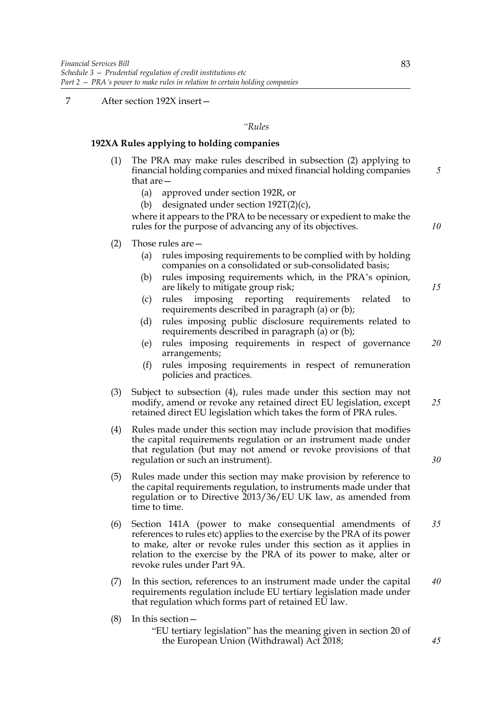# 7 After section 192X insert—

#### *"Rules*

## **192XA Rules applying to holding companies**

- (1) The PRA may make rules described in subsection (2) applying to financial holding companies and mixed financial holding companies that are—
	- (a) approved under section 192R, or
	- (b) designated under section  $192T(2)(c)$ ,

where it appears to the PRA to be necessary or expedient to make the rules for the purpose of advancing any of its objectives.

- (2) Those rules are—
	- (a) rules imposing requirements to be complied with by holding companies on a consolidated or sub-consolidated basis;
	- (b) rules imposing requirements which, in the PRA's opinion, are likely to mitigate group risk;
	- (c) rules imposing reporting requirements related to requirements described in paragraph (a) or (b);
	- (d) rules imposing public disclosure requirements related to requirements described in paragraph (a) or (b);
	- (e) rules imposing requirements in respect of governance arrangements; *20*
	- (f) rules imposing requirements in respect of remuneration policies and practices.
- (3) Subject to subsection (4), rules made under this section may not modify, amend or revoke any retained direct EU legislation, except retained direct EU legislation which takes the form of PRA rules. *25*
- (4) Rules made under this section may include provision that modifies the capital requirements regulation or an instrument made under that regulation (but may not amend or revoke provisions of that regulation or such an instrument).
- (5) Rules made under this section may make provision by reference to the capital requirements regulation, to instruments made under that regulation or to Directive 2013/36/EU UK law, as amended from time to time.
- (6) Section 141A (power to make consequential amendments of references to rules etc) applies to the exercise by the PRA of its power to make, alter or revoke rules under this section as it applies in relation to the exercise by the PRA of its power to make, alter or revoke rules under Part 9A. *35*
- (7) In this section, references to an instrument made under the capital requirements regulation include EU tertiary legislation made under that regulation which forms part of retained EU law. *40*
- (8) In this section—
	- "EU tertiary legislation" has the meaning given in section 20 of the European Union (Withdrawal) Act 2018;

*5*

*10*

*15*

*30*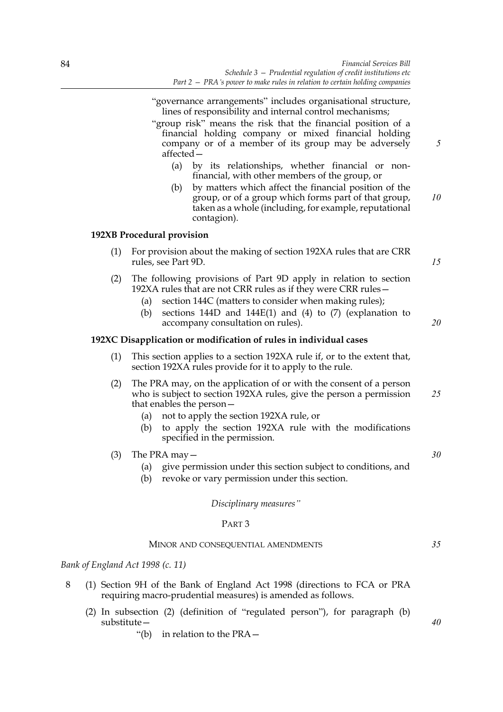- "governance arrangements" includes organisational structure, lines of responsibility and internal control mechanisms;
- "group risk" means the risk that the financial position of a financial holding company or mixed financial holding company or of a member of its group may be adversely affected—
	- (a) by its relationships, whether financial or nonfinancial, with other members of the group, or
	- (b) by matters which affect the financial position of the group, or of a group which forms part of that group, taken as a whole (including, for example, reputational contagion). *10*

### **192XB Procedural provision**

(1) For provision about the making of section 192XA rules that are CRR rules, see Part 9D.

*15*

*20*

*5*

# (2) The following provisions of Part 9D apply in relation to section 192XA rules that are not CRR rules as if they were CRR rules—

- (a) section 144C (matters to consider when making rules);
- (b) sections 144D and 144E(1) and (4) to (7) (explanation to accompany consultation on rules).

## **192XC Disapplication or modification of rules in individual cases**

- (1) This section applies to a section 192XA rule if, or to the extent that, section 192XA rules provide for it to apply to the rule.
- (2) The PRA may, on the application of or with the consent of a person who is subject to section 192XA rules, give the person a permission that enables the person— *25*
	- (a) not to apply the section 192XA rule, or
	- (b) to apply the section 192XA rule with the modifications specified in the permission.
- (3) The PRA may—
	- (a) give permission under this section subject to conditions, and
	- (b) revoke or vary permission under this section.

*Disciplinary measures"*

#### PART 3

#### MINOR AND CONSEQUENTIAL AMENDMENTS

*Bank of England Act 1998 (c. 11)*

- 8 (1) Section 9H of the Bank of England Act 1998 (directions to FCA or PRA requiring macro-prudential measures) is amended as follows.
	- (2) In subsection (2) (definition of "regulated person"), for paragraph (b) substitute—
		- "(b) in relation to the PRA—

*30*

*35*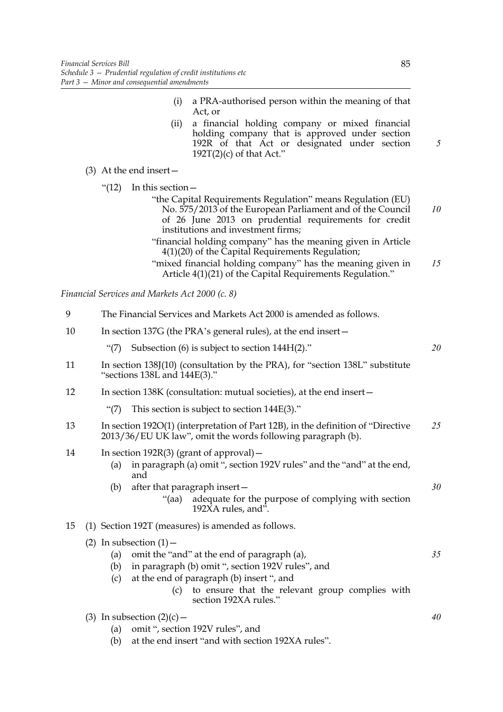- (i) a PRA-authorised person within the meaning of that Act, or
- (ii) a financial holding company or mixed financial holding company that is approved under section 192R of that Act or designated under section  $192T(2)(c)$  of that Act."
- (3) At the end insert—
	- "(12) In this section—
		- "the Capital Requirements Regulation" means Regulation (EU) No. 575/2013 of the European Parliament and of the Council of 26 June 2013 on prudential requirements for credit institutions and investment firms; *10*
		- "financial holding company" has the meaning given in Article 4(1)(20) of the Capital Requirements Regulation;
		- "mixed financial holding company" has the meaning given in Article 4(1)(21) of the Capital Requirements Regulation." *15*

|    | Financial Services and Markets Act 2000 (c. 8)                                                                                                                                                                                                                                     |    |  |  |  |
|----|------------------------------------------------------------------------------------------------------------------------------------------------------------------------------------------------------------------------------------------------------------------------------------|----|--|--|--|
|    |                                                                                                                                                                                                                                                                                    |    |  |  |  |
| 9  | The Financial Services and Markets Act 2000 is amended as follows.                                                                                                                                                                                                                 |    |  |  |  |
| 10 | In section 137G (the PRA's general rules), at the end insert –                                                                                                                                                                                                                     |    |  |  |  |
|    | Subsection (6) is subject to section 144H(2)."<br>$\lq(7)$                                                                                                                                                                                                                         | 20 |  |  |  |
| 11 | In section 138J(10) (consultation by the PRA), for "section 138L" substitute<br>"sections $138L$ and $144E(3)$ ."                                                                                                                                                                  |    |  |  |  |
| 12 | In section 138K (consultation: mutual societies), at the end insert—                                                                                                                                                                                                               |    |  |  |  |
|    | This section is subject to section $144E(3)$ ."<br>$\lq(7)$                                                                                                                                                                                                                        |    |  |  |  |
| 13 | In section 1920(1) (interpretation of Part 12B), in the definition of "Directive"<br>2013/36/EU UK law", omit the words following paragraph (b).                                                                                                                                   | 25 |  |  |  |
| 14 | In section $192R(3)$ (grant of approval) –<br>in paragraph (a) omit ", section 192V rules" and the "and" at the end,<br>(a)<br>and                                                                                                                                                 |    |  |  |  |
|    | after that paragraph insert -<br>(b)<br>adequate for the purpose of complying with section<br>"(aa)<br>192XA rules, and".                                                                                                                                                          | 30 |  |  |  |
| 15 | (1) Section 192T (measures) is amended as follows.                                                                                                                                                                                                                                 |    |  |  |  |
|    | (2) In subsection $(1)$ –<br>omit the "and" at the end of paragraph (a),<br>(a)<br>in paragraph (b) omit ", section 192V rules", and<br>(b)<br>at the end of paragraph (b) insert ", and<br>(c)<br>to ensure that the relevant group complies with<br>(c)<br>section 192XA rules." | 35 |  |  |  |
|    | (3) In subsection $(2)(c)$ –                                                                                                                                                                                                                                                       | 40 |  |  |  |

- (a) omit ", section 192V rules", and
- (b) at the end insert "and with section 192XA rules".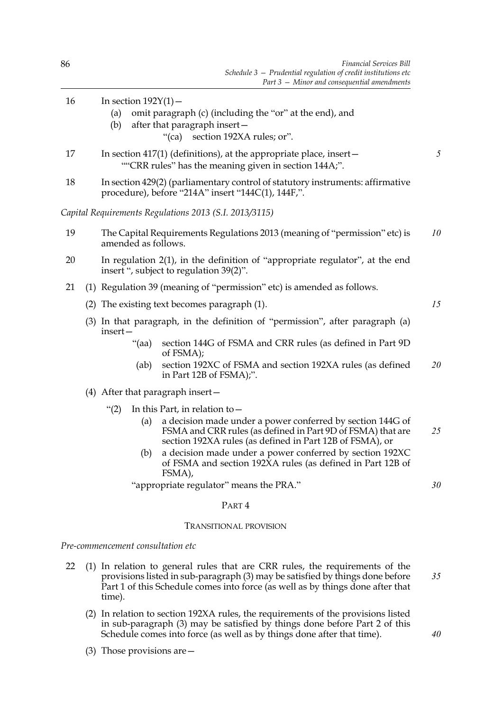| 16 |                                                                                                                                      | In section $192Y(1)$ –                                                                                                      |                                                                                                                                                                                       |    |  |  |  |
|----|--------------------------------------------------------------------------------------------------------------------------------------|-----------------------------------------------------------------------------------------------------------------------------|---------------------------------------------------------------------------------------------------------------------------------------------------------------------------------------|----|--|--|--|
|    |                                                                                                                                      | (a)                                                                                                                         | omit paragraph (c) (including the "or" at the end), and                                                                                                                               |    |  |  |  |
|    |                                                                                                                                      | (b)                                                                                                                         | after that paragraph insert-<br>"(ca) section 192XA rules; or".                                                                                                                       |    |  |  |  |
|    |                                                                                                                                      |                                                                                                                             |                                                                                                                                                                                       | 5  |  |  |  |
| 17 |                                                                                                                                      | In section 417(1) (definitions), at the appropriate place, insert-<br>""CRR rules" has the meaning given in section 144A;". |                                                                                                                                                                                       |    |  |  |  |
| 18 | In section 429(2) (parliamentary control of statutory instruments: affirmative<br>procedure), before "214A" insert "144C(1), 144F,". |                                                                                                                             |                                                                                                                                                                                       |    |  |  |  |
|    |                                                                                                                                      |                                                                                                                             | Capital Requirements Regulations 2013 (S.I. 2013/3115)                                                                                                                                |    |  |  |  |
| 19 | The Capital Requirements Regulations 2013 (meaning of "permission" etc) is<br>amended as follows.                                    |                                                                                                                             |                                                                                                                                                                                       |    |  |  |  |
| 20 |                                                                                                                                      | In regulation 2(1), in the definition of "appropriate regulator", at the end<br>insert ", subject to regulation 39(2)".     |                                                                                                                                                                                       |    |  |  |  |
| 21 |                                                                                                                                      |                                                                                                                             | (1) Regulation 39 (meaning of "permission" etc) is amended as follows.                                                                                                                |    |  |  |  |
|    |                                                                                                                                      |                                                                                                                             | (2) The existing text becomes paragraph (1).                                                                                                                                          | 15 |  |  |  |
|    | (3) In that paragraph, in the definition of "permission", after paragraph (a)<br>insert-                                             |                                                                                                                             |                                                                                                                                                                                       |    |  |  |  |
|    |                                                                                                                                      | " $(aa)$                                                                                                                    | section 144G of FSMA and CRR rules (as defined in Part 9D<br>of FSMA);                                                                                                                |    |  |  |  |
|    |                                                                                                                                      | (ab)                                                                                                                        | section 192XC of FSMA and section 192XA rules (as defined<br>in Part 12B of FSMA);".                                                                                                  | 20 |  |  |  |
|    |                                                                                                                                      |                                                                                                                             | $(4)$ After that paragraph insert $-$                                                                                                                                                 |    |  |  |  |
|    |                                                                                                                                      | $\binom{11}{2}$                                                                                                             | In this Part, in relation to $-$                                                                                                                                                      |    |  |  |  |
|    |                                                                                                                                      | (a)                                                                                                                         | a decision made under a power conferred by section 144G of<br>FSMA and CRR rules (as defined in Part 9D of FSMA) that are<br>section 192XA rules (as defined in Part 12B of FSMA), or | 25 |  |  |  |
|    |                                                                                                                                      | (b)                                                                                                                         | a decision made under a power conferred by section 192XC<br>of FSMA and section 192XA rules (as defined in Part 12B of<br>FSMA),                                                      |    |  |  |  |
|    |                                                                                                                                      |                                                                                                                             | "appropriate regulator" means the PRA."                                                                                                                                               | 30 |  |  |  |
|    |                                                                                                                                      |                                                                                                                             | PART <sub>4</sub>                                                                                                                                                                     |    |  |  |  |
|    |                                                                                                                                      |                                                                                                                             | <b>TRANSITIONAL PROVISION</b>                                                                                                                                                         |    |  |  |  |
|    |                                                                                                                                      | Pre-commencement consultation etc                                                                                           |                                                                                                                                                                                       |    |  |  |  |
| 22 |                                                                                                                                      |                                                                                                                             | (1) In relation to general rules that are CRR rules, the requirements of the<br>provisions listed in sub-paragraph (3) may be satisfied by things done before                         | 35 |  |  |  |

(2) In relation to section 192XA rules, the requirements of the provisions listed in sub-paragraph (3) may be satisfied by things done before Part 2 of this Schedule comes into force (as well as by things done after that time).

*40*

Part 1 of this Schedule comes into force (as well as by things done after that

(3) Those provisions are—

time).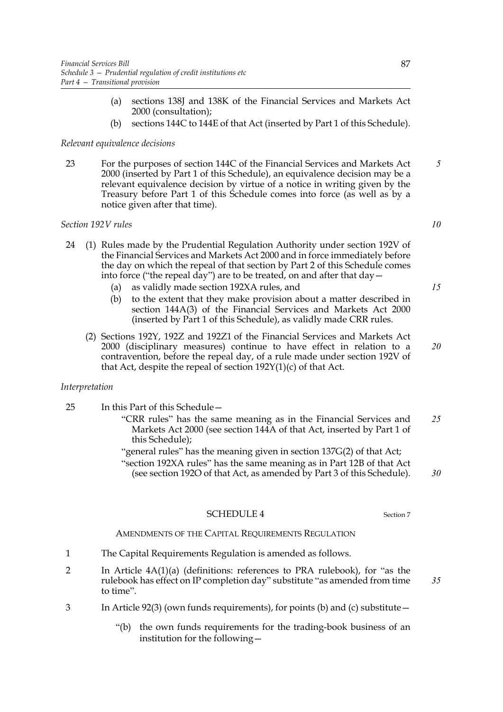- (a) sections 138J and 138K of the Financial Services and Markets Act 2000 (consultation);
- (b) sections 144C to 144E of that Act (inserted by Part 1 of this Schedule).

# *Relevant equivalence decisions*

23 For the purposes of section 144C of the Financial Services and Markets Act 2000 (inserted by Part 1 of this Schedule), an equivalence decision may be a relevant equivalence decision by virtue of a notice in writing given by the Treasury before Part 1 of this Schedule comes into force (as well as by a notice given after that time). *5*

## *Section 192V rules*

- 24 (1) Rules made by the Prudential Regulation Authority under section 192V of the Financial Services and Markets Act 2000 and in force immediately before the day on which the repeal of that section by Part 2 of this Schedule comes into force ("the repeal day") are to be treated, on and after that day—
	- (a) as validly made section 192XA rules, and
	- (b) to the extent that they make provision about a matter described in section 144A(3) of the Financial Services and Markets Act 2000 (inserted by Part 1 of this Schedule), as validly made CRR rules.
	- (2) Sections 192Y, 192Z and 192Z1 of the Financial Services and Markets Act 2000 (disciplinary measures) continue to have effect in relation to a contravention, before the repeal day, of a rule made under section 192V of that Act, despite the repeal of section  $192Y(1)(c)$  of that Act.

## *Interpretation*

- 25 In this Part of this Schedule—
	- "CRR rules" has the same meaning as in the Financial Services and Markets Act 2000 (see section 144A of that Act, inserted by Part 1 of this Schedule); *25*
		- "general rules" has the meaning given in section 137G(2) of that Act; "section 192XA rules" has the same meaning as in Part 12B of that Act (see section 192O of that Act, as amended by Part 3 of this Schedule).

# SCHEDULE 4 Section 7

# AMENDMENTS OF THE CAPITAL REQUIREMENTS REGULATION

- 1 The Capital Requirements Regulation is amended as follows.
- 2 In Article 4A(1)(a) (definitions: references to PRA rulebook), for "as the rulebook has effect on IP completion day" substitute "as amended from time to time".
- 3 In Article 92(3) (own funds requirements), for points (b) and (c) substitute—
	- "(b) the own funds requirements for the trading-book business of an institution for the following—

*10*

*20*

*15*

*30*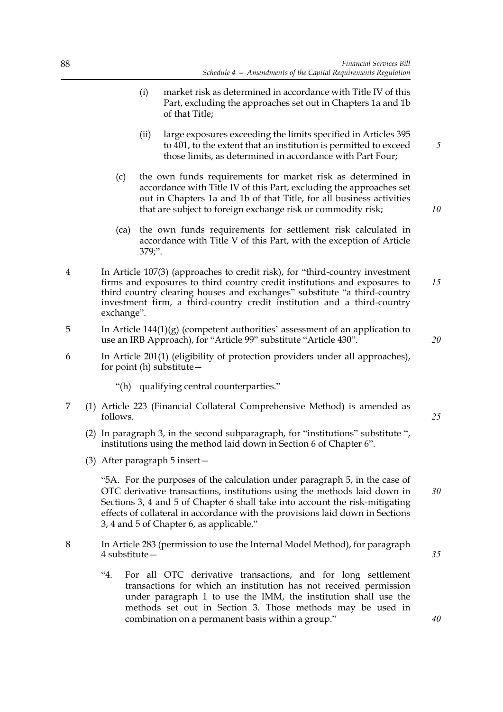- (i) market risk as determined in accordance with Title IV of this Part, excluding the approaches set out in Chapters 1a and 1b of that Title;
- (ii) large exposures exceeding the limits specified in Articles 395 to 401, to the extent that an institution is permitted to exceed those limits, as determined in accordance with Part Four;
- (c) the own funds requirements for market risk as determined in accordance with Title IV of this Part, excluding the approaches set out in Chapters 1a and 1b of that Title, for all business activities that are subject to foreign exchange risk or commodity risk;
- (ca) the own funds requirements for settlement risk calculated in accordance with Title V of this Part, with the exception of Article 379;".
- 4 In Article 107(3) (approaches to credit risk), for "third-country investment firms and exposures to third country credit institutions and exposures to third country clearing houses and exchanges" substitute "a third-country investment firm, a third-country credit institution and a third-country exchange". *15*
- 5 In Article 144(1)(g) (competent authorities' assessment of an application to use an IRB Approach), for "Article 99" substitute "Article 430".
- 6 In Article 201(1) (eligibility of protection providers under all approaches), for point (h) substitute—
	- "(h) qualifying central counterparties."
- 7 (1) Article 223 (Financial Collateral Comprehensive Method) is amended as follows.
	- (2) In paragraph 3, in the second subparagraph, for "institutions" substitute ", institutions using the method laid down in Section 6 of Chapter 6".
	- (3) After paragraph 5 insert—

"5A. For the purposes of the calculation under paragraph 5, in the case of OTC derivative transactions, institutions using the methods laid down in Sections 3, 4 and 5 of Chapter 6 shall take into account the risk-mitigating effects of collateral in accordance with the provisions laid down in Sections 3, 4 and 5 of Chapter 6, as applicable."

- 8 In Article 283 (permission to use the Internal Model Method), for paragraph 4 substitute—
	- "4. For all OTC derivative transactions, and for long settlement transactions for which an institution has not received permission under paragraph 1 to use the IMM, the institution shall use the methods set out in Section 3. Those methods may be used in combination on a permanent basis within a group."

*35*

*40*

*5*

*10*

*20*

*25*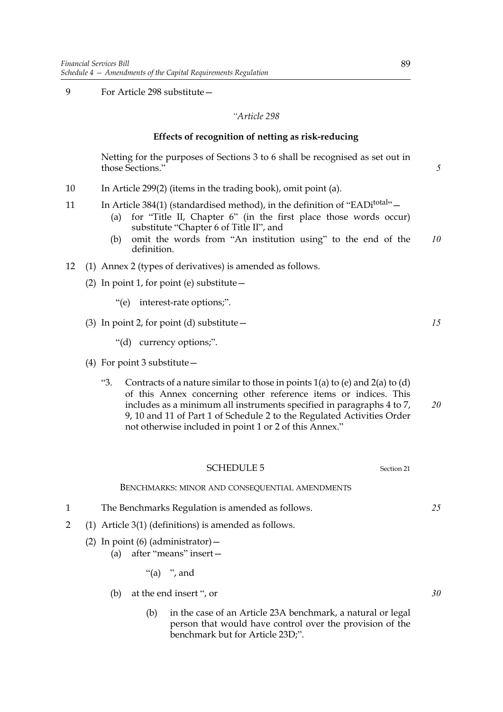9 For Article 298 substitute—

## *"Article 298*

## **Effects of recognition of netting as risk-reducing**

Netting for the purposes of Sections 3 to 6 shall be recognised as set out in those Sections."

- 10 In Article 299(2) (items in the trading book), omit point (a).
- 11 In Article 384(1) (standardised method), in the definition of "EADi<sup>total</sup>" $-$ 
	- (a) for "Title II, Chapter 6" (in the first place those words occur) substitute "Chapter 6 of Title II", and
	- (b) omit the words from "An institution using" to the end of the definition. *10*
- 12 (1) Annex 2 (types of derivatives) is amended as follows.
	- (2) In point 1, for point (e) substitute  $-$ 
		- "(e) interest-rate options;".

# (3) In point 2, for point (d) substitute  $-$

"(d) currency options;".

- (4) For point 3 substitute—
	- "3. Contracts of a nature similar to those in points  $1(a)$  to  $(e)$  and  $2(a)$  to  $(d)$ of this Annex concerning other reference items or indices. This includes as a minimum all instruments specified in paragraphs 4 to 7, 9, 10 and 11 of Part 1 of Schedule 2 to the Regulated Activities Order not otherwise included in point 1 or 2 of this Annex." *20*
		- SCHEDULE 5 Section 21

### BENCHMARKS: MINOR AND CONSEQUENTIAL AMENDMENTS

- 1 The Benchmarks Regulation is amended as follows.
- 2 (1) Article 3(1) (definitions) is amended as follows.
	- (2) In point (6) (administrator)  $-$ 
		- (a) after "means" insert—
			- "(a) ", and
		- (b) at the end insert ", or
			- (b) in the case of an Article 23A benchmark, a natural or legal person that would have control over the provision of the benchmark but for Article 23D;".

*25*

*30*

*15*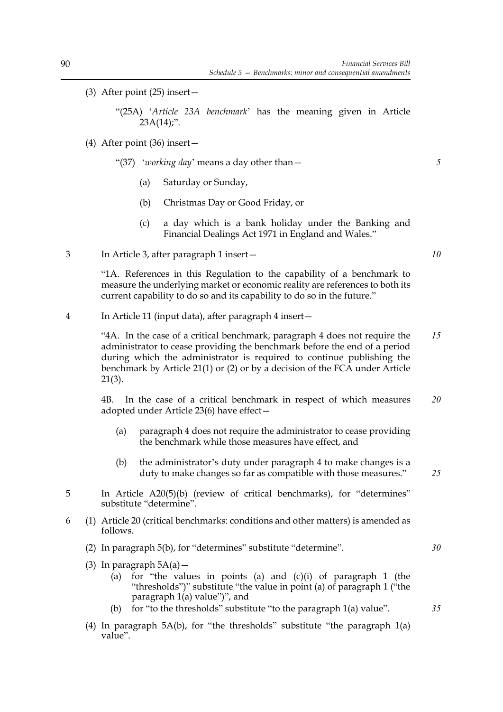- (3) After point (25) insert—
	- "(25A) '*Article 23A benchmark*' has the meaning given in Article  $23A(14)$ ;".
- (4) After point (36) insert—
	- "(37) '*working day*' means a day other than—
		- (a) Saturday or Sunday,
		- (b) Christmas Day or Good Friday, or
		- (c) a day which is a bank holiday under the Banking and Financial Dealings Act 1971 in England and Wales."
- 3 In Article 3, after paragraph 1 insert—

"1A. References in this Regulation to the capability of a benchmark to measure the underlying market or economic reality are references to both its current capability to do so and its capability to do so in the future."

4 In Article 11 (input data), after paragraph 4 insert—

"4A. In the case of a critical benchmark, paragraph 4 does not require the administrator to cease providing the benchmark before the end of a period during which the administrator is required to continue publishing the benchmark by Article 21(1) or (2) or by a decision of the FCA under Article 21(3). *15*

4B. In the case of a critical benchmark in respect of which measures adopted under Article 23(6) have effect— *20*

- (a) paragraph 4 does not require the administrator to cease providing the benchmark while those measures have effect, and
- (b) the administrator's duty under paragraph 4 to make changes is a duty to make changes so far as compatible with those measures."
- 5 In Article A20(5)(b) (review of critical benchmarks), for "determines" substitute "determine".
- 6 (1) Article 20 (critical benchmarks: conditions and other matters) is amended as follows.
	- (2) In paragraph 5(b), for "determines" substitute "determine".
	- (3) In paragraph  $5A(a)$  -
		- (a) for "the values in points (a) and  $(c)(i)$  of paragraph 1 (the "thresholds")" substitute "the value in point (a) of paragraph 1 ("the paragraph  $1(a)$  value")", and
		- (b) for "to the thresholds" substitute "to the paragraph 1(a) value".
	- (4) In paragraph 5A(b), for "the thresholds" substitute "the paragraph 1(a) value".

*10*

*5*

*35*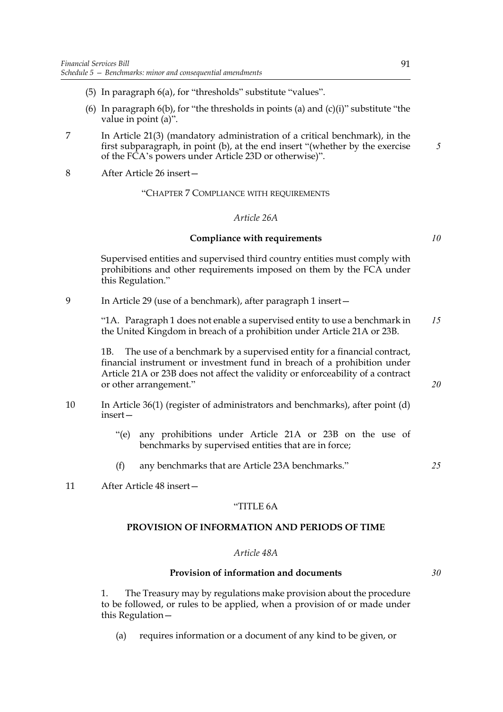- (5) In paragraph 6(a), for "thresholds" substitute "values".
- (6) In paragraph  $6(b)$ , for "the thresholds in points (a) and (c)(i)" substitute "the value in point (a)".
- 7 In Article 21(3) (mandatory administration of a critical benchmark), in the first subparagraph, in point (b), at the end insert "(whether by the exercise of the FCA's powers under Article 23D or otherwise)".
- 8 After Article 26 insert—

### "CHAPTER 7 COMPLIANCE WITH REQUIREMENTS

#### *Article 26A*

### **Compliance with requirements**

Supervised entities and supervised third country entities must comply with prohibitions and other requirements imposed on them by the FCA under this Regulation."

9 In Article 29 (use of a benchmark), after paragraph 1 insert—

"1A. Paragraph 1 does not enable a supervised entity to use a benchmark in the United Kingdom in breach of a prohibition under Article 21A or 23B. *15*

1B. The use of a benchmark by a supervised entity for a financial contract, financial instrument or investment fund in breach of a prohibition under Article 21A or 23B does not affect the validity or enforceability of a contract or other arrangement."

- 10 In Article 36(1) (register of administrators and benchmarks), after point (d) insert—
	- "(e) any prohibitions under Article 21A or 23B on the use of benchmarks by supervised entities that are in force;
	- (f) any benchmarks that are Article 23A benchmarks."
- 11 After Article 48 insert—

## "TITLE 6A

## **PROVISION OF INFORMATION AND PERIODS OF TIME**

#### *Article 48A*

## **Provision of information and documents**

*30*

1. The Treasury may by regulations make provision about the procedure to be followed, or rules to be applied, when a provision of or made under this Regulation—

(a) requires information or a document of any kind to be given, or

*5*

*10*

*20*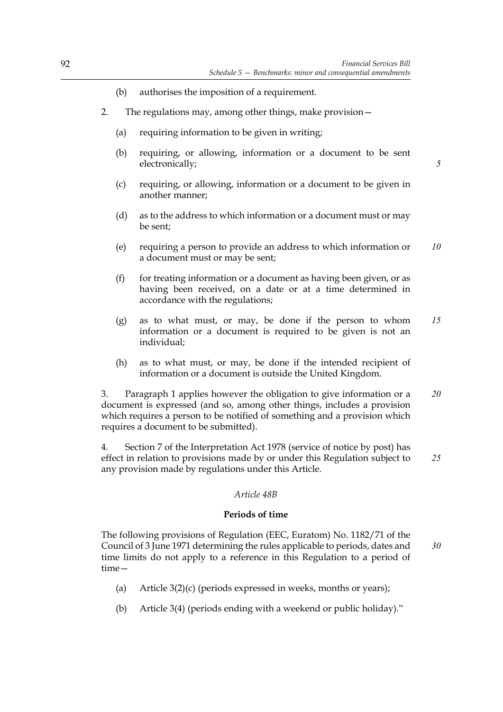- (b) authorises the imposition of a requirement.
- 2. The regulations may, among other things, make provision—
	- (a) requiring information to be given in writing;
	- (b) requiring, or allowing, information or a document to be sent electronically;

*5*

- (c) requiring, or allowing, information or a document to be given in another manner;
- (d) as to the address to which information or a document must or may be sent;
- (e) requiring a person to provide an address to which information or a document must or may be sent; *10*
- $(f)$  for treating information or a document as having been given, or as having been received, on a date or at a time determined in accordance with the regulations;
- (g) as to what must, or may, be done if the person to whom information or a document is required to be given is not an individual; *15*
- (h) as to what must, or may, be done if the intended recipient of information or a document is outside the United Kingdom.

3. Paragraph 1 applies however the obligation to give information or a document is expressed (and so, among other things, includes a provision which requires a person to be notified of something and a provision which requires a document to be submitted). *20*

4. Section 7 of the Interpretation Act 1978 (service of notice by post) has effect in relation to provisions made by or under this Regulation subject to any provision made by regulations under this Article. *25*

# *Article 48B*

## **Periods of time**

The following provisions of Regulation (EEC, Euratom) No. 1182/71 of the Council of 3 June 1971 determining the rules applicable to periods, dates and time limits do not apply to a reference in this Regulation to a period of time— *30*

- (a) Article  $3(2)(c)$  (periods expressed in weeks, months or years);
- (b) Article 3(4) (periods ending with a weekend or public holiday)."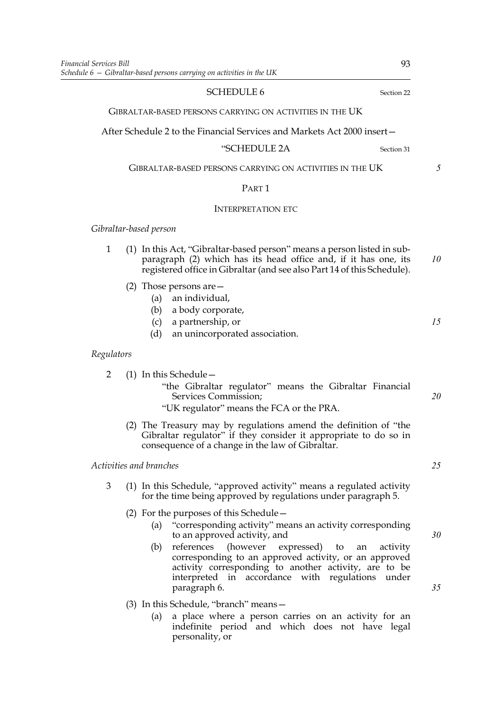### SCHEDULE 6 Section 22

GIBRALTAR-BASED PERSONS CARRYING ON ACTIVITIES IN THE UK

After Schedule 2 to the Financial Services and Markets Act 2000 insert—

### "SCHEDULE 2A Section 31

GIBRALTAR-BASED PERSONS CARRYING ON ACTIVITIES IN THE UK

## PART 1

## INTERPRETATION ETC

*Gibraltar-based person*

- 1 (1) In this Act, "Gibraltar-based person" means a person listed in subparagraph (2) which has its head office and, if it has one, its registered office in Gibraltar (and see also Part 14 of this Schedule). *10*
	- (2) Those persons are—
		- (a) an individual,
		- (b) a body corporate,
		- (c) a partnership, or
		- (d) an unincorporated association.

## *Regulators*

- 2 (1) In this Schedule—
	- "the Gibraltar regulator" means the Gibraltar Financial Services Commission;
	- "UK regulator" means the FCA or the PRA.
	- (2) The Treasury may by regulations amend the definition of "the Gibraltar regulator" if they consider it appropriate to do so in consequence of a change in the law of Gibraltar.

### *Activities and branches*

- 3 (1) In this Schedule, "approved activity" means a regulated activity for the time being approved by regulations under paragraph 5.
	- (2) For the purposes of this Schedule—
		- (a) "corresponding activity" means an activity corresponding to an approved activity, and
		- (b) references (however expressed) to an activity corresponding to an approved activity, or an approved activity corresponding to another activity, are to be interpreted in accordance with regulations under paragraph 6.
	- (3) In this Schedule, "branch" means—
		- (a) a place where a person carries on an activity for an indefinite period and which does not have legal personality, or

*5*

*15*

*30*

*35*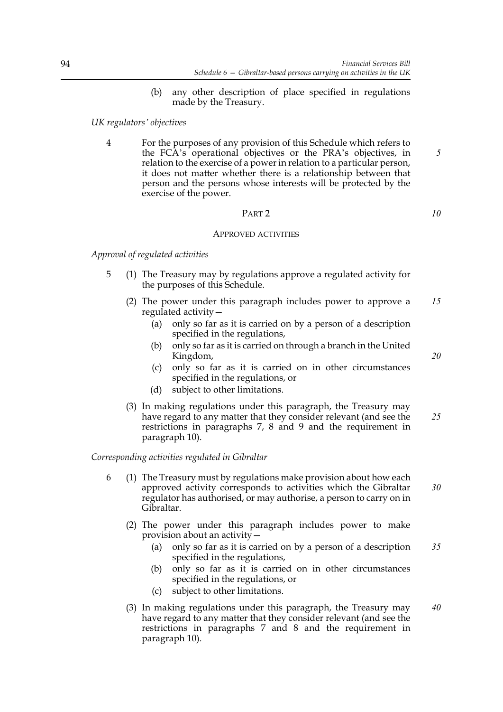(b) any other description of place specified in regulations made by the Treasury.

## *UK regulators' objectives*

4 For the purposes of any provision of this Schedule which refers to the FCA's operational objectives or the PRA's objectives, in relation to the exercise of a power in relation to a particular person, it does not matter whether there is a relationship between that person and the persons whose interests will be protected by the exercise of the power.

# PART 2

### APPROVED ACTIVITIES

*Approval of regulated activities*

- 5 (1) The Treasury may by regulations approve a regulated activity for the purposes of this Schedule.
	- (2) The power under this paragraph includes power to approve a regulated activity— *15*
		- (a) only so far as it is carried on by a person of a description specified in the regulations,
		- (b) only so far as it is carried on through a branch in the United Kingdom,
		- (c) only so far as it is carried on in other circumstances specified in the regulations, or
		- (d) subject to other limitations.
	- (3) In making regulations under this paragraph, the Treasury may have regard to any matter that they consider relevant (and see the restrictions in paragraphs 7, 8 and 9 and the requirement in paragraph 10). *25*

### *Corresponding activities regulated in Gibraltar*

- 6 (1) The Treasury must by regulations make provision about how each approved activity corresponds to activities which the Gibraltar regulator has authorised, or may authorise, a person to carry on in Gibraltar. *30*
	- (2) The power under this paragraph includes power to make provision about an activity—
		- (a) only so far as it is carried on by a person of a description specified in the regulations, *35*
		- (b) only so far as it is carried on in other circumstances specified in the regulations, or
		- (c) subject to other limitations.
	- (3) In making regulations under this paragraph, the Treasury may have regard to any matter that they consider relevant (and see the restrictions in paragraphs 7 and 8 and the requirement in paragraph 10). *40*

*10*

*5*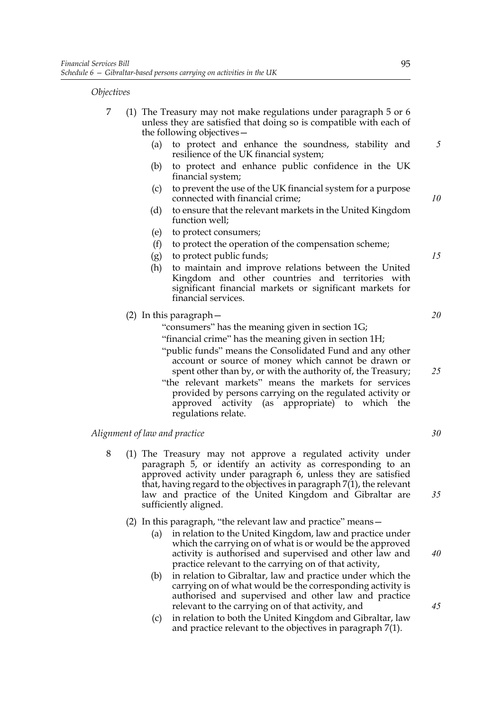*Objectives*

- 7 (1) The Treasury may not make regulations under paragraph 5 or 6 unless they are satisfied that doing so is compatible with each of the following objectives—
	- (a) to protect and enhance the soundness, stability and resilience of the UK financial system;
	- (b) to protect and enhance public confidence in the UK financial system;
	- (c) to prevent the use of the UK financial system for a purpose connected with financial crime;
	- (d) to ensure that the relevant markets in the United Kingdom function well;
	- (e) to protect consumers;
	- (f) to protect the operation of the compensation scheme;
	- (g) to protect public funds;
	- (h) to maintain and improve relations between the United Kingdom and other countries and territories with significant financial markets or significant markets for financial services.
	- (2) In this paragraph—
		- "consumers" has the meaning given in section 1G;
		- "financial crime" has the meaning given in section 1H;
		- "public funds" means the Consolidated Fund and any other account or source of money which cannot be drawn or spent other than by, or with the authority of, the Treasury;
		- "the relevant markets" means the markets for services provided by persons carrying on the regulated activity or approved activity (as appropriate) to which the regulations relate.

*Alignment of law and practice*

- 8 (1) The Treasury may not approve a regulated activity under paragraph 5, or identify an activity as corresponding to an approved activity under paragraph 6, unless they are satisfied that, having regard to the objectives in paragraph 7(1), the relevant law and practice of the United Kingdom and Gibraltar are sufficiently aligned.
	- (2) In this paragraph, "the relevant law and practice" means—
		- (a) in relation to the United Kingdom, law and practice under which the carrying on of what is or would be the approved activity is authorised and supervised and other law and practice relevant to the carrying on of that activity,
		- (b) in relation to Gibraltar, law and practice under which the carrying on of what would be the corresponding activity is authorised and supervised and other law and practice relevant to the carrying on of that activity, and
		- (c) in relation to both the United Kingdom and Gibraltar, law and practice relevant to the objectives in paragraph 7(1).

*5*

*10*

*15*

*20*

*25*

*30*

*35*

*40*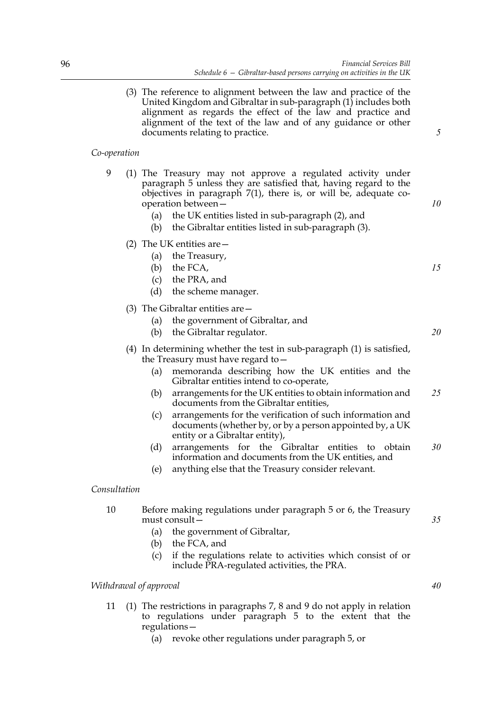(3) The reference to alignment between the law and practice of the United Kingdom and Gibraltar in sub-paragraph (1) includes both alignment as regards the effect of the law and practice and alignment of the text of the law and of any guidance or other documents relating to practice.

### *Co-operation*

- 9 (1) The Treasury may not approve a regulated activity under paragraph 5 unless they are satisfied that, having regard to the objectives in paragraph 7(1), there is, or will be, adequate cooperation between—
	- (a) the UK entities listed in sub-paragraph (2), and
	- (b) the Gibraltar entities listed in sub-paragraph (3).
	- (2) The UK entities are—
		- (a) the Treasury,
		- (b) the FCA,
		- (c) the PRA, and
		- (d) the scheme manager.
	- (3) The Gibraltar entities are—
		- (a) the government of Gibraltar, and
		- (b) the Gibraltar regulator.
	- (4) In determining whether the test in sub-paragraph (1) is satisfied, the Treasury must have regard to—
		- (a) memoranda describing how the UK entities and the Gibraltar entities intend to co-operate,
		- (b) arrangements for the UK entities to obtain information and documents from the Gibraltar entities, *25*
		- (c) arrangements for the verification of such information and documents (whether by, or by a person appointed by, a UK entity or a Gibraltar entity),
		- (d) arrangements for the Gibraltar entities to obtain information and documents from the UK entities, and *30*
		- (e) anything else that the Treasury consider relevant.

### *Consultation*

- 10 Before making regulations under paragraph 5 or 6, the Treasury must consult—
	- (a) the government of Gibraltar,
	- (b) the FCA, and
	- (c) if the regulations relate to activities which consist of or include PRA-regulated activities, the PRA.

## *Withdrawal of approval*

- 11 (1) The restrictions in paragraphs 7, 8 and 9 do not apply in relation to regulations under paragraph 5 to the extent that the regulations—
	- (a) revoke other regulations under paragraph 5, or

*10*

*5*

*15*

*20*

*35*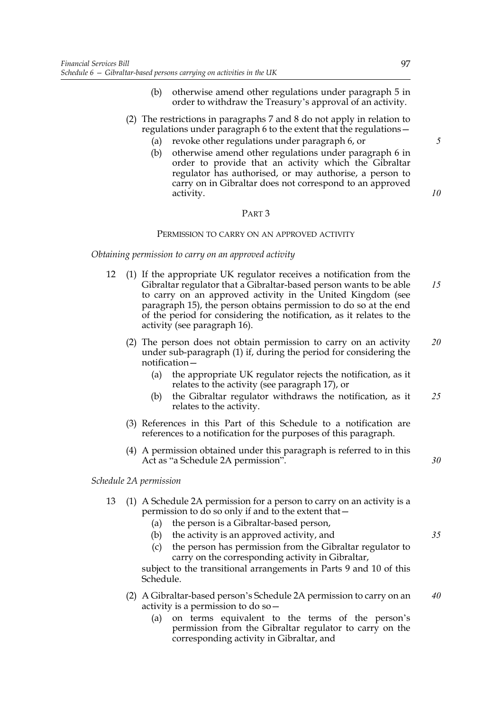- (b) otherwise amend other regulations under paragraph 5 in order to withdraw the Treasury's approval of an activity.
- (2) The restrictions in paragraphs 7 and 8 do not apply in relation to regulations under paragraph 6 to the extent that the regulations—
	- (a) revoke other regulations under paragraph 6, or
	- (b) otherwise amend other regulations under paragraph 6 in order to provide that an activity which the Gibraltar regulator has authorised, or may authorise, a person to carry on in Gibraltar does not correspond to an approved activity.

## PART 3

#### PERMISSION TO CARRY ON AN APPROVED ACTIVITY

*Obtaining permission to carry on an approved activity*

- 12 (1) If the appropriate UK regulator receives a notification from the Gibraltar regulator that a Gibraltar-based person wants to be able to carry on an approved activity in the United Kingdom (see paragraph 15), the person obtains permission to do so at the end of the period for considering the notification, as it relates to the activity (see paragraph 16). *15*
	- (2) The person does not obtain permission to carry on an activity under sub-paragraph (1) if, during the period for considering the notification— *20*
		- (a) the appropriate UK regulator rejects the notification, as it relates to the activity (see paragraph 17), or
		- (b) the Gibraltar regulator withdraws the notification, as it relates to the activity. *25*
	- (3) References in this Part of this Schedule to a notification are references to a notification for the purposes of this paragraph.
	- (4) A permission obtained under this paragraph is referred to in this Act as "a Schedule 2A permission".

*Schedule 2A permission*

- 13 (1) A Schedule 2A permission for a person to carry on an activity is a permission to do so only if and to the extent that—
	- (a) the person is a Gibraltar-based person,
	- (b) the activity is an approved activity, and
	- (c) the person has permission from the Gibraltar regulator to carry on the corresponding activity in Gibraltar,

subject to the transitional arrangements in Parts 9 and 10 of this Schedule.

- (2) A Gibraltar-based person's Schedule 2A permission to carry on an activity is a permission to do so—
	- (a) on terms equivalent to the terms of the person's permission from the Gibraltar regulator to carry on the corresponding activity in Gibraltar, and

*5*

*10*

*35*

*40*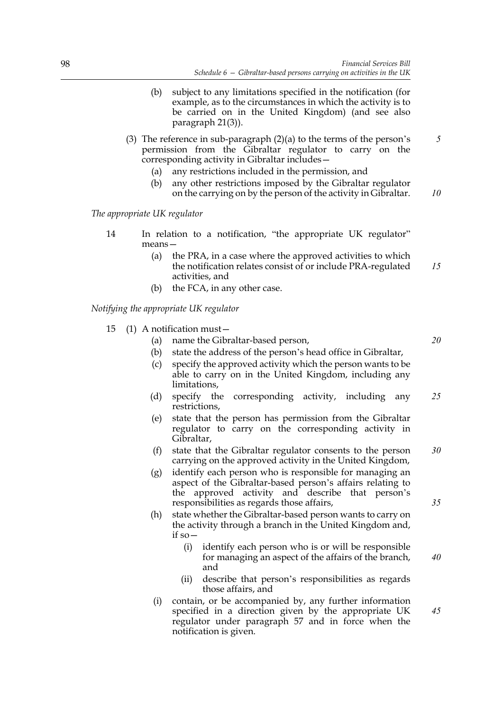- (b) subject to any limitations specified in the notification (for example, as to the circumstances in which the activity is to be carried on in the United Kingdom) (and see also paragraph 21(3)).
- (3) The reference in sub-paragraph (2)(a) to the terms of the person's permission from the Gibraltar regulator to carry on the corresponding activity in Gibraltar includes—
	- (a) any restrictions included in the permission, and
	- (b) any other restrictions imposed by the Gibraltar regulator on the carrying on by the person of the activity in Gibraltar. *10*

*The appropriate UK regulator*

- 14 In relation to a notification, "the appropriate UK regulator" means—
	- (a) the PRA, in a case where the approved activities to which the notification relates consist of or include PRA-regulated activities, and *15*
	- (b) the FCA, in any other case.

*Notifying the appropriate UK regulator*

- 15 (1) A notification must—
	- (a) name the Gibraltar-based person,

*20*

*5*

- (b) state the address of the person's head office in Gibraltar,
- (c) specify the approved activity which the person wants to be able to carry on in the United Kingdom, including any limitations,
- (d) specify the corresponding activity, including any restrictions, *25*
- (e) state that the person has permission from the Gibraltar regulator to carry on the corresponding activity in Gibraltar,
- (f) state that the Gibraltar regulator consents to the person carrying on the approved activity in the United Kingdom, *30*
- (g) identify each person who is responsible for managing an aspect of the Gibraltar-based person's affairs relating to the approved activity and describe that person's responsibilities as regards those affairs,
- (h) state whether the Gibraltar-based person wants to carry on the activity through a branch in the United Kingdom and, if so—
	- (i) identify each person who is or will be responsible for managing an aspect of the affairs of the branch, and *40*
	- (ii) describe that person's responsibilities as regards those affairs, and
- (i) contain, or be accompanied by, any further information specified in a direction given by the appropriate UK regulator under paragraph 57 and in force when the notification is given.

*45*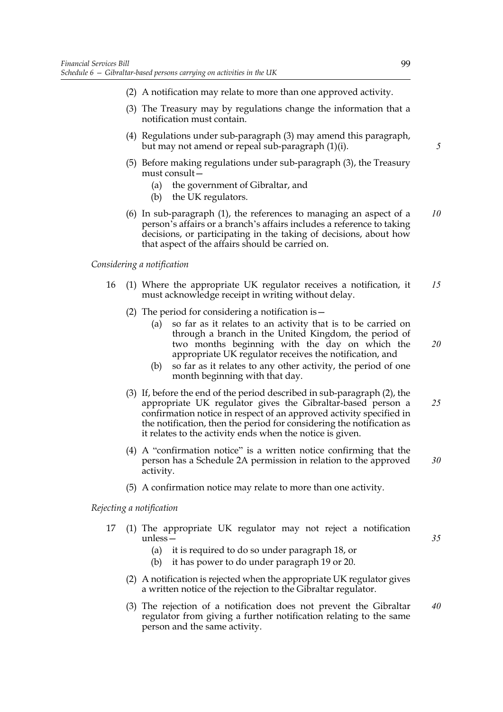- (2) A notification may relate to more than one approved activity.
- (3) The Treasury may by regulations change the information that a notification must contain.
- (4) Regulations under sub-paragraph (3) may amend this paragraph, but may not amend or repeal sub-paragraph (1)(i).
- (5) Before making regulations under sub-paragraph (3), the Treasury must consult—
	- (a) the government of Gibraltar, and
	- (b) the UK regulators.
- (6) In sub-paragraph (1), the references to managing an aspect of a person's affairs or a branch's affairs includes a reference to taking decisions, or participating in the taking of decisions, about how that aspect of the affairs should be carried on. *10*

## *Considering a notification*

- 16 (1) Where the appropriate UK regulator receives a notification, it must acknowledge receipt in writing without delay. *15*
	- (2) The period for considering a notification is—
		- (a) so far as it relates to an activity that is to be carried on through a branch in the United Kingdom, the period of two months beginning with the day on which the appropriate UK regulator receives the notification, and
		- (b) so far as it relates to any other activity, the period of one month beginning with that day.
	- (3) If, before the end of the period described in sub-paragraph (2), the appropriate UK regulator gives the Gibraltar-based person a confirmation notice in respect of an approved activity specified in the notification, then the period for considering the notification as it relates to the activity ends when the notice is given. *25*
	- (4) A "confirmation notice" is a written notice confirming that the person has a Schedule 2A permission in relation to the approved activity. *30*
	- (5) A confirmation notice may relate to more than one activity.

### *Rejecting a notification*

- 17 (1) The appropriate UK regulator may not reject a notification unless—
	- (a) it is required to do so under paragraph 18, or
	- (b) it has power to do under paragraph 19 or 20.
	- (2) A notification is rejected when the appropriate UK regulator gives a written notice of the rejection to the Gibraltar regulator.
	- (3) The rejection of a notification does not prevent the Gibraltar regulator from giving a further notification relating to the same person and the same activity. *40*

*5*

*20*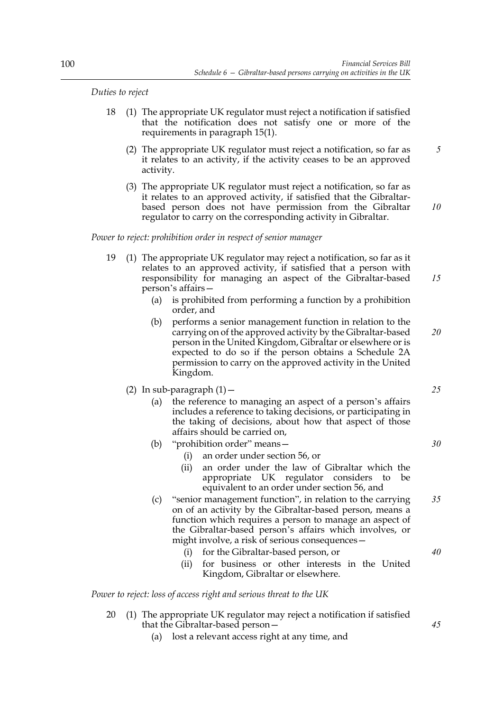*Duties to reject*

- 18 (1) The appropriate UK regulator must reject a notification if satisfied that the notification does not satisfy one or more of the requirements in paragraph 15(1).
	- (2) The appropriate UK regulator must reject a notification, so far as it relates to an activity, if the activity ceases to be an approved activity.
	- (3) The appropriate UK regulator must reject a notification, so far as it relates to an approved activity, if satisfied that the Gibraltarbased person does not have permission from the Gibraltar regulator to carry on the corresponding activity in Gibraltar.

*Power to reject: prohibition order in respect of senior manager*

- 19 (1) The appropriate UK regulator may reject a notification, so far as it relates to an approved activity, if satisfied that a person with responsibility for managing an aspect of the Gibraltar-based person's affairs—
	- (a) is prohibited from performing a function by a prohibition order, and
	- (b) performs a senior management function in relation to the carrying on of the approved activity by the Gibraltar-based person in the United Kingdom, Gibraltar or elsewhere or is expected to do so if the person obtains a Schedule 2A permission to carry on the approved activity in the United Kingdom. *20*

(2) In sub-paragraph  $(1)$  -

- (a) the reference to managing an aspect of a person's affairs includes a reference to taking decisions, or participating in the taking of decisions, about how that aspect of those affairs should be carried on,
- (b) "prohibition order" means—
	- (i) an order under section 56, or
	- (ii) an order under the law of Gibraltar which the appropriate UK regulator considers to be equivalent to an order under section 56, and
- (c) "senior management function", in relation to the carrying on of an activity by the Gibraltar-based person, means a function which requires a person to manage an aspect of the Gibraltar-based person's affairs which involves, or might involve, a risk of serious consequences— *35*
	- (i) for the Gibraltar-based person, or
	- (ii) for business or other interests in the United Kingdom, Gibraltar or elsewhere.

*Power to reject: loss of access right and serious threat to the UK*

- 20 (1) The appropriate UK regulator may reject a notification if satisfied that the Gibraltar-based person—
	- (a) lost a relevant access right at any time, and

*25*

*5*

*10*

*15*

*30*

*40*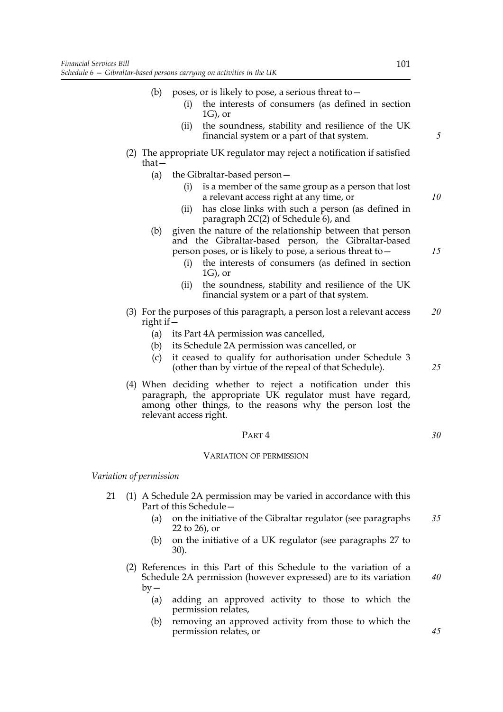- (b) poses, or is likely to pose, a serious threat to  $-$ 
	- (i) the interests of consumers (as defined in section 1G), or
	- (ii) the soundness, stability and resilience of the UK financial system or a part of that system.
- (2) The appropriate UK regulator may reject a notification if satisfied that—
	- (a) the Gibraltar-based person—
		- (i) is a member of the same group as a person that lost a relevant access right at any time, or
		- (ii) has close links with such a person (as defined in paragraph  $2C(2)$  of Schedule 6), and
	- (b) given the nature of the relationship between that person and the Gibraltar-based person, the Gibraltar-based person poses, or is likely to pose, a serious threat to—
		- (i) the interests of consumers (as defined in section 1G), or
		- (ii) the soundness, stability and resilience of the UK financial system or a part of that system.
- (3) For the purposes of this paragraph, a person lost a relevant access right if— *20*
	- (a) its Part 4A permission was cancelled,
	- (b) its Schedule 2A permission was cancelled, or
	- (c) it ceased to qualify for authorisation under Schedule 3 (other than by virtue of the repeal of that Schedule).
- (4) When deciding whether to reject a notification under this paragraph, the appropriate UK regulator must have regard, among other things, to the reasons why the person lost the relevant access right.

### PART 4

#### VARIATION OF PERMISSION

*Variation of permission*

- 21 (1) A Schedule 2A permission may be varied in accordance with this Part of this Schedule—
	- (a) on the initiative of the Gibraltar regulator (see paragraphs 22 to 26), or *35*
	- (b) on the initiative of a UK regulator (see paragraphs 27 to 30).
	- (2) References in this Part of this Schedule to the variation of a Schedule 2A permission (however expressed) are to its variation  $bv -$ *40*
		- (a) adding an approved activity to those to which the permission relates,
		- (b) removing an approved activity from those to which the permission relates, or

*10*

*15*

*25*

*30*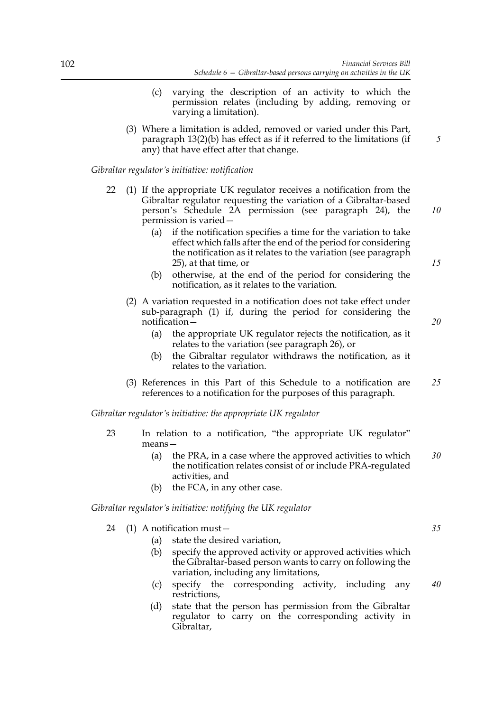- (c) varying the description of an activity to which the permission relates (including by adding, removing or varying a limitation).
- (3) Where a limitation is added, removed or varied under this Part, paragraph 13(2)(b) has effect as if it referred to the limitations (if any) that have effect after that change.

*Gibraltar regulator's initiative: notification*

- 22 (1) If the appropriate UK regulator receives a notification from the Gibraltar regulator requesting the variation of a Gibraltar-based person's Schedule 2A permission (see paragraph 24), the permission is varied—
	- (a) if the notification specifies a time for the variation to take effect which falls after the end of the period for considering the notification as it relates to the variation (see paragraph 25), at that time, or
	- (b) otherwise, at the end of the period for considering the notification, as it relates to the variation.
	- (2) A variation requested in a notification does not take effect under sub-paragraph (1) if, during the period for considering the notification—
		- (a) the appropriate UK regulator rejects the notification, as it relates to the variation (see paragraph 26), or
		- (b) the Gibraltar regulator withdraws the notification, as it relates to the variation.
	- (3) References in this Part of this Schedule to a notification are references to a notification for the purposes of this paragraph. *25*

*Gibraltar regulator's initiative: the appropriate UK regulator*

- 23 In relation to a notification, "the appropriate UK regulator" means—
	- (a) the PRA, in a case where the approved activities to which the notification relates consist of or include PRA-regulated activities, and *30*
	- (b) the FCA, in any other case.

*Gibraltar regulator's initiative: notifying the UK regulator*

- 24 (1) A notification must—
	- (a) state the desired variation,
	- (b) specify the approved activity or approved activities which the Gibraltar-based person wants to carry on following the variation, including any limitations,
	- (c) specify the corresponding activity, including any restrictions, *40*
	- (d) state that the person has permission from the Gibraltar regulator to carry on the corresponding activity in Gibraltar,

*15*

*20*

*35*

*10*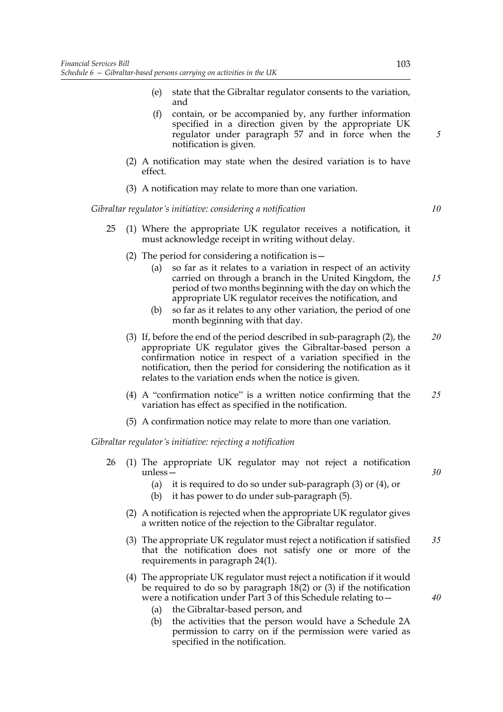- (e) state that the Gibraltar regulator consents to the variation, and
- (f) contain, or be accompanied by, any further information specified in a direction given by the appropriate UK regulator under paragraph 57 and in force when the notification is given.
- (2) A notification may state when the desired variation is to have effect.
- (3) A notification may relate to more than one variation.

*Gibraltar regulator's initiative: considering a notification*

- 25 (1) Where the appropriate UK regulator receives a notification, it must acknowledge receipt in writing without delay.
	- (2) The period for considering a notification is—
		- (a) so far as it relates to a variation in respect of an activity carried on through a branch in the United Kingdom, the period of two months beginning with the day on which the appropriate UK regulator receives the notification, and *15*
		- (b) so far as it relates to any other variation, the period of one month beginning with that day.
	- (3) If, before the end of the period described in sub-paragraph (2), the appropriate UK regulator gives the Gibraltar-based person a confirmation notice in respect of a variation specified in the notification, then the period for considering the notification as it relates to the variation ends when the notice is given. *20*
	- (4) A "confirmation notice" is a written notice confirming that the variation has effect as specified in the notification. *25*
	- (5) A confirmation notice may relate to more than one variation.

*Gibraltar regulator's initiative: rejecting a notification*

- 26 (1) The appropriate UK regulator may not reject a notification unless—
	- (a) it is required to do so under sub-paragraph (3) or (4), or
	- (b) it has power to do under sub-paragraph (5).
	- (2) A notification is rejected when the appropriate UK regulator gives a written notice of the rejection to the Gibraltar regulator.
	- (3) The appropriate UK regulator must reject a notification if satisfied that the notification does not satisfy one or more of the requirements in paragraph 24(1). *35*
	- (4) The appropriate UK regulator must reject a notification if it would be required to do so by paragraph  $18(2)$  or (3) if the notification were a notification under Part 3 of this Schedule relating to -
		- (a) the Gibraltar-based person, and
		- (b) the activities that the person would have a Schedule 2A permission to carry on if the permission were varied as specified in the notification.

*5*

*10*

*30*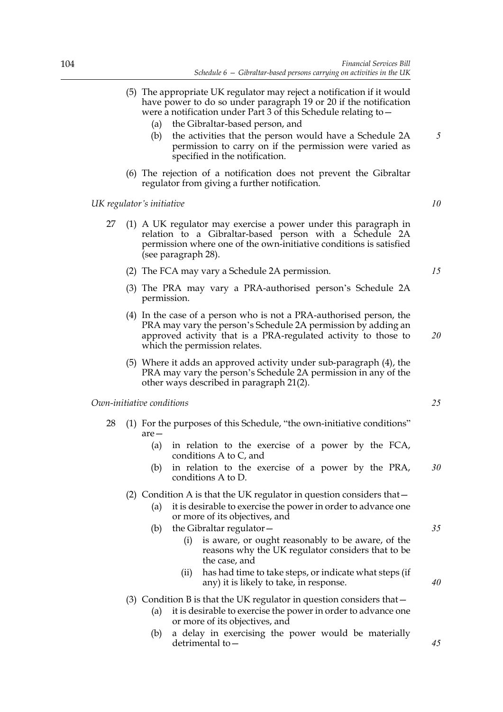- (5) The appropriate UK regulator may reject a notification if it would have power to do so under paragraph 19 or 20 if the notification were a notification under Part 3 of this Schedule relating to—
	- (a) the Gibraltar-based person, and
	- (b) the activities that the person would have a Schedule 2A permission to carry on if the permission were varied as specified in the notification.
- (6) The rejection of a notification does not prevent the Gibraltar regulator from giving a further notification.

### *UK regulator's initiative*

- 27 (1) A UK regulator may exercise a power under this paragraph in relation to a Gibraltar-based person with a Schedule 2A permission where one of the own-initiative conditions is satisfied (see paragraph 28).
	- (2) The FCA may vary a Schedule 2A permission.
	- (3) The PRA may vary a PRA-authorised person's Schedule 2A permission.
	- (4) In the case of a person who is not a PRA-authorised person, the PRA may vary the person's Schedule 2A permission by adding an approved activity that is a PRA-regulated activity to those to which the permission relates.
	- (5) Where it adds an approved activity under sub-paragraph (4), the PRA may vary the person's Schedule 2A permission in any of the other ways described in paragraph 21(2).

*Own-initiative conditions*

- 28 (1) For the purposes of this Schedule, "the own-initiative conditions" are—
	- (a) in relation to the exercise of a power by the FCA, conditions A to C, and
	- (b) in relation to the exercise of a power by the PRA, conditions A to D. *30*

### (2) Condition A is that the UK regulator in question considers that—

- (a) it is desirable to exercise the power in order to advance one or more of its objectives, and
- (b) the Gibraltar regulator—
	- (i) is aware, or ought reasonably to be aware, of the reasons why the UK regulator considers that to be the case, and
	- (ii) has had time to take steps, or indicate what steps (if any) it is likely to take, in response.

# (3) Condition B is that the UK regulator in question considers that—

- (a) it is desirable to exercise the power in order to advance one or more of its objectives, and
- (b) a delay in exercising the power would be materially detrimental to—

*10*

*5*

*20*

*15*

*25*

*35*

*40*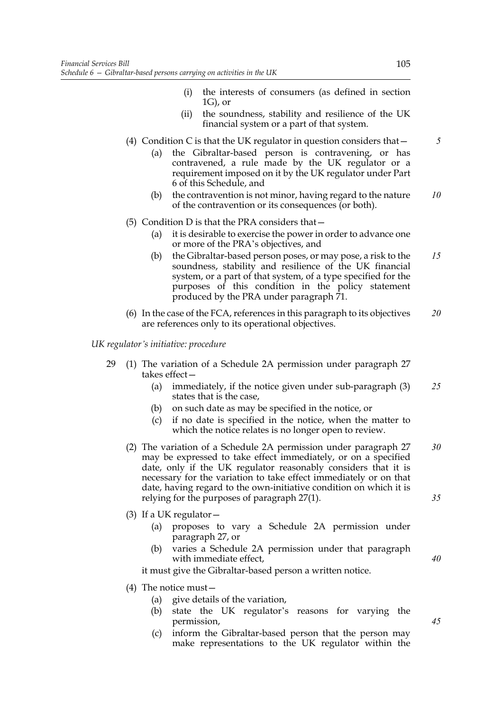- (i) the interests of consumers (as defined in section 1G), or
- (ii) the soundness, stability and resilience of the UK financial system or a part of that system.
- (4) Condition C is that the UK regulator in question considers that—
	- (a) the Gibraltar-based person is contravening, or has contravened, a rule made by the UK regulator or a requirement imposed on it by the UK regulator under Part 6 of this Schedule, and
	- (b) the contravention is not minor, having regard to the nature of the contravention or its consequences (or both). *10*

## (5) Condition D is that the PRA considers that—

- (a) it is desirable to exercise the power in order to advance one or more of the PRA's objectives, and
- (b) the Gibraltar-based person poses, or may pose, a risk to the soundness, stability and resilience of the UK financial system, or a part of that system, of a type specified for the purposes of this condition in the policy statement produced by the PRA under paragraph 71. *15*
- (6) In the case of the FCA, references in this paragraph to its objectives are references only to its operational objectives. *20*

*UK regulator's initiative: procedure*

- 29 (1) The variation of a Schedule 2A permission under paragraph 27 takes effect—
	- (a) immediately, if the notice given under sub-paragraph (3) states that is the case, *25*
	- (b) on such date as may be specified in the notice, or
	- (c) if no date is specified in the notice, when the matter to which the notice relates is no longer open to review.
	- (2) The variation of a Schedule 2A permission under paragraph 27 may be expressed to take effect immediately, or on a specified date, only if the UK regulator reasonably considers that it is necessary for the variation to take effect immediately or on that date, having regard to the own-initiative condition on which it is relying for the purposes of paragraph 27(1). *30 35*
	- (3) If a UK regulator  $-$ 
		- (a) proposes to vary a Schedule 2A permission under paragraph 27, or
		- (b) varies a Schedule 2A permission under that paragraph with immediate effect,

it must give the Gibraltar-based person a written notice.

- (4) The notice must—
	- (a) give details of the variation,
	- (b) state the UK regulator's reasons for varying the permission,
	- (c) inform the Gibraltar-based person that the person may make representations to the UK regulator within the

*5*

*40*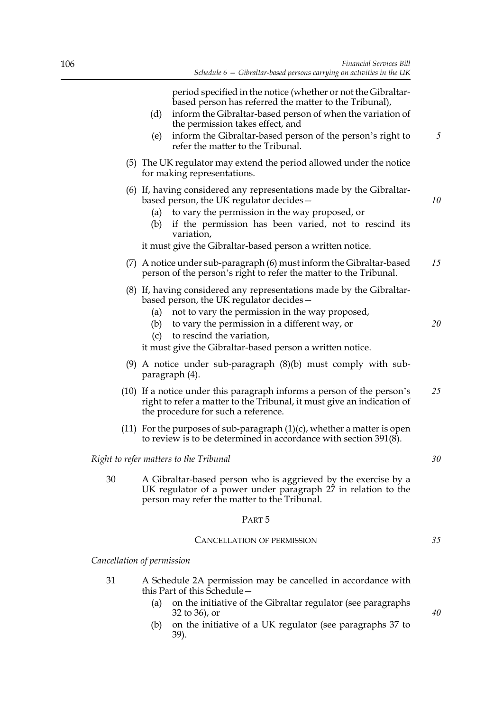period specified in the notice (whether or not the Gibraltarbased person has referred the matter to the Tribunal),

- (d) inform the Gibraltar-based person of when the variation of the permission takes effect, and
- (e) inform the Gibraltar-based person of the person's right to refer the matter to the Tribunal.
- (5) The UK regulator may extend the period allowed under the notice for making representations.
- (6) If, having considered any representations made by the Gibraltarbased person, the UK regulator decides—
	- (a) to vary the permission in the way proposed, or
	- (b) if the permission has been varied, not to rescind its variation,

it must give the Gibraltar-based person a written notice.

- (7) A notice under sub-paragraph (6) must inform the Gibraltar-based person of the person's right to refer the matter to the Tribunal. *15*
- (8) If, having considered any representations made by the Gibraltarbased person, the UK regulator decides—
	- (a) not to vary the permission in the way proposed,
	- (b) to vary the permission in a different way, or *20*
	- (c) to rescind the variation,

it must give the Gibraltar-based person a written notice.

- (9) A notice under sub-paragraph (8)(b) must comply with subparagraph (4).
- (10) If a notice under this paragraph informs a person of the person's right to refer a matter to the Tribunal, it must give an indication of the procedure for such a reference. *25*
- (11) For the purposes of sub-paragraph  $(1)(c)$ , whether a matter is open to review is to be determined in accordance with section 391(8).

# *Right to refer matters to the Tribunal*

30 A Gibraltar-based person who is aggrieved by the exercise by a UK regulator of a power under paragraph 27 in relation to the person may refer the matter to the Tribunal.

### PART 5

#### CANCELLATION OF PERMISSION

*Cancellation of permission*

- 31 A Schedule 2A permission may be cancelled in accordance with this Part of this Schedule—
	- (a) on the initiative of the Gibraltar regulator (see paragraphs 32 to 36), or
	- (b) on the initiative of a UK regulator (see paragraphs 37 to 39).

*40*

*35*

*30*

*5*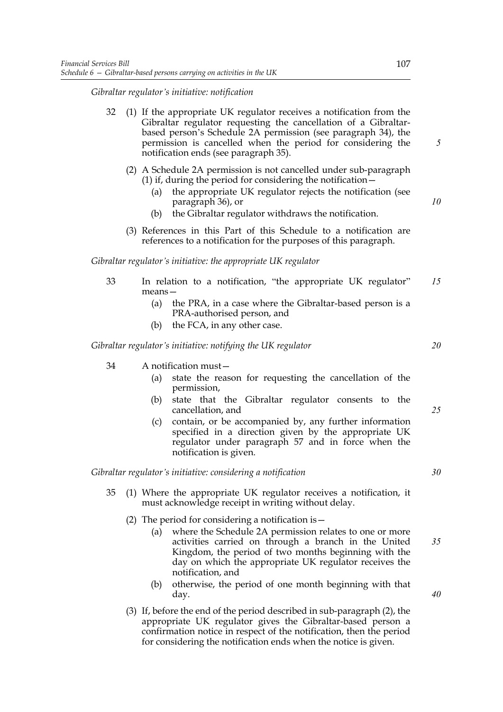*Gibraltar regulator's initiative: notification*

- 32 (1) If the appropriate UK regulator receives a notification from the Gibraltar regulator requesting the cancellation of a Gibraltarbased person's Schedule 2A permission (see paragraph 34), the permission is cancelled when the period for considering the notification ends (see paragraph 35).
	- (2) A Schedule 2A permission is not cancelled under sub-paragraph (1) if, during the period for considering the notification—
		- (a) the appropriate UK regulator rejects the notification (see paragraph 36), or
		- (b) the Gibraltar regulator withdraws the notification.
	- (3) References in this Part of this Schedule to a notification are references to a notification for the purposes of this paragraph.

*Gibraltar regulator's initiative: the appropriate UK regulator*

- 33 In relation to a notification, "the appropriate UK regulator" means— *15*
	- (a) the PRA, in a case where the Gibraltar-based person is a PRA-authorised person, and
	- (b) the FCA, in any other case.

*Gibraltar regulator's initiative: notifying the UK regulator*

- 34 A notification must—
	- (a) state the reason for requesting the cancellation of the permission,
	- (b) state that the Gibraltar regulator consents to the cancellation, and
	- (c) contain, or be accompanied by, any further information specified in a direction given by the appropriate UK regulator under paragraph 57 and in force when the notification is given.

*Gibraltar regulator's initiative: considering a notification*

- 35 (1) Where the appropriate UK regulator receives a notification, it must acknowledge receipt in writing without delay.
	- (2) The period for considering a notification is—
		- (a) where the Schedule 2A permission relates to one or more activities carried on through a branch in the United Kingdom, the period of two months beginning with the day on which the appropriate UK regulator receives the notification, and *35*
		- (b) otherwise, the period of one month beginning with that day.
	- (3) If, before the end of the period described in sub-paragraph (2), the appropriate UK regulator gives the Gibraltar-based person a confirmation notice in respect of the notification, then the period for considering the notification ends when the notice is given.

*5*

*10*

*30*

*25*

*20*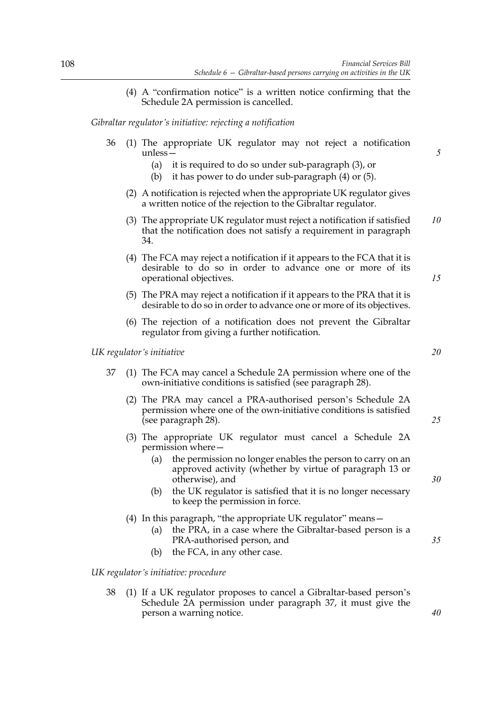(4) A "confirmation notice" is a written notice confirming that the Schedule 2A permission is cancelled.

*Gibraltar regulator's initiative: rejecting a notification*

- 36 (1) The appropriate UK regulator may not reject a notification unless—
	- (a) it is required to do so under sub-paragraph (3), or
	- (b) it has power to do under sub-paragraph (4) or (5).
	- (2) A notification is rejected when the appropriate UK regulator gives a written notice of the rejection to the Gibraltar regulator.
	- (3) The appropriate UK regulator must reject a notification if satisfied that the notification does not satisfy a requirement in paragraph 34. *10*
	- (4) The FCA may reject a notification if it appears to the FCA that it is desirable to do so in order to advance one or more of its operational objectives.
	- (5) The PRA may reject a notification if it appears to the PRA that it is desirable to do so in order to advance one or more of its objectives.
	- (6) The rejection of a notification does not prevent the Gibraltar regulator from giving a further notification.

*UK regulator's initiative*

- 37 (1) The FCA may cancel a Schedule 2A permission where one of the own-initiative conditions is satisfied (see paragraph 28).
	- (2) The PRA may cancel a PRA-authorised person's Schedule 2A permission where one of the own-initiative conditions is satisfied (see paragraph 28).
	- (3) The appropriate UK regulator must cancel a Schedule 2A permission where—
		- (a) the permission no longer enables the person to carry on an approved activity (whether by virtue of paragraph 13 or otherwise), and
		- (b) the UK regulator is satisfied that it is no longer necessary to keep the permission in force.
	- (4) In this paragraph, "the appropriate UK regulator" means—
		- (a) the PRA, in a case where the Gibraltar-based person is a PRA-authorised person, and
		- (b) the FCA, in any other case.

*UK regulator's initiative: procedure*

38 (1) If a UK regulator proposes to cancel a Gibraltar-based person's Schedule 2A permission under paragraph 37, it must give the person a warning notice.

*20*

*15*

*5*

*25*

*30*

*35*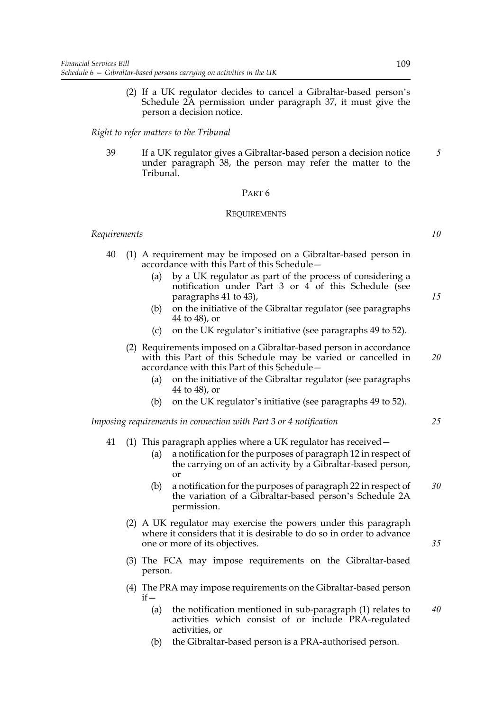(2) If a UK regulator decides to cancel a Gibraltar-based person's Schedule 2A permission under paragraph 37, it must give the person a decision notice.

### *Right to refer matters to the Tribunal*

39 If a UK regulator gives a Gibraltar-based person a decision notice under paragraph 38, the person may refer the matter to the Tribunal.

# PART 6

#### **REQUIREMENTS**

#### *Requirements*

- 40 (1) A requirement may be imposed on a Gibraltar-based person in accordance with this Part of this Schedule—
	- (a) by a UK regulator as part of the process of considering a notification under Part 3 or 4 of this Schedule (see paragraphs 41 to 43),
	- (b) on the initiative of the Gibraltar regulator (see paragraphs 44 to 48), or
	- (c) on the UK regulator's initiative (see paragraphs 49 to 52).
	- (2) Requirements imposed on a Gibraltar-based person in accordance with this Part of this Schedule may be varied or cancelled in accordance with this Part of this Schedule—
		- (a) on the initiative of the Gibraltar regulator (see paragraphs 44 to 48), or
		- (b) on the UK regulator's initiative (see paragraphs 49 to 52).

*Imposing requirements in connection with Part 3 or 4 notification*

- 41 (1) This paragraph applies where a UK regulator has received—
	- (a) a notification for the purposes of paragraph 12 in respect of the carrying on of an activity by a Gibraltar-based person, or
	- (b) a notification for the purposes of paragraph 22 in respect of the variation of a Gibraltar-based person's Schedule 2A permission. *30*
	- (2) A UK regulator may exercise the powers under this paragraph where it considers that it is desirable to do so in order to advance one or more of its objectives.
	- (3) The FCA may impose requirements on the Gibraltar-based person.
	- (4) The PRA may impose requirements on the Gibraltar-based person  $if -$ 
		- (a) the notification mentioned in sub-paragraph (1) relates to activities which consist of or include PRA-regulated activities, or *40*
		- (b) the Gibraltar-based person is a PRA-authorised person.

*5*

*10*

*15*

*20*

*25*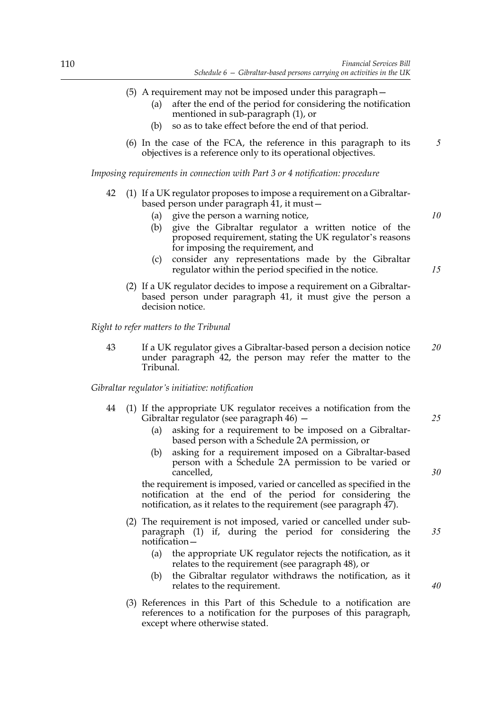- (5) A requirement may not be imposed under this paragraph—
	- (a) after the end of the period for considering the notification mentioned in sub-paragraph (1), or
	- (b) so as to take effect before the end of that period.
- (6) In the case of the FCA, the reference in this paragraph to its objectives is a reference only to its operational objectives.

*Imposing requirements in connection with Part 3 or 4 notification: procedure*

- 42 (1) If a UK regulator proposes to impose a requirement on a Gibraltarbased person under paragraph 41, it must—
	- (a) give the person a warning notice,
	- (b) give the Gibraltar regulator a written notice of the proposed requirement, stating the UK regulator's reasons for imposing the requirement, and
	- (c) consider any representations made by the Gibraltar regulator within the period specified in the notice.
	- (2) If a UK regulator decides to impose a requirement on a Gibraltarbased person under paragraph 41, it must give the person a decision notice.

*Right to refer matters to the Tribunal*

43 If a UK regulator gives a Gibraltar-based person a decision notice under paragraph 42, the person may refer the matter to the Tribunal. *20*

*Gibraltar regulator's initiative: notification*

- 44 (1) If the appropriate UK regulator receives a notification from the Gibraltar regulator (see paragraph 46) —
	- (a) asking for a requirement to be imposed on a Gibraltarbased person with a Schedule 2A permission, or
	- (b) asking for a requirement imposed on a Gibraltar-based person with a Schedule 2A permission to be varied or cancelled,

the requirement is imposed, varied or cancelled as specified in the notification at the end of the period for considering the notification, as it relates to the requirement (see paragraph 47).

- (2) The requirement is not imposed, varied or cancelled under subparagraph (1) if, during the period for considering the notification—
	- (a) the appropriate UK regulator rejects the notification, as it relates to the requirement (see paragraph 48), or
	- (b) the Gibraltar regulator withdraws the notification, as it relates to the requirement.
- (3) References in this Part of this Schedule to a notification are references to a notification for the purposes of this paragraph, except where otherwise stated.

*15*

*10*

*5*

*35*

*30*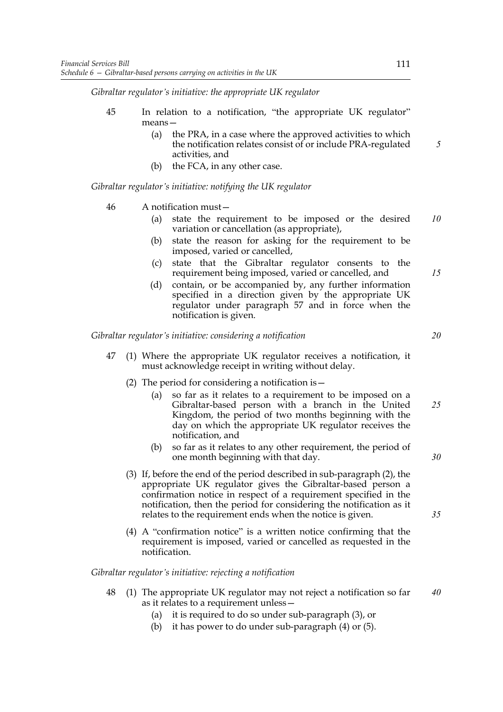*Gibraltar regulator's initiative: the appropriate UK regulator*

- 45 In relation to a notification, "the appropriate UK regulator" means—
	- (a) the PRA, in a case where the approved activities to which the notification relates consist of or include PRA-regulated activities, and
	- (b) the FCA, in any other case.

*Gibraltar regulator's initiative: notifying the UK regulator*

# 46 A notification must—

- (a) state the requirement to be imposed or the desired variation or cancellation (as appropriate), *10*
- (b) state the reason for asking for the requirement to be imposed, varied or cancelled,
- (c) state that the Gibraltar regulator consents to the requirement being imposed, varied or cancelled, and
- (d) contain, or be accompanied by, any further information specified in a direction given by the appropriate UK regulator under paragraph 57 and in force when the notification is given.

*Gibraltar regulator's initiative: considering a notification*

- 47 (1) Where the appropriate UK regulator receives a notification, it must acknowledge receipt in writing without delay.
	- (2) The period for considering a notification is—
		- (a) so far as it relates to a requirement to be imposed on a Gibraltar-based person with a branch in the United Kingdom, the period of two months beginning with the day on which the appropriate UK regulator receives the notification, and *25*
		- (b) so far as it relates to any other requirement, the period of one month beginning with that day.
	- (3) If, before the end of the period described in sub-paragraph (2), the appropriate UK regulator gives the Gibraltar-based person a confirmation notice in respect of a requirement specified in the notification, then the period for considering the notification as it relates to the requirement ends when the notice is given.
	- (4) A "confirmation notice" is a written notice confirming that the requirement is imposed, varied or cancelled as requested in the notification.

*Gibraltar regulator's initiative: rejecting a notification*

- 48 (1) The appropriate UK regulator may not reject a notification so far as it relates to a requirement unless— *40*
	- (a) it is required to do so under sub-paragraph (3), or
	- (b) it has power to do under sub-paragraph (4) or (5).

*20*

*15*

*5*

*30*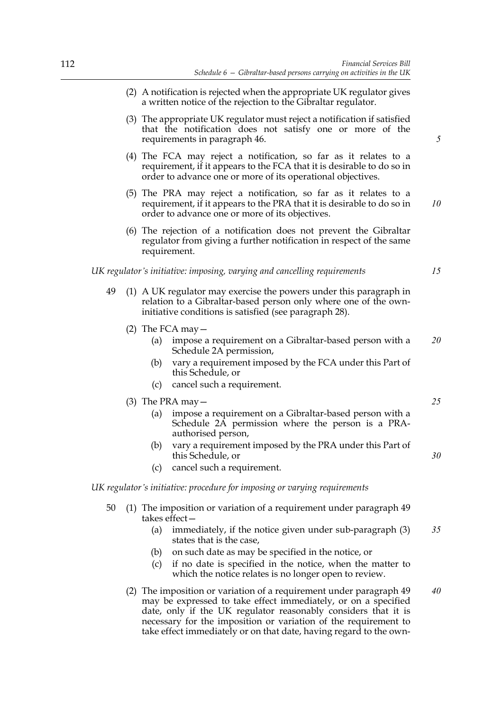- (2) A notification is rejected when the appropriate UK regulator gives a written notice of the rejection to the Gibraltar regulator.
- (3) The appropriate UK regulator must reject a notification if satisfied that the notification does not satisfy one or more of the requirements in paragraph 46.
- (4) The FCA may reject a notification, so far as it relates to a requirement, if it appears to the FCA that it is desirable to do so in order to advance one or more of its operational objectives.
- (5) The PRA may reject a notification, so far as it relates to a requirement, if it appears to the PRA that it is desirable to do so in order to advance one or more of its objectives. *10*
- (6) The rejection of a notification does not prevent the Gibraltar regulator from giving a further notification in respect of the same requirement.

*UK regulator's initiative: imposing, varying and cancelling requirements*

- 49 (1) A UK regulator may exercise the powers under this paragraph in relation to a Gibraltar-based person only where one of the owninitiative conditions is satisfied (see paragraph 28).
	- (2) The FCA may  $-$ 
		- (a) impose a requirement on a Gibraltar-based person with a Schedule 2A permission, *20*
		- (b) vary a requirement imposed by the FCA under this Part of this Schedule, or
		- (c) cancel such a requirement.
	- (3) The PRA may—
		- (a) impose a requirement on a Gibraltar-based person with a Schedule 2A permission where the person is a PRAauthorised person,
		- (b) vary a requirement imposed by the PRA under this Part of this Schedule, or
		- (c) cancel such a requirement.

# *UK regulator's initiative: procedure for imposing or varying requirements*

- 50 (1) The imposition or variation of a requirement under paragraph 49 takes effect—
	- (a) immediately, if the notice given under sub-paragraph (3) states that is the case, *35*
	- (b) on such date as may be specified in the notice, or
	- (c) if no date is specified in the notice, when the matter to which the notice relates is no longer open to review.
	- (2) The imposition or variation of a requirement under paragraph 49 may be expressed to take effect immediately, or on a specified date, only if the UK regulator reasonably considers that it is necessary for the imposition or variation of the requirement to take effect immediately or on that date, having regard to the own-*40*

*5*

*15*

*25*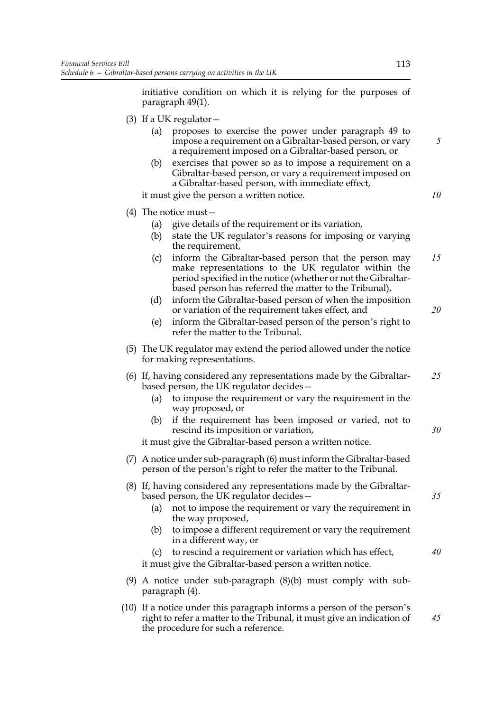initiative condition on which it is relying for the purposes of paragraph 49(1).

- (3) If a UK regulator  $-$ 
	- (a) proposes to exercise the power under paragraph 49 to impose a requirement on a Gibraltar-based person, or vary a requirement imposed on a Gibraltar-based person, or
	- (b) exercises that power so as to impose a requirement on a Gibraltar-based person, or vary a requirement imposed on a Gibraltar-based person, with immediate effect,

it must give the person a written notice.

# (4) The notice must—

- (a) give details of the requirement or its variation,
- (b) state the UK regulator's reasons for imposing or varying the requirement,
- (c) inform the Gibraltar-based person that the person may make representations to the UK regulator within the period specified in the notice (whether or not the Gibraltarbased person has referred the matter to the Tribunal), *15*
- (d) inform the Gibraltar-based person of when the imposition or variation of the requirement takes effect, and
- (e) inform the Gibraltar-based person of the person's right to refer the matter to the Tribunal.
- (5) The UK regulator may extend the period allowed under the notice for making representations.
- (6) If, having considered any representations made by the Gibraltarbased person, the UK regulator decides— *25*
	- (a) to impose the requirement or vary the requirement in the way proposed, or
	- (b) if the requirement has been imposed or varied, not to rescind its imposition or variation,

it must give the Gibraltar-based person a written notice.

- (7) A notice under sub-paragraph (6) must inform the Gibraltar-based person of the person's right to refer the matter to the Tribunal.
- (8) If, having considered any representations made by the Gibraltarbased person, the UK regulator decides—
	- (a) not to impose the requirement or vary the requirement in the way proposed,
	- (b) to impose a different requirement or vary the requirement in a different way, or
	- (c) to rescind a requirement or variation which has effect, it must give the Gibraltar-based person a written notice. *40*
- (9) A notice under sub-paragraph (8)(b) must comply with subparagraph (4).
- (10) If a notice under this paragraph informs a person of the person's right to refer a matter to the Tribunal, it must give an indication of the procedure for such a reference. *45*

*5*

*10*

*20*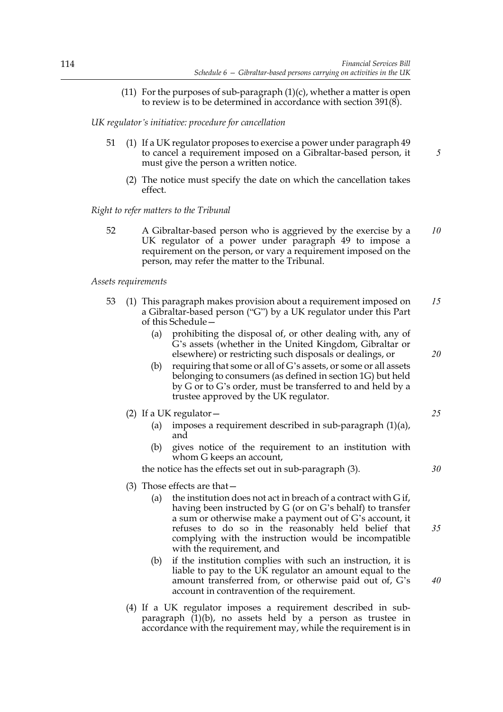(11) For the purposes of sub-paragraph  $(1)(c)$ , whether a matter is open to review is to be determined in accordance with section 391(8).

*UK regulator's initiative: procedure for cancellation*

- 51 (1) If a UK regulator proposes to exercise a power under paragraph 49 to cancel a requirement imposed on a Gibraltar-based person, it must give the person a written notice.
	- (2) The notice must specify the date on which the cancellation takes effect.

*Right to refer matters to the Tribunal*

52 A Gibraltar-based person who is aggrieved by the exercise by a UK regulator of a power under paragraph 49 to impose a requirement on the person, or vary a requirement imposed on the person, may refer the matter to the Tribunal. *10*

### *Assets requirements*

- 53 (1) This paragraph makes provision about a requirement imposed on a Gibraltar-based person ("G") by a UK regulator under this Part of this Schedule— *15*
	- (a) prohibiting the disposal of, or other dealing with, any of G's assets (whether in the United Kingdom, Gibraltar or elsewhere) or restricting such disposals or dealings, or
	- (b) requiring that some or all of G's assets, or some or all assets belonging to consumers (as defined in section 1G) but held by G or to G's order, must be transferred to and held by a trustee approved by the UK regulator.
	- (2) If a UK regulator  $-$ 
		- (a) imposes a requirement described in sub-paragraph (1)(a), and
		- (b) gives notice of the requirement to an institution with whom G keeps an account,

the notice has the effects set out in sub-paragraph (3).

- (3) Those effects are that—
	- (a) the institution does not act in breach of a contract with G if, having been instructed by G (or on G's behalf) to transfer a sum or otherwise make a payment out of G's account, it refuses to do so in the reasonably held belief that complying with the instruction would be incompatible with the requirement, and
	- (b) if the institution complies with such an instruction, it is liable to pay to the UK regulator an amount equal to the amount transferred from, or otherwise paid out of, G's account in contravention of the requirement.
- (4) If a UK regulator imposes a requirement described in subparagraph  $(1)(b)$ , no assets held by a person as trustee in accordance with the requirement may, while the requirement is in

*25*

*20*

*5*

*35*

*40*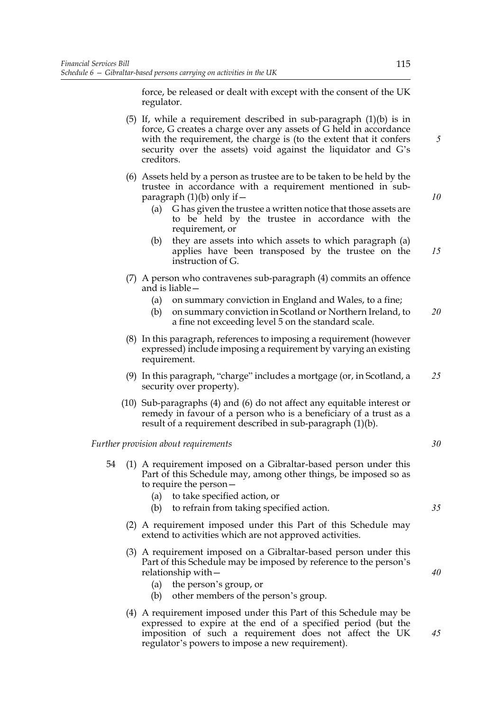force, be released or dealt with except with the consent of the UK regulator.

- (5) If, while a requirement described in sub-paragraph (1)(b) is in force, G creates a charge over any assets of G held in accordance with the requirement, the charge is (to the extent that it confers security over the assets) void against the liquidator and G's creditors.
- (6) Assets held by a person as trustee are to be taken to be held by the trustee in accordance with a requirement mentioned in subparagraph  $(1)(b)$  only if  $-$ 
	- (a) G has given the trustee a written notice that those assets are to be held by the trustee in accordance with the requirement, or
	- (b) they are assets into which assets to which paragraph (a) applies have been transposed by the trustee on the instruction of G. *15*
- (7) A person who contravenes sub-paragraph (4) commits an offence and is liable—
	- (a) on summary conviction in England and Wales, to a fine;
	- (b) on summary conviction in Scotland or Northern Ireland, to a fine not exceeding level 5 on the standard scale. *20*
- (8) In this paragraph, references to imposing a requirement (however expressed) include imposing a requirement by varying an existing requirement.
- (9) In this paragraph, "charge" includes a mortgage (or, in Scotland, a security over property). *25*
- (10) Sub-paragraphs (4) and (6) do not affect any equitable interest or remedy in favour of a person who is a beneficiary of a trust as a result of a requirement described in sub-paragraph (1)(b).

*Further provision about requirements*

- 54 (1) A requirement imposed on a Gibraltar-based person under this Part of this Schedule may, among other things, be imposed so as to require the person—
	- (a) to take specified action, or
	- (b) to refrain from taking specified action.
	- (2) A requirement imposed under this Part of this Schedule may extend to activities which are not approved activities.
	- (3) A requirement imposed on a Gibraltar-based person under this Part of this Schedule may be imposed by reference to the person's relationship with—
		- (a) the person's group, or
		- (b) other members of the person's group.
	- (4) A requirement imposed under this Part of this Schedule may be expressed to expire at the end of a specified period (but the imposition of such a requirement does not affect the UK regulator's powers to impose a new requirement).

115

*10*

*5*

*30*

*35*

*40*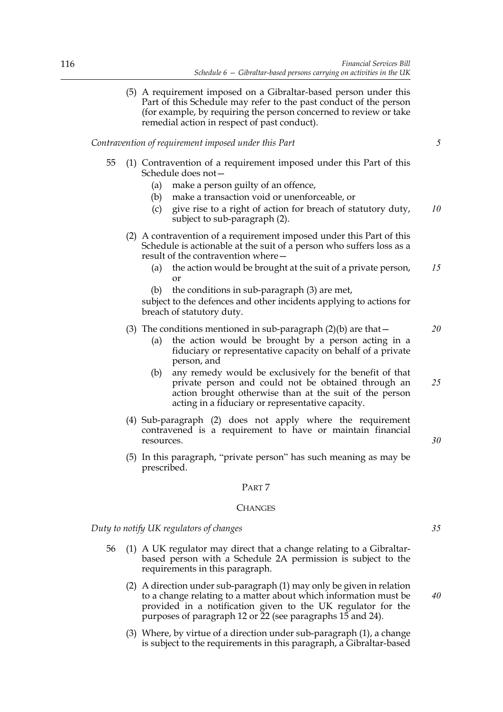(5) A requirement imposed on a Gibraltar-based person under this Part of this Schedule may refer to the past conduct of the person (for example, by requiring the person concerned to review or take remedial action in respect of past conduct).

# *Contravention of requirement imposed under this Part*

- 55 (1) Contravention of a requirement imposed under this Part of this Schedule does not—
	- (a) make a person guilty of an offence,
	- (b) make a transaction void or unenforceable, or
	- (c) give rise to a right of action for breach of statutory duty, subject to sub-paragraph (2). *10*
	- (2) A contravention of a requirement imposed under this Part of this Schedule is actionable at the suit of a person who suffers loss as a result of the contravention where—
		- (a) the action would be brought at the suit of a private person, or *15*
		- (b) the conditions in sub-paragraph (3) are met,

subject to the defences and other incidents applying to actions for breach of statutory duty.

# (3) The conditions mentioned in sub-paragraph  $(2)(b)$  are that  $-$

- (a) the action would be brought by a person acting in a fiduciary or representative capacity on behalf of a private person, and
- (b) any remedy would be exclusively for the benefit of that private person and could not be obtained through an action brought otherwise than at the suit of the person acting in a fiduciary or representative capacity.
- (4) Sub-paragraph (2) does not apply where the requirement contravened is a requirement to have or maintain financial resources.
- (5) In this paragraph, "private person" has such meaning as may be prescribed.

#### PART 7

#### **CHANGES**

*Duty to notify UK regulators of changes*

- 56 (1) A UK regulator may direct that a change relating to a Gibraltarbased person with a Schedule 2A permission is subject to the requirements in this paragraph.
	- (2) A direction under sub-paragraph (1) may only be given in relation to a change relating to a matter about which information must be provided in a notification given to the UK regulator for the purposes of paragraph 12 or 22 (see paragraphs 15 and 24).
	- (3) Where, by virtue of a direction under sub-paragraph (1), a change is subject to the requirements in this paragraph, a Gibraltar-based

*25*

*20*

*5*

*30*

*35*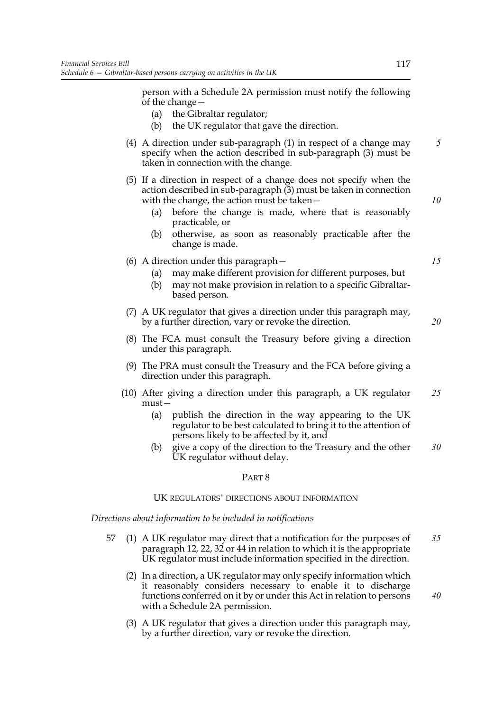person with a Schedule 2A permission must notify the following of the change—

- (a) the Gibraltar regulator;
- (b) the UK regulator that gave the direction.
- (4) A direction under sub-paragraph (1) in respect of a change may specify when the action described in sub-paragraph (3) must be taken in connection with the change. *5*
- (5) If a direction in respect of a change does not specify when the action described in sub-paragraph (3) must be taken in connection with the change, the action must be taken—
	- (a) before the change is made, where that is reasonably practicable, or
	- (b) otherwise, as soon as reasonably practicable after the change is made.
- (6) A direction under this paragraph—
	- (a) may make different provision for different purposes, but
	- (b) may not make provision in relation to a specific Gibraltarbased person.
- (7) A UK regulator that gives a direction under this paragraph may, by a further direction, vary or revoke the direction.
- (8) The FCA must consult the Treasury before giving a direction under this paragraph.
- (9) The PRA must consult the Treasury and the FCA before giving a direction under this paragraph.
- (10) After giving a direction under this paragraph, a UK regulator must— *25*
	- (a) publish the direction in the way appearing to the UK regulator to be best calculated to bring it to the attention of persons likely to be affected by it, and
	- (b) give a copy of the direction to the Treasury and the other UK regulator without delay. *30*

# PART 8

# UK REGULATORS' DIRECTIONS ABOUT INFORMATION

*Directions about information to be included in notifications*

- 57 (1) A UK regulator may direct that a notification for the purposes of paragraph 12, 22, 32 or 44 in relation to which it is the appropriate UK regulator must include information specified in the direction. *35*
	- (2) In a direction, a UK regulator may only specify information which it reasonably considers necessary to enable it to discharge functions conferred on it by or under this Act in relation to persons with a Schedule 2A permission.
	- (3) A UK regulator that gives a direction under this paragraph may, by a further direction, vary or revoke the direction.

*20*

*40*

*15*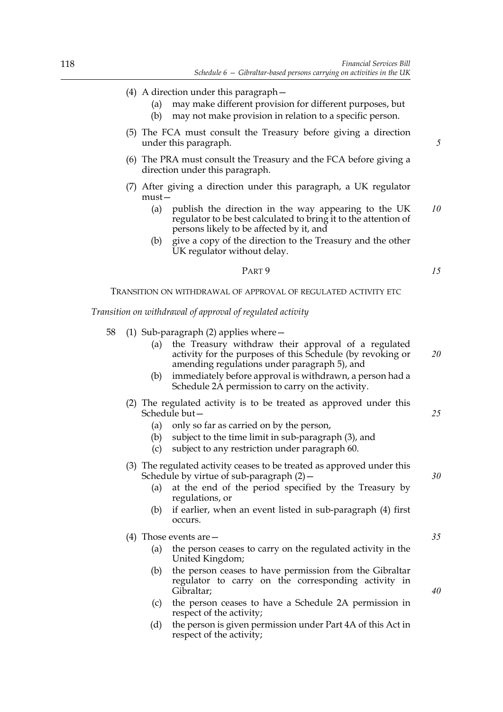- (4) A direction under this paragraph—
	- (a) may make different provision for different purposes, but
	- (b) may not make provision in relation to a specific person.
- (5) The FCA must consult the Treasury before giving a direction under this paragraph.
- (6) The PRA must consult the Treasury and the FCA before giving a direction under this paragraph.
- (7) After giving a direction under this paragraph, a UK regulator must—
	- (a) publish the direction in the way appearing to the UK regulator to be best calculated to bring it to the attention of persons likely to be affected by it, and *10*
	- (b) give a copy of the direction to the Treasury and the other UK regulator without delay.

#### PART 9

TRANSITION ON WITHDRAWAL OF APPROVAL OF REGULATED ACTIVITY ETC

*Transition on withdrawal of approval of regulated activity*

58 (1) Sub-paragraph (2) applies where—

| (a) | the Treasury withdraw their approval of a regulated        |    |
|-----|------------------------------------------------------------|----|
|     | activity for the purposes of this Schedule (by revoking or | 20 |
|     | amending regulations under paragraph 5), and               |    |

- (b) immediately before approval is withdrawn, a person had a Schedule 2A permission to carry on the activity.
- (2) The regulated activity is to be treated as approved under this Schedule but—
	- (a) only so far as carried on by the person,
	- (b) subject to the time limit in sub-paragraph (3), and
	- (c) subject to any restriction under paragraph 60.
- (3) The regulated activity ceases to be treated as approved under this Schedule by virtue of sub-paragraph  $(2)$  –
	- (a) at the end of the period specified by the Treasury by regulations, or
	- (b) if earlier, when an event listed in sub-paragraph (4) first occurs.
- (4) Those events are—
	- (a) the person ceases to carry on the regulated activity in the United Kingdom;
	- (b) the person ceases to have permission from the Gibraltar regulator to carry on the corresponding activity in Gibraltar;
	- (c) the person ceases to have a Schedule 2A permission in respect of the activity;
	- (d) the person is given permission under Part 4A of this Act in respect of the activity;

*5*

*15*

*25*

*35*

*40*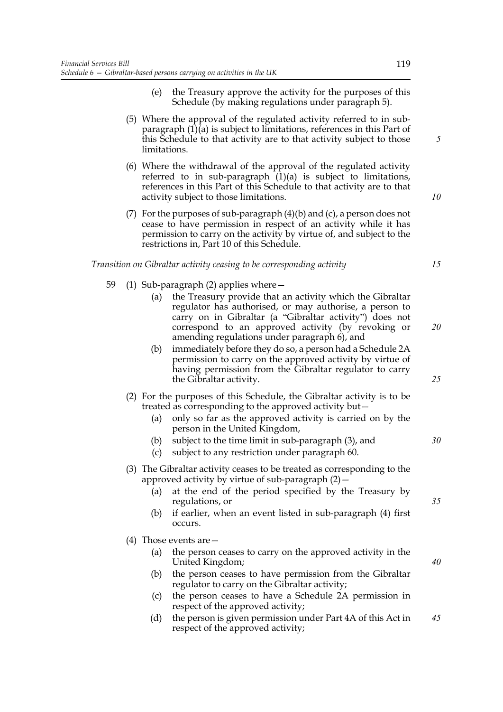- (e) the Treasury approve the activity for the purposes of this Schedule (by making regulations under paragraph 5).
- (5) Where the approval of the regulated activity referred to in subparagraph (1)(a) is subject to limitations, references in this Part of this Schedule to that activity are to that activity subject to those limitations.
- (6) Where the withdrawal of the approval of the regulated activity referred to in sub-paragraph  $(1)(a)$  is subject to limitations, references in this Part of this Schedule to that activity are to that activity subject to those limitations.
- (7) For the purposes of sub-paragraph (4)(b) and (c), a person does not cease to have permission in respect of an activity while it has permission to carry on the activity by virtue of, and subject to the restrictions in, Part 10 of this Schedule.

## *Transition on Gibraltar activity ceasing to be corresponding activity*

- 59 (1) Sub-paragraph (2) applies where—
	- (a) the Treasury provide that an activity which the Gibraltar regulator has authorised, or may authorise, a person to carry on in Gibraltar (a "Gibraltar activity") does not correspond to an approved activity (by revoking or amending regulations under paragraph 6), and
	- (b) immediately before they do so, a person had a Schedule 2A permission to carry on the approved activity by virtue of having permission from the Gibraltar regulator to carry the Gibraltar activity.
	- (2) For the purposes of this Schedule, the Gibraltar activity is to be treated as corresponding to the approved activity but—
		- (a) only so far as the approved activity is carried on by the person in the United Kingdom,
		- (b) subject to the time limit in sub-paragraph (3), and
		- (c) subject to any restriction under paragraph 60.
	- (3) The Gibraltar activity ceases to be treated as corresponding to the approved activity by virtue of sub-paragraph (2)—
		- (a) at the end of the period specified by the Treasury by regulations, or
		- (b) if earlier, when an event listed in sub-paragraph (4) first occurs.
	- (4) Those events are—
		- (a) the person ceases to carry on the approved activity in the United Kingdom;
		- (b) the person ceases to have permission from the Gibraltar regulator to carry on the Gibraltar activity;
		- (c) the person ceases to have a Schedule 2A permission in respect of the approved activity;
		- (d) the person is given permission under Part 4A of this Act in respect of the approved activity; *45*

*5*

*10*

*15*

*20*

*25*

*30*

*40*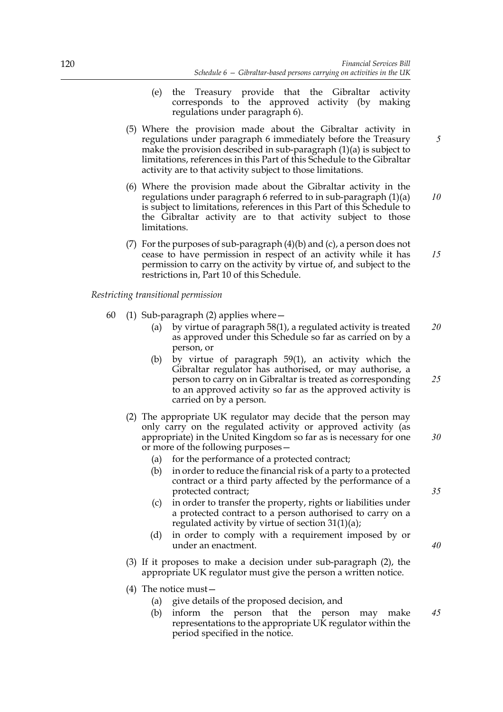- (e) the Treasury provide that the Gibraltar activity corresponds to the approved activity (by making regulations under paragraph 6).
- (5) Where the provision made about the Gibraltar activity in regulations under paragraph 6 immediately before the Treasury make the provision described in sub-paragraph (1)(a) is subject to limitations, references in this Part of this Schedule to the Gibraltar activity are to that activity subject to those limitations.
- (6) Where the provision made about the Gibraltar activity in the regulations under paragraph 6 referred to in sub-paragraph (1)(a) is subject to limitations, references in this Part of this Schedule to the Gibraltar activity are to that activity subject to those limitations. *10*
- (7) For the purposes of sub-paragraph (4)(b) and (c), a person does not cease to have permission in respect of an activity while it has permission to carry on the activity by virtue of, and subject to the restrictions in, Part 10 of this Schedule. *15*

# *Restricting transitional permission*

- 60 (1) Sub-paragraph (2) applies where—
	- (a) by virtue of paragraph 58(1), a regulated activity is treated as approved under this Schedule so far as carried on by a person, or *20*
	- (b) by virtue of paragraph 59(1), an activity which the Gibraltar regulator has authorised, or may authorise, a person to carry on in Gibraltar is treated as corresponding to an approved activity so far as the approved activity is carried on by a person. *25*
	- (2) The appropriate UK regulator may decide that the person may only carry on the regulated activity or approved activity (as appropriate) in the United Kingdom so far as is necessary for one or more of the following purposes—
		- (a) for the performance of a protected contract;
		- (b) in order to reduce the financial risk of a party to a protected contract or a third party affected by the performance of a protected contract;
		- (c) in order to transfer the property, rights or liabilities under a protected contract to a person authorised to carry on a regulated activity by virtue of section 31(1)(a);
		- (d) in order to comply with a requirement imposed by or under an enactment.
	- (3) If it proposes to make a decision under sub-paragraph (2), the appropriate UK regulator must give the person a written notice.
	- (4) The notice must—
		- (a) give details of the proposed decision, and
		- (b) inform the person that the person may make representations to the appropriate UK regulator within the period specified in the notice.

*5*

*30*

*40*

*35*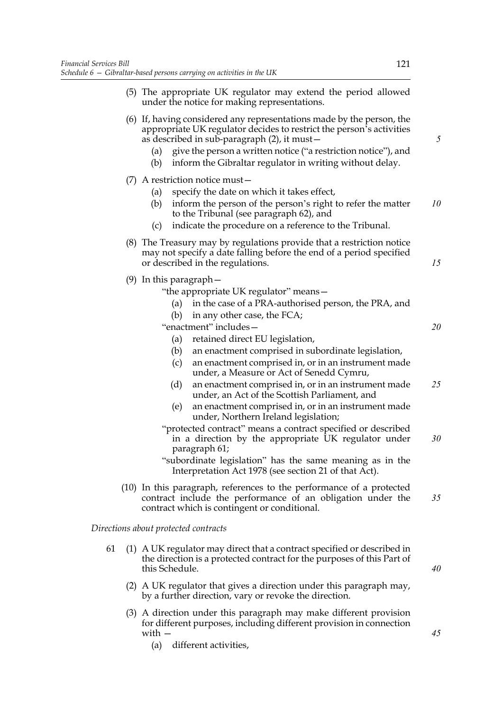|    | (5) The appropriate UK regulator may extend the period allowed<br>under the notice for making representations.                                                                                                                                                                                                                            |    |
|----|-------------------------------------------------------------------------------------------------------------------------------------------------------------------------------------------------------------------------------------------------------------------------------------------------------------------------------------------|----|
|    | (6) If, having considered any representations made by the person, the<br>appropriate UK regulator decides to restrict the person's activities<br>as described in sub-paragraph (2), it must –<br>give the person a written notice ("a restriction notice"), and<br>(a)<br>inform the Gibraltar regulator in writing without delay.<br>(b) | 5  |
|    | $(7)$ A restriction notice must -                                                                                                                                                                                                                                                                                                         |    |
|    | specify the date on which it takes effect,<br>(a)<br>inform the person of the person's right to refer the matter<br>(b)<br>to the Tribunal (see paragraph 62), and<br>indicate the procedure on a reference to the Tribunal.<br>(c)                                                                                                       | 10 |
|    | (8) The Treasury may by regulations provide that a restriction notice<br>may not specify a date falling before the end of a period specified<br>or described in the regulations.                                                                                                                                                          | 15 |
|    | $(9)$ In this paragraph $-$<br>"the appropriate UK regulator" means-<br>in the case of a PRA-authorised person, the PRA, and<br>(a)<br>in any other case, the FCA;<br>(b)                                                                                                                                                                 |    |
|    | "enactment" includes-<br>retained direct EU legislation,<br>(a)<br>an enactment comprised in subordinate legislation,<br>(b)<br>an enactment comprised in, or in an instrument made<br>(c)<br>under, a Measure or Act of Senedd Cymru,                                                                                                    | 20 |
|    | an enactment comprised in, or in an instrument made<br>(d)<br>under, an Act of the Scottish Parliament, and<br>an enactment comprised in, or in an instrument made<br>(e)<br>under, Northern Ireland legislation;                                                                                                                         | 25 |
|    | "protected contract" means a contract specified or described<br>in a direction by the appropriate UK regulator under<br>paragraph 61;<br>"subordinate legislation" has the same meaning as in the<br>Interpretation Act 1978 (see section 21 of that Act).                                                                                | 30 |
|    | (10) In this paragraph, references to the performance of a protected<br>contract include the performance of an obligation under the<br>contract which is contingent or conditional.                                                                                                                                                       | 35 |
|    | Directions about protected contracts                                                                                                                                                                                                                                                                                                      |    |
| 61 | (1) A UK regulator may direct that a contract specified or described in<br>the direction is a protected contract for the purposes of this Part of<br>this Schedule.                                                                                                                                                                       | 40 |
|    | (2) A UK regulator that gives a direction under this paragraph may,<br>by a further direction, vary or revoke the direction.                                                                                                                                                                                                              |    |

- (3) A direction under this paragraph may make different provision for different purposes, including different provision in connection with —
	- (a) different activities,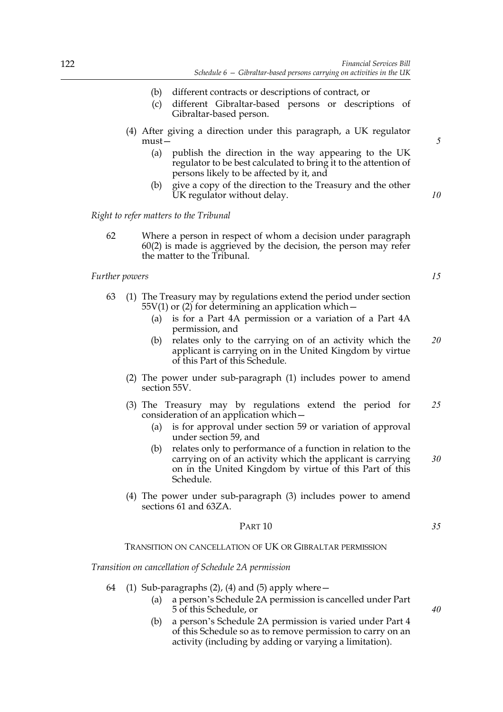- (b) different contracts or descriptions of contract, or
- (c) different Gibraltar-based persons or descriptions of Gibraltar-based person.
- (4) After giving a direction under this paragraph, a UK regulator must—
	- (a) publish the direction in the way appearing to the UK regulator to be best calculated to bring it to the attention of persons likely to be affected by it, and
	- (b) give a copy of the direction to the Treasury and the other UK regulator without delay.

*Right to refer matters to the Tribunal*

62 Where a person in respect of whom a decision under paragraph 60(2) is made is aggrieved by the decision, the person may refer the matter to the Tribunal.

#### *Further powers*

*15*

*5*

*10*

- 63 (1) The Treasury may by regulations extend the period under section  $55V(1)$  or (2) for determining an application which  $-$ 
	- (a) is for a Part 4A permission or a variation of a Part 4A permission, and
	- (b) relates only to the carrying on of an activity which the applicant is carrying on in the United Kingdom by virtue of this Part of this Schedule. *20*
	- (2) The power under sub-paragraph (1) includes power to amend section 55V.
	- (3) The Treasury may by regulations extend the period for consideration of an application which— *25*
		- (a) is for approval under section 59 or variation of approval under section 59, and
		- (b) relates only to performance of a function in relation to the carrying on of an activity which the applicant is carrying on in the United Kingdom by virtue of this Part of this Schedule.
	- (4) The power under sub-paragraph (3) includes power to amend sections 61 and 63ZA

#### PART 10

TRANSITION ON CANCELLATION OF UK OR GIBRALTAR PERMISSION

*Transition on cancellation of Schedule 2A permission*

- 64 (1) Sub-paragraphs  $(2)$ ,  $(4)$  and  $(5)$  apply where  $-$ 
	- (a) a person's Schedule 2A permission is cancelled under Part 5 of this Schedule, or
	- (b) a person's Schedule 2A permission is varied under Part 4 of this Schedule so as to remove permission to carry on an activity (including by adding or varying a limitation).

*35*

*40*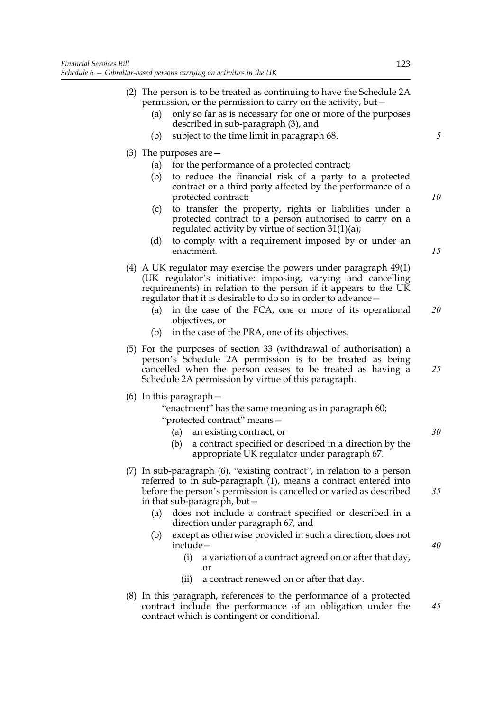- (2) The person is to be treated as continuing to have the Schedule 2A permission, or the permission to carry on the activity, but— (a) only so far as is necessary for one or more of the purposes described in sub-paragraph (3), and (b) subject to the time limit in paragraph 68. (3) The purposes are— (a) for the performance of a protected contract; (b) to reduce the financial risk of a party to a protected contract or a third party affected by the performance of a protected contract; (c) to transfer the property, rights or liabilities under a protected contract to a person authorised to carry on a regulated activity by virtue of section 31(1)(a); (d) to comply with a requirement imposed by or under an enactment. (4) A UK regulator may exercise the powers under paragraph 49(1) (UK regulator's initiative: imposing, varying and cancelling requirements) in relation to the person if it appears to the UK regulator that it is desirable to do so in order to advance— (a) in the case of the FCA, one or more of its operational objectives, or (b) in the case of the PRA, one of its objectives. (5) For the purposes of section 33 (withdrawal of authorisation) a person's Schedule 2A permission is to be treated as being cancelled when the person ceases to be treated as having a Schedule 2A permission by virtue of this paragraph. (6) In this paragraph— "enactment" has the same meaning as in paragraph 60; "protected contract" means— (a) an existing contract, or (b) a contract specified or described in a direction by the appropriate UK regulator under paragraph 67. (7) In sub-paragraph (6), "existing contract", in relation to a person referred to in sub-paragraph (1), means a contract entered into before the person's permission is cancelled or varied as described in that sub-paragraph, but— (a) does not include a contract specified or described in a direction under paragraph 67, and (b) except as otherwise provided in such a direction, does not include— (i) a variation of a contract agreed on or after that day, or (ii) a contract renewed on or after that day. *5 10 15 20 25 30 35 40*
- (8) In this paragraph, references to the performance of a protected contract include the performance of an obligation under the contract which is contingent or conditional. *45*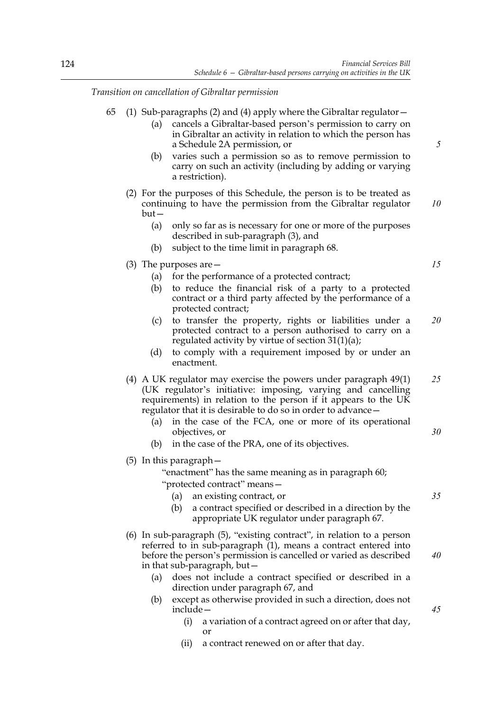*Transition on cancellation of Gibraltar permission*

| 65 (1) Sub-paragraphs (2) and (4) apply where the Gibraltar regulator – |
|-------------------------------------------------------------------------|
|-------------------------------------------------------------------------|

- (a) cancels a Gibraltar-based person's permission to carry on in Gibraltar an activity in relation to which the person has a Schedule 2A permission, or
- (b) varies such a permission so as to remove permission to carry on such an activity (including by adding or varying a restriction).
- (2) For the purposes of this Schedule, the person is to be treated as continuing to have the permission from the Gibraltar regulator but— *10*
	- (a) only so far as is necessary for one or more of the purposes described in sub-paragraph (3), and
	- (b) subject to the time limit in paragraph 68.
- (3) The purposes are—
	- (a) for the performance of a protected contract;
	- (b) to reduce the financial risk of a party to a protected contract or a third party affected by the performance of a protected contract;
	- (c) to transfer the property, rights or liabilities under a protected contract to a person authorised to carry on a regulated activity by virtue of section 31(1)(a); *20*
	- (d) to comply with a requirement imposed by or under an enactment.
- (4) A UK regulator may exercise the powers under paragraph 49(1) (UK regulator's initiative: imposing, varying and cancelling requirements) in relation to the person if it appears to the UK regulator that it is desirable to do so in order to advance— *25*
	- in the case of the FCA, one or more of its operational objectives, or
	- (b) in the case of the PRA, one of its objectives.
- (5) In this paragraph—

"enactment" has the same meaning as in paragraph 60;

- "protected contract" means— (a) an existing contract, or
	- (b) a contract specified or described in a direction by the appropriate UK regulator under paragraph 67.
- (6) In sub-paragraph (5), "existing contract", in relation to a person referred to in sub-paragraph (1), means a contract entered into before the person's permission is cancelled or varied as described in that sub-paragraph, but—
	- (a) does not include a contract specified or described in a direction under paragraph 67, and
	- (b) except as otherwise provided in such a direction, does not include—
		- (i) a variation of a contract agreed on or after that day, or
		- (ii) a contract renewed on or after that day.

*15*

*5*

*30*

*35*

*40*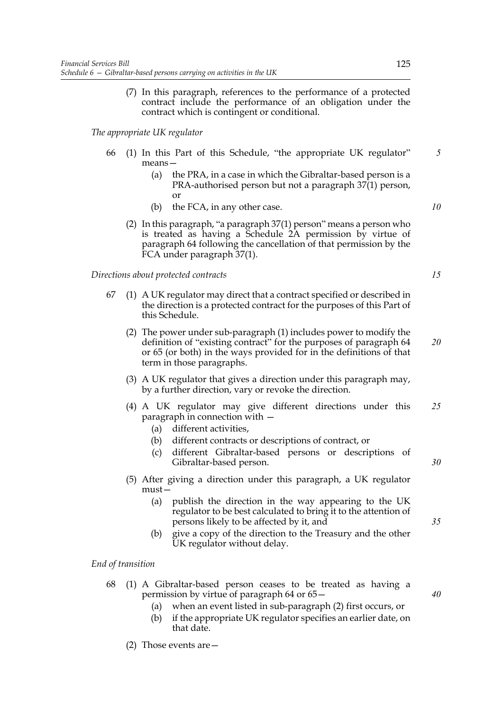(7) In this paragraph, references to the performance of a protected contract include the performance of an obligation under the contract which is contingent or conditional.

*The appropriate UK regulator*

- 66 (1) In this Part of this Schedule, "the appropriate UK regulator" means—
	- (a) the PRA, in a case in which the Gibraltar-based person is a PRA-authorised person but not a paragraph 37(1) person, or
	- (b) the FCA, in any other case.
	- (2) In this paragraph, "a paragraph 37(1) person" means a person who is treated as having a Schedule 2A permission by virtue of paragraph 64 following the cancellation of that permission by the FCA under paragraph 37(1).

*Directions about protected contracts*

- 67 (1) A UK regulator may direct that a contract specified or described in the direction is a protected contract for the purposes of this Part of this Schedule.
	- (2) The power under sub-paragraph (1) includes power to modify the definition of "existing contract" for the purposes of paragraph 64 or 65 (or both) in the ways provided for in the definitions of that term in those paragraphs. *20*
	- (3) A UK regulator that gives a direction under this paragraph may, by a further direction, vary or revoke the direction.
	- (4) A UK regulator may give different directions under this paragraph in connection with — *25*
		- (a) different activities,
		- (b) different contracts or descriptions of contract, or
		- (c) different Gibraltar-based persons or descriptions of Gibraltar-based person.
	- (5) After giving a direction under this paragraph, a UK regulator must—
		- (a) publish the direction in the way appearing to the UK regulator to be best calculated to bring it to the attention of persons likely to be affected by it, and
		- (b) give a copy of the direction to the Treasury and the other UK regulator without delay.

*End of transition*

- 68 (1) A Gibraltar-based person ceases to be treated as having a permission by virtue of paragraph 64 or 65—
	- (a) when an event listed in sub-paragraph (2) first occurs, or
	- (b) if the appropriate UK regulator specifies an earlier date, on that date.
	- (2) Those events are—

*35*

*30*

*40*

*15*

*5*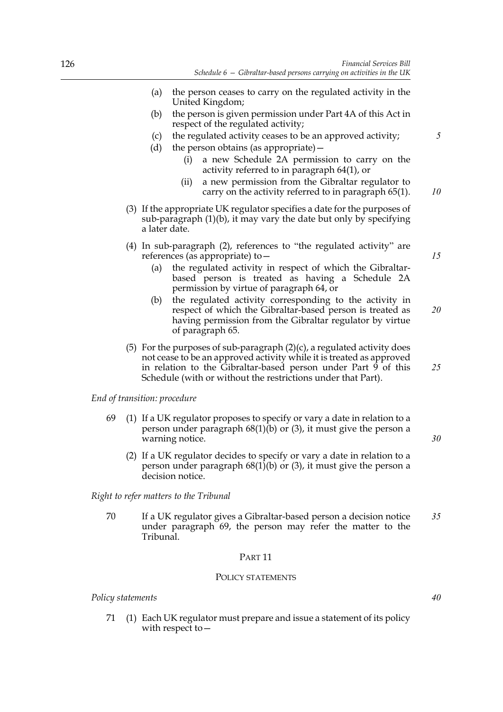- (a) the person ceases to carry on the regulated activity in the United Kingdom;
- (b) the person is given permission under Part 4A of this Act in respect of the regulated activity;
- (c) the regulated activity ceases to be an approved activity;
- (d) the person obtains (as appropriate)—
	- (i) a new Schedule 2A permission to carry on the activity referred to in paragraph 64(1), or
	- (ii) a new permission from the Gibraltar regulator to carry on the activity referred to in paragraph 65(1). *10*
- (3) If the appropriate UK regulator specifies a date for the purposes of sub-paragraph  $(1)(b)$ , it may vary the date but only by specifying a later date.
- (4) In sub-paragraph (2), references to "the regulated activity" are references (as appropriate) to—
	- (a) the regulated activity in respect of which the Gibraltarbased person is treated as having a Schedule 2A permission by virtue of paragraph 64, or
	- (b) the regulated activity corresponding to the activity in respect of which the Gibraltar-based person is treated as having permission from the Gibraltar regulator by virtue of paragraph 65.
- (5) For the purposes of sub-paragraph  $(2)(c)$ , a regulated activity does not cease to be an approved activity while it is treated as approved in relation to the Gibraltar-based person under Part 9 of this Schedule (with or without the restrictions under that Part).

## *End of transition: procedure*

- 69 (1) If a UK regulator proposes to specify or vary a date in relation to a person under paragraph 68(1)(b) or (3), it must give the person a warning notice.
	- (2) If a UK regulator decides to specify or vary a date in relation to a person under paragraph  $68(1)(b)$  or (3), it must give the person a decision notice.

*Right to refer matters to the Tribunal*

70 If a UK regulator gives a Gibraltar-based person a decision notice under paragraph 69, the person may refer the matter to the Tribunal. *35*

## PART 11

# POLICY STATEMENTS

## *Policy statements*

71 (1) Each UK regulator must prepare and issue a statement of its policy with respect to*15*

*5*

*20*

*25*

*30*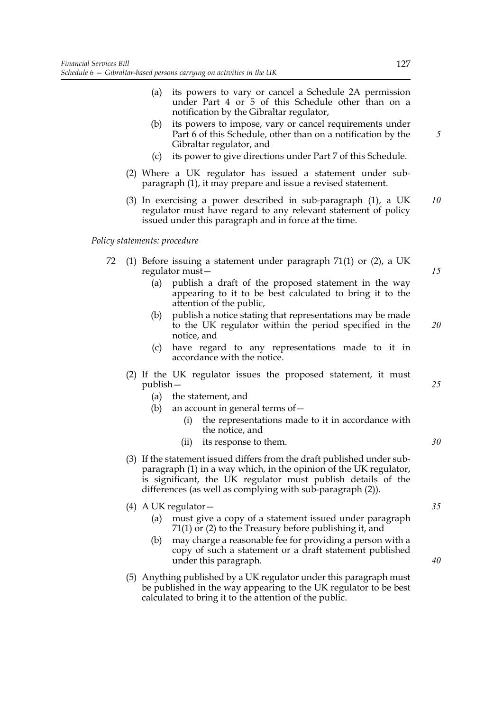- (a) its powers to vary or cancel a Schedule 2A permission under Part 4 or 5 of this Schedule other than on a notification by the Gibraltar regulator,
- (b) its powers to impose, vary or cancel requirements under Part 6 of this Schedule, other than on a notification by the Gibraltar regulator, and
- (c) its power to give directions under Part 7 of this Schedule.
- (2) Where a UK regulator has issued a statement under subparagraph (1), it may prepare and issue a revised statement.
- (3) In exercising a power described in sub-paragraph (1), a UK regulator must have regard to any relevant statement of policy issued under this paragraph and in force at the time. *10*

*Policy statements: procedure*

- 72 (1) Before issuing a statement under paragraph 71(1) or (2), a UK regulator must—
	- (a) publish a draft of the proposed statement in the way appearing to it to be best calculated to bring it to the attention of the public,
	- (b) publish a notice stating that representations may be made to the UK regulator within the period specified in the notice, and
	- (c) have regard to any representations made to it in accordance with the notice.
	- (2) If the UK regulator issues the proposed statement, it must publish—
		- (a) the statement, and
		- (b) an account in general terms of  $-$ 
			- (i) the representations made to it in accordance with the notice, and
			- (ii) its response to them.
	- (3) If the statement issued differs from the draft published under subparagraph (1) in a way which, in the opinion of the UK regulator, is significant, the UK regulator must publish details of the differences (as well as complying with sub-paragraph (2)).
	- (4) A UK regulator—
		- (a) must give a copy of a statement issued under paragraph 71(1) or (2) to the Treasury before publishing it, and
		- (b) may charge a reasonable fee for providing a person with a copy of such a statement or a draft statement published under this paragraph.
	- (5) Anything published by a UK regulator under this paragraph must be published in the way appearing to the UK regulator to be best calculated to bring it to the attention of the public.

*5*

*25*

*15*

*20*

*30*

*40*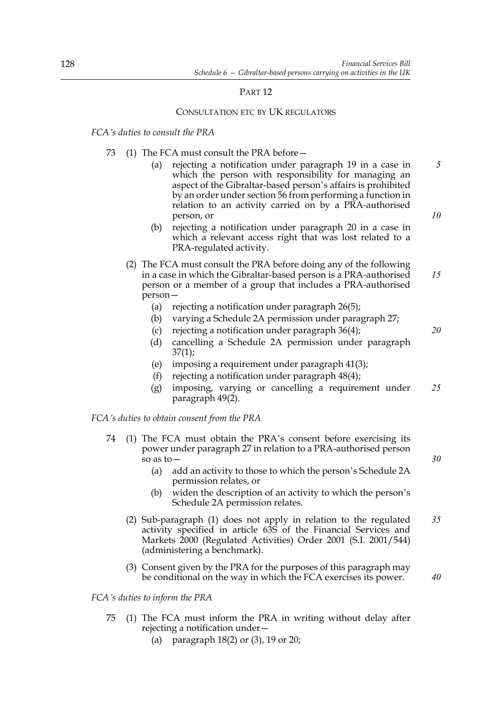# PART 12

# CONSULTATION ETC BY UK REGULATORS

# *FCA's duties to consult the PRA*

- 73 (1) The FCA must consult the PRA before—
	- (a) rejecting a notification under paragraph 19 in a case in which the person with responsibility for managing an aspect of the Gibraltar-based person's affairs is prohibited by an order under section 56 from performing a function in relation to an activity carried on by a PRA-authorised person, or *5 10*
	- (b) rejecting a notification under paragraph 20 in a case in which a relevant access right that was lost related to a PRA-regulated activity.
	- (2) The FCA must consult the PRA before doing any of the following in a case in which the Gibraltar-based person is a PRA-authorised person or a member of a group that includes a PRA-authorised person— *15*
		- (a) rejecting a notification under paragraph 26(5);
		- (b) varying a Schedule 2A permission under paragraph 27;
		- (c) rejecting a notification under paragraph 36(4);
		- (d) cancelling a Schedule 2A permission under paragraph  $37(1)$ ;
		- (e) imposing a requirement under paragraph 41(3);
		- (f) rejecting a notification under paragraph 48(4);
		- (g) imposing, varying or cancelling a requirement under paragraph 49(2). *25*

*FCA's duties to obtain consent from the PRA*

- 74 (1) The FCA must obtain the PRA's consent before exercising its power under paragraph 27 in relation to a PRA-authorised person so as to—
	- (a) add an activity to those to which the person's Schedule 2A permission relates, or
	- (b) widen the description of an activity to which the person's Schedule 2A permission relates.
	- (2) Sub-paragraph (1) does not apply in relation to the regulated activity specified in article 63S of the Financial Services and Markets 2000 (Regulated Activities) Order 2001 (S.I. 2001/544) (administering a benchmark). *35*
	- (3) Consent given by the PRA for the purposes of this paragraph may be conditional on the way in which the FCA exercises its power.

*40*

*FCA's duties to inform the PRA*

- 75 (1) The FCA must inform the PRA in writing without delay after rejecting a notification under—
	- (a) paragraph 18(2) or (3), 19 or 20;

*20*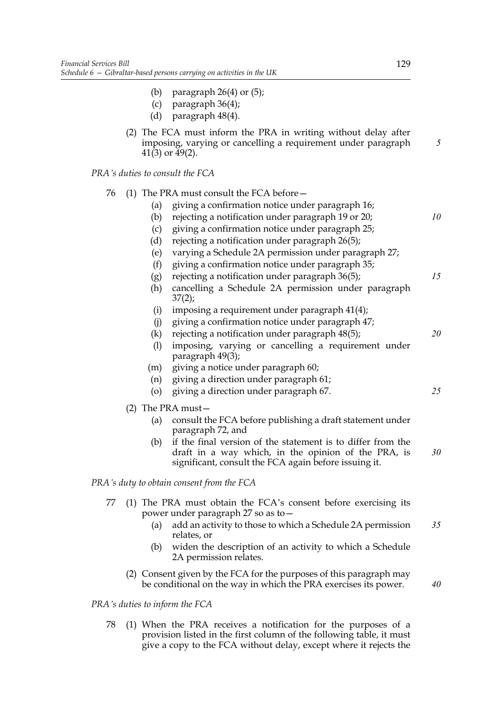- (b) paragraph  $26(4)$  or  $(5)$ ;
- (c) paragraph 36(4);
- (d) paragraph 48(4).
- (2) The FCA must inform the PRA in writing without delay after imposing, varying or cancelling a requirement under paragraph  $41(3)$  or  $49(2)$ .

*PRA's duties to consult the FCA*

|  |  |  |  | 76 (1) The PRA must consult the FCA before - |  |
|--|--|--|--|----------------------------------------------|--|
|  |  |  |  |                                              |  |

- (a) giving a confirmation notice under paragraph 16;
- (b) rejecting a notification under paragraph 19 or 20;
- (c) giving a confirmation notice under paragraph 25;
- (d) rejecting a notification under paragraph 26(5);
- (e) varying a Schedule 2A permission under paragraph 27;
- (f) giving a confirmation notice under paragraph 35;
- (g) rejecting a notification under paragraph 36(5); *15*
- (h) cancelling a Schedule 2A permission under paragraph 37(2);
- (i) imposing a requirement under paragraph 41(4);
- (j) giving a confirmation notice under paragraph 47;
- (k) rejecting a notification under paragraph 48(5);
- (l) imposing, varying or cancelling a requirement under paragraph 49(3);
- (m) giving a notice under paragraph 60;
- (n) giving a direction under paragraph 61;
- (o) giving a direction under paragraph 67.
- (2) The PRA must—
	- (a) consult the FCA before publishing a draft statement under paragraph 72, and
	- (b) if the final version of the statement is to differ from the draft in a way which, in the opinion of the PRA, is significant, consult the FCA again before issuing it. *30*

# *PRA's duty to obtain consent from the FCA*

- 77 (1) The PRA must obtain the FCA's consent before exercising its power under paragraph 27 so as to—
	- (a) add an activity to those to which a Schedule 2A permission relates, or *35*
	- (b) widen the description of an activity to which a Schedule 2A permission relates.
	- (2) Consent given by the FCA for the purposes of this paragraph may be conditional on the way in which the PRA exercises its power.

# *PRA's duties to inform the FCA*

78 (1) When the PRA receives a notification for the purposes of a provision listed in the first column of the following table, it must give a copy to the FCA without delay, except where it rejects the *5*

*10*

*20*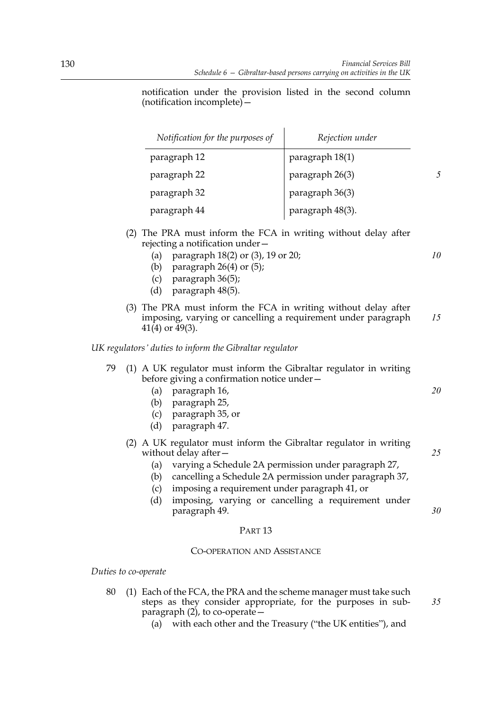notification under the provision listed in the second column (notification incomplete)—

| Notification for the purposes of | Rejection under  |  |
|----------------------------------|------------------|--|
| paragraph 12                     | paragraph 18(1)  |  |
| paragraph 22                     | paragraph 26(3)  |  |
| paragraph 32                     | paragraph 36(3)  |  |
| paragraph 44                     | paragraph 48(3). |  |

- (2) The PRA must inform the FCA in writing without delay after rejecting a notification under—
	- (a) paragraph 18(2) or (3), 19 or 20;
	- (b) paragraph  $26(4)$  or  $(5)$ ;
	- (c) paragraph 36(5);
	- (d) paragraph 48(5).
- (3) The PRA must inform the FCA in writing without delay after imposing, varying or cancelling a requirement under paragraph  $41(4)$  or  $49(3)$ . *15*

# *UK regulators' duties to inform the Gibraltar regulator*

| 79 (1) A UK regulator must inform the Gibraltar regulator in writing |
|----------------------------------------------------------------------|
| before giving a confirmation notice under-                           |

- (a) paragraph 16,
- (b) paragraph 25,
- (c) paragraph 35, or
- (d) paragraph 47.
- (2) A UK regulator must inform the Gibraltar regulator in writing without delay after -
	- (a) varying a Schedule 2A permission under paragraph 27,
	- (b) cancelling a Schedule 2A permission under paragraph 37,
	- (c) imposing a requirement under paragraph 41, or
	- (d) imposing, varying or cancelling a requirement under paragraph 49.

# PART 13

# CO-OPERATION AND ASSISTANCE

*Duties to co-operate*

- 80 (1) Each of the FCA, the PRA and the scheme manager must take such steps as they consider appropriate, for the purposes in subparagraph  $(2)$ , to co-operate –
	- (a) with each other and the Treasury ("the UK entities"), and

*10*

*25*

*30*

*35*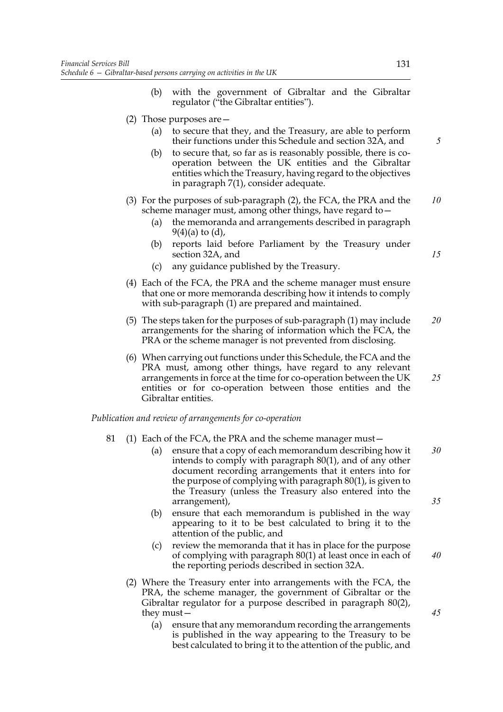- (b) with the government of Gibraltar and the Gibraltar regulator ("the Gibraltar entities").
- (2) Those purposes are—
	- (a) to secure that they, and the Treasury, are able to perform their functions under this Schedule and section 32A, and
	- (b) to secure that, so far as is reasonably possible, there is cooperation between the UK entities and the Gibraltar entities which the Treasury, having regard to the objectives in paragraph 7(1), consider adequate.
- (3) For the purposes of sub-paragraph (2), the FCA, the PRA and the scheme manager must, among other things, have regard to— *10*
	- (a) the memoranda and arrangements described in paragraph  $9(4)(a)$  to  $(d)$ ,
	- (b) reports laid before Parliament by the Treasury under section 32A, and
	- (c) any guidance published by the Treasury.
- (4) Each of the FCA, the PRA and the scheme manager must ensure that one or more memoranda describing how it intends to comply with sub-paragraph (1) are prepared and maintained.
- (5) The steps taken for the purposes of sub-paragraph (1) may include arrangements for the sharing of information which the FCA, the PRA or the scheme manager is not prevented from disclosing. *20*
- (6) When carrying out functions under this Schedule, the FCA and the PRA must, among other things, have regard to any relevant arrangements in force at the time for co-operation between the UK entities or for co-operation between those entities and the Gibraltar entities. *25*

#### *Publication and review of arrangements for co-operation*

- 81 (1) Each of the FCA, the PRA and the scheme manager must—
	- (a) ensure that a copy of each memorandum describing how it intends to comply with paragraph 80(1), and of any other document recording arrangements that it enters into for the purpose of complying with paragraph 80(1), is given to the Treasury (unless the Treasury also entered into the arrangement), *30 35*
	- (b) ensure that each memorandum is published in the way appearing to it to be best calculated to bring it to the attention of the public, and
	- (c) review the memoranda that it has in place for the purpose of complying with paragraph 80(1) at least once in each of the reporting periods described in section 32A.
	- (2) Where the Treasury enter into arrangements with the FCA, the PRA, the scheme manager, the government of Gibraltar or the Gibraltar regulator for a purpose described in paragraph 80(2), they must—
		- (a) ensure that any memorandum recording the arrangements is published in the way appearing to the Treasury to be best calculated to bring it to the attention of the public, and

*45*

*40*

*15*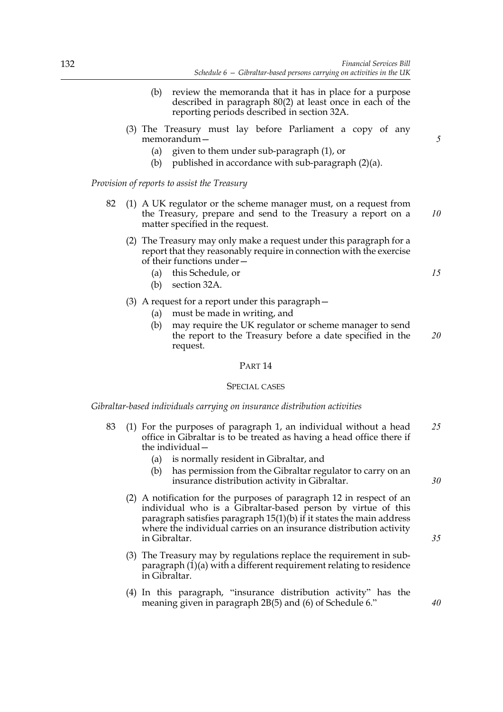- (b) review the memoranda that it has in place for a purpose described in paragraph 80(2) at least once in each of the reporting periods described in section 32A.
- (3) The Treasury must lay before Parliament a copy of any memorandum—
	- (a) given to them under sub-paragraph (1), or
	- (b) published in accordance with sub-paragraph (2)(a).

*Provision of reports to assist the Treasury*

- 82 (1) A UK regulator or the scheme manager must, on a request from the Treasury, prepare and send to the Treasury a report on a matter specified in the request.
	- (2) The Treasury may only make a request under this paragraph for a report that they reasonably require in connection with the exercise of their functions under—
		- (a) this Schedule, or
		- (b) section 32A.
	- (3) A request for a report under this paragraph—
		- (a) must be made in writing, and
		- (b) may require the UK regulator or scheme manager to send the report to the Treasury before a date specified in the request. *20*

# PART 14

#### SPECIAL CASES

# *Gibraltar-based individuals carrying on insurance distribution activities*

- 83 (1) For the purposes of paragraph 1, an individual without a head office in Gibraltar is to be treated as having a head office there if the individual— *25*
	- (a) is normally resident in Gibraltar, and
	- (b) has permission from the Gibraltar regulator to carry on an insurance distribution activity in Gibraltar.
	- (2) A notification for the purposes of paragraph 12 in respect of an individual who is a Gibraltar-based person by virtue of this paragraph satisfies paragraph  $15(1)(b)$  if it states the main address where the individual carries on an insurance distribution activity in Gibraltar.
	- (3) The Treasury may by regulations replace the requirement in subparagraph (1)(a) with a different requirement relating to residence in Gibraltar.
	- (4) In this paragraph, "insurance distribution activity" has the meaning given in paragraph 2B(5) and (6) of Schedule 6."

*5*

*10*

*15*

*30*

*35*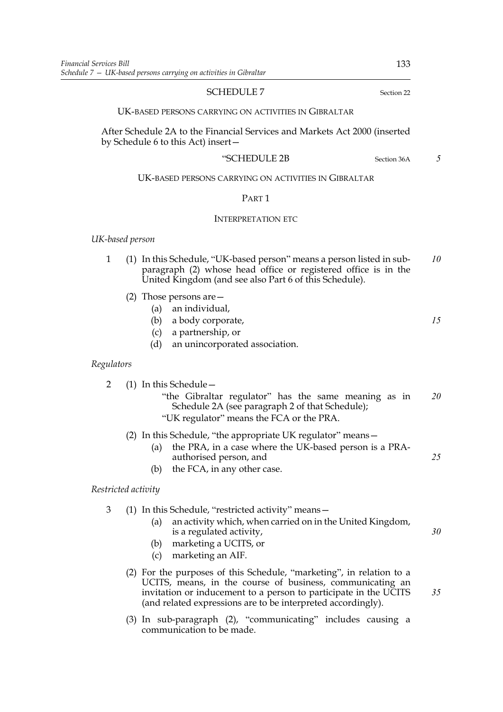## SCHEDULE 7 Section 22

UK-BASED PERSONS CARRYING ON ACTIVITIES IN GIBRALTAR

After Schedule 2A to the Financial Services and Markets Act 2000 (inserted by Schedule 6 to this Act) insert—

#### "SCHEDULE 2B Section 36A

# UK-BASED PERSONS CARRYING ON ACTIVITIES IN GIBRALTAR

# PART 1

# INTERPRETATION ETC

#### *UK-based person*

- 1 (1) In this Schedule, "UK-based person" means a person listed in subparagraph (2) whose head office or registered office is in the United Kingdom (and see also Part 6 of this Schedule). *10*
	- (2) Those persons are—
		- (a) an individual,
		- (b) a body corporate, *15*
		- (c) a partnership, or
		- (d) an unincorporated association.

### *Regulators*

2 (1) In this Schedule— "the Gibraltar regulator" has the same meaning as in Schedule 2A (see paragraph 2 of that Schedule); "UK regulator" means the FCA or the PRA. *20*

# (2) In this Schedule, "the appropriate UK regulator" means—

- (a) the PRA, in a case where the UK-based person is a PRAauthorised person, and *25*
- (b) the FCA, in any other case.

# *Restricted activity*

- 3 (1) In this Schedule, "restricted activity" means—
	- (a) an activity which, when carried on in the United Kingdom, is a regulated activity,
	- (b) marketing a UCITS, or
	- (c) marketing an AIF.
	- (2) For the purposes of this Schedule, "marketing", in relation to a UCITS, means, in the course of business, communicating an invitation or inducement to a person to participate in the UCITS (and related expressions are to be interpreted accordingly).
	- (3) In sub-paragraph (2), "communicating" includes causing a communication to be made.

*5*

*30*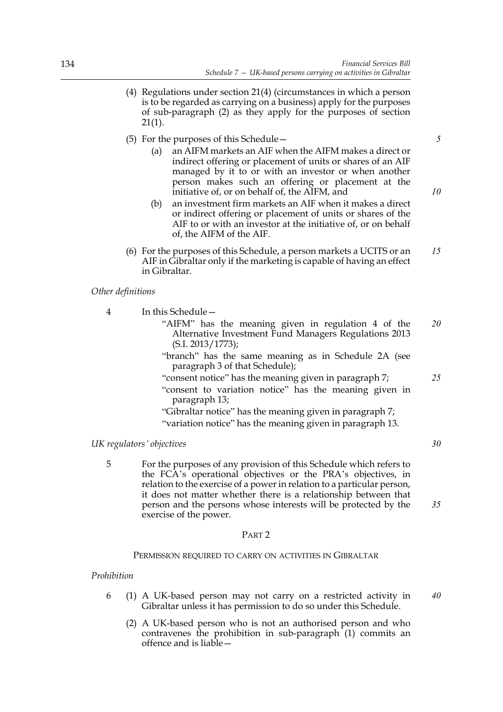- (4) Regulations under section 21(4) (circumstances in which a person is to be regarded as carrying on a business) apply for the purposes of sub-paragraph (2) as they apply for the purposes of section  $21(1)$ .
- (5) For the purposes of this Schedule—
	- (a) an AIFM markets an AIF when the AIFM makes a direct or indirect offering or placement of units or shares of an AIF managed by it to or with an investor or when another person makes such an offering or placement at the initiative of, or on behalf of, the AIFM, and
	- (b) an investment firm markets an AIF when it makes a direct or indirect offering or placement of units or shares of the AIF to or with an investor at the initiative of, or on behalf of, the AIFM of the AIF.
- (6) For the purposes of this Schedule, a person markets a UCITS or an AIF in Gibraltar only if the marketing is capable of having an effect in Gibraltar. *15*

## *Other definitions*

4 In this Schedule—

- "AIFM" has the meaning given in regulation 4 of the Alternative Investment Fund Managers Regulations 2013 (S.I. 2013/1773); *20*
- "branch" has the same meaning as in Schedule 2A (see paragraph 3 of that Schedule);
- "consent notice" has the meaning given in paragraph 7;
- "consent to variation notice" has the meaning given in paragraph 13;

"Gibraltar notice" has the meaning given in paragraph 7; "variation notice" has the meaning given in paragraph 13.

# *UK regulators' objectives*

5 For the purposes of any provision of this Schedule which refers to the FCA's operational objectives or the PRA's objectives, in relation to the exercise of a power in relation to a particular person, it does not matter whether there is a relationship between that person and the persons whose interests will be protected by the exercise of the power.

# PART 2

## PERMISSION REQUIRED TO CARRY ON ACTIVITIES IN GIBRALTAR

## *Prohibition*

- 6 (1) A UK-based person may not carry on a restricted activity in Gibraltar unless it has permission to do so under this Schedule. *40*
	- (2) A UK-based person who is not an authorised person and who contravenes the prohibition in sub-paragraph (1) commits an offence and is liable—

*10*

*5*

- *25*
- *30*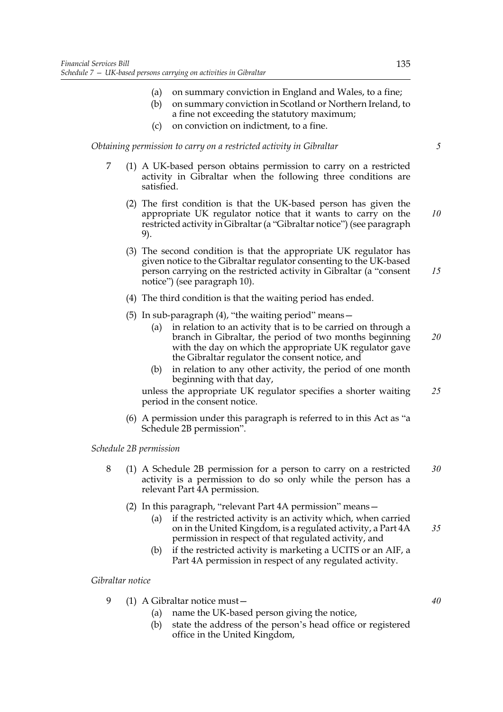- (a) on summary conviction in England and Wales, to a fine;
- (b) on summary conviction in Scotland or Northern Ireland, to a fine not exceeding the statutory maximum;
- (c) on conviction on indictment, to a fine.

*Obtaining permission to carry on a restricted activity in Gibraltar*

- 7 (1) A UK-based person obtains permission to carry on a restricted activity in Gibraltar when the following three conditions are satisfied.
	- (2) The first condition is that the UK-based person has given the appropriate UK regulator notice that it wants to carry on the restricted activity in Gibraltar (a "Gibraltar notice") (see paragraph 9). *10*
	- (3) The second condition is that the appropriate UK regulator has given notice to the Gibraltar regulator consenting to the UK-based person carrying on the restricted activity in Gibraltar (a "consent notice") (see paragraph 10). *15*
	- (4) The third condition is that the waiting period has ended.
	- (5) In sub-paragraph  $(4)$ , "the waiting period" means  $-$ 
		- (a) in relation to an activity that is to be carried on through a branch in Gibraltar, the period of two months beginning with the day on which the appropriate UK regulator gave the Gibraltar regulator the consent notice, and *20*
		- (b) in relation to any other activity, the period of one month beginning with that day,

unless the appropriate UK regulator specifies a shorter waiting period in the consent notice. *25*

(6) A permission under this paragraph is referred to in this Act as "a Schedule 2B permission".

*Schedule 2B permission*

- 8 (1) A Schedule 2B permission for a person to carry on a restricted activity is a permission to do so only while the person has a relevant Part 4A permission. *30*
	- (2) In this paragraph, "relevant Part 4A permission" means—
		- (a) if the restricted activity is an activity which, when carried on in the United Kingdom, is a regulated activity, a Part 4A permission in respect of that regulated activity, and *35*
		- (b) if the restricted activity is marketing a UCITS or an AIF, a Part 4A permission in respect of any regulated activity.

*Gibraltar notice*

- 9 (1) A Gibraltar notice must—
	- (a) name the UK-based person giving the notice,
	- (b) state the address of the person's head office or registered office in the United Kingdom,

*40*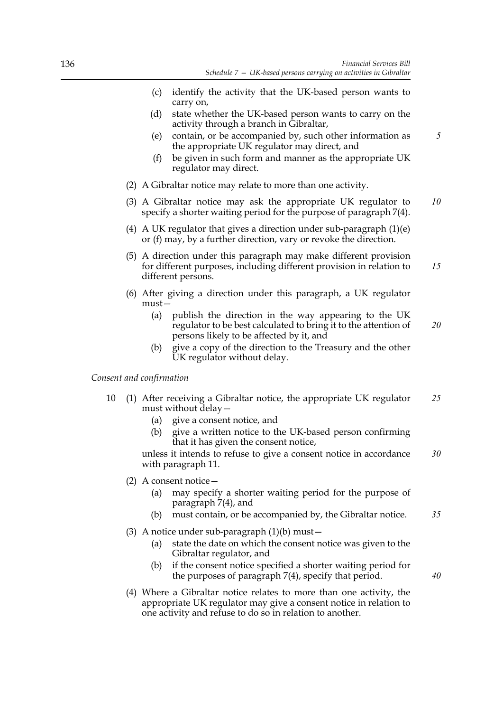- (c) identify the activity that the UK-based person wants to carry on,
- (d) state whether the UK-based person wants to carry on the activity through a branch in Gibraltar,
- (e) contain, or be accompanied by, such other information as the appropriate UK regulator may direct, and
- (f) be given in such form and manner as the appropriate UK regulator may direct.
- (2) A Gibraltar notice may relate to more than one activity.
- (3) A Gibraltar notice may ask the appropriate UK regulator to specify a shorter waiting period for the purpose of paragraph 7(4). *10*
- (4) A UK regulator that gives a direction under sub-paragraph (1)(e) or (f) may, by a further direction, vary or revoke the direction.
- (5) A direction under this paragraph may make different provision for different purposes, including different provision in relation to different persons. *15*
- (6) After giving a direction under this paragraph, a UK regulator must—
	- (a) publish the direction in the way appearing to the UK regulator to be best calculated to bring it to the attention of persons likely to be affected by it, and *20*
	- (b) give a copy of the direction to the Treasury and the other UK regulator without delay.

## *Consent and confirmation*

- 10 (1) After receiving a Gibraltar notice, the appropriate UK regulator must without delay— *25*
	- (a) give a consent notice, and
	- (b) give a written notice to the UK-based person confirming that it has given the consent notice,

unless it intends to refuse to give a consent notice in accordance with paragraph 11. *30*

- (2) A consent notice—
	- (a) may specify a shorter waiting period for the purpose of paragraph 7(4), and
	- (b) must contain, or be accompanied by, the Gibraltar notice. *35*
- (3) A notice under sub-paragraph  $(1)(b)$  must  $-$ 
	- (a) state the date on which the consent notice was given to the Gibraltar regulator, and
	- (b) if the consent notice specified a shorter waiting period for the purposes of paragraph 7(4), specify that period.
- (4) Where a Gibraltar notice relates to more than one activity, the appropriate UK regulator may give a consent notice in relation to one activity and refuse to do so in relation to another.

*40*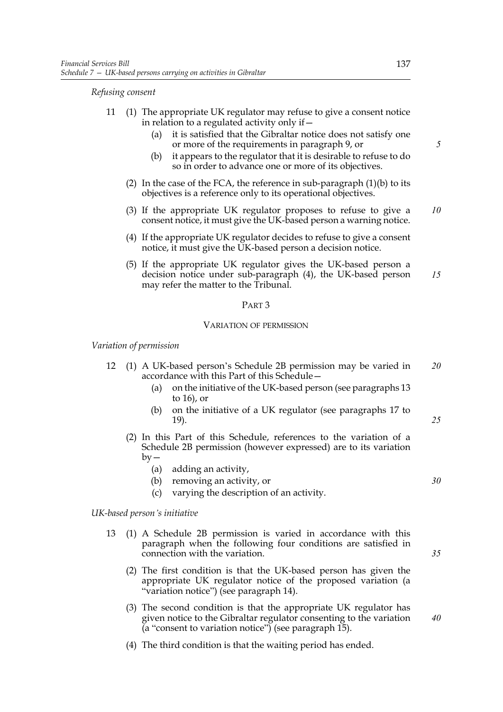*Refusing consent*

- 11 (1) The appropriate UK regulator may refuse to give a consent notice in relation to a regulated activity only if—
	- (a) it is satisfied that the Gibraltar notice does not satisfy one or more of the requirements in paragraph 9, or
	- (b) it appears to the regulator that it is desirable to refuse to do so in order to advance one or more of its objectives.
	- (2) In the case of the FCA, the reference in sub-paragraph (1)(b) to its objectives is a reference only to its operational objectives.
	- (3) If the appropriate UK regulator proposes to refuse to give a consent notice, it must give the UK-based person a warning notice. *10*
	- (4) If the appropriate UK regulator decides to refuse to give a consent notice, it must give the UK-based person a decision notice.
	- (5) If the appropriate UK regulator gives the UK-based person a decision notice under sub-paragraph (4), the UK-based person may refer the matter to the Tribunal. *15*

#### PART 3

#### VARIATION OF PERMISSION

*Variation of permission*

- 12 (1) A UK-based person's Schedule 2B permission may be varied in accordance with this Part of this Schedule— *20*
	- (a) on the initiative of the UK-based person (see paragraphs 13 to 16), or
	- (b) on the initiative of a UK regulator (see paragraphs 17 to 19).
	- (2) In this Part of this Schedule, references to the variation of a Schedule 2B permission (however expressed) are to its variation  $by -$ 
		- (a) adding an activity,
		- (b) removing an activity, or
		- (c) varying the description of an activity.

### *UK-based person's initiative*

- 13 (1) A Schedule 2B permission is varied in accordance with this paragraph when the following four conditions are satisfied in connection with the variation.
	- (2) The first condition is that the UK-based person has given the appropriate UK regulator notice of the proposed variation (a "variation notice") (see paragraph 14).
	- (3) The second condition is that the appropriate UK regulator has given notice to the Gibraltar regulator consenting to the variation  $(a$  "consent to variation notice") (see paragraph 15).
	- (4) The third condition is that the waiting period has ended.

*5*

*35*

*25*

*30*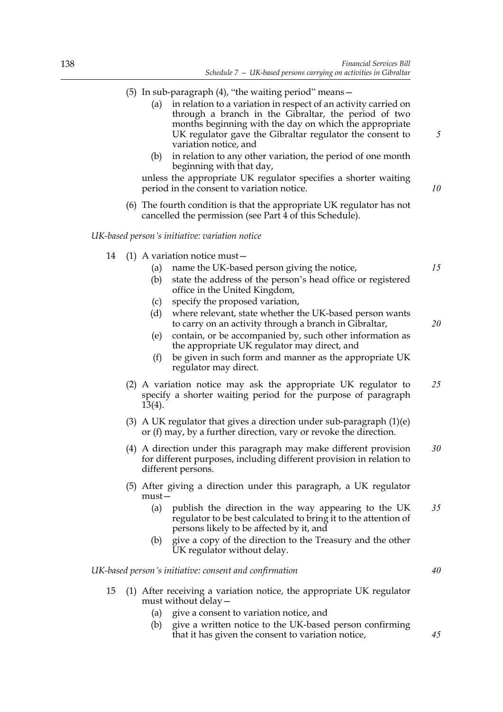- (5) In sub-paragraph  $(4)$ , "the waiting period" means  $-$ 
	- (a) in relation to a variation in respect of an activity carried on through a branch in the Gibraltar, the period of two months beginning with the day on which the appropriate UK regulator gave the Gibraltar regulator the consent to variation notice, and
	- (b) in relation to any other variation, the period of one month beginning with that day,

unless the appropriate UK regulator specifies a shorter waiting period in the consent to variation notice.

(6) The fourth condition is that the appropriate UK regulator has not cancelled the permission (see Part 4 of this Schedule).

*UK-based person's initiative: variation notice*

- 14 (1) A variation notice must—
	- (a) name the UK-based person giving the notice,
	- (b) state the address of the person's head office or registered office in the United Kingdom,
	- (c) specify the proposed variation,
	- (d) where relevant, state whether the UK-based person wants to carry on an activity through a branch in Gibraltar,
	- (e) contain, or be accompanied by, such other information as the appropriate UK regulator may direct, and
	- (f) be given in such form and manner as the appropriate UK regulator may direct.
	- (2) A variation notice may ask the appropriate UK regulator to specify a shorter waiting period for the purpose of paragraph 13(4). *25*
	- (3) A UK regulator that gives a direction under sub-paragraph (1)(e) or (f) may, by a further direction, vary or revoke the direction.
	- (4) A direction under this paragraph may make different provision for different purposes, including different provision in relation to different persons. *30*
	- (5) After giving a direction under this paragraph, a UK regulator  $must -$ 
		- (a) publish the direction in the way appearing to the UK regulator to be best calculated to bring it to the attention of persons likely to be affected by it, and *35*
		- (b) give a copy of the direction to the Treasury and the other UK regulator without delay.

*UK-based person's initiative: consent and confirmation*

- 15 (1) After receiving a variation notice, the appropriate UK regulator must without delay—
	- (a) give a consent to variation notice, and
	- (b) give a written notice to the UK-based person confirming that it has given the consent to variation notice,

*5*

*10*

*15*

*20*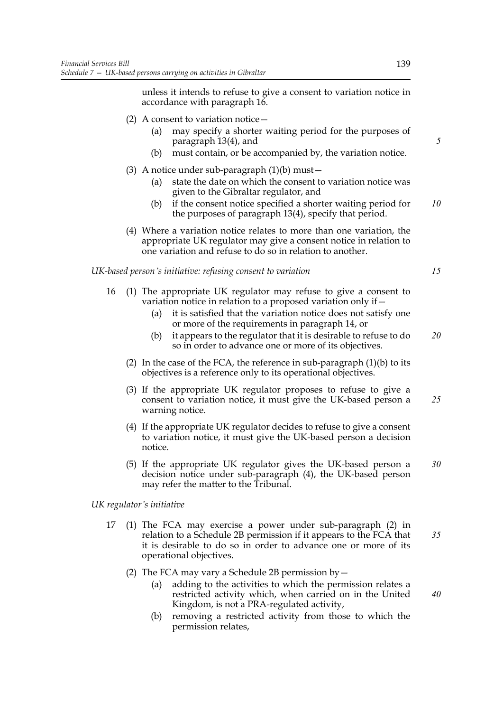unless it intends to refuse to give a consent to variation notice in accordance with paragraph 16.

- (2) A consent to variation notice  $-$ 
	- (a) may specify a shorter waiting period for the purposes of paragraph 13(4), and
	- (b) must contain, or be accompanied by, the variation notice.
- (3) A notice under sub-paragraph  $(1)(b)$  must  $-$ 
	- (a) state the date on which the consent to variation notice was given to the Gibraltar regulator, and
	- (b) if the consent notice specified a shorter waiting period for the purposes of paragraph 13(4), specify that period. *10*
- (4) Where a variation notice relates to more than one variation, the appropriate UK regulator may give a consent notice in relation to one variation and refuse to do so in relation to another.

*UK-based person's initiative: refusing consent to variation*

*15*

*40*

*5*

- 16 (1) The appropriate UK regulator may refuse to give a consent to variation notice in relation to a proposed variation only if—
	- (a) it is satisfied that the variation notice does not satisfy one or more of the requirements in paragraph 14, or
	- (b) it appears to the regulator that it is desirable to refuse to do so in order to advance one or more of its objectives. *20*
	- (2) In the case of the FCA, the reference in sub-paragraph  $(1)(b)$  to its objectives is a reference only to its operational objectives.
	- (3) If the appropriate UK regulator proposes to refuse to give a consent to variation notice, it must give the UK-based person a warning notice. *25*
	- (4) If the appropriate UK regulator decides to refuse to give a consent to variation notice, it must give the UK-based person a decision notice.
	- (5) If the appropriate UK regulator gives the UK-based person a decision notice under sub-paragraph (4), the UK-based person may refer the matter to the Tribunal. *30*

*UK regulator's initiative*

- 17 (1) The FCA may exercise a power under sub-paragraph (2) in relation to a Schedule 2B permission if it appears to the FCA that it is desirable to do so in order to advance one or more of its operational objectives. *35*
	- (2) The FCA may vary a Schedule 2B permission by  $-$ 
		- (a) adding to the activities to which the permission relates a restricted activity which, when carried on in the United Kingdom, is not a PRA-regulated activity,
		- (b) removing a restricted activity from those to which the permission relates,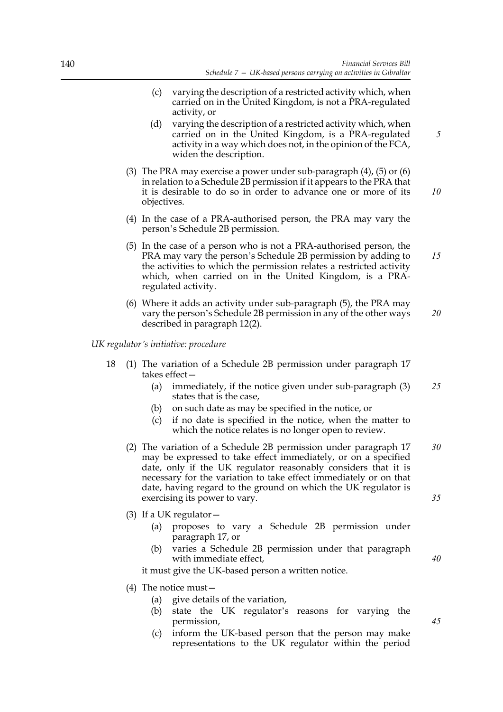- (c) varying the description of a restricted activity which, when carried on in the United Kingdom, is not a PRA-regulated activity, or
- (d) varying the description of a restricted activity which, when carried on in the United Kingdom, is a PRA-regulated activity in a way which does not, in the opinion of the FCA, widen the description.
- (3) The PRA may exercise a power under sub-paragraph (4), (5) or (6) in relation to a Schedule 2B permission if it appears to the PRA that it is desirable to do so in order to advance one or more of its objectives. *10*
- (4) In the case of a PRA-authorised person, the PRA may vary the person's Schedule 2B permission.
- (5) In the case of a person who is not a PRA-authorised person, the PRA may vary the person's Schedule 2B permission by adding to the activities to which the permission relates a restricted activity which, when carried on in the United Kingdom, is a PRAregulated activity. *15*
- (6) Where it adds an activity under sub-paragraph (5), the PRA may vary the person's Schedule 2B permission in any of the other ways described in paragraph 12(2). *20*

*UK regulator's initiative: procedure*

- 18 (1) The variation of a Schedule 2B permission under paragraph 17 takes effect—
	- (a) immediately, if the notice given under sub-paragraph (3) states that is the case, *25*
	- (b) on such date as may be specified in the notice, or
	- (c) if no date is specified in the notice, when the matter to which the notice relates is no longer open to review.
	- (2) The variation of a Schedule 2B permission under paragraph 17 may be expressed to take effect immediately, or on a specified date, only if the UK regulator reasonably considers that it is necessary for the variation to take effect immediately or on that date, having regard to the ground on which the UK regulator is exercising its power to vary. *30 35*
	- (3) If a UK regulator  $-$ 
		- (a) proposes to vary a Schedule 2B permission under paragraph 17, or
		- (b) varies a Schedule 2B permission under that paragraph with immediate effect,

it must give the UK-based person a written notice.

- (4) The notice must—
	- (a) give details of the variation,
	- (b) state the UK regulator's reasons for varying the permission,
	- (c) inform the UK-based person that the person may make representations to the UK regulator within the period

*40*

*45*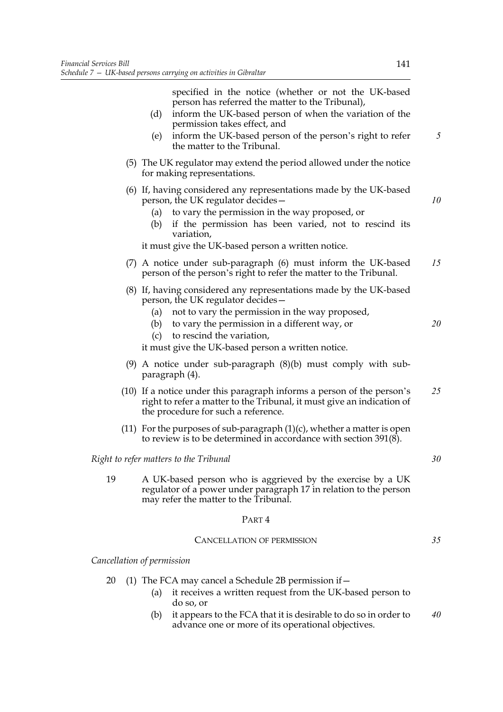specified in the notice (whether or not the UK-based person has referred the matter to the Tribunal),

- (d) inform the UK-based person of when the variation of the permission takes effect, and
- (e) inform the UK-based person of the person's right to refer the matter to the Tribunal.
- (5) The UK regulator may extend the period allowed under the notice for making representations.
- (6) If, having considered any representations made by the UK-based person, the UK regulator decides—
	- (a) to vary the permission in the way proposed, or
	- (b) if the permission has been varied, not to rescind its variation,

it must give the UK-based person a written notice.

- (7) A notice under sub-paragraph (6) must inform the UK-based person of the person's right to refer the matter to the Tribunal. *15*
- (8) If, having considered any representations made by the UK-based person, the UK regulator decides—
	- (a) not to vary the permission in the way proposed,
	- (b) to vary the permission in a different way, or
	- (c) to rescind the variation,

it must give the UK-based person a written notice.

- (9) A notice under sub-paragraph (8)(b) must comply with subparagraph (4).
- (10) If a notice under this paragraph informs a person of the person's right to refer a matter to the Tribunal, it must give an indication of the procedure for such a reference. *25*
- (11) For the purposes of sub-paragraph  $(1)(c)$ , whether a matter is open to review is to be determined in accordance with section 391(8).

### *Right to refer matters to the Tribunal*

19 A UK-based person who is aggrieved by the exercise by a UK regulator of a power under paragraph 17 in relation to the person may refer the matter to the Tribunal.

#### PART 4

### CANCELLATION OF PERMISSION

*Cancellation of permission*

- 20 (1) The FCA may cancel a Schedule 2B permission if—
	- (a) it receives a written request from the UK-based person to do so, or
	- (b) it appears to the FCA that it is desirable to do so in order to advance one or more of its operational objectives. *40*

*5*

*10*

*20*

*30*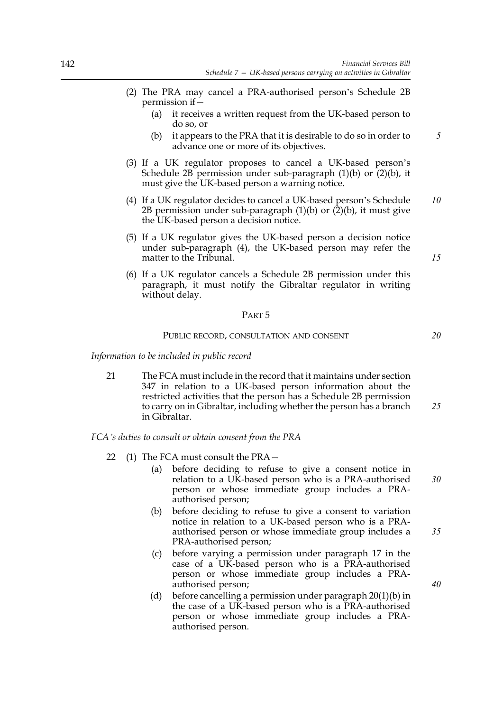- (2) The PRA may cancel a PRA-authorised person's Schedule 2B permission if—
	- (a) it receives a written request from the UK-based person to do so, or
	- (b) it appears to the PRA that it is desirable to do so in order to advance one or more of its objectives.
- (3) If a UK regulator proposes to cancel a UK-based person's Schedule 2B permission under sub-paragraph (1)(b) or (2)(b), it must give the UK-based person a warning notice.
- (4) If a UK regulator decides to cancel a UK-based person's Schedule 2B permission under sub-paragraph  $(1)(b)$  or  $(2)(b)$ , it must give the UK-based person a decision notice. *10*
- (5) If a UK regulator gives the UK-based person a decision notice under sub-paragraph (4), the UK-based person may refer the matter to the Tribunal.
- (6) If a UK regulator cancels a Schedule 2B permission under this paragraph, it must notify the Gibraltar regulator in writing without delay.

#### PART 5

### PUBLIC RECORD, CONSULTATION AND CONSENT

*Information to be included in public record*

21 The FCA must include in the record that it maintains under section 347 in relation to a UK-based person information about the restricted activities that the person has a Schedule 2B permission to carry on in Gibraltar, including whether the person has a branch in Gibraltar. *25*

*FCA's duties to consult or obtain consent from the PRA*

- 22 (1) The FCA must consult the PRA—
	- (a) before deciding to refuse to give a consent notice in relation to a UK-based person who is a PRA-authorised person or whose immediate group includes a PRAauthorised person; *30*
	- (b) before deciding to refuse to give a consent to variation notice in relation to a UK-based person who is a PRAauthorised person or whose immediate group includes a PRA-authorised person;
	- (c) before varying a permission under paragraph 17 in the case of a UK-based person who is a PRA-authorised person or whose immediate group includes a PRAauthorised person;
	- (d) before cancelling a permission under paragraph 20(1)(b) in the case of a UK-based person who is a PRA-authorised person or whose immediate group includes a PRAauthorised person.

*15*

*20*

*35*

*40*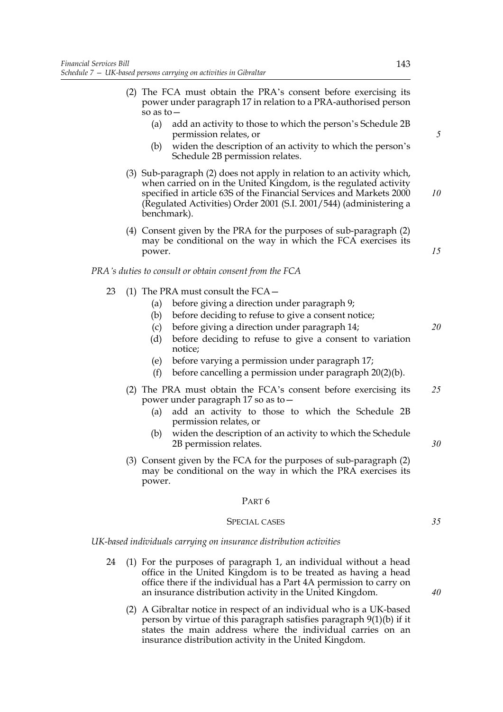- (2) The FCA must obtain the PRA's consent before exercising its power under paragraph 17 in relation to a PRA-authorised person so as to—
	- (a) add an activity to those to which the person's Schedule 2B permission relates, or
	- (b) widen the description of an activity to which the person's Schedule 2B permission relates.
- (3) Sub-paragraph (2) does not apply in relation to an activity which, when carried on in the United Kingdom, is the regulated activity specified in article 63S of the Financial Services and Markets 2000 (Regulated Activities) Order 2001 (S.I. 2001/544) (administering a benchmark). *10*
- (4) Consent given by the PRA for the purposes of sub-paragraph (2) may be conditional on the way in which the FCA exercises its power.

### *PRA's duties to consult or obtain consent from the FCA*

- 23 (1) The PRA must consult the FCA—
	- (a) before giving a direction under paragraph 9;
	- (b) before deciding to refuse to give a consent notice;
	- (c) before giving a direction under paragraph 14;
	- (d) before deciding to refuse to give a consent to variation notice;
	- (e) before varying a permission under paragraph 17;
	- (f) before cancelling a permission under paragraph 20(2)(b).
	- (2) The PRA must obtain the FCA's consent before exercising its power under paragraph 17 so as to— *25*
		- (a) add an activity to those to which the Schedule 2B permission relates, or
		- (b) widen the description of an activity to which the Schedule 2B permission relates.
	- (3) Consent given by the FCA for the purposes of sub-paragraph (2) may be conditional on the way in which the PRA exercises its power.

#### PART 6

## SPECIAL CASES

*UK-based individuals carrying on insurance distribution activities*

- 24 (1) For the purposes of paragraph 1, an individual without a head office in the United Kingdom is to be treated as having a head office there if the individual has a Part 4A permission to carry on an insurance distribution activity in the United Kingdom.
	- (2) A Gibraltar notice in respect of an individual who is a UK-based person by virtue of this paragraph satisfies paragraph 9(1)(b) if it states the main address where the individual carries on an insurance distribution activity in the United Kingdom.

*5*

*15*

*20*

*40*

*35*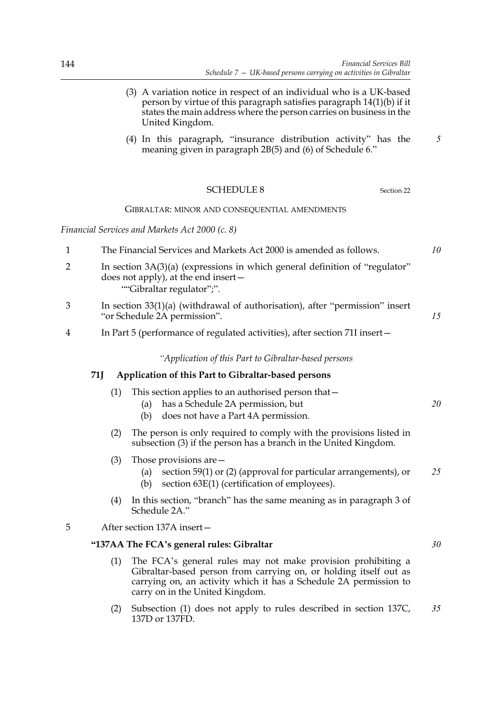|                |     | (3) A variation notice in respect of an individual who is a UK-based<br>person by virtue of this paragraph satisfies paragraph $14(1)(b)$ if it<br>states the main address where the person carries on business in the<br>United Kingdom. |    |
|----------------|-----|-------------------------------------------------------------------------------------------------------------------------------------------------------------------------------------------------------------------------------------------|----|
|                |     | (4) In this paragraph, "insurance distribution activity" has the<br>meaning given in paragraph 2B(5) and (6) of Schedule 6."                                                                                                              | 5  |
|                |     | <b>SCHEDULE 8</b><br>Section 22                                                                                                                                                                                                           |    |
|                |     | GIBRALTAR: MINOR AND CONSEQUENTIAL AMENDMENTS                                                                                                                                                                                             |    |
|                |     | Financial Services and Markets Act 2000 (c. 8)                                                                                                                                                                                            |    |
| $\mathbf{1}$   |     | The Financial Services and Markets Act 2000 is amended as follows.                                                                                                                                                                        | 10 |
| $\overline{2}$ |     | In section $3A(3)(a)$ (expressions in which general definition of "regulator"<br>does not apply), at the end insert –<br>""Gibraltar regulator";".                                                                                        |    |
| 3              |     | In section $33(1)(a)$ (withdrawal of authorisation), after "permission" insert<br>"or Schedule 2A permission".                                                                                                                            | 15 |
| 4              |     | In Part 5 (performance of regulated activities), after section 71I insert-                                                                                                                                                                |    |
|                |     | "Application of this Part to Gibraltar-based persons                                                                                                                                                                                      |    |
|                | 71J | Application of this Part to Gibraltar-based persons                                                                                                                                                                                       |    |
|                | (1) | This section applies to an authorised person that -<br>has a Schedule 2A permission, but<br>(a)<br>does not have a Part 4A permission.<br>(b)                                                                                             | 20 |
|                | (2) | The person is only required to comply with the provisions listed in<br>subsection (3) if the person has a branch in the United Kingdom.                                                                                                   |    |
|                | (3) | Those provisions are $-$<br>section 59(1) or (2) (approval for particular arrangements), or<br>(a)<br>section 63E(1) (certification of employees).<br>(b)                                                                                 | 25 |
|                | (4) | In this section, "branch" has the same meaning as in paragraph 3 of<br>Schedule 2A."                                                                                                                                                      |    |
| 5              |     | After section 137A insert-                                                                                                                                                                                                                |    |
|                |     | "137AA The FCA's general rules: Gibraltar                                                                                                                                                                                                 | 30 |
|                | (1) | The FCA's general rules may not make provision prohibiting a<br>Gibraltar-based person from carrying on, or holding itself out as<br>carrying on, an activity which it has a Schedule 2A permission to<br>carry on in the United Kingdom. |    |

(2) Subsection (1) does not apply to rules described in section 137C, 137D or 137FD. *35*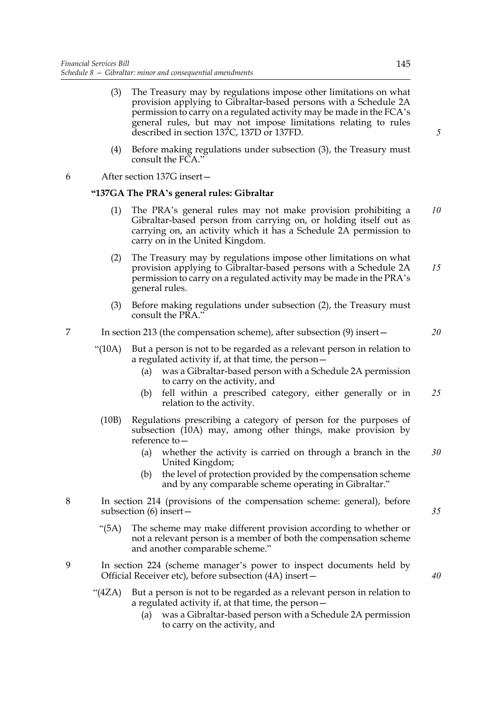- (3) The Treasury may by regulations impose other limitations on what provision applying to Gibraltar-based persons with a Schedule 2A permission to carry on a regulated activity may be made in the FCA's general rules, but may not impose limitations relating to rules described in section 137C, 137D or 137FD.
- (4) Before making regulations under subsection (3), the Treasury must consult the FCA."

6 After section 137G insert—

## **"137GA The PRA's general rules: Gibraltar**

- (1) The PRA's general rules may not make provision prohibiting a Gibraltar-based person from carrying on, or holding itself out as carrying on, an activity which it has a Schedule 2A permission to carry on in the United Kingdom. *10*
- (2) The Treasury may by regulations impose other limitations on what provision applying to Gibraltar-based persons with a Schedule 2A permission to carry on a regulated activity may be made in the PRA's general rules. *15*
- (3) Before making regulations under subsection (2), the Treasury must consult the PRA."

# 7 In section 213 (the compensation scheme), after subsection (9) insert—

- "(10A) But a person is not to be regarded as a relevant person in relation to a regulated activity if, at that time, the person—
	- (a) was a Gibraltar-based person with a Schedule 2A permission to carry on the activity, and
	- (b) fell within a prescribed category, either generally or in relation to the activity. *25*
- (10B) Regulations prescribing a category of person for the purposes of subsection (10A) may, among other things, make provision by reference to—
	- (a) whether the activity is carried on through a branch in the United Kingdom; *30*
	- (b) the level of protection provided by the compensation scheme and by any comparable scheme operating in Gibraltar."
- 8 In section 214 (provisions of the compensation scheme: general), before subsection (6) insert—
	- "(5A) The scheme may make different provision according to whether or not a relevant person is a member of both the compensation scheme and another comparable scheme."
- 9 In section 224 (scheme manager's power to inspect documents held by Official Receiver etc), before subsection (4A) insert—
	- "(4ZA) But a person is not to be regarded as a relevant person in relation to a regulated activity if, at that time, the person—
		- (a) was a Gibraltar-based person with a Schedule 2A permission to carry on the activity, and

145

*5*

*35*

*20*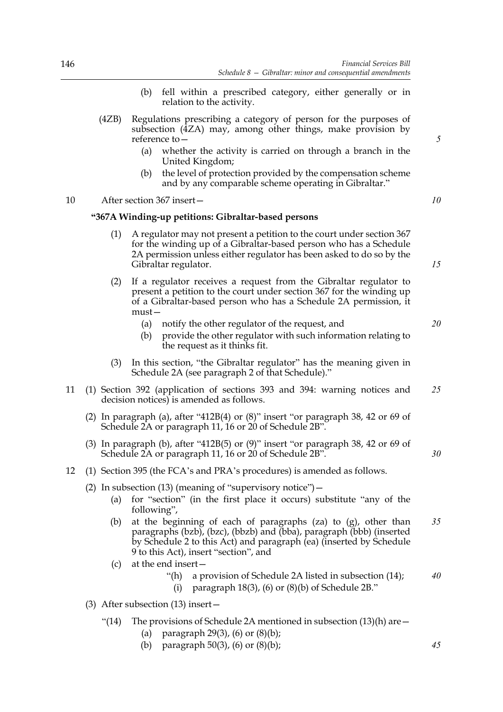- (b) fell within a prescribed category, either generally or in relation to the activity.
- (4ZB) Regulations prescribing a category of person for the purposes of subsection (4ZA) may, among other things, make provision by reference to—
	- (a) whether the activity is carried on through a branch in the United Kingdom;
	- (b) the level of protection provided by the compensation scheme and by any comparable scheme operating in Gibraltar."

## 10 After section 367 insert—

### **"367A Winding-up petitions: Gibraltar-based persons**

- (1) A regulator may not present a petition to the court under section 367 for the winding up of a Gibraltar-based person who has a Schedule 2A permission unless either regulator has been asked to do so by the Gibraltar regulator.
- (2) If a regulator receives a request from the Gibraltar regulator to present a petition to the court under section 367 for the winding up of a Gibraltar-based person who has a Schedule 2A permission, it must—
	- (a) notify the other regulator of the request, and
	- (b) provide the other regulator with such information relating to the request as it thinks fit.
- (3) In this section, "the Gibraltar regulator" has the meaning given in Schedule 2A (see paragraph 2 of that Schedule)."
- 11 (1) Section 392 (application of sections 393 and 394: warning notices and decision notices) is amended as follows. *25*
	- (2) In paragraph (a), after "412B(4) or  $(8)$ " insert "or paragraph 38, 42 or 69 of Schedule 2A or paragraph 11, 16 or 20 of Schedule 2B".
	- (3) In paragraph (b), after "412B(5) or (9)" insert "or paragraph 38, 42 or 69 of Schedule 2A or paragraph 11, 16 or 20 of Schedule 2B".
- 12 (1) Section 395 (the FCA's and PRA's procedures) is amended as follows.
	- (2) In subsection (13) (meaning of "supervisory notice")  $-$ 
		- (a) for "section" (in the first place it occurs) substitute "any of the following",
		- (b) at the beginning of each of paragraphs (za) to (g), other than paragraphs (bzb), (bzc), (bbzb) and (bba), paragraph (bbb) (inserted by Schedule 2 to this Act) and paragraph (ea) (inserted by Schedule 9 to this Act), insert "section", and *35*
		- (c) at the end insert—
			- "(h) a provision of Schedule 2A listed in subsection (14); *40*
				- (i) paragraph  $18(3)$ , (6) or  $(8)(b)$  of Schedule 2B."
	- (3) After subsection (13) insert—
		- "(14) The provisions of Schedule 2A mentioned in subsection  $(13)(h)$  are  $-$ 
			- (a) paragraph  $29(3)$ , (6) or  $(8)(b)$ ;
			- (b) paragraph 50(3), (6) or (8)(b);

*5*

*10*

*15*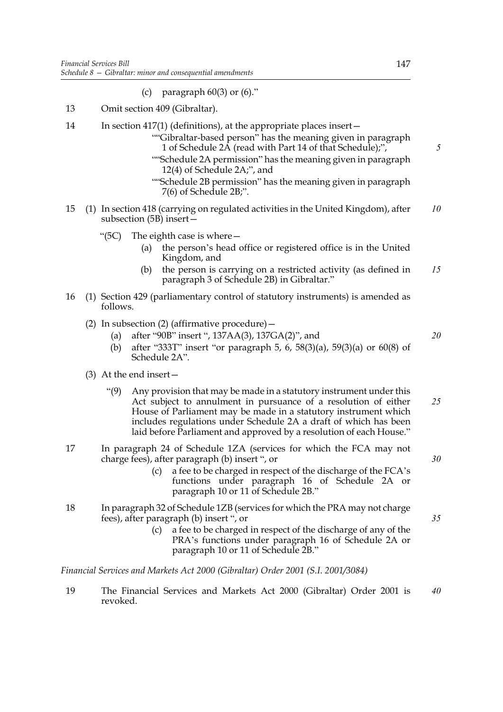- (c) paragraph  $60(3)$  or  $(6)$ ."
- 13 Omit section 409 (Gibraltar).
- 14 In section 417(1) (definitions), at the appropriate places insert—
	- ""Gibraltar-based person" has the meaning given in paragraph 1 of Schedule 2A (read with Part 14 of that Schedule);",
	- ""Schedule 2A permission" has the meaning given in paragraph 12(4) of Schedule 2A;", and
	- ""Schedule 2B permission" has the meaning given in paragraph 7(6) of Schedule 2B;".
- 15 (1) In section 418 (carrying on regulated activities in the United Kingdom), after subsection (5B) insert— *10*
	- "(5C) The eighth case is where—
		- (a) the person's head office or registered office is in the United Kingdom, and
		- (b) the person is carrying on a restricted activity (as defined in paragraph 3 of Schedule 2B) in Gibraltar." *15*
- 16 (1) Section 429 (parliamentary control of statutory instruments) is amended as follows.
	- (2) In subsection (2) (affirmative procedure)  $-$ 
		- (a) after "90B" insert ", 137AA(3), 137GA(2)", and
		- (b) after "333T" insert "or paragraph 5, 6, 58(3)(a), 59(3)(a) or 60(8) of Schedule 2A".
	- (3) At the end insert—
		- "(9) Any provision that may be made in a statutory instrument under this Act subject to annulment in pursuance of a resolution of either House of Parliament may be made in a statutory instrument which includes regulations under Schedule 2A a draft of which has been laid before Parliament and approved by a resolution of each House." *25*
- 17 In paragraph 24 of Schedule 1ZA (services for which the FCA may not charge fees), after paragraph (b) insert ", or
	- (c) a fee to be charged in respect of the discharge of the FCA's functions under paragraph 16 of Schedule 2A or paragraph 10 or 11 of Schedule 2B."
- 18 In paragraph 32 of Schedule 1ZB (services for which the PRA may not charge fees), after paragraph (b) insert ", or
	- (c) a fee to be charged in respect of the discharge of any of the PRA's functions under paragraph 16 of Schedule 2A or paragraph 10 or 11 of Schedule 2B."

*Financial Services and Markets Act 2000 (Gibraltar) Order 2001 (S.I. 2001/3084)*

19 The Financial Services and Markets Act 2000 (Gibraltar) Order 2001 is revoked. *40*

*5*

*20*

*30*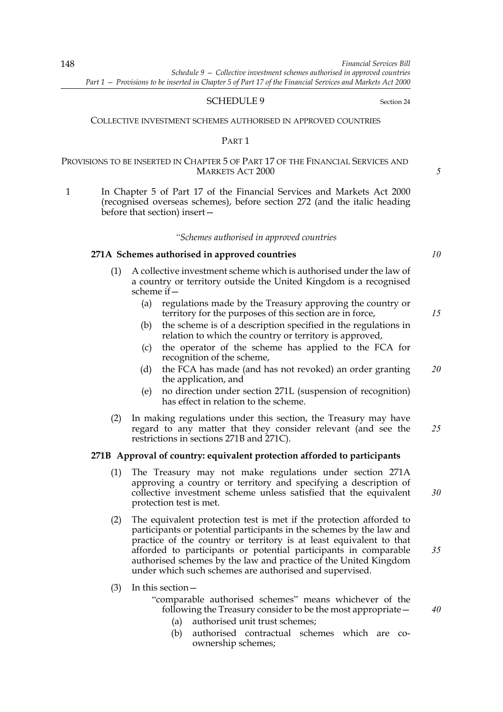### SCHEDULE 9 Section 24

### COLLECTIVE INVESTMENT SCHEMES AUTHORISED IN APPROVED COUNTRIES

#### PART 1

## PROVISIONS TO BE INSERTED IN CHAPTER 5 OF PART 17 OF THE FINANCIAL SERVICES AND MARKETS ACT 2000

1 In Chapter 5 of Part 17 of the Financial Services and Markets Act 2000 (recognised overseas schemes), before section 272 (and the italic heading before that section) insert—

#### *"Schemes authorised in approved countries*

# **271A Schemes authorised in approved countries**

- (1) A collective investment scheme which is authorised under the law of a country or territory outside the United Kingdom is a recognised scheme if—
	- (a) regulations made by the Treasury approving the country or territory for the purposes of this section are in force,
	- (b) the scheme is of a description specified in the regulations in relation to which the country or territory is approved,
	- (c) the operator of the scheme has applied to the FCA for recognition of the scheme,
	- (d) the FCA has made (and has not revoked) an order granting the application, and *20*
	- (e) no direction under section 271L (suspension of recognition) has effect in relation to the scheme.
- (2) In making regulations under this section, the Treasury may have regard to any matter that they consider relevant (and see the restrictions in sections 271B and 271C). *25*

### **271B Approval of country: equivalent protection afforded to participants**

- (1) The Treasury may not make regulations under section 271A approving a country or territory and specifying a description of collective investment scheme unless satisfied that the equivalent protection test is met. *30*
- (2) The equivalent protection test is met if the protection afforded to participants or potential participants in the schemes by the law and practice of the country or territory is at least equivalent to that afforded to participants or potential participants in comparable authorised schemes by the law and practice of the United Kingdom under which such schemes are authorised and supervised.
- (3) In this section—

"comparable authorised schemes" means whichever of the following the Treasury consider to be the most appropriate—

- (a) authorised unit trust schemes;
- (b) authorised contractual schemes which are coownership schemes;

*10*

*5*

*15*

*35*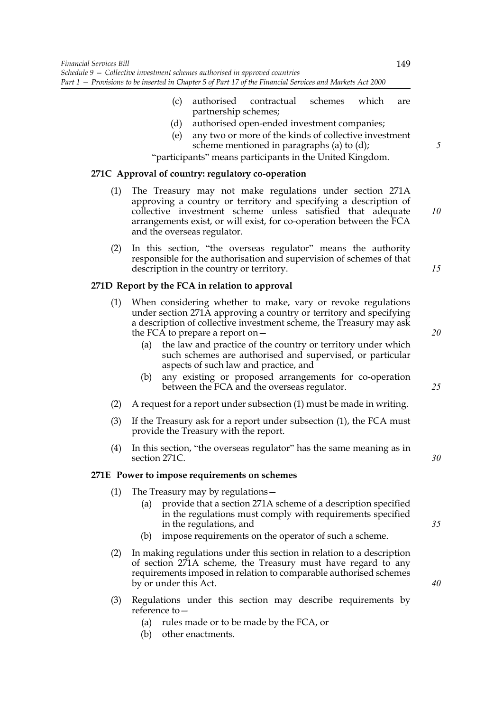- (c) authorised contractual schemes which are partnership schemes;
- (d) authorised open-ended investment companies;
- (e) any two or more of the kinds of collective investment scheme mentioned in paragraphs (a) to (d);

"participants" means participants in the United Kingdom.

## **271C Approval of country: regulatory co-operation**

- (1) The Treasury may not make regulations under section 271A approving a country or territory and specifying a description of collective investment scheme unless satisfied that adequate arrangements exist, or will exist, for co-operation between the FCA and the overseas regulator.
- (2) In this section, "the overseas regulator" means the authority responsible for the authorisation and supervision of schemes of that description in the country or territory.

## **271D Report by the FCA in relation to approval**

- (1) When considering whether to make, vary or revoke regulations under section 271A approving a country or territory and specifying a description of collective investment scheme, the Treasury may ask the FCA to prepare a report on—
	- (a) the law and practice of the country or territory under which such schemes are authorised and supervised, or particular aspects of such law and practice, and
	- (b) any existing or proposed arrangements for co-operation between the FCA and the overseas regulator.
- (2) A request for a report under subsection (1) must be made in writing.
- (3) If the Treasury ask for a report under subsection (1), the FCA must provide the Treasury with the report.
- (4) In this section, "the overseas regulator" has the same meaning as in section 271C.

## **271E Power to impose requirements on schemes**

- (1) The Treasury may by regulations—
	- (a) provide that a section 271A scheme of a description specified in the regulations must comply with requirements specified in the regulations, and
	- (b) impose requirements on the operator of such a scheme.
- (2) In making regulations under this section in relation to a description of section 271A scheme, the Treasury must have regard to any requirements imposed in relation to comparable authorised schemes by or under this Act.
- (3) Regulations under this section may describe requirements by reference to —
	- (a) rules made or to be made by the FCA, or
	- (b) other enactments.

149

*10*

*15*

*25*

*35*

*30*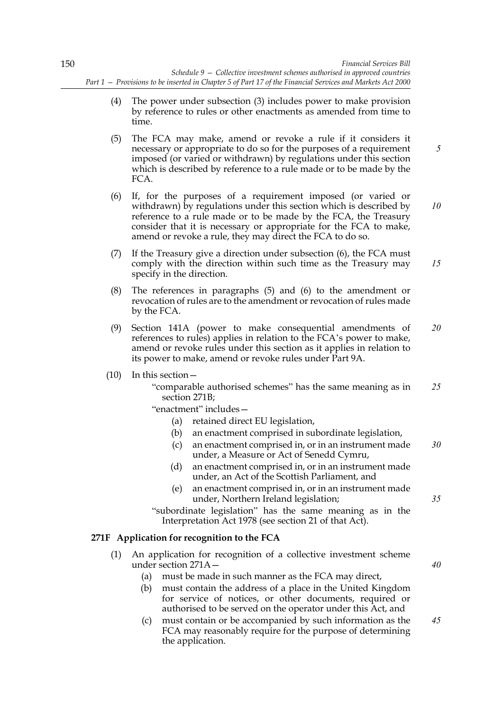- (4) The power under subsection (3) includes power to make provision by reference to rules or other enactments as amended from time to time.
- (5) The FCA may make, amend or revoke a rule if it considers it necessary or appropriate to do so for the purposes of a requirement imposed (or varied or withdrawn) by regulations under this section which is described by reference to a rule made or to be made by the FCA.
- (6) If, for the purposes of a requirement imposed (or varied or withdrawn) by regulations under this section which is described by reference to a rule made or to be made by the FCA, the Treasury consider that it is necessary or appropriate for the FCA to make, amend or revoke a rule, they may direct the FCA to do so.
- (7) If the Treasury give a direction under subsection (6), the FCA must comply with the direction within such time as the Treasury may specify in the direction.
- (8) The references in paragraphs (5) and (6) to the amendment or revocation of rules are to the amendment or revocation of rules made by the FCA.
- (9) Section 141A (power to make consequential amendments of references to rules) applies in relation to the FCA's power to make, amend or revoke rules under this section as it applies in relation to its power to make, amend or revoke rules under Part 9A. *20*

## (10) In this section—

"comparable authorised schemes" has the same meaning as in section 271B; *25*

"enactment" includes—

- (a) retained direct EU legislation,
- (b) an enactment comprised in subordinate legislation,
- (c) an enactment comprised in, or in an instrument made under, a Measure or Act of Senedd Cymru, *30*
- (d) an enactment comprised in, or in an instrument made under, an Act of the Scottish Parliament, and
- (e) an enactment comprised in, or in an instrument made under, Northern Ireland legislation;

"subordinate legislation" has the same meaning as in the Interpretation Act 1978 (see section 21 of that Act).

# **271F Application for recognition to the FCA**

- (1) An application for recognition of a collective investment scheme under section 271A—
	- (a) must be made in such manner as the FCA may direct,
	- (b) must contain the address of a place in the United Kingdom for service of notices, or other documents, required or authorised to be served on the operator under this Act, and
	- (c) must contain or be accompanied by such information as the FCA may reasonably require for the purpose of determining the application.

*35*

*40*

*45*

*5*

*10*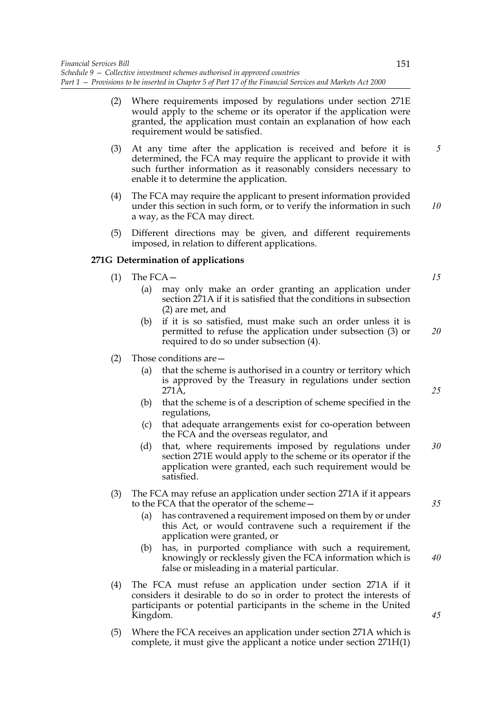- (3) At any time after the application is received and before it is determined, the FCA may require the applicant to provide it with such further information as it reasonably considers necessary to enable it to determine the application.
- (4) The FCA may require the applicant to present information provided under this section in such form, or to verify the information in such a way, as the FCA may direct. *10*
- (5) Different directions may be given, and different requirements imposed, in relation to different applications.

# **271G Determination of applications**

- $(1)$  The FCA
	- (a) may only make an order granting an application under section 271A if it is satisfied that the conditions in subsection (2) are met, and
	- (b) if it is so satisfied, must make such an order unless it is permitted to refuse the application under subsection (3) or required to do so under subsection (4).
- (2) Those conditions are—
	- (a) that the scheme is authorised in a country or territory which is approved by the Treasury in regulations under section 271A,
	- (b) that the scheme is of a description of scheme specified in the regulations,
	- (c) that adequate arrangements exist for co-operation between the FCA and the overseas regulator, and
	- (d) that, where requirements imposed by regulations under section 271E would apply to the scheme or its operator if the application were granted, each such requirement would be satisfied. *30*
- (3) The FCA may refuse an application under section 271A if it appears to the FCA that the operator of the scheme—
	- (a) has contravened a requirement imposed on them by or under this Act, or would contravene such a requirement if the application were granted, or
	- (b) has, in purported compliance with such a requirement, knowingly or recklessly given the FCA information which is false or misleading in a material particular.
- (4) The FCA must refuse an application under section 271A if it considers it desirable to do so in order to protect the interests of participants or potential participants in the scheme in the United Kingdom.
- (5) Where the FCA receives an application under section 271A which is complete, it must give the applicant a notice under section 271H(1)

*5*

*15*

*20*

*25*

*35*

*40*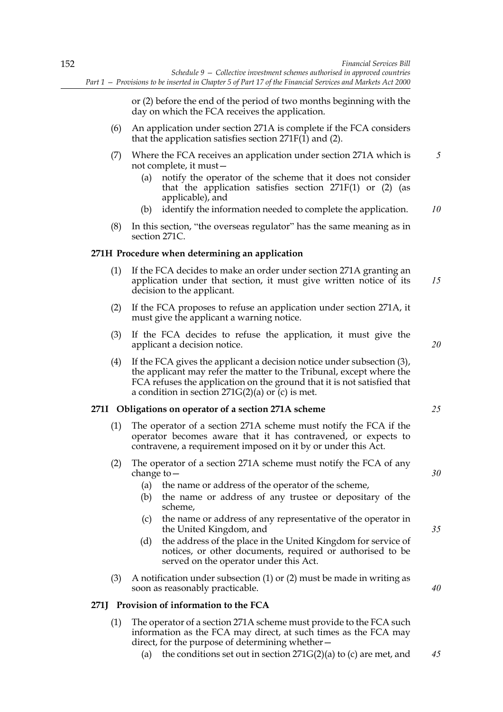or (2) before the end of the period of two months beginning with the day on which the FCA receives the application.

- (6) An application under section 271A is complete if the FCA considers that the application satisfies section  $271F(1)$  and (2).
- (7) Where the FCA receives an application under section 271A which is not complete, it must— *5*
	- (a) notify the operator of the scheme that it does not consider that the application satisfies section  $271F(1)$  or (2) (as applicable), and
	- (b) identify the information needed to complete the application. *10*
- (8) In this section, "the overseas regulator" has the same meaning as in section 271C.

## **271H Procedure when determining an application**

- (1) If the FCA decides to make an order under section 271A granting an application under that section, it must give written notice of its decision to the applicant. *15*
- (2) If the FCA proposes to refuse an application under section 271A, it must give the applicant a warning notice.
- (3) If the FCA decides to refuse the application, it must give the applicant a decision notice.
- (4) If the FCA gives the applicant a decision notice under subsection (3), the applicant may refer the matter to the Tribunal, except where the FCA refuses the application on the ground that it is not satisfied that a condition in section  $271G(2)(a)$  or  $(c)$  is met.

## **271I Obligations on operator of a section 271A scheme**

- (1) The operator of a section 271A scheme must notify the FCA if the operator becomes aware that it has contravened, or expects to contravene, a requirement imposed on it by or under this Act.
- (2) The operator of a section 271A scheme must notify the FCA of any change to—
	- (a) the name or address of the operator of the scheme,
	- (b) the name or address of any trustee or depositary of the scheme,
	- (c) the name or address of any representative of the operator in the United Kingdom, and
	- (d) the address of the place in the United Kingdom for service of notices, or other documents, required or authorised to be served on the operator under this Act.
- (3) A notification under subsection (1) or (2) must be made in writing as soon as reasonably practicable.

## **271J Provision of information to the FCA**

- (1) The operator of a section 271A scheme must provide to the FCA such information as the FCA may direct, at such times as the FCA may direct, for the purpose of determining whether—
	- (a) the conditions set out in section  $271G(2)(a)$  to (c) are met, and *45*

*20*

*25*

*35*

*30*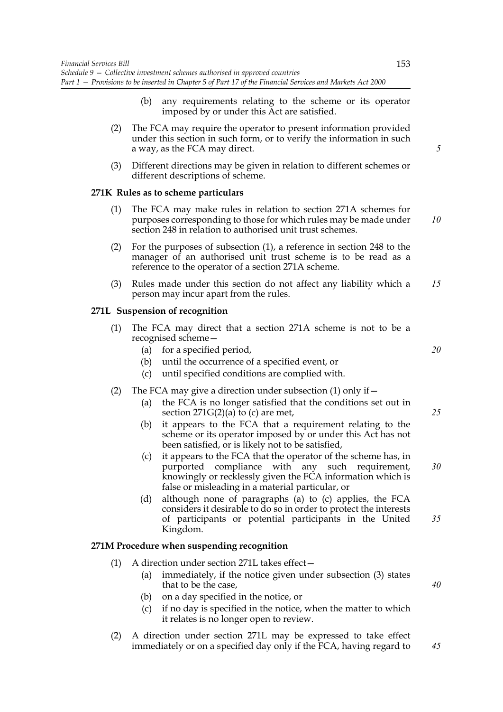- (b) any requirements relating to the scheme or its operator imposed by or under this Act are satisfied.
- (2) The FCA may require the operator to present information provided under this section in such form, or to verify the information in such a way, as the FCA may direct.
- (3) Different directions may be given in relation to different schemes or different descriptions of scheme.

## **271K Rules as to scheme particulars**

- (1) The FCA may make rules in relation to section 271A schemes for purposes corresponding to those for which rules may be made under section 248 in relation to authorised unit trust schemes.
- (2) For the purposes of subsection (1), a reference in section 248 to the manager of an authorised unit trust scheme is to be read as a reference to the operator of a section 271A scheme.
- (3) Rules made under this section do not affect any liability which a person may incur apart from the rules. *15*

## **271L Suspension of recognition**

- (1) The FCA may direct that a section 271A scheme is not to be a recognised scheme—
	- (a) for a specified period,
	- (b) until the occurrence of a specified event, or
	- (c) until specified conditions are complied with.

### (2) The FCA may give a direction under subsection  $(1)$  only if  $-$

- (a) the FCA is no longer satisfied that the conditions set out in section  $271G(2)(a)$  to (c) are met,
- (b) it appears to the FCA that a requirement relating to the scheme or its operator imposed by or under this Act has not been satisfied, or is likely not to be satisfied,
- (c) it appears to the FCA that the operator of the scheme has, in purported compliance with any such requirement, knowingly or recklessly given the FCA information which is false or misleading in a material particular, or *30*
- (d) although none of paragraphs (a) to (c) applies, the FCA considers it desirable to do so in order to protect the interests of participants or potential participants in the United Kingdom. *35*

## **271M Procedure when suspending recognition**

- (1) A direction under section 271L takes effect—
	- (a) immediately, if the notice given under subsection (3) states that to be the case,
	- (b) on a day specified in the notice, or
	- (c) if no day is specified in the notice, when the matter to which it relates is no longer open to review.
- (2) A direction under section 271L may be expressed to take effect immediately or on a specified day only if the FCA, having regard to *45*

*5*

*10*

*20*

*25*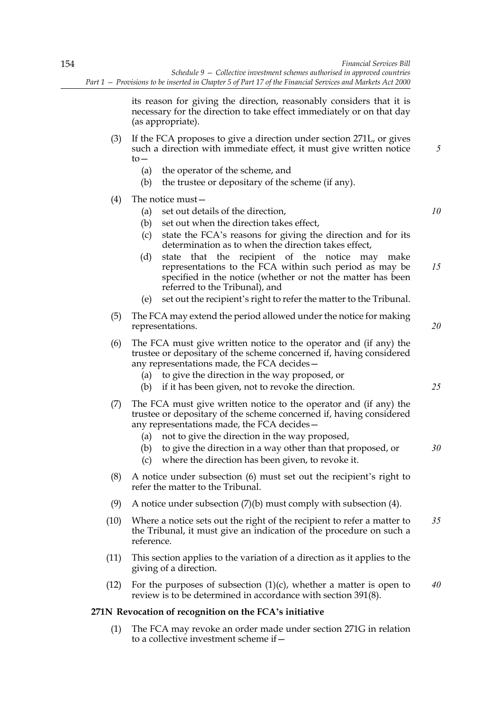its reason for giving the direction, reasonably considers that it is necessary for the direction to take effect immediately or on that day (as appropriate).

- (3) If the FCA proposes to give a direction under section 271L, or gives such a direction with immediate effect, it must give written notice  $to-$ 
	- (a) the operator of the scheme, and
	- (b) the trustee or depositary of the scheme (if any).

## (4) The notice must—

(a) set out details of the direction, *10*

*5*

*20*

*25*

- (b) set out when the direction takes effect,
- (c) state the FCA's reasons for giving the direction and for its determination as to when the direction takes effect,
- (d) state that the recipient of the notice may make representations to the FCA within such period as may be specified in the notice (whether or not the matter has been referred to the Tribunal), and *15*
- (e) set out the recipient's right to refer the matter to the Tribunal.
- (5) The FCA may extend the period allowed under the notice for making representations.
- (6) The FCA must give written notice to the operator and (if any) the trustee or depositary of the scheme concerned if, having considered any representations made, the FCA decides—
	- (a) to give the direction in the way proposed, or
	- (b) if it has been given, not to revoke the direction.
- (7) The FCA must give written notice to the operator and (if any) the trustee or depositary of the scheme concerned if, having considered any representations made, the FCA decides—
	- (a) not to give the direction in the way proposed,
	- (b) to give the direction in a way other than that proposed, or *30*
	- (c) where the direction has been given, to revoke it.
- (8) A notice under subsection (6) must set out the recipient's right to refer the matter to the Tribunal.
- (9) A notice under subsection  $(7)(b)$  must comply with subsection (4).
- (10) Where a notice sets out the right of the recipient to refer a matter to the Tribunal, it must give an indication of the procedure on such a reference. *35*
- (11) This section applies to the variation of a direction as it applies to the giving of a direction.
- (12) For the purposes of subsection  $(1)(c)$ , whether a matter is open to review is to be determined in accordance with section 391(8). *40*

## **271N Revocation of recognition on the FCA's initiative**

(1) The FCA may revoke an order made under section 271G in relation to a collective investment scheme if—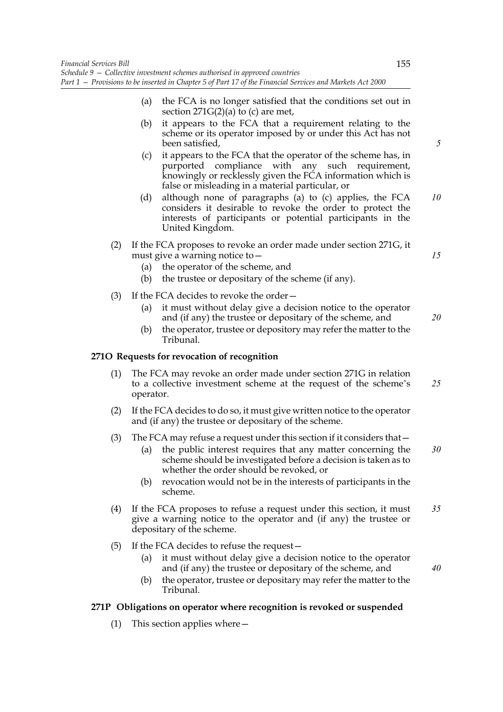- (a) the FCA is no longer satisfied that the conditions set out in section  $271G(2)(a)$  to (c) are met,
- (b) it appears to the FCA that a requirement relating to the scheme or its operator imposed by or under this Act has not been satisfied,
- (c) it appears to the FCA that the operator of the scheme has, in purported compliance with any such requirement, knowingly or recklessly given the FCA information which is false or misleading in a material particular, or
- (d) although none of paragraphs (a) to (c) applies, the FCA considers it desirable to revoke the order to protect the interests of participants or potential participants in the United Kingdom. *10*
- (2) If the FCA proposes to revoke an order made under section 271G, it must give a warning notice to—
	- (a) the operator of the scheme, and
	- (b) the trustee or depositary of the scheme (if any).
- (3) If the FCA decides to revoke the order—
	- (a) it must without delay give a decision notice to the operator and (if any) the trustee or depositary of the scheme, and
	- (b) the operator, trustee or depository may refer the matter to the Tribunal.

# **271O Requests for revocation of recognition**

- (1) The FCA may revoke an order made under section 271G in relation to a collective investment scheme at the request of the scheme's operator. *25*
- (2) If the FCA decides to do so, it must give written notice to the operator and (if any) the trustee or depositary of the scheme.
- (3) The FCA may refuse a request under this section if it considers that—
	- (a) the public interest requires that any matter concerning the scheme should be investigated before a decision is taken as to whether the order should be revoked, or *30*
	- (b) revocation would not be in the interests of participants in the scheme.
- (4) If the FCA proposes to refuse a request under this section, it must give a warning notice to the operator and (if any) the trustee or depositary of the scheme. *35*
- (5) If the FCA decides to refuse the request—
	- (a) it must without delay give a decision notice to the operator and (if any) the trustee or depositary of the scheme, and
	- (b) the operator, trustee or depositary may refer the matter to the Tribunal.

# **271P Obligations on operator where recognition is revoked or suspended**

(1) This section applies where—

*5*

*15*

*20*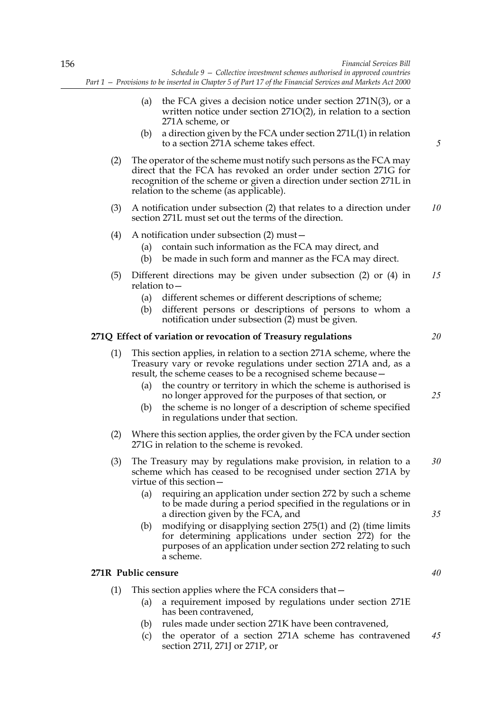- (a) the FCA gives a decision notice under section  $271N(3)$ , or a written notice under section 271O(2), in relation to a section 271A scheme, or
- (b) a direction given by the FCA under section 271L(1) in relation to a section 271A scheme takes effect.
- (2) The operator of the scheme must notify such persons as the FCA may direct that the FCA has revoked an order under section 271G for recognition of the scheme or given a direction under section 271L in relation to the scheme (as applicable).
- (3) A notification under subsection (2) that relates to a direction under section 271L must set out the terms of the direction. *10*
- (4) A notification under subsection (2) must—
	- (a) contain such information as the FCA may direct, and
	- (b) be made in such form and manner as the FCA may direct.
- (5) Different directions may be given under subsection (2) or (4) in relation to— *15*
	- (a) different schemes or different descriptions of scheme;
	- (b) different persons or descriptions of persons to whom a notification under subsection (2) must be given.

### **271Q Effect of variation or revocation of Treasury regulations**

- (1) This section applies, in relation to a section 271A scheme, where the Treasury vary or revoke regulations under section 271A and, as a result, the scheme ceases to be a recognised scheme because—
	- (a) the country or territory in which the scheme is authorised is no longer approved for the purposes of that section, or
	- (b) the scheme is no longer of a description of scheme specified in regulations under that section.
- (2) Where this section applies, the order given by the FCA under section 271G in relation to the scheme is revoked.
- (3) The Treasury may by regulations make provision, in relation to a scheme which has ceased to be recognised under section 271A by virtue of this section— *30*
	- (a) requiring an application under section 272 by such a scheme to be made during a period specified in the regulations or in a direction given by the FCA, and
	- (b) modifying or disapplying section 275(1) and (2) (time limits for determining applications under section 272) for the purposes of an application under section 272 relating to such a scheme.

## **271R Public censure**

- (1) This section applies where the FCA considers that—
	- (a) a requirement imposed by regulations under section 271E has been contravened,
	- (b) rules made under section 271K have been contravened,
	- (c) the operator of a section 271A scheme has contravened section 271I, 271J or 271P, or *45*

*20*

*5*

*25*

*35*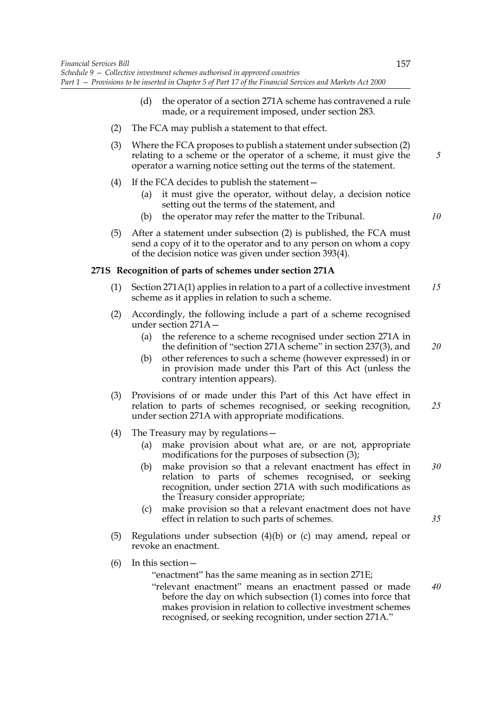- (d) the operator of a section 271A scheme has contravened a rule made, or a requirement imposed, under section 283.
- (2) The FCA may publish a statement to that effect.
- (3) Where the FCA proposes to publish a statement under subsection (2) relating to a scheme or the operator of a scheme, it must give the operator a warning notice setting out the terms of the statement.
- (4) If the FCA decides to publish the statement—
	- (a) it must give the operator, without delay, a decision notice setting out the terms of the statement, and
	- (b) the operator may refer the matter to the Tribunal.
- (5) After a statement under subsection (2) is published, the FCA must send a copy of it to the operator and to any person on whom a copy of the decision notice was given under section 393(4).

### **271S Recognition of parts of schemes under section 271A**

- (1) Section 271A(1) applies in relation to a part of a collective investment scheme as it applies in relation to such a scheme. *15*
- (2) Accordingly, the following include a part of a scheme recognised under section 271A—
	- (a) the reference to a scheme recognised under section 271A in the definition of "section 271A scheme" in section 237(3), and *20*
	- (b) other references to such a scheme (however expressed) in or in provision made under this Part of this Act (unless the contrary intention appears).
- (3) Provisions of or made under this Part of this Act have effect in relation to parts of schemes recognised, or seeking recognition, under section 271A with appropriate modifications. *25*
- (4) The Treasury may by regulations—
	- (a) make provision about what are, or are not, appropriate modifications for the purposes of subsection (3);
	- (b) make provision so that a relevant enactment has effect in relation to parts of schemes recognised, or seeking recognition, under section 271A with such modifications as the Treasury consider appropriate; *30*
	- (c) make provision so that a relevant enactment does not have effect in relation to such parts of schemes.
- (5) Regulations under subsection (4)(b) or (c) may amend, repeal or revoke an enactment.
- (6) In this section—

"enactment" has the same meaning as in section 271E;

"relevant enactment" means an enactment passed or made before the day on which subsection (1) comes into force that makes provision in relation to collective investment schemes recognised, or seeking recognition, under section 271A." *40*

*5*

*10*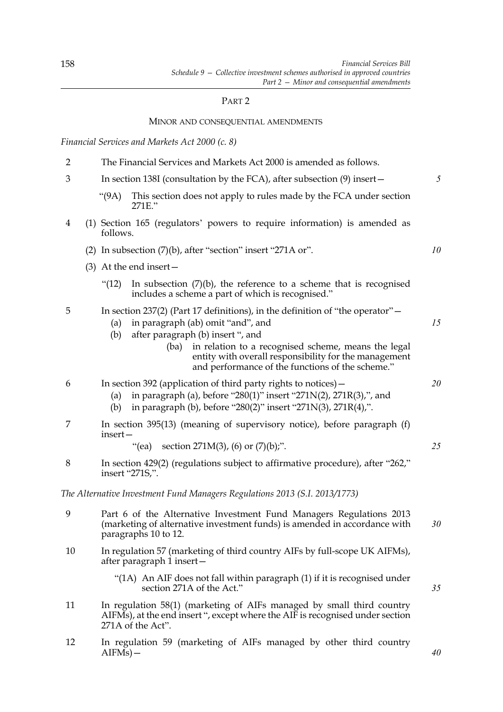# PART 2

## MINOR AND CONSEQUENTIAL AMENDMENTS

# *Financial Services and Markets Act 2000 (c. 8)*

| $\overline{2}$ | The Financial Services and Markets Act 2000 is amended as follows.                                                                                                       |                                                                                                                                                                                                                                                                                                                                        |    |
|----------------|--------------------------------------------------------------------------------------------------------------------------------------------------------------------------|----------------------------------------------------------------------------------------------------------------------------------------------------------------------------------------------------------------------------------------------------------------------------------------------------------------------------------------|----|
| 3              |                                                                                                                                                                          | In section 138I (consultation by the FCA), after subsection $(9)$ insert –                                                                                                                                                                                                                                                             | 5  |
|                | (9A)                                                                                                                                                                     | This section does not apply to rules made by the FCA under section<br>271E."                                                                                                                                                                                                                                                           |    |
| $\overline{4}$ | follows.                                                                                                                                                                 | (1) Section 165 (regulators' powers to require information) is amended as                                                                                                                                                                                                                                                              |    |
|                |                                                                                                                                                                          | (2) In subsection $(7)(b)$ , after "section" insert "271A or".                                                                                                                                                                                                                                                                         | 10 |
|                |                                                                                                                                                                          | $(3)$ At the end insert –                                                                                                                                                                                                                                                                                                              |    |
|                | " $(12)$                                                                                                                                                                 | In subsection $(7)(b)$ , the reference to a scheme that is recognised<br>includes a scheme a part of which is recognised."                                                                                                                                                                                                             |    |
| 5              | (a)<br>(b)                                                                                                                                                               | In section 237(2) (Part 17 definitions), in the definition of "the operator" $-$<br>in paragraph (ab) omit "and", and<br>after paragraph (b) insert ", and<br>in relation to a recognised scheme, means the legal<br>(ba)<br>entity with overall responsibility for the management<br>and performance of the functions of the scheme." | 15 |
| 6              | (a)<br>(b)                                                                                                                                                               | In section 392 (application of third party rights to notices) –<br>in paragraph (a), before "280(1)" insert "271N(2), 271R(3),", and<br>in paragraph (b), before "280(2)" insert "271N(3), 271R(4),".                                                                                                                                  | 20 |
| 7              | insert-                                                                                                                                                                  | In section 395(13) (meaning of supervisory notice), before paragraph (f)                                                                                                                                                                                                                                                               |    |
|                |                                                                                                                                                                          | "(ea) section $271M(3)$ , (6) or $(7)(b)$ ;".                                                                                                                                                                                                                                                                                          | 25 |
| 8              | In section 429(2) (regulations subject to affirmative procedure), after "262,"<br>insert "271S,".                                                                        |                                                                                                                                                                                                                                                                                                                                        |    |
|                |                                                                                                                                                                          | The Alternative Investment Fund Managers Regulations 2013 (S.I. 2013/1773)                                                                                                                                                                                                                                                             |    |
| 9              | Part 6 of the Alternative Investment Fund Managers Regulations 2013<br>(marketing of alternative investment funds) is amended in accordance with<br>paragraphs 10 to 12. |                                                                                                                                                                                                                                                                                                                                        | 30 |
| 10             |                                                                                                                                                                          | In regulation 57 (marketing of third country AIFs by full-scope UK AIFMs),<br>after paragraph 1 insert-                                                                                                                                                                                                                                |    |
|                |                                                                                                                                                                          | "(1A) An AIF does not fall within paragraph (1) if it is recognised under<br>section 271A of the Act."                                                                                                                                                                                                                                 | 35 |
| 11             |                                                                                                                                                                          | In regulation 58(1) (marketing of AIFs managed by small third country<br>AIFMs), at the end insert ", except where the AIF is recognised under section<br>271A of the Act".                                                                                                                                                            |    |
|                |                                                                                                                                                                          |                                                                                                                                                                                                                                                                                                                                        |    |

12 In regulation 59 (marketing of AIFs managed by other third country  $AIFMs$ ) –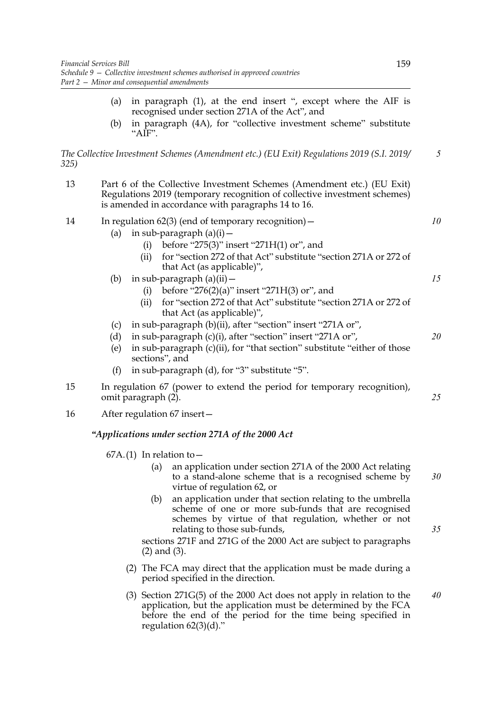- (a) in paragraph (1), at the end insert ", except where the AIF is recognised under section 271A of the Act", and
- (b) in paragraph (4A), for "collective investment scheme" substitute " $AIF$ ".

*The Collective Investment Schemes (Amendment etc.) (EU Exit) Regulations 2019 (S.I. 2019/ 325)*

- 13 Part 6 of the Collective Investment Schemes (Amendment etc.) (EU Exit) Regulations 2019 (temporary recognition of collective investment schemes) is amended in accordance with paragraphs 14 to 16. 14 In regulation 62(3) (end of temporary recognition)— (a) in sub-paragraph  $(a)(i)$  – (i) before "275(3)" insert "271 $H(1)$  or", and (ii) for "section 272 of that Act" substitute "section 271A or 272 of that Act (as applicable)", (b) in sub-paragraph  $(a)(ii)$  — (i) before "276(2)(a)" insert "271H(3) or", and (ii) for "section 272 of that Act" substitute "section 271A or 272 of that Act (as applicable)", (c) in sub-paragraph (b)(ii), after "section" insert "271A or", (d) in sub-paragraph (c)(i), after "section" insert "271A or", (e) in sub-paragraph  $(c)(ii)$ , for "that section" substitute "either of those sections", and (f) in sub-paragraph (d), for "3" substitute "5". 15 In regulation 67 (power to extend the period for temporary recognition), omit paragraph (2). 16 After regulation 67 insert— *"Applications under section 271A of the 2000 Act* 67A.(1) In relation to  $-$ (a) an application under section 271A of the 2000 Act relating to a stand-alone scheme that is a recognised scheme by virtue of regulation 62, or (b) an application under that section relating to the umbrella scheme of one or more sub-funds that are recognised schemes by virtue of that regulation, whether or not *10 15 20 25 30*
	- *35*

sections 271F and 271G of the 2000 Act are subject to paragraphs (2) and (3).

(2) The FCA may direct that the application must be made during a period specified in the direction.

relating to those sub-funds,

(3) Section 271G(5) of the 2000 Act does not apply in relation to the application, but the application must be determined by the FCA before the end of the period for the time being specified in regulation  $62(3)(d)$ ." *40*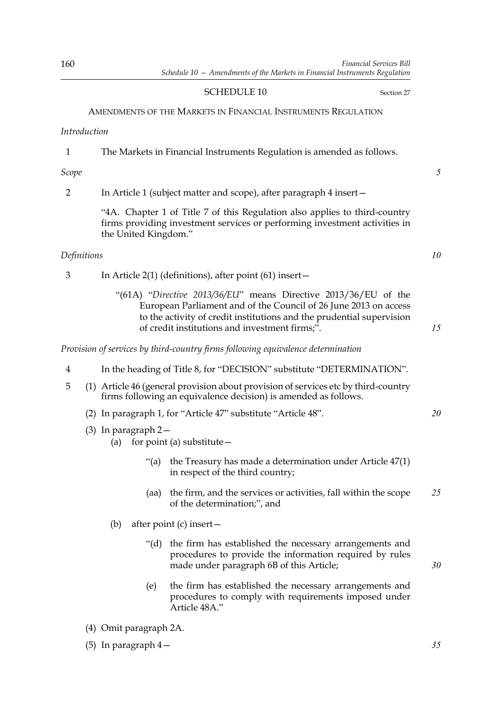# SCHEDULE 10 Section 27

# AMENDMENTS OF THE MARKETS IN FINANCIAL INSTRUMENTS REGULATION

## *Introduction*

| The Markets in Financial Instruments Regulation is amended as follows. |  |
|------------------------------------------------------------------------|--|
|------------------------------------------------------------------------|--|

*Scope*

2 In Article 1 (subject matter and scope), after paragraph 4 insert—

"4A. Chapter 1 of Title 7 of this Regulation also applies to third-country firms providing investment services or performing investment activities in the United Kingdom."

# *Definitions*

- 3 In Article 2(1) (definitions), after point (61) insert—
	- "(61A) "*Directive 2013/36/EU*" means Directive 2013/36/EU of the European Parliament and of the Council of 26 June 2013 on access to the activity of credit institutions and the prudential supervision of credit institutions and investment firms;".

*Provision of services by third-country firms following equivalence determination*

- 4 In the heading of Title 8, for "DECISION" substitute "DETERMINATION".
- 5 (1) Article 46 (general provision about provision of services etc by third-country firms following an equivalence decision) is amended as follows.
	- (2) In paragraph 1, for "Article 47" substitute "Article 48".
	- (3) In paragraph 2—
		- (a) for point (a) substitute  $-$ 
			- "(a) the Treasury has made a determination under Article  $47(1)$ in respect of the third country;
			- (aa) the firm, and the services or activities, fall within the scope of the determination;", and *25*
		- (b) after point (c) insert—
			- "(d) the firm has established the necessary arrangements and procedures to provide the information required by rules made under paragraph 6B of this Article;
			- (e) the firm has established the necessary arrangements and procedures to comply with requirements imposed under Article 48A."
	- (4) Omit paragraph 2A.
	- (5) In paragraph 4—

*5*

*15*

*20*

*10*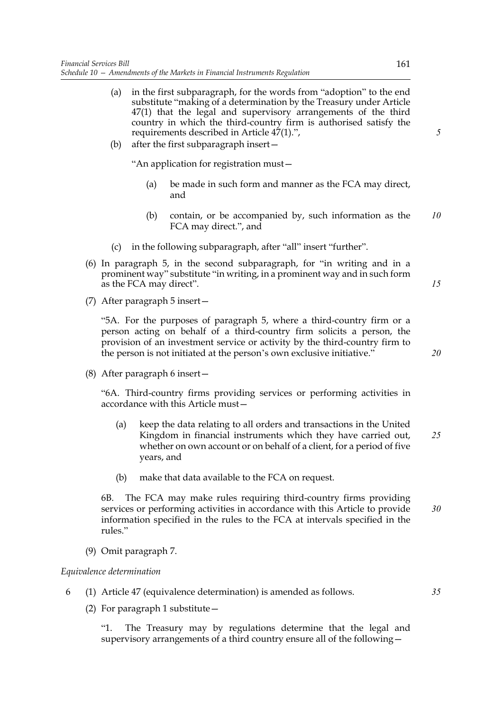- (a) in the first subparagraph, for the words from "adoption" to the end substitute "making of a determination by the Treasury under Article 47(1) that the legal and supervisory arrangements of the third country in which the third-country firm is authorised satisfy the requirements described in Article 47(1).",
- (b) after the first subparagraph insert—

"An application for registration must—

- (a) be made in such form and manner as the FCA may direct, and
- (b) contain, or be accompanied by, such information as the FCA may direct.", and *10*
- (c) in the following subparagraph, after "all" insert "further".
- (6) In paragraph 5, in the second subparagraph, for "in writing and in a prominent way" substitute "in writing, in a prominent way and in such form as the FCA may direct".
- (7) After paragraph 5 insert—

"5A. For the purposes of paragraph 5, where a third-country firm or a person acting on behalf of a third-country firm solicits a person, the provision of an investment service or activity by the third-country firm to the person is not initiated at the person's own exclusive initiative."

(8) After paragraph 6 insert—

"6A. Third-country firms providing services or performing activities in accordance with this Article must—

- (a) keep the data relating to all orders and transactions in the United Kingdom in financial instruments which they have carried out, whether on own account or on behalf of a client, for a period of five years, and *25*
- (b) make that data available to the FCA on request.

6B. The FCA may make rules requiring third-country firms providing services or performing activities in accordance with this Article to provide information specified in the rules to the FCA at intervals specified in the rules." *30*

(9) Omit paragraph 7.

## *Equivalence determination*

- 6 (1) Article 47 (equivalence determination) is amended as follows.
	- (2) For paragraph 1 substitute—

"1. The Treasury may by regulations determine that the legal and supervisory arrangements of a third country ensure all of the following*5*

*15*

*20*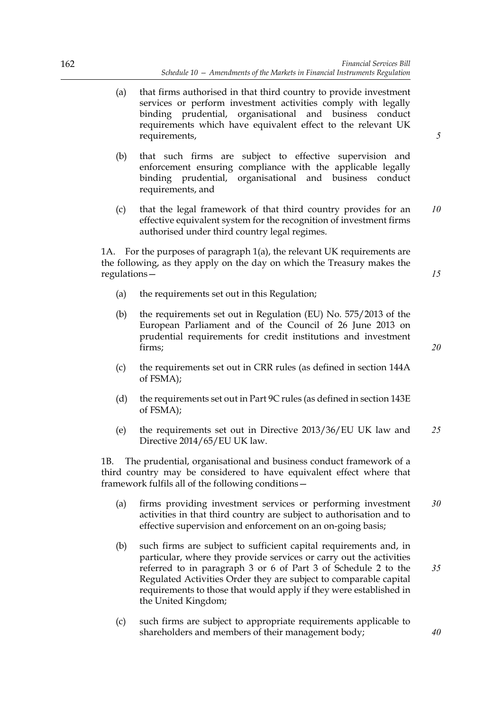- (a) that firms authorised in that third country to provide investment services or perform investment activities comply with legally binding prudential, organisational and business conduct requirements which have equivalent effect to the relevant UK requirements,
- (b) that such firms are subject to effective supervision and enforcement ensuring compliance with the applicable legally binding prudential, organisational and business conduct requirements, and
- (c) that the legal framework of that third country provides for an effective equivalent system for the recognition of investment firms authorised under third country legal regimes. *10*

1A. For the purposes of paragraph 1(a), the relevant UK requirements are the following, as they apply on the day on which the Treasury makes the regulations—

- (a) the requirements set out in this Regulation;
- (b) the requirements set out in Regulation (EU) No. 575/2013 of the European Parliament and of the Council of 26 June 2013 on prudential requirements for credit institutions and investment firms;
- (c) the requirements set out in CRR rules (as defined in section 144A of FSMA);
- (d) the requirements set out in Part 9C rules (as defined in section 143E of FSMA);
- (e) the requirements set out in Directive 2013/36/EU UK law and Directive 2014/65/EU UK law. *25*

1B. The prudential, organisational and business conduct framework of a third country may be considered to have equivalent effect where that framework fulfils all of the following conditions—

- (a) firms providing investment services or performing investment activities in that third country are subject to authorisation and to effective supervision and enforcement on an on-going basis; *30*
- (b) such firms are subject to sufficient capital requirements and, in particular, where they provide services or carry out the activities referred to in paragraph 3 or 6 of Part 3 of Schedule 2 to the Regulated Activities Order they are subject to comparable capital requirements to those that would apply if they were established in the United Kingdom; *35*
- (c) such firms are subject to appropriate requirements applicable to shareholders and members of their management body;

*5*

*20*

*40*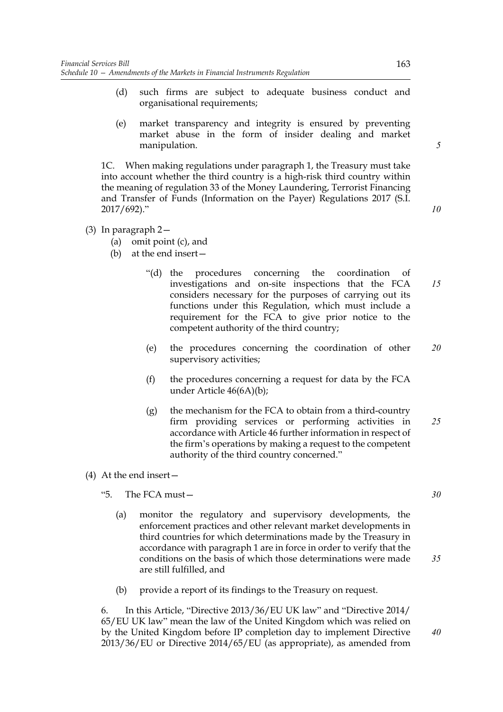- (d) such firms are subject to adequate business conduct and organisational requirements;
- (e) market transparency and integrity is ensured by preventing market abuse in the form of insider dealing and market manipulation.

1C. When making regulations under paragraph 1, the Treasury must take into account whether the third country is a high-risk third country within the meaning of regulation 33 of the Money Laundering, Terrorist Financing and Transfer of Funds (Information on the Payer) Regulations 2017 (S.I. 2017/692)."

- 
- (3) In paragraph 2—
	- (a) omit point (c), and
	- (b) at the end insert—
		- "(d) the procedures concerning the coordination of investigations and on-site inspections that the FCA considers necessary for the purposes of carrying out its functions under this Regulation, which must include a requirement for the FCA to give prior notice to the competent authority of the third country; *15*
		- (e) the procedures concerning the coordination of other supervisory activities; *20*
		- (f) the procedures concerning a request for data by the FCA under Article 46(6A)(b);
		- (g) the mechanism for the FCA to obtain from a third-country firm providing services or performing activities in accordance with Article 46 further information in respect of the firm's operations by making a request to the competent authority of the third country concerned." *25*
- (4) At the end insert—
	- "5. The FCA must—
		- (a) monitor the regulatory and supervisory developments, the enforcement practices and other relevant market developments in third countries for which determinations made by the Treasury in accordance with paragraph 1 are in force in order to verify that the conditions on the basis of which those determinations were made are still fulfilled, and
		- (b) provide a report of its findings to the Treasury on request.

6. In this Article, "Directive 2013/36/EU UK law" and "Directive 2014/ 65/EU UK law" mean the law of the United Kingdom which was relied on by the United Kingdom before IP completion day to implement Directive 2013/36/EU or Directive 2014/65/EU (as appropriate), as amended from

*35*

*5*

*10*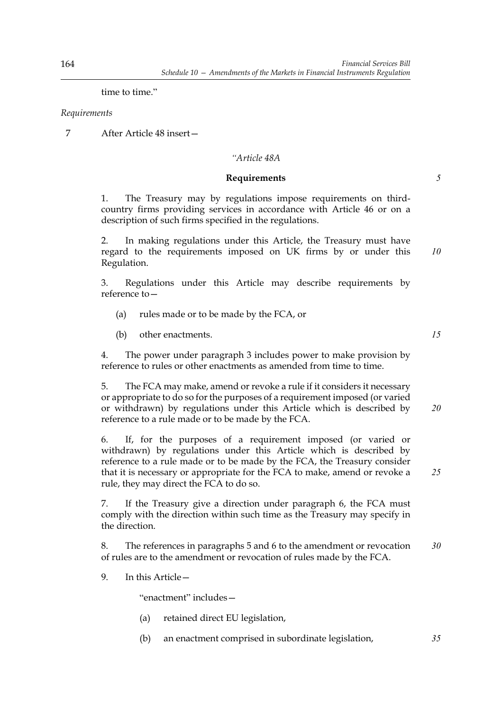time to time."

## *Requirements*

7 After Article 48 insert—

# *"Article 48A*

## **Requirements**

1. The Treasury may by regulations impose requirements on thirdcountry firms providing services in accordance with Article 46 or on a description of such firms specified in the regulations.

2. In making regulations under this Article, the Treasury must have regard to the requirements imposed on UK firms by or under this Regulation.

3. Regulations under this Article may describe requirements by reference to—

- (a) rules made or to be made by the FCA, or
- (b) other enactments.

4. The power under paragraph 3 includes power to make provision by reference to rules or other enactments as amended from time to time.

5. The FCA may make, amend or revoke a rule if it considers it necessary or appropriate to do so for the purposes of a requirement imposed (or varied or withdrawn) by regulations under this Article which is described by reference to a rule made or to be made by the FCA. *20*

6. If, for the purposes of a requirement imposed (or varied or withdrawn) by regulations under this Article which is described by reference to a rule made or to be made by the FCA, the Treasury consider that it is necessary or appropriate for the FCA to make, amend or revoke a rule, they may direct the FCA to do so.

7. If the Treasury give a direction under paragraph 6, the FCA must comply with the direction within such time as the Treasury may specify in the direction.

8. The references in paragraphs 5 and 6 to the amendment or revocation of rules are to the amendment or revocation of rules made by the FCA. *30*

9. In this Article—

"enactment" includes—

- (a) retained direct EU legislation,
- (b) an enactment comprised in subordinate legislation,

*10*

*5*

*15*

*25*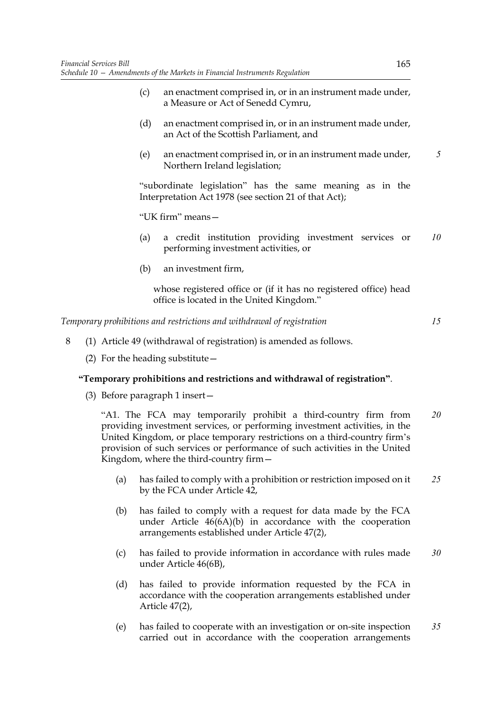- (c) an enactment comprised in, or in an instrument made under, a Measure or Act of Senedd Cymru,
- (d) an enactment comprised in, or in an instrument made under, an Act of the Scottish Parliament, and
- (e) an enactment comprised in, or in an instrument made under, Northern Ireland legislation;

"subordinate legislation" has the same meaning as in the Interpretation Act 1978 (see section 21 of that Act);

"UK firm" means—

- (a) a credit institution providing investment services or performing investment activities, or *10*
- (b) an investment firm,

whose registered office or (if it has no registered office) head office is located in the United Kingdom."

*Temporary prohibitions and restrictions and withdrawal of registration*

*15*

*5*

- 8 (1) Article 49 (withdrawal of registration) is amended as follows.
	- (2) For the heading substitute—

## **"Temporary prohibitions and restrictions and withdrawal of registration"**.

(3) Before paragraph 1 insert—

"A1. The FCA may temporarily prohibit a third-country firm from providing investment services, or performing investment activities, in the United Kingdom, or place temporary restrictions on a third-country firm's provision of such services or performance of such activities in the United Kingdom, where the third-country firm— *20*

- (a) has failed to comply with a prohibition or restriction imposed on it by the FCA under Article 42, *25*
- (b) has failed to comply with a request for data made by the FCA under Article 46(6A)(b) in accordance with the cooperation arrangements established under Article 47(2),
- (c) has failed to provide information in accordance with rules made under Article 46(6B), *30*
- (d) has failed to provide information requested by the FCA in accordance with the cooperation arrangements established under Article 47(2),
- (e) has failed to cooperate with an investigation or on-site inspection carried out in accordance with the cooperation arrangements *35*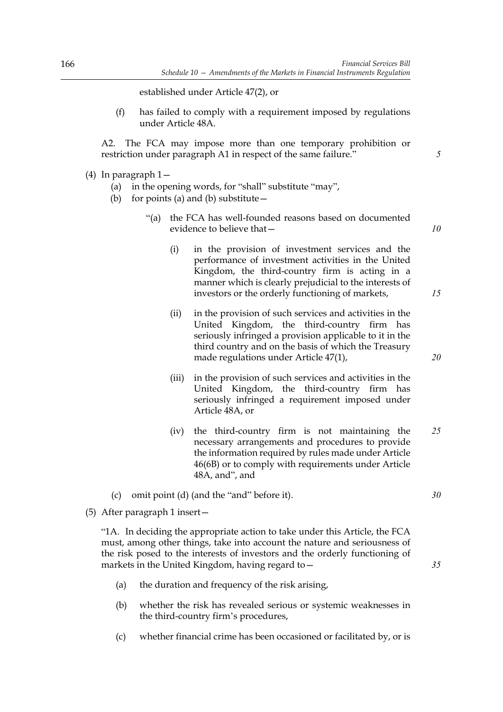established under Article 47(2), or

(f) has failed to comply with a requirement imposed by regulations under Article 48A.

A2. The FCA may impose more than one temporary prohibition or restriction under paragraph A1 in respect of the same failure."

- (4) In paragraph 1—
	- (a) in the opening words, for "shall" substitute "may",
	- (b) for points (a) and (b) substitute—
		- "(a) the FCA has well-founded reasons based on documented evidence to believe that—
			- (i) in the provision of investment services and the performance of investment activities in the United Kingdom, the third-country firm is acting in a manner which is clearly prejudicial to the interests of investors or the orderly functioning of markets,
			- (ii) in the provision of such services and activities in the United Kingdom, the third-country firm has seriously infringed a provision applicable to it in the third country and on the basis of which the Treasury made regulations under Article 47(1),
			- (iii) in the provision of such services and activities in the United Kingdom, the third-country firm has seriously infringed a requirement imposed under Article 48A, or
			- (iv) the third-country firm is not maintaining the necessary arrangements and procedures to provide the information required by rules made under Article 46(6B) or to comply with requirements under Article 48A, and", and *25*
	- (c) omit point (d) (and the "and" before it).
- (5) After paragraph 1 insert—

"1A. In deciding the appropriate action to take under this Article, the FCA must, among other things, take into account the nature and seriousness of the risk posed to the interests of investors and the orderly functioning of markets in the United Kingdom, having regard to—

- (a) the duration and frequency of the risk arising,
- (b) whether the risk has revealed serious or systemic weaknesses in the third-country firm's procedures,
- (c) whether financial crime has been occasioned or facilitated by, or is

*10*

*15*

*20*

*30*

*35*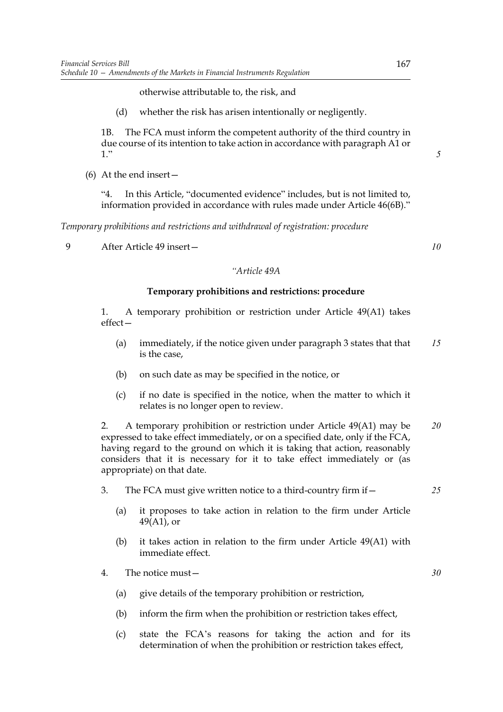otherwise attributable to, the risk, and

(d) whether the risk has arisen intentionally or negligently.

1B. The FCA must inform the competent authority of the third country in due course of its intention to take action in accordance with paragraph A1 or 1."

(6) At the end insert—

"4. In this Article, "documented evidence" includes, but is not limited to, information provided in accordance with rules made under Article 46(6B)."

*Temporary prohibitions and restrictions and withdrawal of registration: procedure*

9 After Article 49 insert—

# *"Article 49A*

## **Temporary prohibitions and restrictions: procedure**

1. A temporary prohibition or restriction under Article 49(A1) takes effect—

- (a) immediately, if the notice given under paragraph 3 states that that is the case, *15*
- (b) on such date as may be specified in the notice, or
- (c) if no date is specified in the notice, when the matter to which it relates is no longer open to review.

2. A temporary prohibition or restriction under Article 49(A1) may be expressed to take effect immediately, or on a specified date, only if the FCA, having regard to the ground on which it is taking that action, reasonably considers that it is necessary for it to take effect immediately or (as appropriate) on that date. *20*

- 3. The FCA must give written notice to a third-country firm if—
	- (a) it proposes to take action in relation to the firm under Article 49(A1), or
	- (b) it takes action in relation to the firm under Article 49(A1) with immediate effect.

4. The notice must—

- (a) give details of the temporary prohibition or restriction,
- (b) inform the firm when the prohibition or restriction takes effect,
- (c) state the FCA's reasons for taking the action and for its determination of when the prohibition or restriction takes effect,

*5*

*10*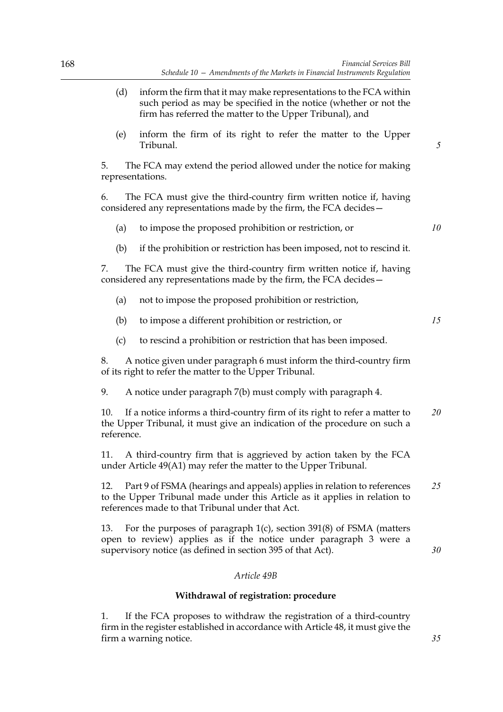*5*

*10*

*15*

*30*

*35*

- (d) inform the firm that it may make representations to the FCA within such period as may be specified in the notice (whether or not the firm has referred the matter to the Upper Tribunal), and
- (e) inform the firm of its right to refer the matter to the Upper Tribunal.

5. The FCA may extend the period allowed under the notice for making representations.

6. The FCA must give the third-country firm written notice if, having considered any representations made by the firm, the FCA decides—

- (a) to impose the proposed prohibition or restriction, or
- (b) if the prohibition or restriction has been imposed, not to rescind it.

7. The FCA must give the third-country firm written notice if, having considered any representations made by the firm, the FCA decides—

- (a) not to impose the proposed prohibition or restriction,
- (b) to impose a different prohibition or restriction, or
- (c) to rescind a prohibition or restriction that has been imposed.

8. A notice given under paragraph 6 must inform the third-country firm of its right to refer the matter to the Upper Tribunal.

9. A notice under paragraph 7(b) must comply with paragraph 4.

10. If a notice informs a third-country firm of its right to refer a matter to the Upper Tribunal, it must give an indication of the procedure on such a reference. *20*

11. A third-country firm that is aggrieved by action taken by the FCA under Article 49(A1) may refer the matter to the Upper Tribunal.

12. Part 9 of FSMA (hearings and appeals) applies in relation to references to the Upper Tribunal made under this Article as it applies in relation to references made to that Tribunal under that Act. *25*

13. For the purposes of paragraph 1(c), section 391(8) of FSMA (matters open to review) applies as if the notice under paragraph 3 were a supervisory notice (as defined in section 395 of that Act).

### *Article 49B*

### **Withdrawal of registration: procedure**

1. If the FCA proposes to withdraw the registration of a third-country firm in the register established in accordance with Article 48, it must give the firm a warning notice.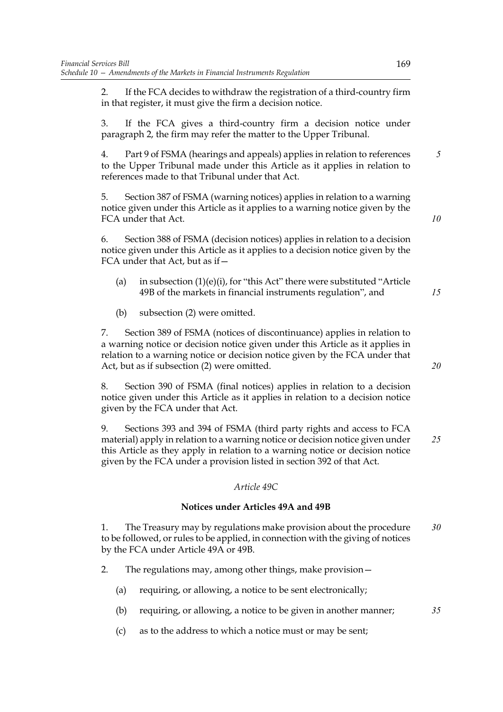2. If the FCA decides to withdraw the registration of a third-country firm in that register, it must give the firm a decision notice.

3. If the FCA gives a third-country firm a decision notice under paragraph 2, the firm may refer the matter to the Upper Tribunal.

4. Part 9 of FSMA (hearings and appeals) applies in relation to references to the Upper Tribunal made under this Article as it applies in relation to references made to that Tribunal under that Act.

5. Section 387 of FSMA (warning notices) applies in relation to a warning notice given under this Article as it applies to a warning notice given by the FCA under that Act.

6. Section 388 of FSMA (decision notices) applies in relation to a decision notice given under this Article as it applies to a decision notice given by the FCA under that Act, but as if—

- (a) in subsection  $(1)(e)(i)$ , for "this Act" there were substituted "Article" 49B of the markets in financial instruments regulation", and
- (b) subsection (2) were omitted.

7. Section 389 of FSMA (notices of discontinuance) applies in relation to a warning notice or decision notice given under this Article as it applies in relation to a warning notice or decision notice given by the FCA under that Act, but as if subsection (2) were omitted.

8. Section 390 of FSMA (final notices) applies in relation to a decision notice given under this Article as it applies in relation to a decision notice given by the FCA under that Act.

9. Sections 393 and 394 of FSMA (third party rights and access to FCA material) apply in relation to a warning notice or decision notice given under this Article as they apply in relation to a warning notice or decision notice given by the FCA under a provision listed in section 392 of that Act. *25*

## *Article 49C*

## **Notices under Articles 49A and 49B**

1. The Treasury may by regulations make provision about the procedure to be followed, or rules to be applied, in connection with the giving of notices by the FCA under Article 49A or 49B. *30*

- 2. The regulations may, among other things, make provision—
	- (a) requiring, or allowing, a notice to be sent electronically;
	- (b) requiring, or allowing, a notice to be given in another manner;
	- (c) as to the address to which a notice must or may be sent;

*15*

*5*

*10*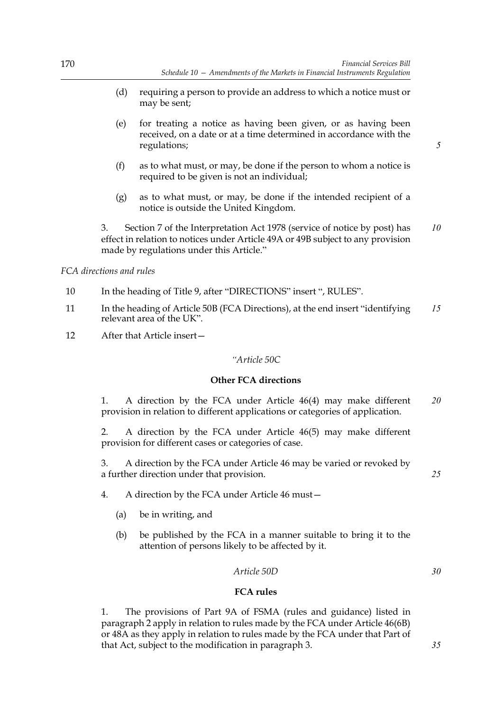- (d) requiring a person to provide an address to which a notice must or may be sent;
- (e) for treating a notice as having been given, or as having been received, on a date or at a time determined in accordance with the regulations;
- (f) as to what must, or may, be done if the person to whom a notice is required to be given is not an individual;
- (g) as to what must, or may, be done if the intended recipient of a notice is outside the United Kingdom.

3. Section 7 of the Interpretation Act 1978 (service of notice by post) has effect in relation to notices under Article 49A or 49B subject to any provision made by regulations under this Article." *10*

*FCA directions and rules*

- 10 In the heading of Title 9, after "DIRECTIONS" insert ", RULES".
- 11 In the heading of Article 50B (FCA Directions), at the end insert "identifying relevant area of the UK". *15*
- 12 After that Article insert—

## *"Article 50C*

## **Other FCA directions**

1. A direction by the FCA under Article 46(4) may make different provision in relation to different applications or categories of application. *20*

2. A direction by the FCA under Article 46(5) may make different provision for different cases or categories of case.

3. A direction by the FCA under Article 46 may be varied or revoked by a further direction under that provision.

- 4. A direction by the FCA under Article 46 must—
	- (a) be in writing, and
	- (b) be published by the FCA in a manner suitable to bring it to the attention of persons likely to be affected by it.

### *Article 50D*

## **FCA rules**

1. The provisions of Part 9A of FSMA (rules and guidance) listed in paragraph 2 apply in relation to rules made by the FCA under Article 46(6B) or 48A as they apply in relation to rules made by the FCA under that Part of that Act, subject to the modification in paragraph 3.

*5*

*30*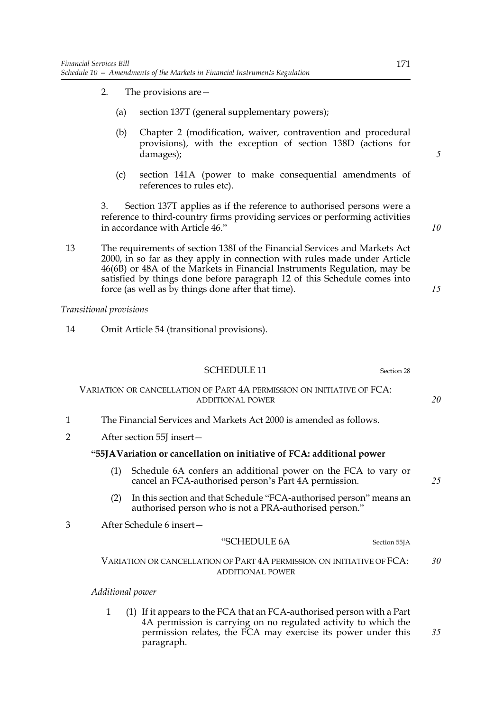- 2. The provisions are—
	- (a) section 137T (general supplementary powers);
	- (b) Chapter 2 (modification, waiver, contravention and procedural provisions), with the exception of section 138D (actions for damages);
	- (c) section 141A (power to make consequential amendments of references to rules etc).

3. Section 137T applies as if the reference to authorised persons were a reference to third-country firms providing services or performing activities in accordance with Article 46."

13 The requirements of section 138I of the Financial Services and Markets Act 2000, in so far as they apply in connection with rules made under Article 46(6B) or 48A of the Markets in Financial Instruments Regulation, may be satisfied by things done before paragraph 12 of this Schedule comes into force (as well as by things done after that time).

## *Transitional provisions*

14 Omit Article 54 (transitional provisions).

|                                                                       | <b>SCHEDULE 11</b><br>Section 28                                                                                                                                                                                              |    |  |
|-----------------------------------------------------------------------|-------------------------------------------------------------------------------------------------------------------------------------------------------------------------------------------------------------------------------|----|--|
|                                                                       | VARIATION OR CANCELLATION OF PART 4A PERMISSION ON INITIATIVE OF FCA:<br><b>ADDITIONAL POWER</b>                                                                                                                              | 20 |  |
|                                                                       | The Financial Services and Markets Act 2000 is amended as follows.                                                                                                                                                            |    |  |
| 2                                                                     | After section 55J insert –                                                                                                                                                                                                    |    |  |
| "55JAVariation or cancellation on initiative of FCA: additional power |                                                                                                                                                                                                                               |    |  |
|                                                                       | Schedule 6A confers an additional power on the FCA to vary or<br>(1)<br>cancel an FCA-authorised person's Part 4A permission.                                                                                                 | 25 |  |
|                                                                       | In this section and that Schedule "FCA-authorised person" means an<br>(2)<br>authorised person who is not a PRA-authorised person."                                                                                           |    |  |
| З                                                                     | After Schedule 6 insert-                                                                                                                                                                                                      |    |  |
|                                                                       | "SCHEDULE 6A<br>Section 55JA                                                                                                                                                                                                  |    |  |
|                                                                       | VARIATION OR CANCELLATION OF PART 4A PERMISSION ON INITIATIVE OF FCA:<br><b>ADDITIONAL POWER</b>                                                                                                                              | 30 |  |
|                                                                       | Additional power                                                                                                                                                                                                              |    |  |
|                                                                       | (1) If it appears to the FCA that an FCA-authorised person with a Part<br>1<br>4A permission is carrying on no regulated activity to which the<br>permission relates, the FCA may exercise its power under this<br>paragraph. | 35 |  |

*10*

*15*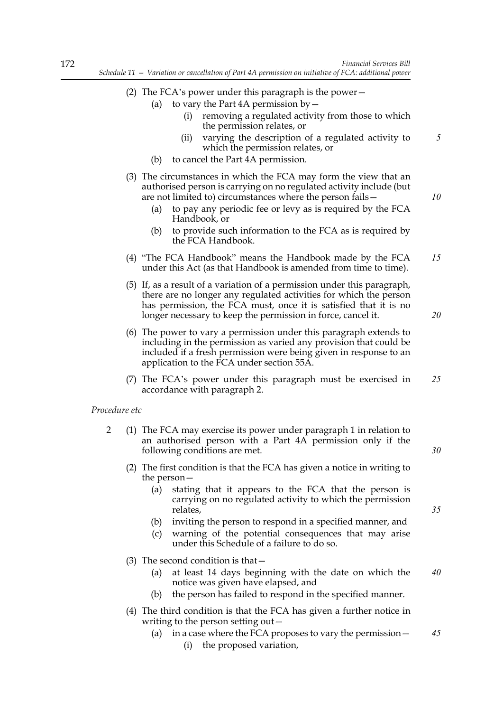- (2) The FCA's power under this paragraph is the power—
	- (a) to vary the Part  $4A$  permission by  $-$ 
		- (i) removing a regulated activity from those to which the permission relates, or
		- (ii) varying the description of a regulated activity to which the permission relates, or
	- (b) to cancel the Part 4A permission.
- (3) The circumstances in which the FCA may form the view that an authorised person is carrying on no regulated activity include (but are not limited to) circumstances where the person fails—
	- (a) to pay any periodic fee or levy as is required by the FCA Handbook, or
	- (b) to provide such information to the FCA as is required by the FCA Handbook.
- (4) "The FCA Handbook" means the Handbook made by the FCA under this Act (as that Handbook is amended from time to time). *15*
- (5) If, as a result of a variation of a permission under this paragraph, there are no longer any regulated activities for which the person has permission, the FCA must, once it is satisfied that it is no longer necessary to keep the permission in force, cancel it.
- (6) The power to vary a permission under this paragraph extends to including in the permission as varied any provision that could be included if a fresh permission were being given in response to an application to the FCA under section 55A.
- (7) The FCA's power under this paragraph must be exercised in accordance with paragraph 2. *25*

### *Procedure etc*

- 2 (1) The FCA may exercise its power under paragraph 1 in relation to an authorised person with a Part 4A permission only if the following conditions are met.
	- (2) The first condition is that the FCA has given a notice in writing to the person—
		- (a) stating that it appears to the FCA that the person is carrying on no regulated activity to which the permission relates,
		- (b) inviting the person to respond in a specified manner, and
		- (c) warning of the potential consequences that may arise under this Schedule of a failure to do so.
	- (3) The second condition is that—
		- (a) at least 14 days beginning with the date on which the notice was given have elapsed, and *40*
		- (b) the person has failed to respond in the specified manner.
	- (4) The third condition is that the FCA has given a further notice in writing to the person setting out—
		- (a) in a case where the FCA proposes to vary the permission— *45*
			- (i) the proposed variation,

*10*

*20*

*5*

*30*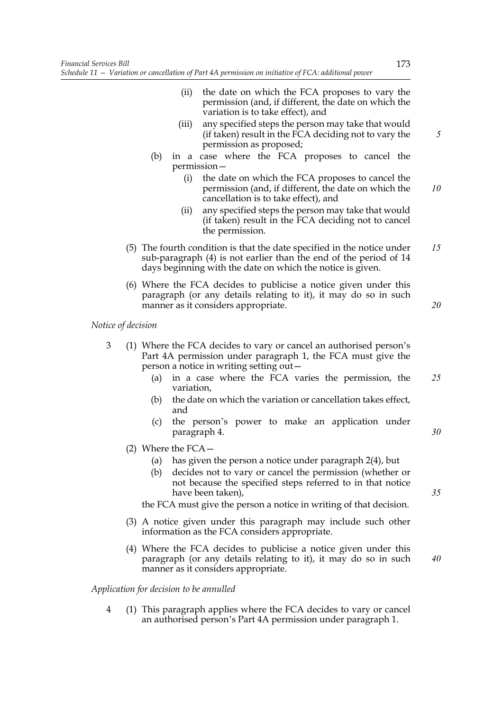- (ii) the date on which the FCA proposes to vary the permission (and, if different, the date on which the variation is to take effect), and
- (iii) any specified steps the person may take that would (if taken) result in the FCA deciding not to vary the permission as proposed;
- (b) in a case where the FCA proposes to cancel the permission—
	- (i) the date on which the FCA proposes to cancel the permission (and, if different, the date on which the cancellation is to take effect), and *10*
	- (ii) any specified steps the person may take that would (if taken) result in the FCA deciding not to cancel the permission.
- (5) The fourth condition is that the date specified in the notice under sub-paragraph (4) is not earlier than the end of the period of 14 days beginning with the date on which the notice is given. *15*
- (6) Where the FCA decides to publicise a notice given under this paragraph (or any details relating to it), it may do so in such manner as it considers appropriate.

*Notice of decision*

- 3 (1) Where the FCA decides to vary or cancel an authorised person's Part 4A permission under paragraph 1, the FCA must give the person a notice in writing setting out—
	- (a) in a case where the FCA varies the permission, the variation, *25*
	- (b) the date on which the variation or cancellation takes effect, and
	- (c) the person's power to make an application under paragraph 4.
	- (2) Where the FCA—
		- (a) has given the person a notice under paragraph 2(4), but
		- (b) decides not to vary or cancel the permission (whether or not because the specified steps referred to in that notice have been taken),

the FCA must give the person a notice in writing of that decision.

- (3) A notice given under this paragraph may include such other information as the FCA considers appropriate.
- (4) Where the FCA decides to publicise a notice given under this paragraph (or any details relating to it), it may do so in such manner as it considers appropriate.

*Application for decision to be annulled*

4 (1) This paragraph applies where the FCA decides to vary or cancel an authorised person's Part 4A permission under paragraph 1.

*5*

*20*

*35*

*40*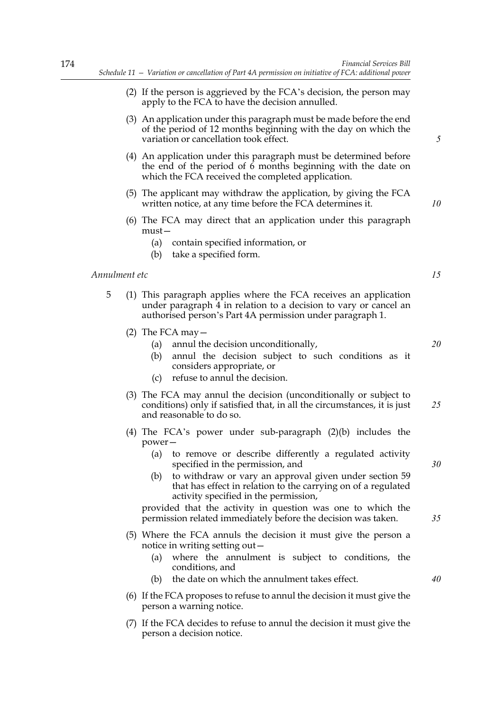(2) If the person is aggrieved by the FCA's decision, the person may

174

|               | apply to the FCA to have the decision annulled.                                                                                                                                                                                                                                                                                                                                                                                                                                      |          |
|---------------|--------------------------------------------------------------------------------------------------------------------------------------------------------------------------------------------------------------------------------------------------------------------------------------------------------------------------------------------------------------------------------------------------------------------------------------------------------------------------------------|----------|
|               | (3) An application under this paragraph must be made before the end<br>of the period of 12 months beginning with the day on which the<br>variation or cancellation took effect.                                                                                                                                                                                                                                                                                                      | 5        |
|               | (4) An application under this paragraph must be determined before<br>the end of the period of 6 months beginning with the date on<br>which the FCA received the completed application.                                                                                                                                                                                                                                                                                               |          |
|               | (5) The applicant may withdraw the application, by giving the FCA<br>written notice, at any time before the FCA determines it.                                                                                                                                                                                                                                                                                                                                                       | 10       |
|               | (6) The FCA may direct that an application under this paragraph<br>$must -$<br>contain specified information, or<br>(a)<br>(b) take a specified form.                                                                                                                                                                                                                                                                                                                                |          |
| Annulment etc |                                                                                                                                                                                                                                                                                                                                                                                                                                                                                      | 15       |
| 5             | (1) This paragraph applies where the FCA receives an application<br>under paragraph 4 in relation to a decision to vary or cancel an<br>authorised person's Part 4A permission under paragraph 1.                                                                                                                                                                                                                                                                                    |          |
|               | (2) The FCA may $-$<br>annul the decision unconditionally,<br>(a)<br>annul the decision subject to such conditions as it<br>(b)<br>considers appropriate, or<br>refuse to annul the decision.<br>(c)                                                                                                                                                                                                                                                                                 | 20       |
|               | (3) The FCA may annul the decision (unconditionally or subject to<br>conditions) only if satisfied that, in all the circumstances, it is just<br>and reasonable to do so.                                                                                                                                                                                                                                                                                                            | 25       |
|               | (4) The FCA's power under sub-paragraph $(2)(b)$ includes the<br>power-<br>to remove or describe differently a regulated activity<br>(a)<br>specified in the permission, and<br>(b) to withdraw or vary an approval given under section 59<br>that has effect in relation to the carrying on of a regulated<br>activity specified in the permission,<br>provided that the activity in question was one to which the<br>permission related immediately before the decision was taken. | 30<br>35 |
|               | (5) Where the FCA annuls the decision it must give the person a<br>notice in writing setting out -<br>where the annulment is subject to conditions, the<br>(a)<br>conditions, and<br>the date on which the annulment takes effect.<br>(b)                                                                                                                                                                                                                                            | 40       |
|               | (6) If the FCA proposes to refuse to annul the decision it must give the<br>person a warning notice.                                                                                                                                                                                                                                                                                                                                                                                 |          |

(7) If the FCA decides to refuse to annul the decision it must give the person a decision notice.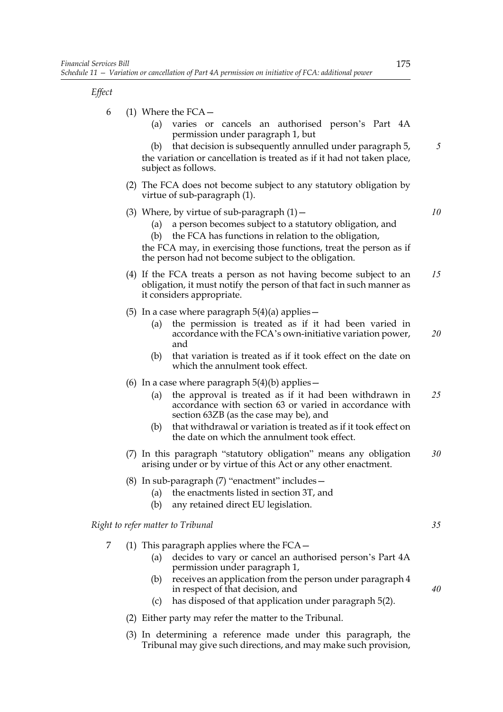*Effect*

| 6 | (1) Where the $FCA -$<br>varies or cancels an authorised person's Part 4A<br>(a)<br>permission under paragraph 1, but<br>that decision is subsequently annulled under paragraph 5,<br>(b)<br>the variation or cancellation is treated as if it had not taken place,<br>subject as follows.                                                        | 5  |
|---|---------------------------------------------------------------------------------------------------------------------------------------------------------------------------------------------------------------------------------------------------------------------------------------------------------------------------------------------------|----|
|   | (2) The FCA does not become subject to any statutory obligation by<br>virtue of sub-paragraph (1).                                                                                                                                                                                                                                                |    |
|   | (3) Where, by virtue of sub-paragraph $(1)$ –<br>a person becomes subject to a statutory obligation, and<br>(a)<br>the FCA has functions in relation to the obligation,<br>(b)<br>the FCA may, in exercising those functions, treat the person as if<br>the person had not become subject to the obligation.                                      | 10 |
|   | (4) If the FCA treats a person as not having become subject to an<br>obligation, it must notify the person of that fact in such manner as<br>it considers appropriate.                                                                                                                                                                            | 15 |
|   | (5) In a case where paragraph $5(4)(a)$ applies -<br>the permission is treated as if it had been varied in<br>(a)<br>accordance with the FCA's own-initiative variation power,<br>and<br>that variation is treated as if it took effect on the date on<br>(b)<br>which the annulment took effect.                                                 | 20 |
|   | (6) In a case where paragraph $5(4)(b)$ applies –<br>the approval is treated as if it had been withdrawn in<br>(a)<br>accordance with section 63 or varied in accordance with<br>section 63ZB (as the case may be), and<br>that withdrawal or variation is treated as if it took effect on<br>(b)<br>the date on which the annulment took effect. | 25 |
|   | (7) In this paragraph "statutory obligation" means any obligation<br>arising under or by virtue of this Act or any other enactment.                                                                                                                                                                                                               | 30 |
|   | (8) In sub-paragraph (7) "enactment" includes -<br>the enactments listed in section 3T, and<br>(a)<br>(b)<br>any retained direct EU legislation.                                                                                                                                                                                                  |    |
|   | Right to refer matter to Tribunal                                                                                                                                                                                                                                                                                                                 | 35 |
| 7 | (1) This paragraph applies where the $FCA -$<br>decides to vary or cancel an authorised person's Part 4A<br>(a)<br>permission under paragraph 1,                                                                                                                                                                                                  |    |
|   | receives an application from the person under paragraph 4<br>(b)<br>in respect of that decision, and                                                                                                                                                                                                                                              | 40 |
|   | has disposed of that application under paragraph 5(2).<br>(c)                                                                                                                                                                                                                                                                                     |    |
|   |                                                                                                                                                                                                                                                                                                                                                   |    |

- (2) Either party may refer the matter to the Tribunal.
- (3) In determining a reference made under this paragraph, the Tribunal may give such directions, and may make such provision,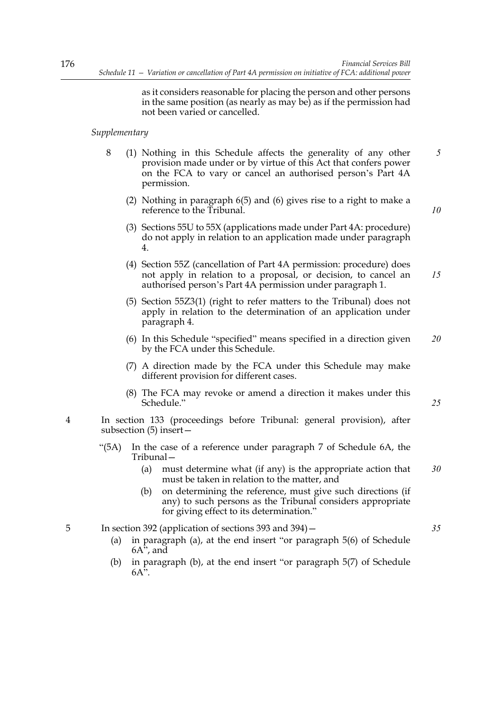as it considers reasonable for placing the person and other persons in the same position (as nearly as may be) as if the permission had not been varied or cancelled.

## *Supplementary*

- 8 (1) Nothing in this Schedule affects the generality of any other provision made under or by virtue of this Act that confers power on the FCA to vary or cancel an authorised person's Part 4A permission. *5*
	- (2) Nothing in paragraph 6(5) and (6) gives rise to a right to make a reference to the Tribunal.
	- (3) Sections 55U to 55X (applications made under Part 4A: procedure) do not apply in relation to an application made under paragraph 4.
	- (4) Section 55Z (cancellation of Part 4A permission: procedure) does not apply in relation to a proposal, or decision, to cancel an authorised person's Part 4A permission under paragraph 1. *15*
	- (5) Section 55Z3(1) (right to refer matters to the Tribunal) does not apply in relation to the determination of an application under paragraph 4.
	- (6) In this Schedule "specified" means specified in a direction given by the FCA under this Schedule. *20*
	- (7) A direction made by the FCA under this Schedule may make different provision for different cases.
	- (8) The FCA may revoke or amend a direction it makes under this Schedule."
- 4 In section 133 (proceedings before Tribunal: general provision), after subsection (5) insert—
	- "(5A) In the case of a reference under paragraph 7 of Schedule 6A, the Tribunal—
		- (a) must determine what (if any) is the appropriate action that must be taken in relation to the matter, and *30*
		- (b) on determining the reference, must give such directions (if anv) to such persons as the Tribunal considers appropriate for giving effect to its determination."

5 In section 392 (application of sections 393 and 394)— *35*

- (a) in paragraph (a), at the end insert "or paragraph 5(6) of Schedule  $6A^{\overline{i}}$ , and
- (b) in paragraph (b), at the end insert "or paragraph 5(7) of Schedule  $6A$ ".

*25*